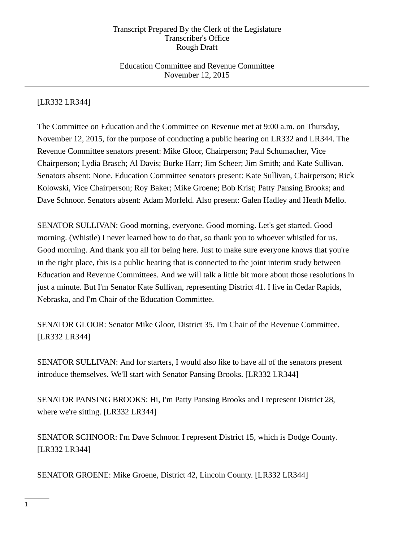## Education Committee and Revenue Committee November 12, 2015

# [LR332 LR344]

The Committee on Education and the Committee on Revenue met at 9:00 a.m. on Thursday, November 12, 2015, for the purpose of conducting a public hearing on LR332 and LR344. The Revenue Committee senators present: Mike Gloor, Chairperson; Paul Schumacher, Vice Chairperson; Lydia Brasch; Al Davis; Burke Harr; Jim Scheer; Jim Smith; and Kate Sullivan. Senators absent: None. Education Committee senators present: Kate Sullivan, Chairperson; Rick Kolowski, Vice Chairperson; Roy Baker; Mike Groene; Bob Krist; Patty Pansing Brooks; and Dave Schnoor. Senators absent: Adam Morfeld. Also present: Galen Hadley and Heath Mello.

SENATOR SULLIVAN: Good morning, everyone. Good morning. Let's get started. Good morning. (Whistle) I never learned how to do that, so thank you to whoever whistled for us. Good morning. And thank you all for being here. Just to make sure everyone knows that you're in the right place, this is a public hearing that is connected to the joint interim study between Education and Revenue Committees. And we will talk a little bit more about those resolutions in just a minute. But I'm Senator Kate Sullivan, representing District 41. I live in Cedar Rapids, Nebraska, and I'm Chair of the Education Committee.

SENATOR GLOOR: Senator Mike Gloor, District 35. I'm Chair of the Revenue Committee. [LR332 LR344]

SENATOR SULLIVAN: And for starters, I would also like to have all of the senators present introduce themselves. We'll start with Senator Pansing Brooks. [LR332 LR344]

SENATOR PANSING BROOKS: Hi, I'm Patty Pansing Brooks and I represent District 28, where we're sitting. [LR332 LR344]

SENATOR SCHNOOR: I'm Dave Schnoor. I represent District 15, which is Dodge County. [LR332 LR344]

SENATOR GROENE: Mike Groene, District 42, Lincoln County. [LR332 LR344]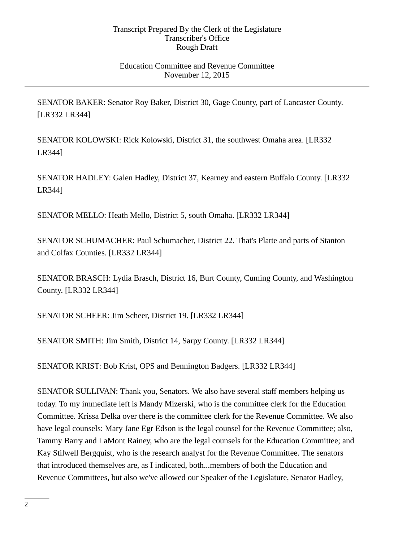## Education Committee and Revenue Committee November 12, 2015

SENATOR BAKER: Senator Roy Baker, District 30, Gage County, part of Lancaster County. [LR332 LR344]

SENATOR KOLOWSKI: Rick Kolowski, District 31, the southwest Omaha area. [LR332 LR344]

SENATOR HADLEY: Galen Hadley, District 37, Kearney and eastern Buffalo County. [LR332 LR344]

SENATOR MELLO: Heath Mello, District 5, south Omaha. [LR332 LR344]

SENATOR SCHUMACHER: Paul Schumacher, District 22. That's Platte and parts of Stanton and Colfax Counties. [LR332 LR344]

SENATOR BRASCH: Lydia Brasch, District 16, Burt County, Cuming County, and Washington County. [LR332 LR344]

SENATOR SCHEER: Jim Scheer, District 19. [LR332 LR344]

SENATOR SMITH: Jim Smith, District 14, Sarpy County. [LR332 LR344]

SENATOR KRIST: Bob Krist, OPS and Bennington Badgers. [LR332 LR344]

SENATOR SULLIVAN: Thank you, Senators. We also have several staff members helping us today. To my immediate left is Mandy Mizerski, who is the committee clerk for the Education Committee. Krissa Delka over there is the committee clerk for the Revenue Committee. We also have legal counsels: Mary Jane Egr Edson is the legal counsel for the Revenue Committee; also, Tammy Barry and LaMont Rainey, who are the legal counsels for the Education Committee; and Kay Stilwell Bergquist, who is the research analyst for the Revenue Committee. The senators that introduced themselves are, as I indicated, both...members of both the Education and Revenue Committees, but also we've allowed our Speaker of the Legislature, Senator Hadley,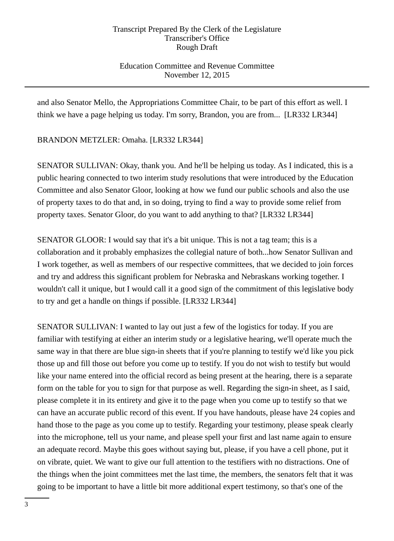# Education Committee and Revenue Committee November 12, 2015

and also Senator Mello, the Appropriations Committee Chair, to be part of this effort as well. I think we have a page helping us today. I'm sorry, Brandon, you are from... [LR332 LR344]

BRANDON METZLER: Omaha. [LR332 LR344]

SENATOR SULLIVAN: Okay, thank you. And he'll be helping us today. As I indicated, this is a public hearing connected to two interim study resolutions that were introduced by the Education Committee and also Senator Gloor, looking at how we fund our public schools and also the use of property taxes to do that and, in so doing, trying to find a way to provide some relief from property taxes. Senator Gloor, do you want to add anything to that? [LR332 LR344]

SENATOR GLOOR: I would say that it's a bit unique. This is not a tag team; this is a collaboration and it probably emphasizes the collegial nature of both...how Senator Sullivan and I work together, as well as members of our respective committees, that we decided to join forces and try and address this significant problem for Nebraska and Nebraskans working together. I wouldn't call it unique, but I would call it a good sign of the commitment of this legislative body to try and get a handle on things if possible. [LR332 LR344]

SENATOR SULLIVAN: I wanted to lay out just a few of the logistics for today. If you are familiar with testifying at either an interim study or a legislative hearing, we'll operate much the same way in that there are blue sign-in sheets that if you're planning to testify we'd like you pick those up and fill those out before you come up to testify. If you do not wish to testify but would like your name entered into the official record as being present at the hearing, there is a separate form on the table for you to sign for that purpose as well. Regarding the sign-in sheet, as I said, please complete it in its entirety and give it to the page when you come up to testify so that we can have an accurate public record of this event. If you have handouts, please have 24 copies and hand those to the page as you come up to testify. Regarding your testimony, please speak clearly into the microphone, tell us your name, and please spell your first and last name again to ensure an adequate record. Maybe this goes without saying but, please, if you have a cell phone, put it on vibrate, quiet. We want to give our full attention to the testifiers with no distractions. One of the things when the joint committees met the last time, the members, the senators felt that it was going to be important to have a little bit more additional expert testimony, so that's one of the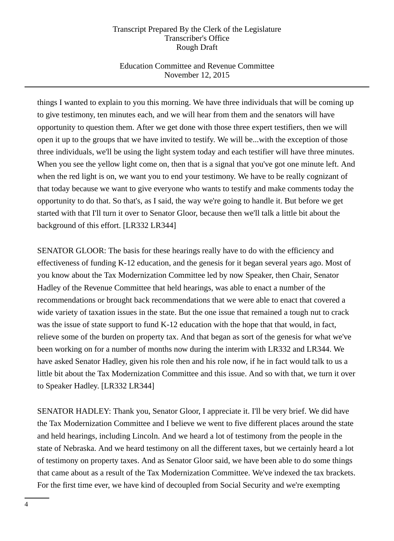# Education Committee and Revenue Committee November 12, 2015

things I wanted to explain to you this morning. We have three individuals that will be coming up to give testimony, ten minutes each, and we will hear from them and the senators will have opportunity to question them. After we get done with those three expert testifiers, then we will open it up to the groups that we have invited to testify. We will be...with the exception of those three individuals, we'll be using the light system today and each testifier will have three minutes. When you see the yellow light come on, then that is a signal that you've got one minute left. And when the red light is on, we want you to end your testimony. We have to be really cognizant of that today because we want to give everyone who wants to testify and make comments today the opportunity to do that. So that's, as I said, the way we're going to handle it. But before we get started with that I'll turn it over to Senator Gloor, because then we'll talk a little bit about the background of this effort. [LR332 LR344]

SENATOR GLOOR: The basis for these hearings really have to do with the efficiency and effectiveness of funding K-12 education, and the genesis for it began several years ago. Most of you know about the Tax Modernization Committee led by now Speaker, then Chair, Senator Hadley of the Revenue Committee that held hearings, was able to enact a number of the recommendations or brought back recommendations that we were able to enact that covered a wide variety of taxation issues in the state. But the one issue that remained a tough nut to crack was the issue of state support to fund K-12 education with the hope that that would, in fact, relieve some of the burden on property tax. And that began as sort of the genesis for what we've been working on for a number of months now during the interim with LR332 and LR344. We have asked Senator Hadley, given his role then and his role now, if he in fact would talk to us a little bit about the Tax Modernization Committee and this issue. And so with that, we turn it over to Speaker Hadley. [LR332 LR344]

SENATOR HADLEY: Thank you, Senator Gloor, I appreciate it. I'll be very brief. We did have the Tax Modernization Committee and I believe we went to five different places around the state and held hearings, including Lincoln. And we heard a lot of testimony from the people in the state of Nebraska. And we heard testimony on all the different taxes, but we certainly heard a lot of testimony on property taxes. And as Senator Gloor said, we have been able to do some things that came about as a result of the Tax Modernization Committee. We've indexed the tax brackets. For the first time ever, we have kind of decoupled from Social Security and we're exempting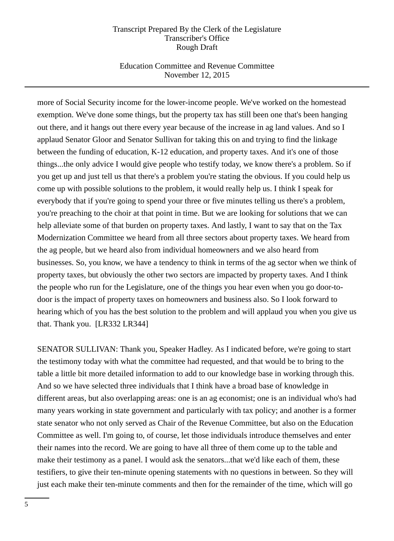## Education Committee and Revenue Committee November 12, 2015

more of Social Security income for the lower-income people. We've worked on the homestead exemption. We've done some things, but the property tax has still been one that's been hanging out there, and it hangs out there every year because of the increase in ag land values. And so I applaud Senator Gloor and Senator Sullivan for taking this on and trying to find the linkage between the funding of education, K-12 education, and property taxes. And it's one of those things...the only advice I would give people who testify today, we know there's a problem. So if you get up and just tell us that there's a problem you're stating the obvious. If you could help us come up with possible solutions to the problem, it would really help us. I think I speak for everybody that if you're going to spend your three or five minutes telling us there's a problem, you're preaching to the choir at that point in time. But we are looking for solutions that we can help alleviate some of that burden on property taxes. And lastly, I want to say that on the Tax Modernization Committee we heard from all three sectors about property taxes. We heard from the ag people, but we heard also from individual homeowners and we also heard from businesses. So, you know, we have a tendency to think in terms of the ag sector when we think of property taxes, but obviously the other two sectors are impacted by property taxes. And I think the people who run for the Legislature, one of the things you hear even when you go door-todoor is the impact of property taxes on homeowners and business also. So I look forward to hearing which of you has the best solution to the problem and will applaud you when you give us that. Thank you. [LR332 LR344]

SENATOR SULLIVAN: Thank you, Speaker Hadley. As I indicated before, we're going to start the testimony today with what the committee had requested, and that would be to bring to the table a little bit more detailed information to add to our knowledge base in working through this. And so we have selected three individuals that I think have a broad base of knowledge in different areas, but also overlapping areas: one is an ag economist; one is an individual who's had many years working in state government and particularly with tax policy; and another is a former state senator who not only served as Chair of the Revenue Committee, but also on the Education Committee as well. I'm going to, of course, let those individuals introduce themselves and enter their names into the record. We are going to have all three of them come up to the table and make their testimony as a panel. I would ask the senators...that we'd like each of them, these testifiers, to give their ten-minute opening statements with no questions in between. So they will just each make their ten-minute comments and then for the remainder of the time, which will go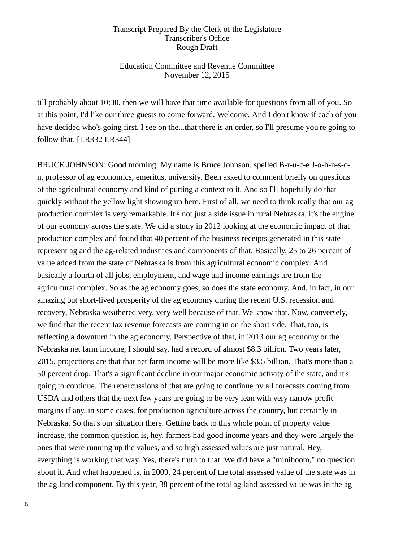# Education Committee and Revenue Committee November 12, 2015

till probably about 10:30, then we will have that time available for questions from all of you. So at this point, I'd like our three guests to come forward. Welcome. And I don't know if each of you have decided who's going first. I see on the...that there is an order, so I'll presume you're going to follow that. [LR332 LR344]

BRUCE JOHNSON: Good morning. My name is Bruce Johnson, spelled B-r-u-c-e J-o-h-n-s-on, professor of ag economics, emeritus, university. Been asked to comment briefly on questions of the agricultural economy and kind of putting a context to it. And so I'll hopefully do that quickly without the yellow light showing up here. First of all, we need to think really that our ag production complex is very remarkable. It's not just a side issue in rural Nebraska, it's the engine of our economy across the state. We did a study in 2012 looking at the economic impact of that production complex and found that 40 percent of the business receipts generated in this state represent ag and the ag-related industries and components of that. Basically, 25 to 26 percent of value added from the state of Nebraska is from this agricultural economic complex. And basically a fourth of all jobs, employment, and wage and income earnings are from the agricultural complex. So as the ag economy goes, so does the state economy. And, in fact, in our amazing but short-lived prosperity of the ag economy during the recent U.S. recession and recovery, Nebraska weathered very, very well because of that. We know that. Now, conversely, we find that the recent tax revenue forecasts are coming in on the short side. That, too, is reflecting a downturn in the ag economy. Perspective of that, in 2013 our ag economy or the Nebraska net farm income, I should say, had a record of almost \$8.3 billion. Two years later, 2015, projections are that that net farm income will be more like \$3.5 billion. That's more than a 50 percent drop. That's a significant decline in our major economic activity of the state, and it's going to continue. The repercussions of that are going to continue by all forecasts coming from USDA and others that the next few years are going to be very lean with very narrow profit margins if any, in some cases, for production agriculture across the country, but certainly in Nebraska. So that's our situation there. Getting back to this whole point of property value increase, the common question is, hey, farmers had good income years and they were largely the ones that were running up the values, and so high assessed values are just natural. Hey, everything is working that way. Yes, there's truth to that. We did have a "miniboom," no question about it. And what happened is, in 2009, 24 percent of the total assessed value of the state was in the ag land component. By this year, 38 percent of the total ag land assessed value was in the ag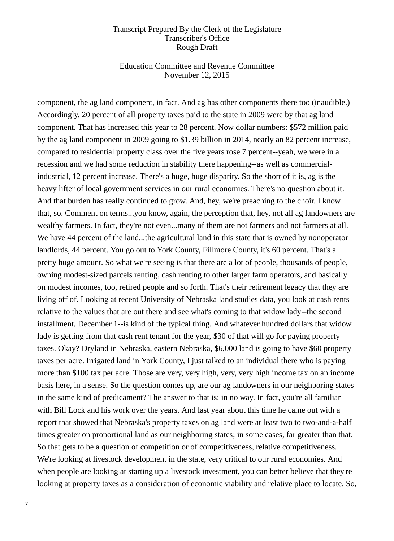### Education Committee and Revenue Committee November 12, 2015

component, the ag land component, in fact. And ag has other components there too (inaudible.) Accordingly, 20 percent of all property taxes paid to the state in 2009 were by that ag land component. That has increased this year to 28 percent. Now dollar numbers: \$572 million paid by the ag land component in 2009 going to \$1.39 billion in 2014, nearly an 82 percent increase, compared to residential property class over the five years rose 7 percent--yeah, we were in a recession and we had some reduction in stability there happening--as well as commercialindustrial, 12 percent increase. There's a huge, huge disparity. So the short of it is, ag is the heavy lifter of local government services in our rural economies. There's no question about it. And that burden has really continued to grow. And, hey, we're preaching to the choir. I know that, so. Comment on terms...you know, again, the perception that, hey, not all ag landowners are wealthy farmers. In fact, they're not even...many of them are not farmers and not farmers at all. We have 44 percent of the land...the agricultural land in this state that is owned by nonoperator landlords, 44 percent. You go out to York County, Fillmore County, it's 60 percent. That's a pretty huge amount. So what we're seeing is that there are a lot of people, thousands of people, owning modest-sized parcels renting, cash renting to other larger farm operators, and basically on modest incomes, too, retired people and so forth. That's their retirement legacy that they are living off of. Looking at recent University of Nebraska land studies data, you look at cash rents relative to the values that are out there and see what's coming to that widow lady--the second installment, December 1--is kind of the typical thing. And whatever hundred dollars that widow lady is getting from that cash rent tenant for the year, \$30 of that will go for paying property taxes. Okay? Dryland in Nebraska, eastern Nebraska, \$6,000 land is going to have \$60 property taxes per acre. Irrigated land in York County, I just talked to an individual there who is paying more than \$100 tax per acre. Those are very, very high, very, very high income tax on an income basis here, in a sense. So the question comes up, are our ag landowners in our neighboring states in the same kind of predicament? The answer to that is: in no way. In fact, you're all familiar with Bill Lock and his work over the years. And last year about this time he came out with a report that showed that Nebraska's property taxes on ag land were at least two to two-and-a-half times greater on proportional land as our neighboring states; in some cases, far greater than that. So that gets to be a question of competition or of competitiveness, relative competitiveness. We're looking at livestock development in the state, very critical to our rural economies. And when people are looking at starting up a livestock investment, you can better believe that they're looking at property taxes as a consideration of economic viability and relative place to locate. So,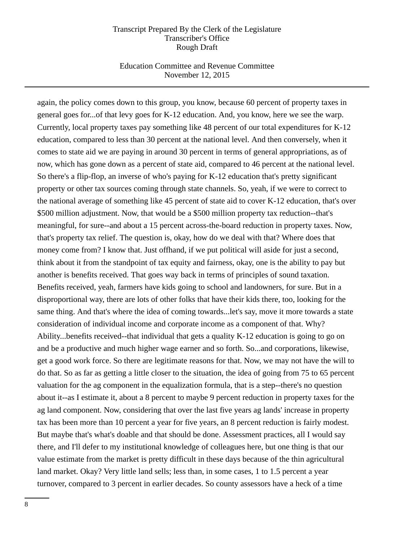### Education Committee and Revenue Committee November 12, 2015

again, the policy comes down to this group, you know, because 60 percent of property taxes in general goes for...of that levy goes for K-12 education. And, you know, here we see the warp. Currently, local property taxes pay something like 48 percent of our total expenditures for K-12 education, compared to less than 30 percent at the national level. And then conversely, when it comes to state aid we are paying in around 30 percent in terms of general appropriations, as of now, which has gone down as a percent of state aid, compared to 46 percent at the national level. So there's a flip-flop, an inverse of who's paying for K-12 education that's pretty significant property or other tax sources coming through state channels. So, yeah, if we were to correct to the national average of something like 45 percent of state aid to cover K-12 education, that's over \$500 million adjustment. Now, that would be a \$500 million property tax reduction--that's meaningful, for sure--and about a 15 percent across-the-board reduction in property taxes. Now, that's property tax relief. The question is, okay, how do we deal with that? Where does that money come from? I know that. Just offhand, if we put political will aside for just a second, think about it from the standpoint of tax equity and fairness, okay, one is the ability to pay but another is benefits received. That goes way back in terms of principles of sound taxation. Benefits received, yeah, farmers have kids going to school and landowners, for sure. But in a disproportional way, there are lots of other folks that have their kids there, too, looking for the same thing. And that's where the idea of coming towards...let's say, move it more towards a state consideration of individual income and corporate income as a component of that. Why? Ability...benefits received--that individual that gets a quality K-12 education is going to go on and be a productive and much higher wage earner and so forth. So...and corporations, likewise, get a good work force. So there are legitimate reasons for that. Now, we may not have the will to do that. So as far as getting a little closer to the situation, the idea of going from 75 to 65 percent valuation for the ag component in the equalization formula, that is a step--there's no question about it--as I estimate it, about a 8 percent to maybe 9 percent reduction in property taxes for the ag land component. Now, considering that over the last five years ag lands' increase in property tax has been more than 10 percent a year for five years, an 8 percent reduction is fairly modest. But maybe that's what's doable and that should be done. Assessment practices, all I would say there, and I'll defer to my institutional knowledge of colleagues here, but one thing is that our value estimate from the market is pretty difficult in these days because of the thin agricultural land market. Okay? Very little land sells; less than, in some cases, 1 to 1.5 percent a year turnover, compared to 3 percent in earlier decades. So county assessors have a heck of a time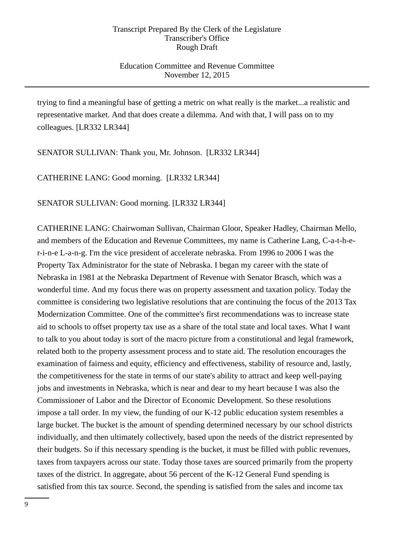## Education Committee and Revenue Committee November 12, 2015

trying to find a meaningful base of getting a metric on what really is the market...a realistic and representative market. And that does create a dilemma. And with that, I will pass on to my colleagues. [LR332 LR344]

SENATOR SULLIVAN: Thank you, Mr. Johnson. [LR332 LR344]

CATHERINE LANG: Good morning. [LR332 LR344]

SENATOR SULLIVAN: Good morning. [LR332 LR344]

CATHERINE LANG: Chairwoman Sullivan, Chairman Gloor, Speaker Hadley, Chairman Mello, and members of the Education and Revenue Committees, my name is Catherine Lang, C-a-t-h-er-i-n-e L-a-n-g. I'm the vice president of accelerate nebraska. From 1996 to 2006 I was the Property Tax Administrator for the state of Nebraska. I began my career with the state of Nebraska in 1981 at the Nebraska Department of Revenue with Senator Brasch, which was a wonderful time. And my focus there was on property assessment and taxation policy. Today the committee is considering two legislative resolutions that are continuing the focus of the 2013 Tax Modernization Committee. One of the committee's first recommendations was to increase state aid to schools to offset property tax use as a share of the total state and local taxes. What I want to talk to you about today is sort of the macro picture from a constitutional and legal framework, related both to the property assessment process and to state aid. The resolution encourages the examination of fairness and equity, efficiency and effectiveness, stability of resource and, lastly, the competitiveness for the state in terms of our state's ability to attract and keep well-paying jobs and investments in Nebraska, which is near and dear to my heart because I was also the Commissioner of Labor and the Director of Economic Development. So these resolutions impose a tall order. In my view, the funding of our K-12 public education system resembles a large bucket. The bucket is the amount of spending determined necessary by our school districts individually, and then ultimately collectively, based upon the needs of the district represented by their budgets. So if this necessary spending is the bucket, it must be filled with public revenues, taxes from taxpayers across our state. Today those taxes are sourced primarily from the property taxes of the district. In aggregate, about 56 percent of the K-12 General Fund spending is satisfied from this tax source. Second, the spending is satisfied from the sales and income tax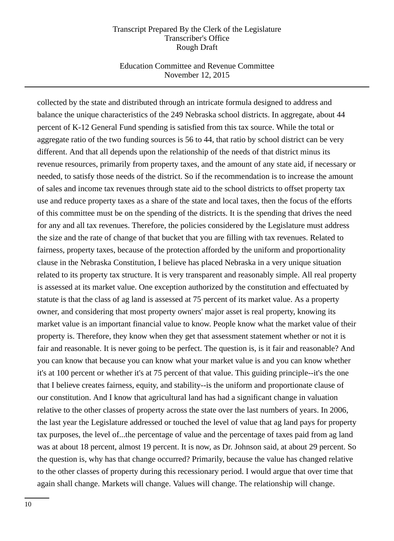### Education Committee and Revenue Committee November 12, 2015

collected by the state and distributed through an intricate formula designed to address and balance the unique characteristics of the 249 Nebraska school districts. In aggregate, about 44 percent of K-12 General Fund spending is satisfied from this tax source. While the total or aggregate ratio of the two funding sources is 56 to 44, that ratio by school district can be very different. And that all depends upon the relationship of the needs of that district minus its revenue resources, primarily from property taxes, and the amount of any state aid, if necessary or needed, to satisfy those needs of the district. So if the recommendation is to increase the amount of sales and income tax revenues through state aid to the school districts to offset property tax use and reduce property taxes as a share of the state and local taxes, then the focus of the efforts of this committee must be on the spending of the districts. It is the spending that drives the need for any and all tax revenues. Therefore, the policies considered by the Legislature must address the size and the rate of change of that bucket that you are filling with tax revenues. Related to fairness, property taxes, because of the protection afforded by the uniform and proportionality clause in the Nebraska Constitution, I believe has placed Nebraska in a very unique situation related to its property tax structure. It is very transparent and reasonably simple. All real property is assessed at its market value. One exception authorized by the constitution and effectuated by statute is that the class of ag land is assessed at 75 percent of its market value. As a property owner, and considering that most property owners' major asset is real property, knowing its market value is an important financial value to know. People know what the market value of their property is. Therefore, they know when they get that assessment statement whether or not it is fair and reasonable. It is never going to be perfect. The question is, is it fair and reasonable? And you can know that because you can know what your market value is and you can know whether it's at 100 percent or whether it's at 75 percent of that value. This guiding principle--it's the one that I believe creates fairness, equity, and stability--is the uniform and proportionate clause of our constitution. And I know that agricultural land has had a significant change in valuation relative to the other classes of property across the state over the last numbers of years. In 2006, the last year the Legislature addressed or touched the level of value that ag land pays for property tax purposes, the level of...the percentage of value and the percentage of taxes paid from ag land was at about 18 percent, almost 19 percent. It is now, as Dr. Johnson said, at about 29 percent. So the question is, why has that change occurred? Primarily, because the value has changed relative to the other classes of property during this recessionary period. I would argue that over time that again shall change. Markets will change. Values will change. The relationship will change.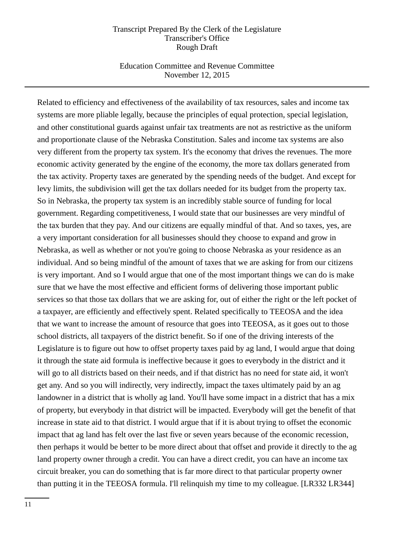### Education Committee and Revenue Committee November 12, 2015

Related to efficiency and effectiveness of the availability of tax resources, sales and income tax systems are more pliable legally, because the principles of equal protection, special legislation, and other constitutional guards against unfair tax treatments are not as restrictive as the uniform and proportionate clause of the Nebraska Constitution. Sales and income tax systems are also very different from the property tax system. It's the economy that drives the revenues. The more economic activity generated by the engine of the economy, the more tax dollars generated from the tax activity. Property taxes are generated by the spending needs of the budget. And except for levy limits, the subdivision will get the tax dollars needed for its budget from the property tax. So in Nebraska, the property tax system is an incredibly stable source of funding for local government. Regarding competitiveness, I would state that our businesses are very mindful of the tax burden that they pay. And our citizens are equally mindful of that. And so taxes, yes, are a very important consideration for all businesses should they choose to expand and grow in Nebraska, as well as whether or not you're going to choose Nebraska as your residence as an individual. And so being mindful of the amount of taxes that we are asking for from our citizens is very important. And so I would argue that one of the most important things we can do is make sure that we have the most effective and efficient forms of delivering those important public services so that those tax dollars that we are asking for, out of either the right or the left pocket of a taxpayer, are efficiently and effectively spent. Related specifically to TEEOSA and the idea that we want to increase the amount of resource that goes into TEEOSA, as it goes out to those school districts, all taxpayers of the district benefit. So if one of the driving interests of the Legislature is to figure out how to offset property taxes paid by ag land, I would argue that doing it through the state aid formula is ineffective because it goes to everybody in the district and it will go to all districts based on their needs, and if that district has no need for state aid, it won't get any. And so you will indirectly, very indirectly, impact the taxes ultimately paid by an ag landowner in a district that is wholly ag land. You'll have some impact in a district that has a mix of property, but everybody in that district will be impacted. Everybody will get the benefit of that increase in state aid to that district. I would argue that if it is about trying to offset the economic impact that ag land has felt over the last five or seven years because of the economic recession, then perhaps it would be better to be more direct about that offset and provide it directly to the ag land property owner through a credit. You can have a direct credit, you can have an income tax circuit breaker, you can do something that is far more direct to that particular property owner than putting it in the TEEOSA formula. I'll relinquish my time to my colleague. [LR332 LR344]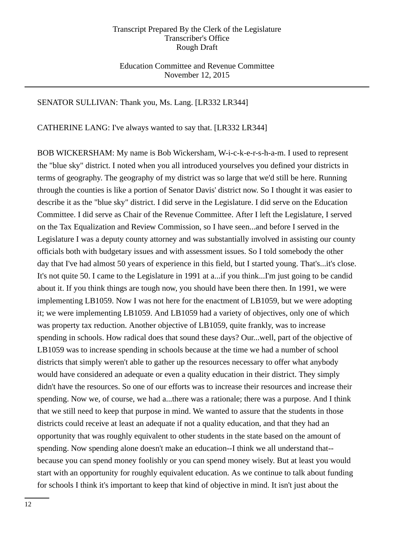Education Committee and Revenue Committee November 12, 2015

### SENATOR SULLIVAN: Thank you, Ms. Lang. [LR332 LR344]

CATHERINE LANG: I've always wanted to say that. [LR332 LR344]

BOB WICKERSHAM: My name is Bob Wickersham, W-i-c-k-e-r-s-h-a-m. I used to represent the "blue sky" district. I noted when you all introduced yourselves you defined your districts in terms of geography. The geography of my district was so large that we'd still be here. Running through the counties is like a portion of Senator Davis' district now. So I thought it was easier to describe it as the "blue sky" district. I did serve in the Legislature. I did serve on the Education Committee. I did serve as Chair of the Revenue Committee. After I left the Legislature, I served on the Tax Equalization and Review Commission, so I have seen...and before I served in the Legislature I was a deputy county attorney and was substantially involved in assisting our county officials both with budgetary issues and with assessment issues. So I told somebody the other day that I've had almost 50 years of experience in this field, but I started young. That's...it's close. It's not quite 50. I came to the Legislature in 1991 at a...if you think...I'm just going to be candid about it. If you think things are tough now, you should have been there then. In 1991, we were implementing LB1059. Now I was not here for the enactment of LB1059, but we were adopting it; we were implementing LB1059. And LB1059 had a variety of objectives, only one of which was property tax reduction. Another objective of LB1059, quite frankly, was to increase spending in schools. How radical does that sound these days? Our...well, part of the objective of LB1059 was to increase spending in schools because at the time we had a number of school districts that simply weren't able to gather up the resources necessary to offer what anybody would have considered an adequate or even a quality education in their district. They simply didn't have the resources. So one of our efforts was to increase their resources and increase their spending. Now we, of course, we had a...there was a rationale; there was a purpose. And I think that we still need to keep that purpose in mind. We wanted to assure that the students in those districts could receive at least an adequate if not a quality education, and that they had an opportunity that was roughly equivalent to other students in the state based on the amount of spending. Now spending alone doesn't make an education--I think we all understand that- because you can spend money foolishly or you can spend money wisely. But at least you would start with an opportunity for roughly equivalent education. As we continue to talk about funding for schools I think it's important to keep that kind of objective in mind. It isn't just about the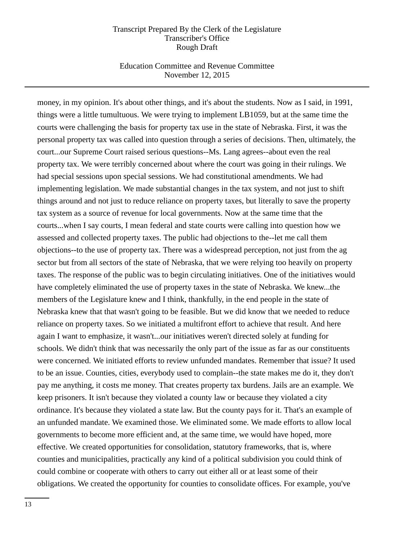### Education Committee and Revenue Committee November 12, 2015

money, in my opinion. It's about other things, and it's about the students. Now as I said, in 1991, things were a little tumultuous. We were trying to implement LB1059, but at the same time the courts were challenging the basis for property tax use in the state of Nebraska. First, it was the personal property tax was called into question through a series of decisions. Then, ultimately, the court...our Supreme Court raised serious questions--Ms. Lang agrees--about even the real property tax. We were terribly concerned about where the court was going in their rulings. We had special sessions upon special sessions. We had constitutional amendments. We had implementing legislation. We made substantial changes in the tax system, and not just to shift things around and not just to reduce reliance on property taxes, but literally to save the property tax system as a source of revenue for local governments. Now at the same time that the courts...when I say courts, I mean federal and state courts were calling into question how we assessed and collected property taxes. The public had objections to the--let me call them objections--to the use of property tax. There was a widespread perception, not just from the ag sector but from all sectors of the state of Nebraska, that we were relying too heavily on property taxes. The response of the public was to begin circulating initiatives. One of the initiatives would have completely eliminated the use of property taxes in the state of Nebraska. We knew...the members of the Legislature knew and I think, thankfully, in the end people in the state of Nebraska knew that that wasn't going to be feasible. But we did know that we needed to reduce reliance on property taxes. So we initiated a multifront effort to achieve that result. And here again I want to emphasize, it wasn't...our initiatives weren't directed solely at funding for schools. We didn't think that was necessarily the only part of the issue as far as our constituents were concerned. We initiated efforts to review unfunded mandates. Remember that issue? It used to be an issue. Counties, cities, everybody used to complain--the state makes me do it, they don't pay me anything, it costs me money. That creates property tax burdens. Jails are an example. We keep prisoners. It isn't because they violated a county law or because they violated a city ordinance. It's because they violated a state law. But the county pays for it. That's an example of an unfunded mandate. We examined those. We eliminated some. We made efforts to allow local governments to become more efficient and, at the same time, we would have hoped, more effective. We created opportunities for consolidation, statutory frameworks, that is, where counties and municipalities, practically any kind of a political subdivision you could think of could combine or cooperate with others to carry out either all or at least some of their obligations. We created the opportunity for counties to consolidate offices. For example, you've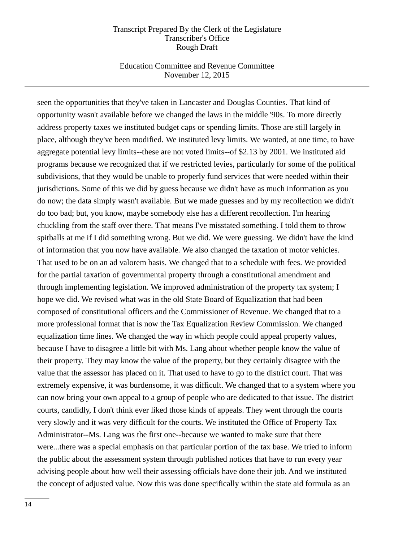### Education Committee and Revenue Committee November 12, 2015

seen the opportunities that they've taken in Lancaster and Douglas Counties. That kind of opportunity wasn't available before we changed the laws in the middle '90s. To more directly address property taxes we instituted budget caps or spending limits. Those are still largely in place, although they've been modified. We instituted levy limits. We wanted, at one time, to have aggregate potential levy limits--these are not voted limits--of \$2.13 by 2001. We instituted aid programs because we recognized that if we restricted levies, particularly for some of the political subdivisions, that they would be unable to properly fund services that were needed within their jurisdictions. Some of this we did by guess because we didn't have as much information as you do now; the data simply wasn't available. But we made guesses and by my recollection we didn't do too bad; but, you know, maybe somebody else has a different recollection. I'm hearing chuckling from the staff over there. That means I've misstated something. I told them to throw spitballs at me if I did something wrong. But we did. We were guessing. We didn't have the kind of information that you now have available. We also changed the taxation of motor vehicles. That used to be on an ad valorem basis. We changed that to a schedule with fees. We provided for the partial taxation of governmental property through a constitutional amendment and through implementing legislation. We improved administration of the property tax system; I hope we did. We revised what was in the old State Board of Equalization that had been composed of constitutional officers and the Commissioner of Revenue. We changed that to a more professional format that is now the Tax Equalization Review Commission. We changed equalization time lines. We changed the way in which people could appeal property values, because I have to disagree a little bit with Ms. Lang about whether people know the value of their property. They may know the value of the property, but they certainly disagree with the value that the assessor has placed on it. That used to have to go to the district court. That was extremely expensive, it was burdensome, it was difficult. We changed that to a system where you can now bring your own appeal to a group of people who are dedicated to that issue. The district courts, candidly, I don't think ever liked those kinds of appeals. They went through the courts very slowly and it was very difficult for the courts. We instituted the Office of Property Tax Administrator--Ms. Lang was the first one--because we wanted to make sure that there were...there was a special emphasis on that particular portion of the tax base. We tried to inform the public about the assessment system through published notices that have to run every year advising people about how well their assessing officials have done their job. And we instituted the concept of adjusted value. Now this was done specifically within the state aid formula as an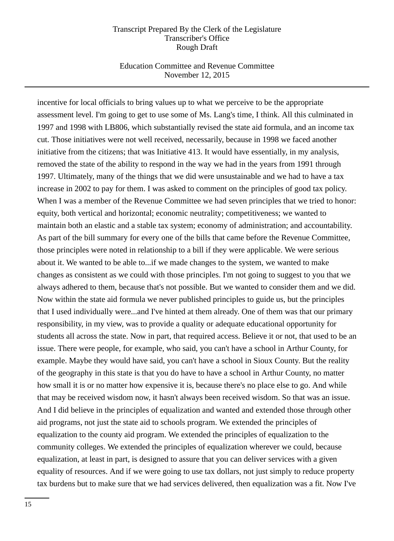### Education Committee and Revenue Committee November 12, 2015

incentive for local officials to bring values up to what we perceive to be the appropriate assessment level. I'm going to get to use some of Ms. Lang's time, I think. All this culminated in 1997 and 1998 with LB806, which substantially revised the state aid formula, and an income tax cut. Those initiatives were not well received, necessarily, because in 1998 we faced another initiative from the citizens; that was Initiative 413. It would have essentially, in my analysis, removed the state of the ability to respond in the way we had in the years from 1991 through 1997. Ultimately, many of the things that we did were unsustainable and we had to have a tax increase in 2002 to pay for them. I was asked to comment on the principles of good tax policy. When I was a member of the Revenue Committee we had seven principles that we tried to honor: equity, both vertical and horizontal; economic neutrality; competitiveness; we wanted to maintain both an elastic and a stable tax system; economy of administration; and accountability. As part of the bill summary for every one of the bills that came before the Revenue Committee, those principles were noted in relationship to a bill if they were applicable. We were serious about it. We wanted to be able to...if we made changes to the system, we wanted to make changes as consistent as we could with those principles. I'm not going to suggest to you that we always adhered to them, because that's not possible. But we wanted to consider them and we did. Now within the state aid formula we never published principles to guide us, but the principles that I used individually were...and I've hinted at them already. One of them was that our primary responsibility, in my view, was to provide a quality or adequate educational opportunity for students all across the state. Now in part, that required access. Believe it or not, that used to be an issue. There were people, for example, who said, you can't have a school in Arthur County, for example. Maybe they would have said, you can't have a school in Sioux County. But the reality of the geography in this state is that you do have to have a school in Arthur County, no matter how small it is or no matter how expensive it is, because there's no place else to go. And while that may be received wisdom now, it hasn't always been received wisdom. So that was an issue. And I did believe in the principles of equalization and wanted and extended those through other aid programs, not just the state aid to schools program. We extended the principles of equalization to the county aid program. We extended the principles of equalization to the community colleges. We extended the principles of equalization wherever we could, because equalization, at least in part, is designed to assure that you can deliver services with a given equality of resources. And if we were going to use tax dollars, not just simply to reduce property tax burdens but to make sure that we had services delivered, then equalization was a fit. Now I've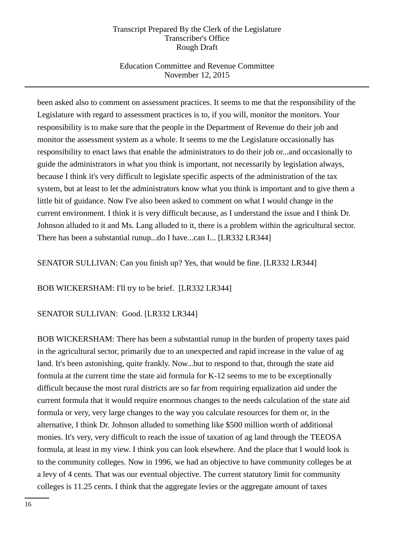# Education Committee and Revenue Committee November 12, 2015

been asked also to comment on assessment practices. It seems to me that the responsibility of the Legislature with regard to assessment practices is to, if you will, monitor the monitors. Your responsibility is to make sure that the people in the Department of Revenue do their job and monitor the assessment system as a whole. It seems to me the Legislature occasionally has responsibility to enact laws that enable the administrators to do their job or...and occasionally to guide the administrators in what you think is important, not necessarily by legislation always, because I think it's very difficult to legislate specific aspects of the administration of the tax system, but at least to let the administrators know what you think is important and to give them a little bit of guidance. Now I've also been asked to comment on what I would change in the current environment. I think it is very difficult because, as I understand the issue and I think Dr. Johnson alluded to it and Ms. Lang alluded to it, there is a problem within the agricultural sector. There has been a substantial runup...do I have...can I... [LR332 LR344]

SENATOR SULLIVAN: Can you finish up? Yes, that would be fine. [LR332 LR344]

BOB WICKERSHAM: I'll try to be brief. [LR332 LR344]

# SENATOR SULLIVAN: Good. [LR332 LR344]

BOB WICKERSHAM: There has been a substantial runup in the burden of property taxes paid in the agricultural sector, primarily due to an unexpected and rapid increase in the value of ag land. It's been astonishing, quite frankly. Now...but to respond to that, through the state aid formula at the current time the state aid formula for K-12 seems to me to be exceptionally difficult because the most rural districts are so far from requiring equalization aid under the current formula that it would require enormous changes to the needs calculation of the state aid formula or very, very large changes to the way you calculate resources for them or, in the alternative, I think Dr. Johnson alluded to something like \$500 million worth of additional monies. It's very, very difficult to reach the issue of taxation of ag land through the TEEOSA formula, at least in my view. I think you can look elsewhere. And the place that I would look is to the community colleges. Now in 1996, we had an objective to have community colleges be at a levy of 4 cents. That was our eventual objective. The current statutory limit for community colleges is 11.25 cents. I think that the aggregate levies or the aggregate amount of taxes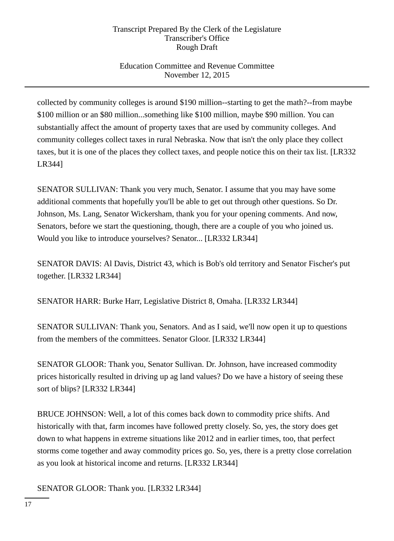# Education Committee and Revenue Committee November 12, 2015

collected by community colleges is around \$190 million--starting to get the math?--from maybe \$100 million or an \$80 million...something like \$100 million, maybe \$90 million. You can substantially affect the amount of property taxes that are used by community colleges. And community colleges collect taxes in rural Nebraska. Now that isn't the only place they collect taxes, but it is one of the places they collect taxes, and people notice this on their tax list. [LR332 LR344]

SENATOR SULLIVAN: Thank you very much, Senator. I assume that you may have some additional comments that hopefully you'll be able to get out through other questions. So Dr. Johnson, Ms. Lang, Senator Wickersham, thank you for your opening comments. And now, Senators, before we start the questioning, though, there are a couple of you who joined us. Would you like to introduce yourselves? Senator... [LR332 LR344]

SENATOR DAVIS: Al Davis, District 43, which is Bob's old territory and Senator Fischer's put together. [LR332 LR344]

SENATOR HARR: Burke Harr, Legislative District 8, Omaha. [LR332 LR344]

SENATOR SULLIVAN: Thank you, Senators. And as I said, we'll now open it up to questions from the members of the committees. Senator Gloor. [LR332 LR344]

SENATOR GLOOR: Thank you, Senator Sullivan. Dr. Johnson, have increased commodity prices historically resulted in driving up ag land values? Do we have a history of seeing these sort of blips? [LR332 LR344]

BRUCE JOHNSON: Well, a lot of this comes back down to commodity price shifts. And historically with that, farm incomes have followed pretty closely. So, yes, the story does get down to what happens in extreme situations like 2012 and in earlier times, too, that perfect storms come together and away commodity prices go. So, yes, there is a pretty close correlation as you look at historical income and returns. [LR332 LR344]

SENATOR GLOOR: Thank you. [LR332 LR344]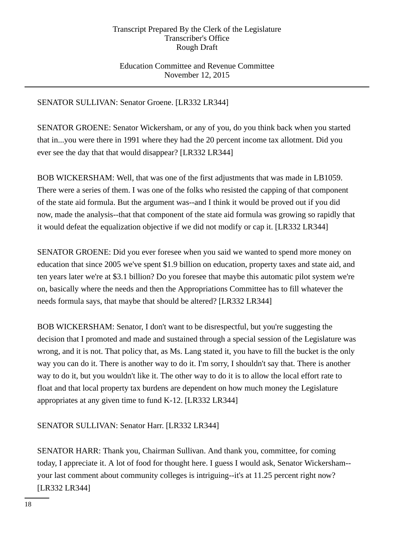## Education Committee and Revenue Committee November 12, 2015

# SENATOR SULLIVAN: Senator Groene. [LR332 LR344]

SENATOR GROENE: Senator Wickersham, or any of you, do you think back when you started that in...you were there in 1991 where they had the 20 percent income tax allotment. Did you ever see the day that that would disappear? [LR332 LR344]

BOB WICKERSHAM: Well, that was one of the first adjustments that was made in LB1059. There were a series of them. I was one of the folks who resisted the capping of that component of the state aid formula. But the argument was--and I think it would be proved out if you did now, made the analysis--that that component of the state aid formula was growing so rapidly that it would defeat the equalization objective if we did not modify or cap it. [LR332 LR344]

SENATOR GROENE: Did you ever foresee when you said we wanted to spend more money on education that since 2005 we've spent \$1.9 billion on education, property taxes and state aid, and ten years later we're at \$3.1 billion? Do you foresee that maybe this automatic pilot system we're on, basically where the needs and then the Appropriations Committee has to fill whatever the needs formula says, that maybe that should be altered? [LR332 LR344]

BOB WICKERSHAM: Senator, I don't want to be disrespectful, but you're suggesting the decision that I promoted and made and sustained through a special session of the Legislature was wrong, and it is not. That policy that, as Ms. Lang stated it, you have to fill the bucket is the only way you can do it. There is another way to do it. I'm sorry, I shouldn't say that. There is another way to do it, but you wouldn't like it. The other way to do it is to allow the local effort rate to float and that local property tax burdens are dependent on how much money the Legislature appropriates at any given time to fund K-12. [LR332 LR344]

## SENATOR SULLIVAN: Senator Harr. [LR332 LR344]

SENATOR HARR: Thank you, Chairman Sullivan. And thank you, committee, for coming today, I appreciate it. A lot of food for thought here. I guess I would ask, Senator Wickersham- your last comment about community colleges is intriguing--it's at 11.25 percent right now? [LR332 LR344]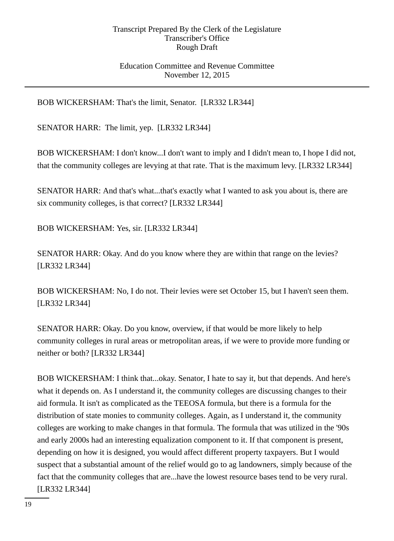## Education Committee and Revenue Committee November 12, 2015

BOB WICKERSHAM: That's the limit, Senator. [LR332 LR344]

SENATOR HARR: The limit, yep. [LR332 LR344]

BOB WICKERSHAM: I don't know...I don't want to imply and I didn't mean to, I hope I did not, that the community colleges are levying at that rate. That is the maximum levy. [LR332 LR344]

SENATOR HARR: And that's what...that's exactly what I wanted to ask you about is, there are six community colleges, is that correct? [LR332 LR344]

BOB WICKERSHAM: Yes, sir. [LR332 LR344]

SENATOR HARR: Okay. And do you know where they are within that range on the levies? [LR332 LR344]

BOB WICKERSHAM: No, I do not. Their levies were set October 15, but I haven't seen them. [LR332 LR344]

SENATOR HARR: Okay. Do you know, overview, if that would be more likely to help community colleges in rural areas or metropolitan areas, if we were to provide more funding or neither or both? [LR332 LR344]

BOB WICKERSHAM: I think that...okay. Senator, I hate to say it, but that depends. And here's what it depends on. As I understand it, the community colleges are discussing changes to their aid formula. It isn't as complicated as the TEEOSA formula, but there is a formula for the distribution of state monies to community colleges. Again, as I understand it, the community colleges are working to make changes in that formula. The formula that was utilized in the '90s and early 2000s had an interesting equalization component to it. If that component is present, depending on how it is designed, you would affect different property taxpayers. But I would suspect that a substantial amount of the relief would go to ag landowners, simply because of the fact that the community colleges that are...have the lowest resource bases tend to be very rural. [LR332 LR344]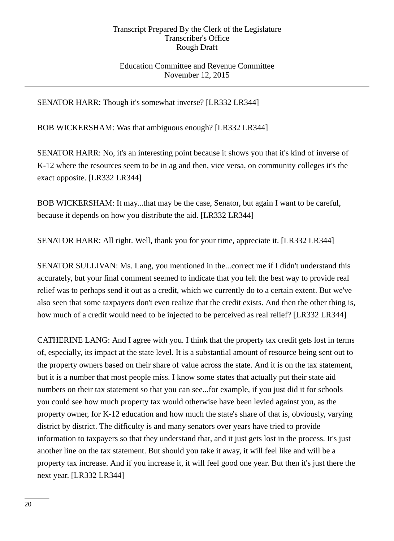## Education Committee and Revenue Committee November 12, 2015

SENATOR HARR: Though it's somewhat inverse? [LR332 LR344]

BOB WICKERSHAM: Was that ambiguous enough? [LR332 LR344]

SENATOR HARR: No, it's an interesting point because it shows you that it's kind of inverse of K-12 where the resources seem to be in ag and then, vice versa, on community colleges it's the exact opposite. [LR332 LR344]

BOB WICKERSHAM: It may...that may be the case, Senator, but again I want to be careful, because it depends on how you distribute the aid. [LR332 LR344]

SENATOR HARR: All right. Well, thank you for your time, appreciate it. [LR332 LR344]

SENATOR SULLIVAN: Ms. Lang, you mentioned in the...correct me if I didn't understand this accurately, but your final comment seemed to indicate that you felt the best way to provide real relief was to perhaps send it out as a credit, which we currently do to a certain extent. But we've also seen that some taxpayers don't even realize that the credit exists. And then the other thing is, how much of a credit would need to be injected to be perceived as real relief? [LR332 LR344]

CATHERINE LANG: And I agree with you. I think that the property tax credit gets lost in terms of, especially, its impact at the state level. It is a substantial amount of resource being sent out to the property owners based on their share of value across the state. And it is on the tax statement, but it is a number that most people miss. I know some states that actually put their state aid numbers on their tax statement so that you can see...for example, if you just did it for schools you could see how much property tax would otherwise have been levied against you, as the property owner, for K-12 education and how much the state's share of that is, obviously, varying district by district. The difficulty is and many senators over years have tried to provide information to taxpayers so that they understand that, and it just gets lost in the process. It's just another line on the tax statement. But should you take it away, it will feel like and will be a property tax increase. And if you increase it, it will feel good one year. But then it's just there the next year. [LR332 LR344]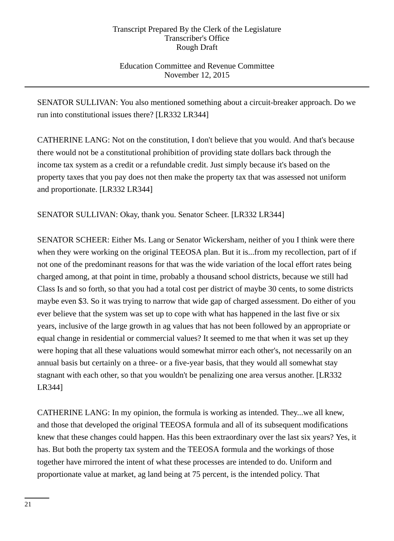Education Committee and Revenue Committee November 12, 2015

SENATOR SULLIVAN: You also mentioned something about a circuit-breaker approach. Do we run into constitutional issues there? [LR332 LR344]

CATHERINE LANG: Not on the constitution, I don't believe that you would. And that's because there would not be a constitutional prohibition of providing state dollars back through the income tax system as a credit or a refundable credit. Just simply because it's based on the property taxes that you pay does not then make the property tax that was assessed not uniform and proportionate. [LR332 LR344]

SENATOR SULLIVAN: Okay, thank you. Senator Scheer. [LR332 LR344]

SENATOR SCHEER: Either Ms. Lang or Senator Wickersham, neither of you I think were there when they were working on the original TEEOSA plan. But it is...from my recollection, part of if not one of the predominant reasons for that was the wide variation of the local effort rates being charged among, at that point in time, probably a thousand school districts, because we still had Class Is and so forth, so that you had a total cost per district of maybe 30 cents, to some districts maybe even \$3. So it was trying to narrow that wide gap of charged assessment. Do either of you ever believe that the system was set up to cope with what has happened in the last five or six years, inclusive of the large growth in ag values that has not been followed by an appropriate or equal change in residential or commercial values? It seemed to me that when it was set up they were hoping that all these valuations would somewhat mirror each other's, not necessarily on an annual basis but certainly on a three- or a five-year basis, that they would all somewhat stay stagnant with each other, so that you wouldn't be penalizing one area versus another. [LR332 LR344]

CATHERINE LANG: In my opinion, the formula is working as intended. They...we all knew, and those that developed the original TEEOSA formula and all of its subsequent modifications knew that these changes could happen. Has this been extraordinary over the last six years? Yes, it has. But both the property tax system and the TEEOSA formula and the workings of those together have mirrored the intent of what these processes are intended to do. Uniform and proportionate value at market, ag land being at 75 percent, is the intended policy. That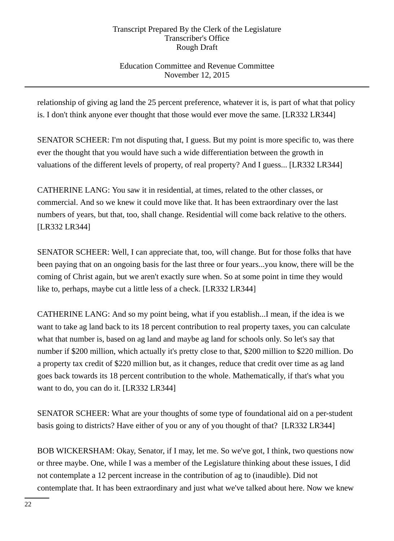# Education Committee and Revenue Committee November 12, 2015

relationship of giving ag land the 25 percent preference, whatever it is, is part of what that policy is. I don't think anyone ever thought that those would ever move the same. [LR332 LR344]

SENATOR SCHEER: I'm not disputing that, I guess. But my point is more specific to, was there ever the thought that you would have such a wide differentiation between the growth in valuations of the different levels of property, of real property? And I guess... [LR332 LR344]

CATHERINE LANG: You saw it in residential, at times, related to the other classes, or commercial. And so we knew it could move like that. It has been extraordinary over the last numbers of years, but that, too, shall change. Residential will come back relative to the others. [LR332 LR344]

SENATOR SCHEER: Well, I can appreciate that, too, will change. But for those folks that have been paying that on an ongoing basis for the last three or four years...you know, there will be the coming of Christ again, but we aren't exactly sure when. So at some point in time they would like to, perhaps, maybe cut a little less of a check. [LR332 LR344]

CATHERINE LANG: And so my point being, what if you establish...I mean, if the idea is we want to take ag land back to its 18 percent contribution to real property taxes, you can calculate what that number is, based on ag land and maybe ag land for schools only. So let's say that number if \$200 million, which actually it's pretty close to that, \$200 million to \$220 million. Do a property tax credit of \$220 million but, as it changes, reduce that credit over time as ag land goes back towards its 18 percent contribution to the whole. Mathematically, if that's what you want to do, you can do it. [LR332 LR344]

SENATOR SCHEER: What are your thoughts of some type of foundational aid on a per-student basis going to districts? Have either of you or any of you thought of that? [LR332 LR344]

BOB WICKERSHAM: Okay, Senator, if I may, let me. So we've got, I think, two questions now or three maybe. One, while I was a member of the Legislature thinking about these issues, I did not contemplate a 12 percent increase in the contribution of ag to (inaudible). Did not contemplate that. It has been extraordinary and just what we've talked about here. Now we knew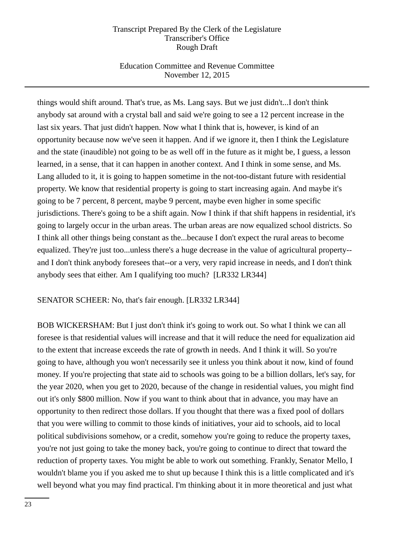# Education Committee and Revenue Committee November 12, 2015

things would shift around. That's true, as Ms. Lang says. But we just didn't...I don't think anybody sat around with a crystal ball and said we're going to see a 12 percent increase in the last six years. That just didn't happen. Now what I think that is, however, is kind of an opportunity because now we've seen it happen. And if we ignore it, then I think the Legislature and the state (inaudible) not going to be as well off in the future as it might be, I guess, a lesson learned, in a sense, that it can happen in another context. And I think in some sense, and Ms. Lang alluded to it, it is going to happen sometime in the not-too-distant future with residential property. We know that residential property is going to start increasing again. And maybe it's going to be 7 percent, 8 percent, maybe 9 percent, maybe even higher in some specific jurisdictions. There's going to be a shift again. Now I think if that shift happens in residential, it's going to largely occur in the urban areas. The urban areas are now equalized school districts. So I think all other things being constant as the...because I don't expect the rural areas to become equalized. They're just too...unless there's a huge decrease in the value of agricultural property- and I don't think anybody foresees that--or a very, very rapid increase in needs, and I don't think anybody sees that either. Am I qualifying too much? [LR332 LR344]

## SENATOR SCHEER: No, that's fair enough. [LR332 LR344]

BOB WICKERSHAM: But I just don't think it's going to work out. So what I think we can all foresee is that residential values will increase and that it will reduce the need for equalization aid to the extent that increase exceeds the rate of growth in needs. And I think it will. So you're going to have, although you won't necessarily see it unless you think about it now, kind of found money. If you're projecting that state aid to schools was going to be a billion dollars, let's say, for the year 2020, when you get to 2020, because of the change in residential values, you might find out it's only \$800 million. Now if you want to think about that in advance, you may have an opportunity to then redirect those dollars. If you thought that there was a fixed pool of dollars that you were willing to commit to those kinds of initiatives, your aid to schools, aid to local political subdivisions somehow, or a credit, somehow you're going to reduce the property taxes, you're not just going to take the money back, you're going to continue to direct that toward the reduction of property taxes. You might be able to work out something. Frankly, Senator Mello, I wouldn't blame you if you asked me to shut up because I think this is a little complicated and it's well beyond what you may find practical. I'm thinking about it in more theoretical and just what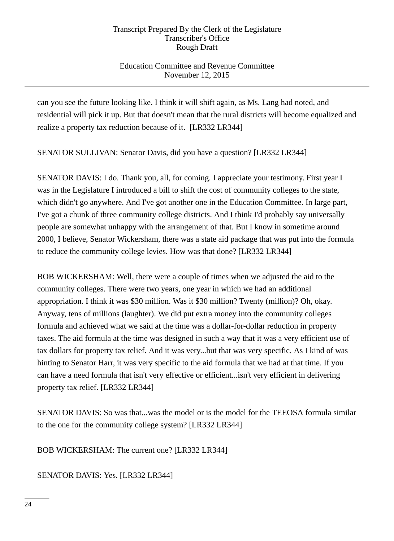# Education Committee and Revenue Committee November 12, 2015

can you see the future looking like. I think it will shift again, as Ms. Lang had noted, and residential will pick it up. But that doesn't mean that the rural districts will become equalized and realize a property tax reduction because of it. [LR332 LR344]

SENATOR SULLIVAN: Senator Davis, did you have a question? [LR332 LR344]

SENATOR DAVIS: I do. Thank you, all, for coming. I appreciate your testimony. First year I was in the Legislature I introduced a bill to shift the cost of community colleges to the state, which didn't go anywhere. And I've got another one in the Education Committee. In large part, I've got a chunk of three community college districts. And I think I'd probably say universally people are somewhat unhappy with the arrangement of that. But I know in sometime around 2000, I believe, Senator Wickersham, there was a state aid package that was put into the formula to reduce the community college levies. How was that done? [LR332 LR344]

BOB WICKERSHAM: Well, there were a couple of times when we adjusted the aid to the community colleges. There were two years, one year in which we had an additional appropriation. I think it was \$30 million. Was it \$30 million? Twenty (million)? Oh, okay. Anyway, tens of millions (laughter). We did put extra money into the community colleges formula and achieved what we said at the time was a dollar-for-dollar reduction in property taxes. The aid formula at the time was designed in such a way that it was a very efficient use of tax dollars for property tax relief. And it was very...but that was very specific. As I kind of was hinting to Senator Harr, it was very specific to the aid formula that we had at that time. If you can have a need formula that isn't very effective or efficient...isn't very efficient in delivering property tax relief. [LR332 LR344]

SENATOR DAVIS: So was that...was the model or is the model for the TEEOSA formula similar to the one for the community college system? [LR332 LR344]

BOB WICKERSHAM: The current one? [LR332 LR344]

SENATOR DAVIS: Yes. [LR332 LR344]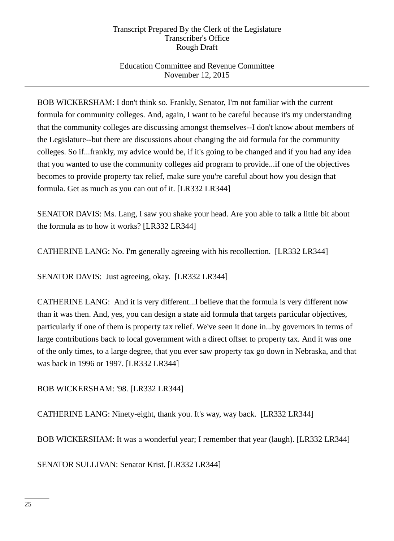# Education Committee and Revenue Committee November 12, 2015

BOB WICKERSHAM: I don't think so. Frankly, Senator, I'm not familiar with the current formula for community colleges. And, again, I want to be careful because it's my understanding that the community colleges are discussing amongst themselves--I don't know about members of the Legislature--but there are discussions about changing the aid formula for the community colleges. So if...frankly, my advice would be, if it's going to be changed and if you had any idea that you wanted to use the community colleges aid program to provide...if one of the objectives becomes to provide property tax relief, make sure you're careful about how you design that formula. Get as much as you can out of it. [LR332 LR344]

SENATOR DAVIS: Ms. Lang, I saw you shake your head. Are you able to talk a little bit about the formula as to how it works? [LR332 LR344]

CATHERINE LANG: No. I'm generally agreeing with his recollection. [LR332 LR344]

SENATOR DAVIS: Just agreeing, okay. [LR332 LR344]

CATHERINE LANG: And it is very different...I believe that the formula is very different now than it was then. And, yes, you can design a state aid formula that targets particular objectives, particularly if one of them is property tax relief. We've seen it done in...by governors in terms of large contributions back to local government with a direct offset to property tax. And it was one of the only times, to a large degree, that you ever saw property tax go down in Nebraska, and that was back in 1996 or 1997. [LR332 LR344]

BOB WICKERSHAM: '98. [LR332 LR344]

CATHERINE LANG: Ninety-eight, thank you. It's way, way back. [LR332 LR344]

BOB WICKERSHAM: It was a wonderful year; I remember that year (laugh). [LR332 LR344]

SENATOR SULLIVAN: Senator Krist. [LR332 LR344]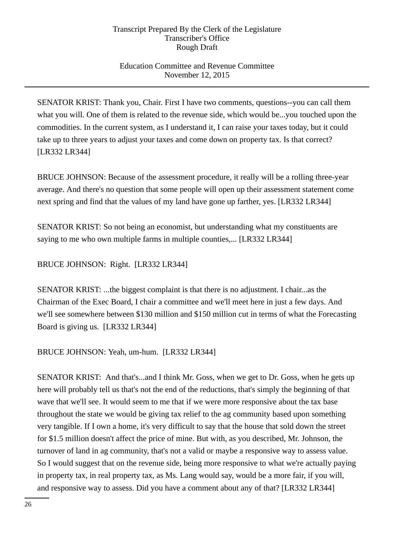# Education Committee and Revenue Committee November 12, 2015

SENATOR KRIST: Thank you, Chair. First I have two comments, questions--you can call them what you will. One of them is related to the revenue side, which would be...you touched upon the commodities. In the current system, as I understand it, I can raise your taxes today, but it could take up to three years to adjust your taxes and come down on property tax. Is that correct? [LR332 LR344]

BRUCE JOHNSON: Because of the assessment procedure, it really will be a rolling three-year average. And there's no question that some people will open up their assessment statement come next spring and find that the values of my land have gone up farther, yes. [LR332 LR344]

SENATOR KRIST: So not being an economist, but understanding what my constituents are saying to me who own multiple farms in multiple counties,... [LR332 LR344]

BRUCE JOHNSON: Right. [LR332 LR344]

SENATOR KRIST: ...the biggest complaint is that there is no adjustment. I chair...as the Chairman of the Exec Board, I chair a committee and we'll meet here in just a few days. And we'll see somewhere between \$130 million and \$150 million cut in terms of what the Forecasting Board is giving us. [LR332 LR344]

BRUCE JOHNSON: Yeah, um-hum. [LR332 LR344]

SENATOR KRIST: And that's...and I think Mr. Goss, when we get to Dr. Goss, when he gets up here will probably tell us that's not the end of the reductions, that's simply the beginning of that wave that we'll see. It would seem to me that if we were more responsive about the tax base throughout the state we would be giving tax relief to the ag community based upon something very tangible. If I own a home, it's very difficult to say that the house that sold down the street for \$1.5 million doesn't affect the price of mine. But with, as you described, Mr. Johnson, the turnover of land in ag community, that's not a valid or maybe a responsive way to assess value. So I would suggest that on the revenue side, being more responsive to what we're actually paying in property tax, in real property tax, as Ms. Lang would say, would be a more fair, if you will, and responsive way to assess. Did you have a comment about any of that? [LR332 LR344]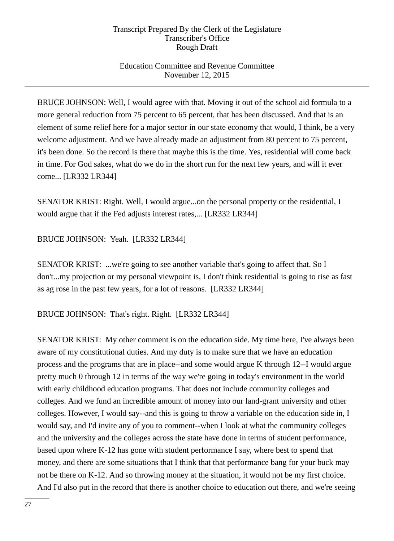# Education Committee and Revenue Committee November 12, 2015

BRUCE JOHNSON: Well, I would agree with that. Moving it out of the school aid formula to a more general reduction from 75 percent to 65 percent, that has been discussed. And that is an element of some relief here for a major sector in our state economy that would, I think, be a very welcome adjustment. And we have already made an adjustment from 80 percent to 75 percent, it's been done. So the record is there that maybe this is the time. Yes, residential will come back in time. For God sakes, what do we do in the short run for the next few years, and will it ever come... [LR332 LR344]

SENATOR KRIST: Right. Well, I would argue...on the personal property or the residential, I would argue that if the Fed adjusts interest rates,... [LR332 LR344]

# BRUCE JOHNSON: Yeah. [LR332 LR344]

SENATOR KRIST: ...we're going to see another variable that's going to affect that. So I don't...my projection or my personal viewpoint is, I don't think residential is going to rise as fast as ag rose in the past few years, for a lot of reasons. [LR332 LR344]

BRUCE JOHNSON: That's right. Right. [LR332 LR344]

SENATOR KRIST: My other comment is on the education side. My time here, I've always been aware of my constitutional duties. And my duty is to make sure that we have an education process and the programs that are in place--and some would argue K through 12--I would argue pretty much 0 through 12 in terms of the way we're going in today's environment in the world with early childhood education programs. That does not include community colleges and colleges. And we fund an incredible amount of money into our land-grant university and other colleges. However, I would say--and this is going to throw a variable on the education side in, I would say, and I'd invite any of you to comment--when I look at what the community colleges and the university and the colleges across the state have done in terms of student performance, based upon where K-12 has gone with student performance I say, where best to spend that money, and there are some situations that I think that that performance bang for your buck may not be there on K-12. And so throwing money at the situation, it would not be my first choice. And I'd also put in the record that there is another choice to education out there, and we're seeing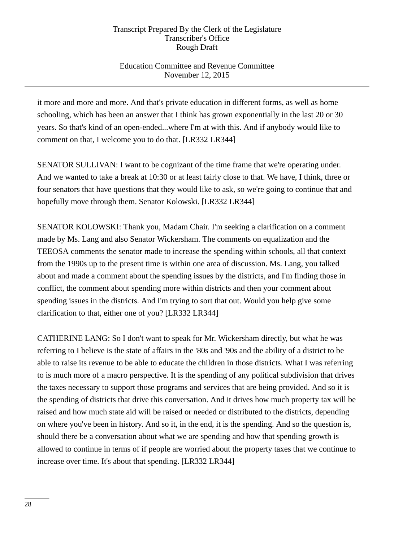# Education Committee and Revenue Committee November 12, 2015

it more and more and more. And that's private education in different forms, as well as home schooling, which has been an answer that I think has grown exponentially in the last 20 or 30 years. So that's kind of an open-ended...where I'm at with this. And if anybody would like to comment on that, I welcome you to do that. [LR332 LR344]

SENATOR SULLIVAN: I want to be cognizant of the time frame that we're operating under. And we wanted to take a break at 10:30 or at least fairly close to that. We have, I think, three or four senators that have questions that they would like to ask, so we're going to continue that and hopefully move through them. Senator Kolowski. [LR332 LR344]

SENATOR KOLOWSKI: Thank you, Madam Chair. I'm seeking a clarification on a comment made by Ms. Lang and also Senator Wickersham. The comments on equalization and the TEEOSA comments the senator made to increase the spending within schools, all that context from the 1990s up to the present time is within one area of discussion. Ms. Lang, you talked about and made a comment about the spending issues by the districts, and I'm finding those in conflict, the comment about spending more within districts and then your comment about spending issues in the districts. And I'm trying to sort that out. Would you help give some clarification to that, either one of you? [LR332 LR344]

CATHERINE LANG: So I don't want to speak for Mr. Wickersham directly, but what he was referring to I believe is the state of affairs in the '80s and '90s and the ability of a district to be able to raise its revenue to be able to educate the children in those districts. What I was referring to is much more of a macro perspective. It is the spending of any political subdivision that drives the taxes necessary to support those programs and services that are being provided. And so it is the spending of districts that drive this conversation. And it drives how much property tax will be raised and how much state aid will be raised or needed or distributed to the districts, depending on where you've been in history. And so it, in the end, it is the spending. And so the question is, should there be a conversation about what we are spending and how that spending growth is allowed to continue in terms of if people are worried about the property taxes that we continue to increase over time. It's about that spending. [LR332 LR344]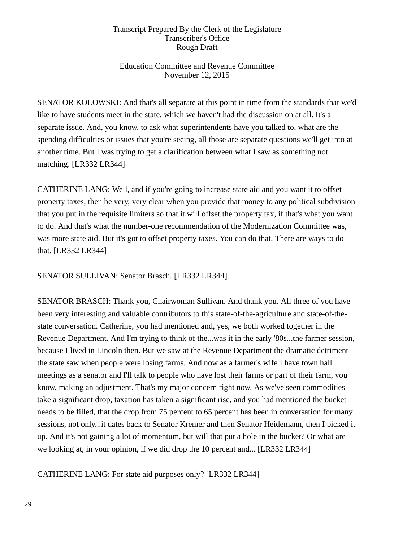# Education Committee and Revenue Committee November 12, 2015

SENATOR KOLOWSKI: And that's all separate at this point in time from the standards that we'd like to have students meet in the state, which we haven't had the discussion on at all. It's a separate issue. And, you know, to ask what superintendents have you talked to, what are the spending difficulties or issues that you're seeing, all those are separate questions we'll get into at another time. But I was trying to get a clarification between what I saw as something not matching. [LR332 LR344]

CATHERINE LANG: Well, and if you're going to increase state aid and you want it to offset property taxes, then be very, very clear when you provide that money to any political subdivision that you put in the requisite limiters so that it will offset the property tax, if that's what you want to do. And that's what the number-one recommendation of the Modernization Committee was, was more state aid. But it's got to offset property taxes. You can do that. There are ways to do that. [LR332 LR344]

SENATOR SULLIVAN: Senator Brasch. [LR332 LR344]

SENATOR BRASCH: Thank you, Chairwoman Sullivan. And thank you. All three of you have been very interesting and valuable contributors to this state-of-the-agriculture and state-of-thestate conversation. Catherine, you had mentioned and, yes, we both worked together in the Revenue Department. And I'm trying to think of the...was it in the early '80s...the farmer session, because I lived in Lincoln then. But we saw at the Revenue Department the dramatic detriment the state saw when people were losing farms. And now as a farmer's wife I have town hall meetings as a senator and I'll talk to people who have lost their farms or part of their farm, you know, making an adjustment. That's my major concern right now. As we've seen commodities take a significant drop, taxation has taken a significant rise, and you had mentioned the bucket needs to be filled, that the drop from 75 percent to 65 percent has been in conversation for many sessions, not only...it dates back to Senator Kremer and then Senator Heidemann, then I picked it up. And it's not gaining a lot of momentum, but will that put a hole in the bucket? Or what are we looking at, in your opinion, if we did drop the 10 percent and... [LR332 LR344]

CATHERINE LANG: For state aid purposes only? [LR332 LR344]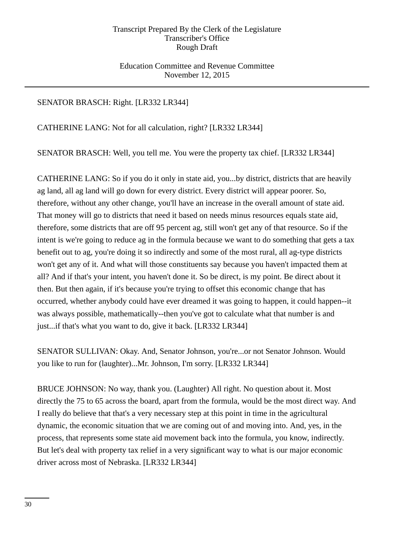## Education Committee and Revenue Committee November 12, 2015

## SENATOR BRASCH: Right. [LR332 LR344]

CATHERINE LANG: Not for all calculation, right? [LR332 LR344]

SENATOR BRASCH: Well, you tell me. You were the property tax chief. [LR332 LR344]

CATHERINE LANG: So if you do it only in state aid, you...by district, districts that are heavily ag land, all ag land will go down for every district. Every district will appear poorer. So, therefore, without any other change, you'll have an increase in the overall amount of state aid. That money will go to districts that need it based on needs minus resources equals state aid, therefore, some districts that are off 95 percent ag, still won't get any of that resource. So if the intent is we're going to reduce ag in the formula because we want to do something that gets a tax benefit out to ag, you're doing it so indirectly and some of the most rural, all ag-type districts won't get any of it. And what will those constituents say because you haven't impacted them at all? And if that's your intent, you haven't done it. So be direct, is my point. Be direct about it then. But then again, if it's because you're trying to offset this economic change that has occurred, whether anybody could have ever dreamed it was going to happen, it could happen--it was always possible, mathematically--then you've got to calculate what that number is and just...if that's what you want to do, give it back. [LR332 LR344]

SENATOR SULLIVAN: Okay. And, Senator Johnson, you're...or not Senator Johnson. Would you like to run for (laughter)...Mr. Johnson, I'm sorry. [LR332 LR344]

BRUCE JOHNSON: No way, thank you. (Laughter) All right. No question about it. Most directly the 75 to 65 across the board, apart from the formula, would be the most direct way. And I really do believe that that's a very necessary step at this point in time in the agricultural dynamic, the economic situation that we are coming out of and moving into. And, yes, in the process, that represents some state aid movement back into the formula, you know, indirectly. But let's deal with property tax relief in a very significant way to what is our major economic driver across most of Nebraska. [LR332 LR344]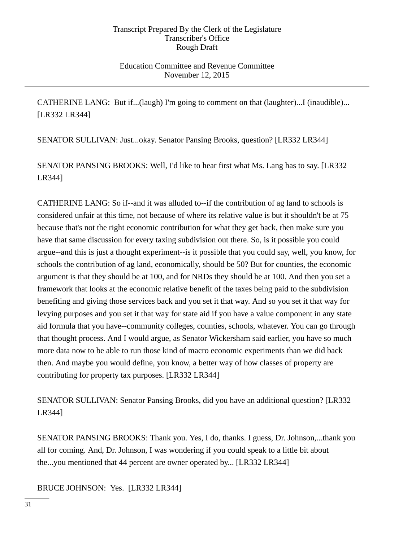Education Committee and Revenue Committee November 12, 2015

CATHERINE LANG: But if...(laugh) I'm going to comment on that (laughter)...I (inaudible)... [LR332 LR344]

SENATOR SULLIVAN: Just...okay. Senator Pansing Brooks, question? [LR332 LR344]

SENATOR PANSING BROOKS: Well, I'd like to hear first what Ms. Lang has to say. [LR332 LR344]

CATHERINE LANG: So if--and it was alluded to--if the contribution of ag land to schools is considered unfair at this time, not because of where its relative value is but it shouldn't be at 75 because that's not the right economic contribution for what they get back, then make sure you have that same discussion for every taxing subdivision out there. So, is it possible you could argue--and this is just a thought experiment--is it possible that you could say, well, you know, for schools the contribution of ag land, economically, should be 50? But for counties, the economic argument is that they should be at 100, and for NRDs they should be at 100. And then you set a framework that looks at the economic relative benefit of the taxes being paid to the subdivision benefiting and giving those services back and you set it that way. And so you set it that way for levying purposes and you set it that way for state aid if you have a value component in any state aid formula that you have--community colleges, counties, schools, whatever. You can go through that thought process. And I would argue, as Senator Wickersham said earlier, you have so much more data now to be able to run those kind of macro economic experiments than we did back then. And maybe you would define, you know, a better way of how classes of property are contributing for property tax purposes. [LR332 LR344]

SENATOR SULLIVAN: Senator Pansing Brooks, did you have an additional question? [LR332 LR344]

SENATOR PANSING BROOKS: Thank you. Yes, I do, thanks. I guess, Dr. Johnson,...thank you all for coming. And, Dr. Johnson, I was wondering if you could speak to a little bit about the...you mentioned that 44 percent are owner operated by... [LR332 LR344]

BRUCE JOHNSON: Yes. [LR332 LR344]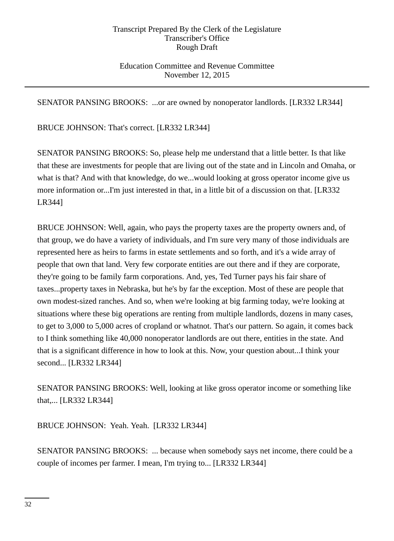## Education Committee and Revenue Committee November 12, 2015

SENATOR PANSING BROOKS: ...or are owned by nonoperator landlords. [LR332 LR344]

BRUCE JOHNSON: That's correct. [LR332 LR344]

SENATOR PANSING BROOKS: So, please help me understand that a little better. Is that like that these are investments for people that are living out of the state and in Lincoln and Omaha, or what is that? And with that knowledge, do we...would looking at gross operator income give us more information or...I'm just interested in that, in a little bit of a discussion on that. [LR332 LR344]

BRUCE JOHNSON: Well, again, who pays the property taxes are the property owners and, of that group, we do have a variety of individuals, and I'm sure very many of those individuals are represented here as heirs to farms in estate settlements and so forth, and it's a wide array of people that own that land. Very few corporate entities are out there and if they are corporate, they're going to be family farm corporations. And, yes, Ted Turner pays his fair share of taxes...property taxes in Nebraska, but he's by far the exception. Most of these are people that own modest-sized ranches. And so, when we're looking at big farming today, we're looking at situations where these big operations are renting from multiple landlords, dozens in many cases, to get to 3,000 to 5,000 acres of cropland or whatnot. That's our pattern. So again, it comes back to I think something like 40,000 nonoperator landlords are out there, entities in the state. And that is a significant difference in how to look at this. Now, your question about...I think your second... [LR332 LR344]

SENATOR PANSING BROOKS: Well, looking at like gross operator income or something like that,... [LR332 LR344]

BRUCE JOHNSON: Yeah. Yeah. [LR332 LR344]

SENATOR PANSING BROOKS: ... because when somebody says net income, there could be a couple of incomes per farmer. I mean, I'm trying to... [LR332 LR344]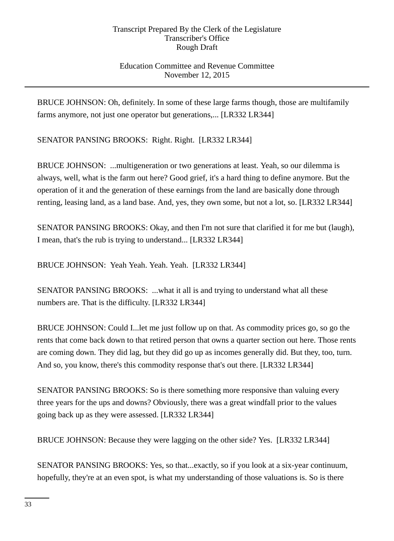# Education Committee and Revenue Committee November 12, 2015

BRUCE JOHNSON: Oh, definitely. In some of these large farms though, those are multifamily farms anymore, not just one operator but generations,... [LR332 LR344]

SENATOR PANSING BROOKS: Right. Right. [LR332 LR344]

BRUCE JOHNSON: ...multigeneration or two generations at least. Yeah, so our dilemma is always, well, what is the farm out here? Good grief, it's a hard thing to define anymore. But the operation of it and the generation of these earnings from the land are basically done through renting, leasing land, as a land base. And, yes, they own some, but not a lot, so. [LR332 LR344]

SENATOR PANSING BROOKS: Okay, and then I'm not sure that clarified it for me but (laugh), I mean, that's the rub is trying to understand... [LR332 LR344]

BRUCE JOHNSON: Yeah Yeah. Yeah. Yeah. [LR332 LR344]

SENATOR PANSING BROOKS: ...what it all is and trying to understand what all these numbers are. That is the difficulty. [LR332 LR344]

BRUCE JOHNSON: Could I...let me just follow up on that. As commodity prices go, so go the rents that come back down to that retired person that owns a quarter section out here. Those rents are coming down. They did lag, but they did go up as incomes generally did. But they, too, turn. And so, you know, there's this commodity response that's out there. [LR332 LR344]

SENATOR PANSING BROOKS: So is there something more responsive than valuing every three years for the ups and downs? Obviously, there was a great windfall prior to the values going back up as they were assessed. [LR332 LR344]

BRUCE JOHNSON: Because they were lagging on the other side? Yes. [LR332 LR344]

SENATOR PANSING BROOKS: Yes, so that...exactly, so if you look at a six-year continuum, hopefully, they're at an even spot, is what my understanding of those valuations is. So is there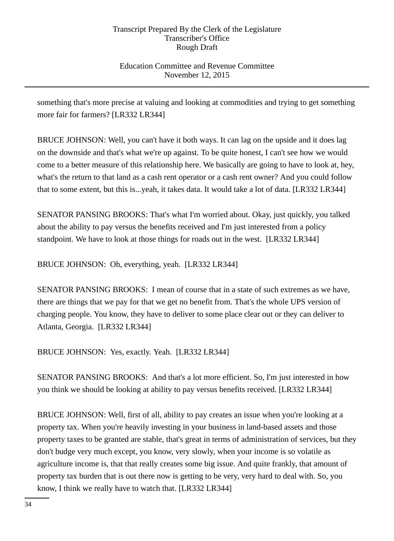# Education Committee and Revenue Committee November 12, 2015

something that's more precise at valuing and looking at commodities and trying to get something more fair for farmers? [LR332 LR344]

BRUCE JOHNSON: Well, you can't have it both ways. It can lag on the upside and it does lag on the downside and that's what we're up against. To be quite honest, I can't see how we would come to a better measure of this relationship here. We basically are going to have to look at, hey, what's the return to that land as a cash rent operator or a cash rent owner? And you could follow that to some extent, but this is...yeah, it takes data. It would take a lot of data. [LR332 LR344]

SENATOR PANSING BROOKS: That's what I'm worried about. Okay, just quickly, you talked about the ability to pay versus the benefits received and I'm just interested from a policy standpoint. We have to look at those things for roads out in the west. [LR332 LR344]

BRUCE JOHNSON: Oh, everything, yeah. [LR332 LR344]

SENATOR PANSING BROOKS: I mean of course that in a state of such extremes as we have, there are things that we pay for that we get no benefit from. That's the whole UPS version of charging people. You know, they have to deliver to some place clear out or they can deliver to Atlanta, Georgia. [LR332 LR344]

BRUCE JOHNSON: Yes, exactly. Yeah. [LR332 LR344]

SENATOR PANSING BROOKS: And that's a lot more efficient. So, I'm just interested in how you think we should be looking at ability to pay versus benefits received. [LR332 LR344]

BRUCE JOHNSON: Well, first of all, ability to pay creates an issue when you're looking at a property tax. When you're heavily investing in your business in land-based assets and those property taxes to be granted are stable, that's great in terms of administration of services, but they don't budge very much except, you know, very slowly, when your income is so volatile as agriculture income is, that that really creates some big issue. And quite frankly, that amount of property tax burden that is out there now is getting to be very, very hard to deal with. So, you know, I think we really have to watch that. [LR332 LR344]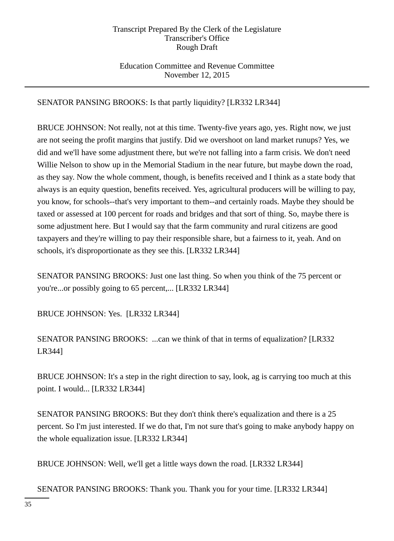# Education Committee and Revenue Committee November 12, 2015

# SENATOR PANSING BROOKS: Is that partly liquidity? [LR332 LR344]

BRUCE JOHNSON: Not really, not at this time. Twenty-five years ago, yes. Right now, we just are not seeing the profit margins that justify. Did we overshoot on land market runups? Yes, we did and we'll have some adjustment there, but we're not falling into a farm crisis. We don't need Willie Nelson to show up in the Memorial Stadium in the near future, but maybe down the road, as they say. Now the whole comment, though, is benefits received and I think as a state body that always is an equity question, benefits received. Yes, agricultural producers will be willing to pay, you know, for schools--that's very important to them--and certainly roads. Maybe they should be taxed or assessed at 100 percent for roads and bridges and that sort of thing. So, maybe there is some adjustment here. But I would say that the farm community and rural citizens are good taxpayers and they're willing to pay their responsible share, but a fairness to it, yeah. And on schools, it's disproportionate as they see this. [LR332 LR344]

SENATOR PANSING BROOKS: Just one last thing. So when you think of the 75 percent or you're...or possibly going to 65 percent,... [LR332 LR344]

BRUCE JOHNSON: Yes. [LR332 LR344]

SENATOR PANSING BROOKS: ...can we think of that in terms of equalization? [LR332 LR344]

BRUCE JOHNSON: It's a step in the right direction to say, look, ag is carrying too much at this point. I would... [LR332 LR344]

SENATOR PANSING BROOKS: But they don't think there's equalization and there is a 25 percent. So I'm just interested. If we do that, I'm not sure that's going to make anybody happy on the whole equalization issue. [LR332 LR344]

BRUCE JOHNSON: Well, we'll get a little ways down the road. [LR332 LR344]

SENATOR PANSING BROOKS: Thank you. Thank you for your time. [LR332 LR344]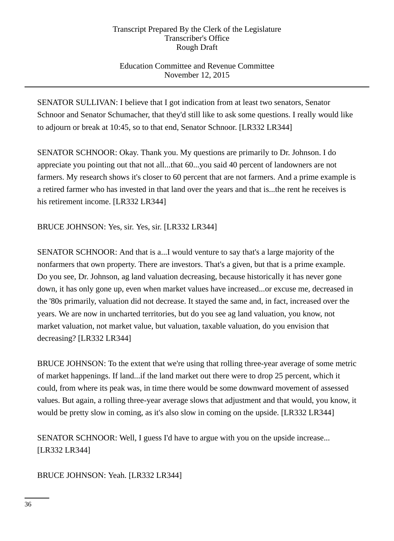# Education Committee and Revenue Committee November 12, 2015

SENATOR SULLIVAN: I believe that I got indication from at least two senators, Senator Schnoor and Senator Schumacher, that they'd still like to ask some questions. I really would like to adjourn or break at 10:45, so to that end, Senator Schnoor. [LR332 LR344]

SENATOR SCHNOOR: Okay. Thank you. My questions are primarily to Dr. Johnson. I do appreciate you pointing out that not all...that 60...you said 40 percent of landowners are not farmers. My research shows it's closer to 60 percent that are not farmers. And a prime example is a retired farmer who has invested in that land over the years and that is...the rent he receives is his retirement income. [LR332 LR344]

BRUCE JOHNSON: Yes, sir. Yes, sir. [LR332 LR344]

SENATOR SCHNOOR: And that is a...I would venture to say that's a large majority of the nonfarmers that own property. There are investors. That's a given, but that is a prime example. Do you see, Dr. Johnson, ag land valuation decreasing, because historically it has never gone down, it has only gone up, even when market values have increased...or excuse me, decreased in the '80s primarily, valuation did not decrease. It stayed the same and, in fact, increased over the years. We are now in uncharted territories, but do you see ag land valuation, you know, not market valuation, not market value, but valuation, taxable valuation, do you envision that decreasing? [LR332 LR344]

BRUCE JOHNSON: To the extent that we're using that rolling three-year average of some metric of market happenings. If land...if the land market out there were to drop 25 percent, which it could, from where its peak was, in time there would be some downward movement of assessed values. But again, a rolling three-year average slows that adjustment and that would, you know, it would be pretty slow in coming, as it's also slow in coming on the upside. [LR332 LR344]

SENATOR SCHNOOR: Well, I guess I'd have to argue with you on the upside increase... [LR332 LR344]

BRUCE JOHNSON: Yeah. [LR332 LR344]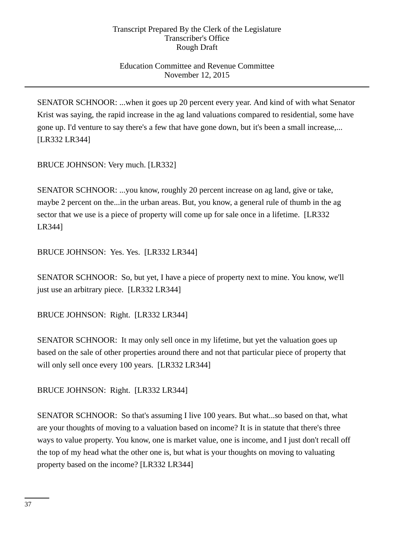# Education Committee and Revenue Committee November 12, 2015

SENATOR SCHNOOR: ...when it goes up 20 percent every year. And kind of with what Senator Krist was saying, the rapid increase in the ag land valuations compared to residential, some have gone up. I'd venture to say there's a few that have gone down, but it's been a small increase,... [LR332 LR344]

BRUCE JOHNSON: Very much. [LR332]

SENATOR SCHNOOR: ...you know, roughly 20 percent increase on ag land, give or take, maybe 2 percent on the...in the urban areas. But, you know, a general rule of thumb in the ag sector that we use is a piece of property will come up for sale once in a lifetime. [LR332 LR344]

BRUCE JOHNSON: Yes. Yes. [LR332 LR344]

SENATOR SCHNOOR: So, but yet, I have a piece of property next to mine. You know, we'll just use an arbitrary piece. [LR332 LR344]

BRUCE JOHNSON: Right. [LR332 LR344]

SENATOR SCHNOOR: It may only sell once in my lifetime, but yet the valuation goes up based on the sale of other properties around there and not that particular piece of property that will only sell once every 100 years. [LR332 LR344]

BRUCE JOHNSON: Right. [LR332 LR344]

SENATOR SCHNOOR: So that's assuming I live 100 years. But what...so based on that, what are your thoughts of moving to a valuation based on income? It is in statute that there's three ways to value property. You know, one is market value, one is income, and I just don't recall off the top of my head what the other one is, but what is your thoughts on moving to valuating property based on the income? [LR332 LR344]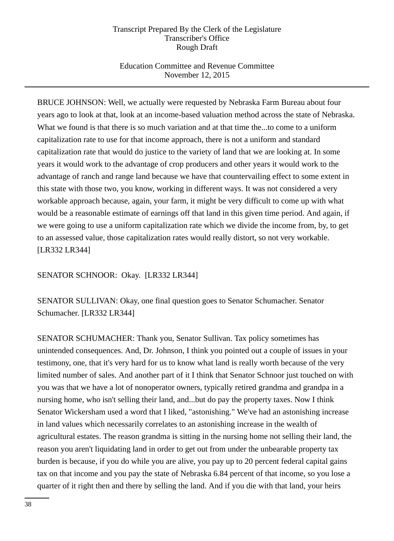# Education Committee and Revenue Committee November 12, 2015

BRUCE JOHNSON: Well, we actually were requested by Nebraska Farm Bureau about four years ago to look at that, look at an income-based valuation method across the state of Nebraska. What we found is that there is so much variation and at that time the...to come to a uniform capitalization rate to use for that income approach, there is not a uniform and standard capitalization rate that would do justice to the variety of land that we are looking at. In some years it would work to the advantage of crop producers and other years it would work to the advantage of ranch and range land because we have that countervailing effect to some extent in this state with those two, you know, working in different ways. It was not considered a very workable approach because, again, your farm, it might be very difficult to come up with what would be a reasonable estimate of earnings off that land in this given time period. And again, if we were going to use a uniform capitalization rate which we divide the income from, by, to get to an assessed value, those capitalization rates would really distort, so not very workable. [LR332 LR344]

SENATOR SCHNOOR: Okay. [LR332 LR344]

SENATOR SULLIVAN: Okay, one final question goes to Senator Schumacher. Senator Schumacher. [LR332 LR344]

SENATOR SCHUMACHER: Thank you, Senator Sullivan. Tax policy sometimes has unintended consequences. And, Dr. Johnson, I think you pointed out a couple of issues in your testimony, one, that it's very hard for us to know what land is really worth because of the very limited number of sales. And another part of it I think that Senator Schnoor just touched on with you was that we have a lot of nonoperator owners, typically retired grandma and grandpa in a nursing home, who isn't selling their land, and...but do pay the property taxes. Now I think Senator Wickersham used a word that I liked, "astonishing." We've had an astonishing increase in land values which necessarily correlates to an astonishing increase in the wealth of agricultural estates. The reason grandma is sitting in the nursing home not selling their land, the reason you aren't liquidating land in order to get out from under the unbearable property tax burden is because, if you do while you are alive, you pay up to 20 percent federal capital gains tax on that income and you pay the state of Nebraska 6.84 percent of that income, so you lose a quarter of it right then and there by selling the land. And if you die with that land, your heirs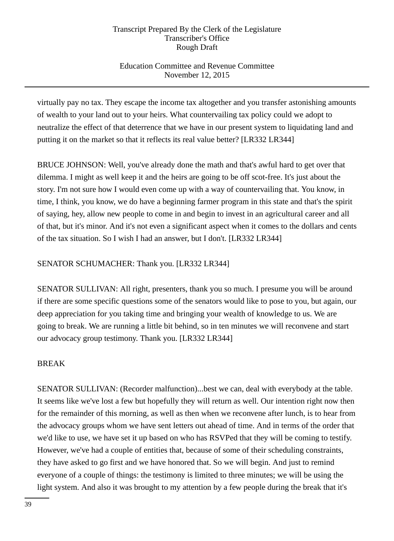# Education Committee and Revenue Committee November 12, 2015

virtually pay no tax. They escape the income tax altogether and you transfer astonishing amounts of wealth to your land out to your heirs. What countervailing tax policy could we adopt to neutralize the effect of that deterrence that we have in our present system to liquidating land and putting it on the market so that it reflects its real value better? [LR332 LR344]

BRUCE JOHNSON: Well, you've already done the math and that's awful hard to get over that dilemma. I might as well keep it and the heirs are going to be off scot-free. It's just about the story. I'm not sure how I would even come up with a way of countervailing that. You know, in time, I think, you know, we do have a beginning farmer program in this state and that's the spirit of saying, hey, allow new people to come in and begin to invest in an agricultural career and all of that, but it's minor. And it's not even a significant aspect when it comes to the dollars and cents of the tax situation. So I wish I had an answer, but I don't. [LR332 LR344]

SENATOR SCHUMACHER: Thank you. [LR332 LR344]

SENATOR SULLIVAN: All right, presenters, thank you so much. I presume you will be around if there are some specific questions some of the senators would like to pose to you, but again, our deep appreciation for you taking time and bringing your wealth of knowledge to us. We are going to break. We are running a little bit behind, so in ten minutes we will reconvene and start our advocacy group testimony. Thank you. [LR332 LR344]

# BREAK

SENATOR SULLIVAN: (Recorder malfunction)...best we can, deal with everybody at the table. It seems like we've lost a few but hopefully they will return as well. Our intention right now then for the remainder of this morning, as well as then when we reconvene after lunch, is to hear from the advocacy groups whom we have sent letters out ahead of time. And in terms of the order that we'd like to use, we have set it up based on who has RSVPed that they will be coming to testify. However, we've had a couple of entities that, because of some of their scheduling constraints, they have asked to go first and we have honored that. So we will begin. And just to remind everyone of a couple of things: the testimony is limited to three minutes; we will be using the light system. And also it was brought to my attention by a few people during the break that it's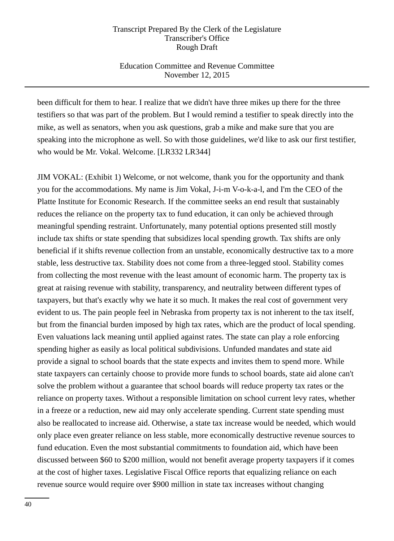## Education Committee and Revenue Committee November 12, 2015

been difficult for them to hear. I realize that we didn't have three mikes up there for the three testifiers so that was part of the problem. But I would remind a testifier to speak directly into the mike, as well as senators, when you ask questions, grab a mike and make sure that you are speaking into the microphone as well. So with those guidelines, we'd like to ask our first testifier, who would be Mr. Vokal. Welcome. [LR332 LR344]

JIM VOKAL: (Exhibit 1) Welcome, or not welcome, thank you for the opportunity and thank you for the accommodations. My name is Jim Vokal, J-i-m V-o-k-a-l, and I'm the CEO of the Platte Institute for Economic Research. If the committee seeks an end result that sustainably reduces the reliance on the property tax to fund education, it can only be achieved through meaningful spending restraint. Unfortunately, many potential options presented still mostly include tax shifts or state spending that subsidizes local spending growth. Tax shifts are only beneficial if it shifts revenue collection from an unstable, economically destructive tax to a more stable, less destructive tax. Stability does not come from a three-legged stool. Stability comes from collecting the most revenue with the least amount of economic harm. The property tax is great at raising revenue with stability, transparency, and neutrality between different types of taxpayers, but that's exactly why we hate it so much. It makes the real cost of government very evident to us. The pain people feel in Nebraska from property tax is not inherent to the tax itself, but from the financial burden imposed by high tax rates, which are the product of local spending. Even valuations lack meaning until applied against rates. The state can play a role enforcing spending higher as easily as local political subdivisions. Unfunded mandates and state aid provide a signal to school boards that the state expects and invites them to spend more. While state taxpayers can certainly choose to provide more funds to school boards, state aid alone can't solve the problem without a guarantee that school boards will reduce property tax rates or the reliance on property taxes. Without a responsible limitation on school current levy rates, whether in a freeze or a reduction, new aid may only accelerate spending. Current state spending must also be reallocated to increase aid. Otherwise, a state tax increase would be needed, which would only place even greater reliance on less stable, more economically destructive revenue sources to fund education. Even the most substantial commitments to foundation aid, which have been discussed between \$60 to \$200 million, would not benefit average property taxpayers if it comes at the cost of higher taxes. Legislative Fiscal Office reports that equalizing reliance on each revenue source would require over \$900 million in state tax increases without changing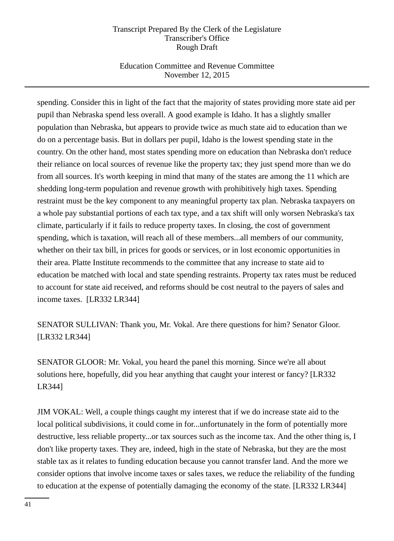# Education Committee and Revenue Committee November 12, 2015

spending. Consider this in light of the fact that the majority of states providing more state aid per pupil than Nebraska spend less overall. A good example is Idaho. It has a slightly smaller population than Nebraska, but appears to provide twice as much state aid to education than we do on a percentage basis. But in dollars per pupil, Idaho is the lowest spending state in the country. On the other hand, most states spending more on education than Nebraska don't reduce their reliance on local sources of revenue like the property tax; they just spend more than we do from all sources. It's worth keeping in mind that many of the states are among the 11 which are shedding long-term population and revenue growth with prohibitively high taxes. Spending restraint must be the key component to any meaningful property tax plan. Nebraska taxpayers on a whole pay substantial portions of each tax type, and a tax shift will only worsen Nebraska's tax climate, particularly if it fails to reduce property taxes. In closing, the cost of government spending, which is taxation, will reach all of these members...all members of our community, whether on their tax bill, in prices for goods or services, or in lost economic opportunities in their area. Platte Institute recommends to the committee that any increase to state aid to education be matched with local and state spending restraints. Property tax rates must be reduced to account for state aid received, and reforms should be cost neutral to the payers of sales and income taxes. [LR332 LR344]

SENATOR SULLIVAN: Thank you, Mr. Vokal. Are there questions for him? Senator Gloor. [LR332 LR344]

SENATOR GLOOR: Mr. Vokal, you heard the panel this morning. Since we're all about solutions here, hopefully, did you hear anything that caught your interest or fancy? [LR332 LR344]

JIM VOKAL: Well, a couple things caught my interest that if we do increase state aid to the local political subdivisions, it could come in for...unfortunately in the form of potentially more destructive, less reliable property...or tax sources such as the income tax. And the other thing is, I don't like property taxes. They are, indeed, high in the state of Nebraska, but they are the most stable tax as it relates to funding education because you cannot transfer land. And the more we consider options that involve income taxes or sales taxes, we reduce the reliability of the funding to education at the expense of potentially damaging the economy of the state. [LR332 LR344]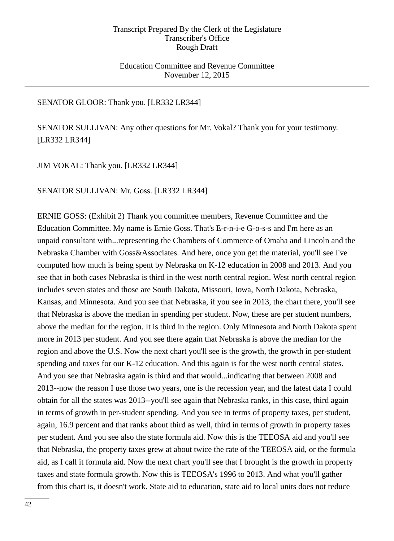## Education Committee and Revenue Committee November 12, 2015

## SENATOR GLOOR: Thank you. [LR332 LR344]

SENATOR SULLIVAN: Any other questions for Mr. Vokal? Thank you for your testimony. [LR332 LR344]

JIM VOKAL: Thank you. [LR332 LR344]

SENATOR SULLIVAN: Mr. Goss. [LR332 LR344]

ERNIE GOSS: (Exhibit 2) Thank you committee members, Revenue Committee and the Education Committee. My name is Ernie Goss. That's E-r-n-i-e G-o-s-s and I'm here as an unpaid consultant with...representing the Chambers of Commerce of Omaha and Lincoln and the Nebraska Chamber with Goss&Associates. And here, once you get the material, you'll see I've computed how much is being spent by Nebraska on K-12 education in 2008 and 2013. And you see that in both cases Nebraska is third in the west north central region. West north central region includes seven states and those are South Dakota, Missouri, Iowa, North Dakota, Nebraska, Kansas, and Minnesota. And you see that Nebraska, if you see in 2013, the chart there, you'll see that Nebraska is above the median in spending per student. Now, these are per student numbers, above the median for the region. It is third in the region. Only Minnesota and North Dakota spent more in 2013 per student. And you see there again that Nebraska is above the median for the region and above the U.S. Now the next chart you'll see is the growth, the growth in per-student spending and taxes for our K-12 education. And this again is for the west north central states. And you see that Nebraska again is third and that would...indicating that between 2008 and 2013--now the reason I use those two years, one is the recession year, and the latest data I could obtain for all the states was 2013--you'll see again that Nebraska ranks, in this case, third again in terms of growth in per-student spending. And you see in terms of property taxes, per student, again, 16.9 percent and that ranks about third as well, third in terms of growth in property taxes per student. And you see also the state formula aid. Now this is the TEEOSA aid and you'll see that Nebraska, the property taxes grew at about twice the rate of the TEEOSA aid, or the formula aid, as I call it formula aid. Now the next chart you'll see that I brought is the growth in property taxes and state formula growth. Now this is TEEOSA's 1996 to 2013. And what you'll gather from this chart is, it doesn't work. State aid to education, state aid to local units does not reduce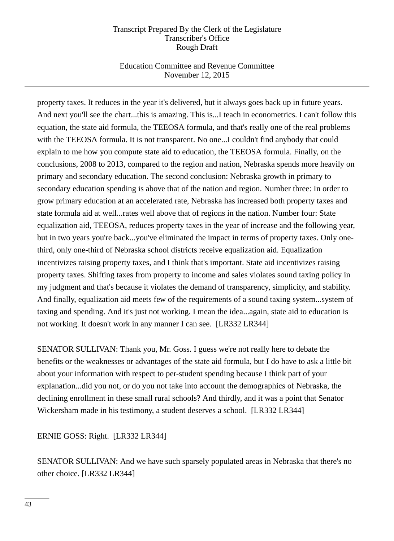# Education Committee and Revenue Committee November 12, 2015

property taxes. It reduces in the year it's delivered, but it always goes back up in future years. And next you'll see the chart...this is amazing. This is...I teach in econometrics. I can't follow this equation, the state aid formula, the TEEOSA formula, and that's really one of the real problems with the TEEOSA formula. It is not transparent. No one...I couldn't find anybody that could explain to me how you compute state aid to education, the TEEOSA formula. Finally, on the conclusions, 2008 to 2013, compared to the region and nation, Nebraska spends more heavily on primary and secondary education. The second conclusion: Nebraska growth in primary to secondary education spending is above that of the nation and region. Number three: In order to grow primary education at an accelerated rate, Nebraska has increased both property taxes and state formula aid at well...rates well above that of regions in the nation. Number four: State equalization aid, TEEOSA, reduces property taxes in the year of increase and the following year, but in two years you're back...you've eliminated the impact in terms of property taxes. Only onethird, only one-third of Nebraska school districts receive equalization aid. Equalization incentivizes raising property taxes, and I think that's important. State aid incentivizes raising property taxes. Shifting taxes from property to income and sales violates sound taxing policy in my judgment and that's because it violates the demand of transparency, simplicity, and stability. And finally, equalization aid meets few of the requirements of a sound taxing system...system of taxing and spending. And it's just not working. I mean the idea...again, state aid to education is not working. It doesn't work in any manner I can see. [LR332 LR344]

SENATOR SULLIVAN: Thank you, Mr. Goss. I guess we're not really here to debate the benefits or the weaknesses or advantages of the state aid formula, but I do have to ask a little bit about your information with respect to per-student spending because I think part of your explanation...did you not, or do you not take into account the demographics of Nebraska, the declining enrollment in these small rural schools? And thirdly, and it was a point that Senator Wickersham made in his testimony, a student deserves a school. [LR332 LR344]

ERNIE GOSS: Right. [LR332 LR344]

SENATOR SULLIVAN: And we have such sparsely populated areas in Nebraska that there's no other choice. [LR332 LR344]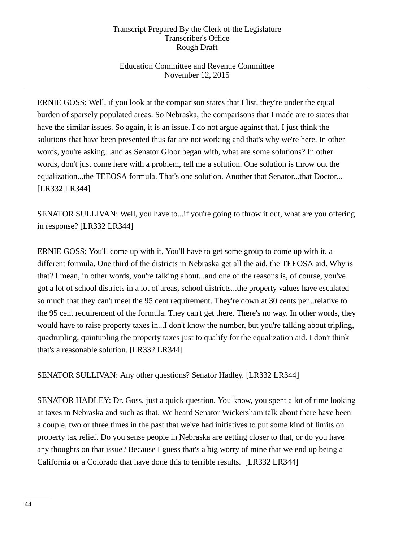# Education Committee and Revenue Committee November 12, 2015

ERNIE GOSS: Well, if you look at the comparison states that I list, they're under the equal burden of sparsely populated areas. So Nebraska, the comparisons that I made are to states that have the similar issues. So again, it is an issue. I do not argue against that. I just think the solutions that have been presented thus far are not working and that's why we're here. In other words, you're asking...and as Senator Gloor began with, what are some solutions? In other words, don't just come here with a problem, tell me a solution. One solution is throw out the equalization...the TEEOSA formula. That's one solution. Another that Senator...that Doctor... [LR332 LR344]

SENATOR SULLIVAN: Well, you have to...if you're going to throw it out, what are you offering in response? [LR332 LR344]

ERNIE GOSS: You'll come up with it. You'll have to get some group to come up with it, a different formula. One third of the districts in Nebraska get all the aid, the TEEOSA aid. Why is that? I mean, in other words, you're talking about...and one of the reasons is, of course, you've got a lot of school districts in a lot of areas, school districts...the property values have escalated so much that they can't meet the 95 cent requirement. They're down at 30 cents per...relative to the 95 cent requirement of the formula. They can't get there. There's no way. In other words, they would have to raise property taxes in...I don't know the number, but you're talking about tripling, quadrupling, quintupling the property taxes just to qualify for the equalization aid. I don't think that's a reasonable solution. [LR332 LR344]

SENATOR SULLIVAN: Any other questions? Senator Hadley. [LR332 LR344]

SENATOR HADLEY: Dr. Goss, just a quick question. You know, you spent a lot of time looking at taxes in Nebraska and such as that. We heard Senator Wickersham talk about there have been a couple, two or three times in the past that we've had initiatives to put some kind of limits on property tax relief. Do you sense people in Nebraska are getting closer to that, or do you have any thoughts on that issue? Because I guess that's a big worry of mine that we end up being a California or a Colorado that have done this to terrible results. [LR332 LR344]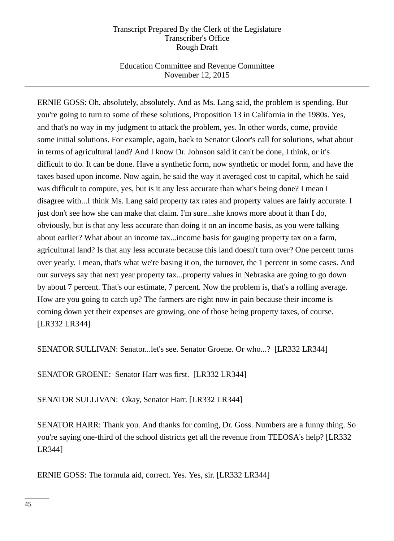# Education Committee and Revenue Committee November 12, 2015

ERNIE GOSS: Oh, absolutely, absolutely. And as Ms. Lang said, the problem is spending. But you're going to turn to some of these solutions, Proposition 13 in California in the 1980s. Yes, and that's no way in my judgment to attack the problem, yes. In other words, come, provide some initial solutions. For example, again, back to Senator Gloor's call for solutions, what about in terms of agricultural land? And I know Dr. Johnson said it can't be done, I think, or it's difficult to do. It can be done. Have a synthetic form, now synthetic or model form, and have the taxes based upon income. Now again, he said the way it averaged cost to capital, which he said was difficult to compute, yes, but is it any less accurate than what's being done? I mean I disagree with...I think Ms. Lang said property tax rates and property values are fairly accurate. I just don't see how she can make that claim. I'm sure...she knows more about it than I do, obviously, but is that any less accurate than doing it on an income basis, as you were talking about earlier? What about an income tax...income basis for gauging property tax on a farm, agricultural land? Is that any less accurate because this land doesn't turn over? One percent turns over yearly. I mean, that's what we're basing it on, the turnover, the 1 percent in some cases. And our surveys say that next year property tax...property values in Nebraska are going to go down by about 7 percent. That's our estimate, 7 percent. Now the problem is, that's a rolling average. How are you going to catch up? The farmers are right now in pain because their income is coming down yet their expenses are growing, one of those being property taxes, of course. [LR332 LR344]

SENATOR SULLIVAN: Senator...let's see. Senator Groene. Or who...? [LR332 LR344]

SENATOR GROENE: Senator Harr was first. [LR332 LR344]

SENATOR SULLIVAN: Okay, Senator Harr. [LR332 LR344]

SENATOR HARR: Thank you. And thanks for coming, Dr. Goss. Numbers are a funny thing. So you're saying one-third of the school districts get all the revenue from TEEOSA's help? [LR332 LR344]

ERNIE GOSS: The formula aid, correct. Yes. Yes, sir. [LR332 LR344]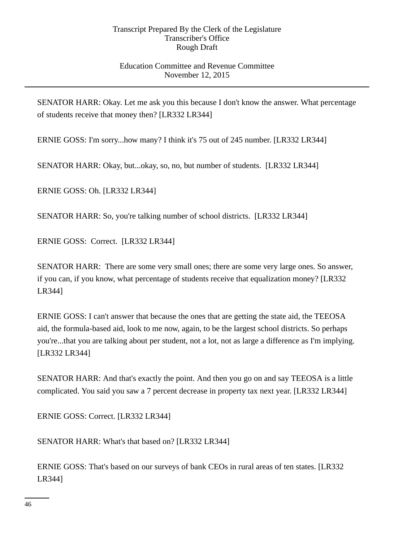## Education Committee and Revenue Committee November 12, 2015

SENATOR HARR: Okay. Let me ask you this because I don't know the answer. What percentage of students receive that money then? [LR332 LR344]

ERNIE GOSS: I'm sorry...how many? I think it's 75 out of 245 number. [LR332 LR344]

SENATOR HARR: Okay, but...okay, so, no, but number of students. [LR332 LR344]

ERNIE GOSS: Oh. [LR332 LR344]

SENATOR HARR: So, you're talking number of school districts. [LR332 LR344]

ERNIE GOSS: Correct. [LR332 LR344]

SENATOR HARR: There are some very small ones; there are some very large ones. So answer, if you can, if you know, what percentage of students receive that equalization money? [LR332 LR344]

ERNIE GOSS: I can't answer that because the ones that are getting the state aid, the TEEOSA aid, the formula-based aid, look to me now, again, to be the largest school districts. So perhaps you're...that you are talking about per student, not a lot, not as large a difference as I'm implying. [LR332 LR344]

SENATOR HARR: And that's exactly the point. And then you go on and say TEEOSA is a little complicated. You said you saw a 7 percent decrease in property tax next year. [LR332 LR344]

ERNIE GOSS: Correct. [LR332 LR344]

SENATOR HARR: What's that based on? [LR332 LR344]

ERNIE GOSS: That's based on our surveys of bank CEOs in rural areas of ten states. [LR332 LR344]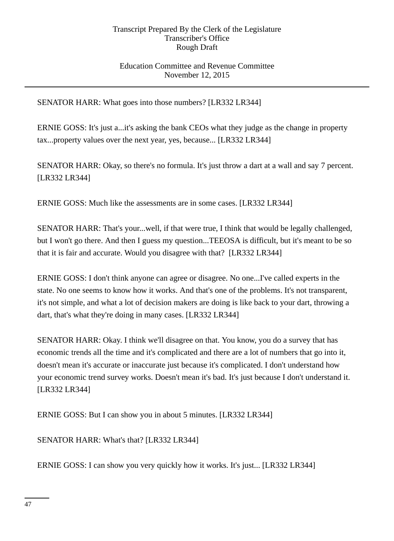## Education Committee and Revenue Committee November 12, 2015

SENATOR HARR: What goes into those numbers? [LR332 LR344]

ERNIE GOSS: It's just a...it's asking the bank CEOs what they judge as the change in property tax...property values over the next year, yes, because... [LR332 LR344]

SENATOR HARR: Okay, so there's no formula. It's just throw a dart at a wall and say 7 percent. [LR332 LR344]

ERNIE GOSS: Much like the assessments are in some cases. [LR332 LR344]

SENATOR HARR: That's your...well, if that were true, I think that would be legally challenged, but I won't go there. And then I guess my question...TEEOSA is difficult, but it's meant to be so that it is fair and accurate. Would you disagree with that? [LR332 LR344]

ERNIE GOSS: I don't think anyone can agree or disagree. No one...I've called experts in the state. No one seems to know how it works. And that's one of the problems. It's not transparent, it's not simple, and what a lot of decision makers are doing is like back to your dart, throwing a dart, that's what they're doing in many cases. [LR332 LR344]

SENATOR HARR: Okay. I think we'll disagree on that. You know, you do a survey that has economic trends all the time and it's complicated and there are a lot of numbers that go into it, doesn't mean it's accurate or inaccurate just because it's complicated. I don't understand how your economic trend survey works. Doesn't mean it's bad. It's just because I don't understand it. [LR332 LR344]

ERNIE GOSS: But I can show you in about 5 minutes. [LR332 LR344]

SENATOR HARR: What's that? [LR332 LR344]

ERNIE GOSS: I can show you very quickly how it works. It's just... [LR332 LR344]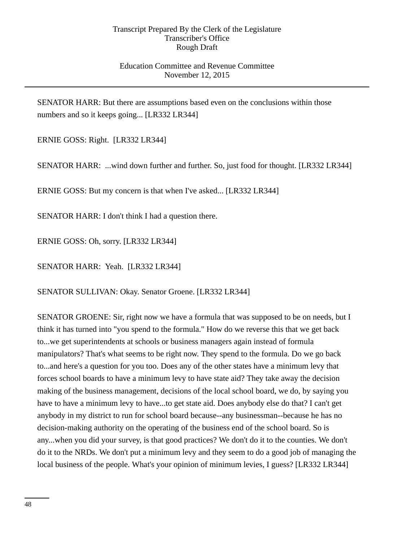## Education Committee and Revenue Committee November 12, 2015

SENATOR HARR: But there are assumptions based even on the conclusions within those numbers and so it keeps going... [LR332 LR344]

ERNIE GOSS: Right. [LR332 LR344]

SENATOR HARR: ...wind down further and further. So, just food for thought. [LR332 LR344]

ERNIE GOSS: But my concern is that when I've asked... [LR332 LR344]

SENATOR HARR: I don't think I had a question there.

ERNIE GOSS: Oh, sorry. [LR332 LR344]

SENATOR HARR: Yeah. [LR332 LR344]

SENATOR SULLIVAN: Okay. Senator Groene. [LR332 LR344]

SENATOR GROENE: Sir, right now we have a formula that was supposed to be on needs, but I think it has turned into "you spend to the formula." How do we reverse this that we get back to...we get superintendents at schools or business managers again instead of formula manipulators? That's what seems to be right now. They spend to the formula. Do we go back to...and here's a question for you too. Does any of the other states have a minimum levy that forces school boards to have a minimum levy to have state aid? They take away the decision making of the business management, decisions of the local school board, we do, by saying you have to have a minimum levy to have...to get state aid. Does anybody else do that? I can't get anybody in my district to run for school board because--any businessman--because he has no decision-making authority on the operating of the business end of the school board. So is any...when you did your survey, is that good practices? We don't do it to the counties. We don't do it to the NRDs. We don't put a minimum levy and they seem to do a good job of managing the local business of the people. What's your opinion of minimum levies, I guess? [LR332 LR344]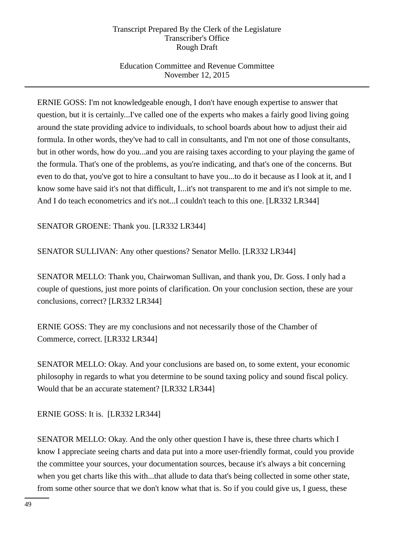# Education Committee and Revenue Committee November 12, 2015

ERNIE GOSS: I'm not knowledgeable enough, I don't have enough expertise to answer that question, but it is certainly...I've called one of the experts who makes a fairly good living going around the state providing advice to individuals, to school boards about how to adjust their aid formula. In other words, they've had to call in consultants, and I'm not one of those consultants, but in other words, how do you...and you are raising taxes according to your playing the game of the formula. That's one of the problems, as you're indicating, and that's one of the concerns. But even to do that, you've got to hire a consultant to have you...to do it because as I look at it, and I know some have said it's not that difficult, I...it's not transparent to me and it's not simple to me. And I do teach econometrics and it's not...I couldn't teach to this one. [LR332 LR344]

SENATOR GROENE: Thank you. [LR332 LR344]

SENATOR SULLIVAN: Any other questions? Senator Mello. [LR332 LR344]

SENATOR MELLO: Thank you, Chairwoman Sullivan, and thank you, Dr. Goss. I only had a couple of questions, just more points of clarification. On your conclusion section, these are your conclusions, correct? [LR332 LR344]

ERNIE GOSS: They are my conclusions and not necessarily those of the Chamber of Commerce, correct. [LR332 LR344]

SENATOR MELLO: Okay. And your conclusions are based on, to some extent, your economic philosophy in regards to what you determine to be sound taxing policy and sound fiscal policy. Would that be an accurate statement? [LR332 LR344]

ERNIE GOSS: It is. [LR332 LR344]

SENATOR MELLO: Okay. And the only other question I have is, these three charts which I know I appreciate seeing charts and data put into a more user-friendly format, could you provide the committee your sources, your documentation sources, because it's always a bit concerning when you get charts like this with...that allude to data that's being collected in some other state, from some other source that we don't know what that is. So if you could give us, I guess, these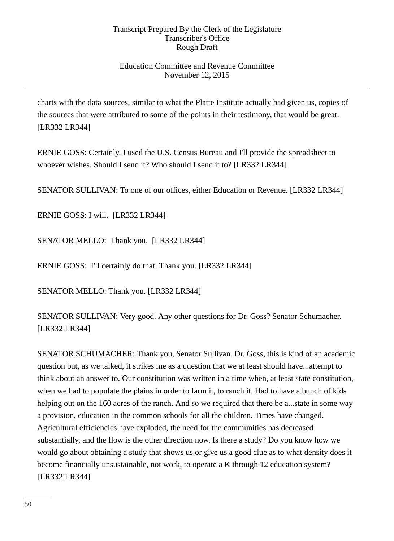# Education Committee and Revenue Committee November 12, 2015

charts with the data sources, similar to what the Platte Institute actually had given us, copies of the sources that were attributed to some of the points in their testimony, that would be great. [LR332 LR344]

ERNIE GOSS: Certainly. I used the U.S. Census Bureau and I'll provide the spreadsheet to whoever wishes. Should I send it? Who should I send it to? [LR332 LR344]

SENATOR SULLIVAN: To one of our offices, either Education or Revenue. [LR332 LR344]

ERNIE GOSS: I will. [LR332 LR344]

SENATOR MELLO: Thank you. [LR332 LR344]

ERNIE GOSS: I'll certainly do that. Thank you. [LR332 LR344]

SENATOR MELLO: Thank you. [LR332 LR344]

SENATOR SULLIVAN: Very good. Any other questions for Dr. Goss? Senator Schumacher. [LR332 LR344]

SENATOR SCHUMACHER: Thank you, Senator Sullivan. Dr. Goss, this is kind of an academic question but, as we talked, it strikes me as a question that we at least should have...attempt to think about an answer to. Our constitution was written in a time when, at least state constitution, when we had to populate the plains in order to farm it, to ranch it. Had to have a bunch of kids helping out on the 160 acres of the ranch. And so we required that there be a...state in some way a provision, education in the common schools for all the children. Times have changed. Agricultural efficiencies have exploded, the need for the communities has decreased substantially, and the flow is the other direction now. Is there a study? Do you know how we would go about obtaining a study that shows us or give us a good clue as to what density does it become financially unsustainable, not work, to operate a K through 12 education system? [LR332 LR344]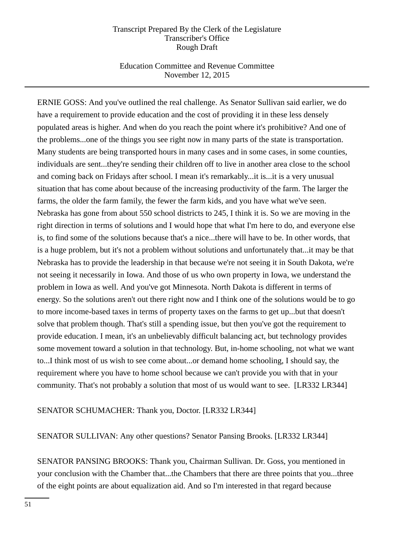## Education Committee and Revenue Committee November 12, 2015

ERNIE GOSS: And you've outlined the real challenge. As Senator Sullivan said earlier, we do have a requirement to provide education and the cost of providing it in these less densely populated areas is higher. And when do you reach the point where it's prohibitive? And one of the problems...one of the things you see right now in many parts of the state is transportation. Many students are being transported hours in many cases and in some cases, in some counties, individuals are sent...they're sending their children off to live in another area close to the school and coming back on Fridays after school. I mean it's remarkably...it is...it is a very unusual situation that has come about because of the increasing productivity of the farm. The larger the farms, the older the farm family, the fewer the farm kids, and you have what we've seen. Nebraska has gone from about 550 school districts to 245, I think it is. So we are moving in the right direction in terms of solutions and I would hope that what I'm here to do, and everyone else is, to find some of the solutions because that's a nice...there will have to be. In other words, that is a huge problem, but it's not a problem without solutions and unfortunately that...it may be that Nebraska has to provide the leadership in that because we're not seeing it in South Dakota, we're not seeing it necessarily in Iowa. And those of us who own property in Iowa, we understand the problem in Iowa as well. And you've got Minnesota. North Dakota is different in terms of energy. So the solutions aren't out there right now and I think one of the solutions would be to go to more income-based taxes in terms of property taxes on the farms to get up...but that doesn't solve that problem though. That's still a spending issue, but then you've got the requirement to provide education. I mean, it's an unbelievably difficult balancing act, but technology provides some movement toward a solution in that technology. But, in-home schooling, not what we want to...I think most of us wish to see come about...or demand home schooling, I should say, the requirement where you have to home school because we can't provide you with that in your community. That's not probably a solution that most of us would want to see. [LR332 LR344]

## SENATOR SCHUMACHER: Thank you, Doctor. [LR332 LR344]

## SENATOR SULLIVAN: Any other questions? Senator Pansing Brooks. [LR332 LR344]

SENATOR PANSING BROOKS: Thank you, Chairman Sullivan. Dr. Goss, you mentioned in your conclusion with the Chamber that...the Chambers that there are three points that you...three of the eight points are about equalization aid. And so I'm interested in that regard because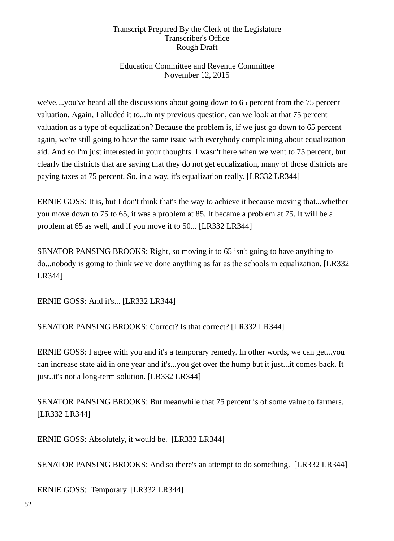# Education Committee and Revenue Committee November 12, 2015

we've....you've heard all the discussions about going down to 65 percent from the 75 percent valuation. Again, I alluded it to...in my previous question, can we look at that 75 percent valuation as a type of equalization? Because the problem is, if we just go down to 65 percent again, we're still going to have the same issue with everybody complaining about equalization aid. And so I'm just interested in your thoughts. I wasn't here when we went to 75 percent, but clearly the districts that are saying that they do not get equalization, many of those districts are paying taxes at 75 percent. So, in a way, it's equalization really. [LR332 LR344]

ERNIE GOSS: It is, but I don't think that's the way to achieve it because moving that...whether you move down to 75 to 65, it was a problem at 85. It became a problem at 75. It will be a problem at 65 as well, and if you move it to 50... [LR332 LR344]

SENATOR PANSING BROOKS: Right, so moving it to 65 isn't going to have anything to do...nobody is going to think we've done anything as far as the schools in equalization. [LR332 LR344]

ERNIE GOSS: And it's... [LR332 LR344]

SENATOR PANSING BROOKS: Correct? Is that correct? [LR332 LR344]

ERNIE GOSS: I agree with you and it's a temporary remedy. In other words, we can get...you can increase state aid in one year and it's...you get over the hump but it just...it comes back. It just..it's not a long-term solution. [LR332 LR344]

SENATOR PANSING BROOKS: But meanwhile that 75 percent is of some value to farmers. [LR332 LR344]

ERNIE GOSS: Absolutely, it would be. [LR332 LR344]

SENATOR PANSING BROOKS: And so there's an attempt to do something. [LR332 LR344]

ERNIE GOSS: Temporary. [LR332 LR344]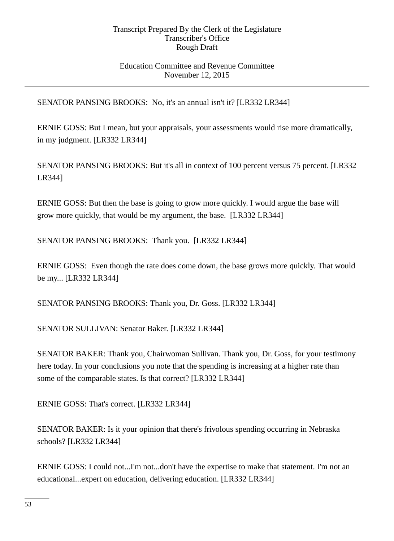## Education Committee and Revenue Committee November 12, 2015

SENATOR PANSING BROOKS: No, it's an annual isn't it? [LR332 LR344]

ERNIE GOSS: But I mean, but your appraisals, your assessments would rise more dramatically, in my judgment. [LR332 LR344]

SENATOR PANSING BROOKS: But it's all in context of 100 percent versus 75 percent. [LR332 LR344]

ERNIE GOSS: But then the base is going to grow more quickly. I would argue the base will grow more quickly, that would be my argument, the base. [LR332 LR344]

SENATOR PANSING BROOKS: Thank you. [LR332 LR344]

ERNIE GOSS: Even though the rate does come down, the base grows more quickly. That would be my... [LR332 LR344]

SENATOR PANSING BROOKS: Thank you, Dr. Goss. [LR332 LR344]

SENATOR SULLIVAN: Senator Baker. [LR332 LR344]

SENATOR BAKER: Thank you, Chairwoman Sullivan. Thank you, Dr. Goss, for your testimony here today. In your conclusions you note that the spending is increasing at a higher rate than some of the comparable states. Is that correct? [LR332 LR344]

ERNIE GOSS: That's correct. [LR332 LR344]

SENATOR BAKER: Is it your opinion that there's frivolous spending occurring in Nebraska schools? [LR332 LR344]

ERNIE GOSS: I could not...I'm not...don't have the expertise to make that statement. I'm not an educational...expert on education, delivering education. [LR332 LR344]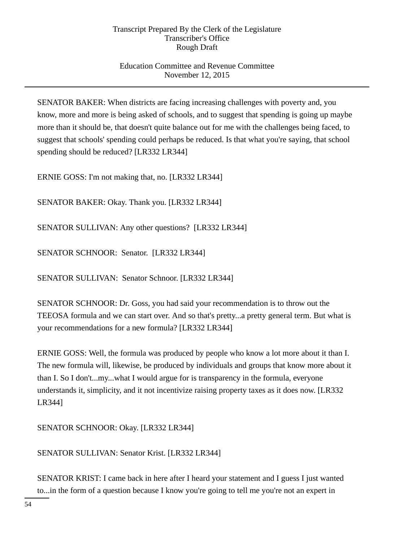# Education Committee and Revenue Committee November 12, 2015

SENATOR BAKER: When districts are facing increasing challenges with poverty and, you know, more and more is being asked of schools, and to suggest that spending is going up maybe more than it should be, that doesn't quite balance out for me with the challenges being faced, to suggest that schools' spending could perhaps be reduced. Is that what you're saying, that school spending should be reduced? [LR332 LR344]

ERNIE GOSS: I'm not making that, no. [LR332 LR344]

SENATOR BAKER: Okay. Thank you. [LR332 LR344]

SENATOR SULLIVAN: Any other questions? [LR332 LR344]

SENATOR SCHNOOR: Senator. [LR332 LR344]

SENATOR SULLIVAN: Senator Schnoor. [LR332 LR344]

SENATOR SCHNOOR: Dr. Goss, you had said your recommendation is to throw out the TEEOSA formula and we can start over. And so that's pretty...a pretty general term. But what is your recommendations for a new formula? [LR332 LR344]

ERNIE GOSS: Well, the formula was produced by people who know a lot more about it than I. The new formula will, likewise, be produced by individuals and groups that know more about it than I. So I don't...my...what I would argue for is transparency in the formula, everyone understands it, simplicity, and it not incentivize raising property taxes as it does now. [LR332 LR344]

SENATOR SCHNOOR: Okay. [LR332 LR344]

SENATOR SULLIVAN: Senator Krist. [LR332 LR344]

SENATOR KRIST: I came back in here after I heard your statement and I guess I just wanted to...in the form of a question because I know you're going to tell me you're not an expert in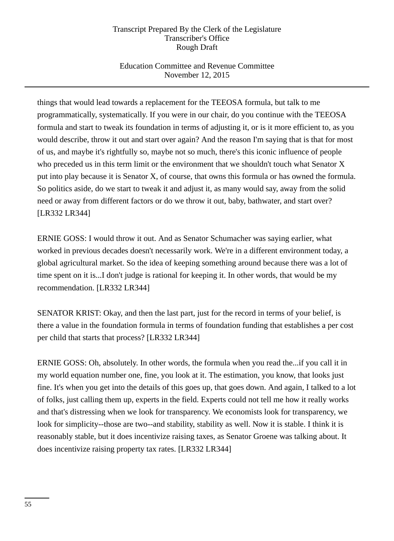# Education Committee and Revenue Committee November 12, 2015

things that would lead towards a replacement for the TEEOSA formula, but talk to me programmatically, systematically. If you were in our chair, do you continue with the TEEOSA formula and start to tweak its foundation in terms of adjusting it, or is it more efficient to, as you would describe, throw it out and start over again? And the reason I'm saying that is that for most of us, and maybe it's rightfully so, maybe not so much, there's this iconic influence of people who preceded us in this term limit or the environment that we shouldn't touch what Senator X put into play because it is Senator X, of course, that owns this formula or has owned the formula. So politics aside, do we start to tweak it and adjust it, as many would say, away from the solid need or away from different factors or do we throw it out, baby, bathwater, and start over? [LR332 LR344]

ERNIE GOSS: I would throw it out. And as Senator Schumacher was saying earlier, what worked in previous decades doesn't necessarily work. We're in a different environment today, a global agricultural market. So the idea of keeping something around because there was a lot of time spent on it is...I don't judge is rational for keeping it. In other words, that would be my recommendation. [LR332 LR344]

SENATOR KRIST: Okay, and then the last part, just for the record in terms of your belief, is there a value in the foundation formula in terms of foundation funding that establishes a per cost per child that starts that process? [LR332 LR344]

ERNIE GOSS: Oh, absolutely. In other words, the formula when you read the...if you call it in my world equation number one, fine, you look at it. The estimation, you know, that looks just fine. It's when you get into the details of this goes up, that goes down. And again, I talked to a lot of folks, just calling them up, experts in the field. Experts could not tell me how it really works and that's distressing when we look for transparency. We economists look for transparency, we look for simplicity--those are two--and stability, stability as well. Now it is stable. I think it is reasonably stable, but it does incentivize raising taxes, as Senator Groene was talking about. It does incentivize raising property tax rates. [LR332 LR344]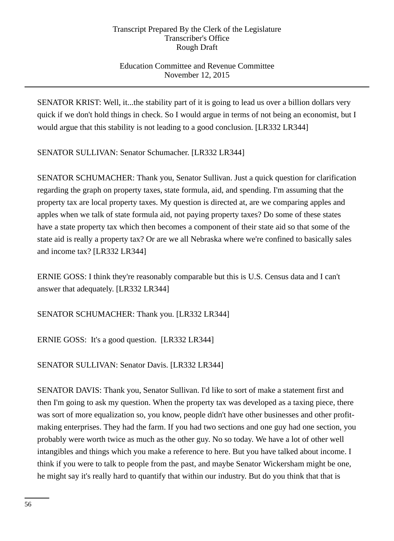# Education Committee and Revenue Committee November 12, 2015

SENATOR KRIST: Well, it...the stability part of it is going to lead us over a billion dollars very quick if we don't hold things in check. So I would argue in terms of not being an economist, but I would argue that this stability is not leading to a good conclusion. [LR332 LR344]

SENATOR SULLIVAN: Senator Schumacher. [LR332 LR344]

SENATOR SCHUMACHER: Thank you, Senator Sullivan. Just a quick question for clarification regarding the graph on property taxes, state formula, aid, and spending. I'm assuming that the property tax are local property taxes. My question is directed at, are we comparing apples and apples when we talk of state formula aid, not paying property taxes? Do some of these states have a state property tax which then becomes a component of their state aid so that some of the state aid is really a property tax? Or are we all Nebraska where we're confined to basically sales and income tax? [LR332 LR344]

ERNIE GOSS: I think they're reasonably comparable but this is U.S. Census data and I can't answer that adequately. [LR332 LR344]

SENATOR SCHUMACHER: Thank you. [LR332 LR344]

ERNIE GOSS: It's a good question. [LR332 LR344]

SENATOR SULLIVAN: Senator Davis. [LR332 LR344]

SENATOR DAVIS: Thank you, Senator Sullivan. I'd like to sort of make a statement first and then I'm going to ask my question. When the property tax was developed as a taxing piece, there was sort of more equalization so, you know, people didn't have other businesses and other profitmaking enterprises. They had the farm. If you had two sections and one guy had one section, you probably were worth twice as much as the other guy. No so today. We have a lot of other well intangibles and things which you make a reference to here. But you have talked about income. I think if you were to talk to people from the past, and maybe Senator Wickersham might be one, he might say it's really hard to quantify that within our industry. But do you think that that is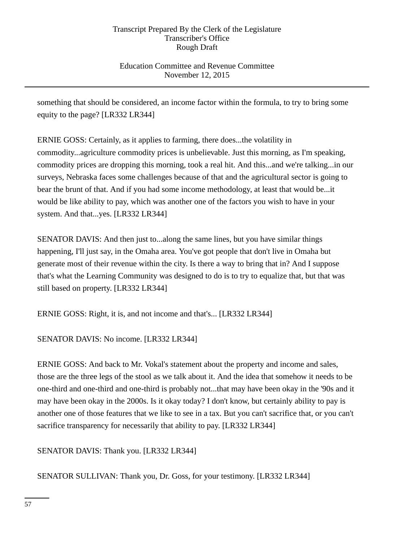# Education Committee and Revenue Committee November 12, 2015

something that should be considered, an income factor within the formula, to try to bring some equity to the page? [LR332 LR344]

ERNIE GOSS: Certainly, as it applies to farming, there does...the volatility in commodity...agriculture commodity prices is unbelievable. Just this morning, as I'm speaking, commodity prices are dropping this morning, took a real hit. And this...and we're talking...in our surveys, Nebraska faces some challenges because of that and the agricultural sector is going to bear the brunt of that. And if you had some income methodology, at least that would be...it would be like ability to pay, which was another one of the factors you wish to have in your system. And that...yes. [LR332 LR344]

SENATOR DAVIS: And then just to...along the same lines, but you have similar things happening, I'll just say, in the Omaha area. You've got people that don't live in Omaha but generate most of their revenue within the city. Is there a way to bring that in? And I suppose that's what the Learning Community was designed to do is to try to equalize that, but that was still based on property. [LR332 LR344]

ERNIE GOSS: Right, it is, and not income and that's... [LR332 LR344]

SENATOR DAVIS: No income. [LR332 LR344]

ERNIE GOSS: And back to Mr. Vokal's statement about the property and income and sales, those are the three legs of the stool as we talk about it. And the idea that somehow it needs to be one-third and one-third and one-third is probably not...that may have been okay in the '90s and it may have been okay in the 2000s. Is it okay today? I don't know, but certainly ability to pay is another one of those features that we like to see in a tax. But you can't sacrifice that, or you can't sacrifice transparency for necessarily that ability to pay. [LR332 LR344]

SENATOR DAVIS: Thank you. [LR332 LR344]

SENATOR SULLIVAN: Thank you, Dr. Goss, for your testimony. [LR332 LR344]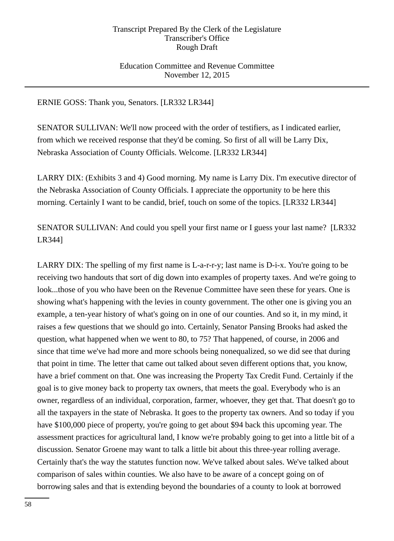## Education Committee and Revenue Committee November 12, 2015

## ERNIE GOSS: Thank you, Senators. [LR332 LR344]

SENATOR SULLIVAN: We'll now proceed with the order of testifiers, as I indicated earlier, from which we received response that they'd be coming. So first of all will be Larry Dix, Nebraska Association of County Officials. Welcome. [LR332 LR344]

LARRY DIX: (Exhibits 3 and 4) Good morning. My name is Larry Dix. I'm executive director of the Nebraska Association of County Officials. I appreciate the opportunity to be here this morning. Certainly I want to be candid, brief, touch on some of the topics. [LR332 LR344]

SENATOR SULLIVAN: And could you spell your first name or I guess your last name? [LR332 LR344]

LARRY DIX: The spelling of my first name is L-a-r-r-y; last name is D-i-x. You're going to be receiving two handouts that sort of dig down into examples of property taxes. And we're going to look...those of you who have been on the Revenue Committee have seen these for years. One is showing what's happening with the levies in county government. The other one is giving you an example, a ten-year history of what's going on in one of our counties. And so it, in my mind, it raises a few questions that we should go into. Certainly, Senator Pansing Brooks had asked the question, what happened when we went to 80, to 75? That happened, of course, in 2006 and since that time we've had more and more schools being nonequalized, so we did see that during that point in time. The letter that came out talked about seven different options that, you know, have a brief comment on that. One was increasing the Property Tax Credit Fund. Certainly if the goal is to give money back to property tax owners, that meets the goal. Everybody who is an owner, regardless of an individual, corporation, farmer, whoever, they get that. That doesn't go to all the taxpayers in the state of Nebraska. It goes to the property tax owners. And so today if you have \$100,000 piece of property, you're going to get about \$94 back this upcoming year. The assessment practices for agricultural land, I know we're probably going to get into a little bit of a discussion. Senator Groene may want to talk a little bit about this three-year rolling average. Certainly that's the way the statutes function now. We've talked about sales. We've talked about comparison of sales within counties. We also have to be aware of a concept going on of borrowing sales and that is extending beyond the boundaries of a county to look at borrowed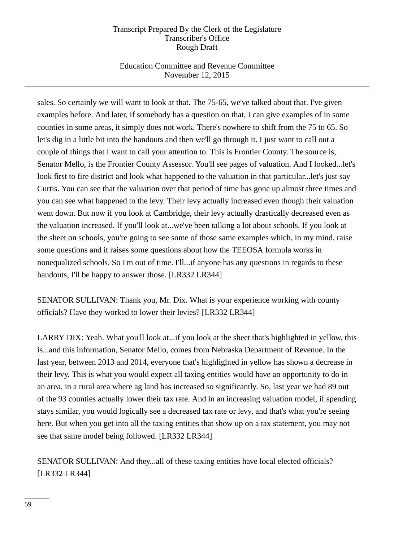# Education Committee and Revenue Committee November 12, 2015

sales. So certainly we will want to look at that. The 75-65, we've talked about that. I've given examples before. And later, if somebody has a question on that, I can give examples of in some counties in some areas, it simply does not work. There's nowhere to shift from the 75 to 65. So let's dig in a little bit into the handouts and then we'll go through it. I just want to call out a couple of things that I want to call your attention to. This is Frontier County. The source is, Senator Mello, is the Frontier County Assessor. You'll see pages of valuation. And I looked...let's look first to fire district and look what happened to the valuation in that particular...let's just say Curtis. You can see that the valuation over that period of time has gone up almost three times and you can see what happened to the levy. Their levy actually increased even though their valuation went down. But now if you look at Cambridge, their levy actually drastically decreased even as the valuation increased. If you'll look at...we've been talking a lot about schools. If you look at the sheet on schools, you're going to see some of those same examples which, in my mind, raise some questions and it raises some questions about how the TEEOSA formula works in nonequalized schools. So I'm out of time. I'll...if anyone has any questions in regards to these handouts, I'll be happy to answer those. [LR332 LR344]

SENATOR SULLIVAN: Thank you, Mr. Dix. What is your experience working with county officials? Have they worked to lower their levies? [LR332 LR344]

LARRY DIX: Yeah. What you'll look at...if you look at the sheet that's highlighted in yellow, this is...and this information, Senator Mello, comes from Nebraska Department of Revenue. In the last year, between 2013 and 2014, everyone that's highlighted in yellow has shown a decrease in their levy. This is what you would expect all taxing entities would have an opportunity to do in an area, in a rural area where ag land has increased so significantly. So, last year we had 89 out of the 93 counties actually lower their tax rate. And in an increasing valuation model, if spending stays similar, you would logically see a decreased tax rate or levy, and that's what you're seeing here. But when you get into all the taxing entities that show up on a tax statement, you may not see that same model being followed. [LR332 LR344]

SENATOR SULLIVAN: And they...all of these taxing entities have local elected officials? [LR332 LR344]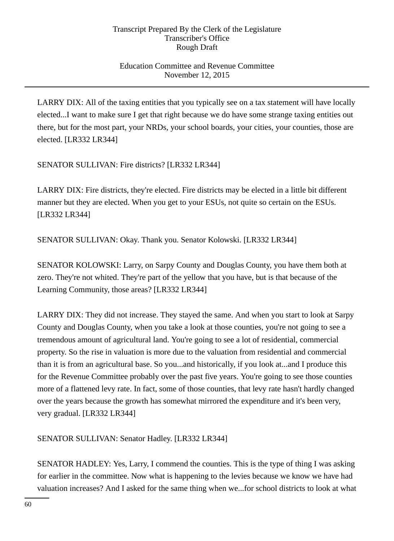# Education Committee and Revenue Committee November 12, 2015

LARRY DIX: All of the taxing entities that you typically see on a tax statement will have locally elected...I want to make sure I get that right because we do have some strange taxing entities out there, but for the most part, your NRDs, your school boards, your cities, your counties, those are elected. [LR332 LR344]

SENATOR SULLIVAN: Fire districts? [LR332 LR344]

LARRY DIX: Fire districts, they're elected. Fire districts may be elected in a little bit different manner but they are elected. When you get to your ESUs, not quite so certain on the ESUs. [LR332 LR344]

SENATOR SULLIVAN: Okay. Thank you. Senator Kolowski. [LR332 LR344]

SENATOR KOLOWSKI: Larry, on Sarpy County and Douglas County, you have them both at zero. They're not whited. They're part of the yellow that you have, but is that because of the Learning Community, those areas? [LR332 LR344]

LARRY DIX: They did not increase. They stayed the same. And when you start to look at Sarpy County and Douglas County, when you take a look at those counties, you're not going to see a tremendous amount of agricultural land. You're going to see a lot of residential, commercial property. So the rise in valuation is more due to the valuation from residential and commercial than it is from an agricultural base. So you...and historically, if you look at...and I produce this for the Revenue Committee probably over the past five years. You're going to see those counties more of a flattened levy rate. In fact, some of those counties, that levy rate hasn't hardly changed over the years because the growth has somewhat mirrored the expenditure and it's been very, very gradual. [LR332 LR344]

SENATOR SULLIVAN: Senator Hadley. [LR332 LR344]

SENATOR HADLEY: Yes, Larry, I commend the counties. This is the type of thing I was asking for earlier in the committee. Now what is happening to the levies because we know we have had valuation increases? And I asked for the same thing when we...for school districts to look at what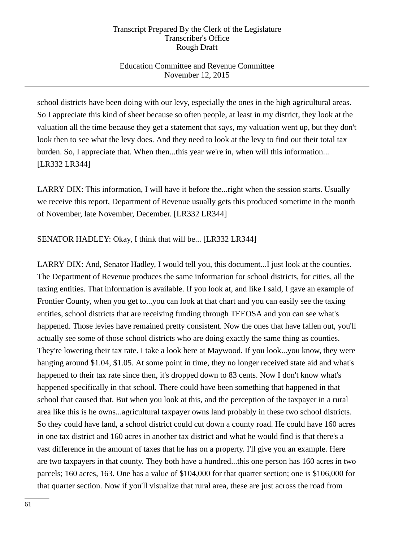# Education Committee and Revenue Committee November 12, 2015

school districts have been doing with our levy, especially the ones in the high agricultural areas. So I appreciate this kind of sheet because so often people, at least in my district, they look at the valuation all the time because they get a statement that says, my valuation went up, but they don't look then to see what the levy does. And they need to look at the levy to find out their total tax burden. So, I appreciate that. When then...this year we're in, when will this information... [LR332 LR344]

LARRY DIX: This information, I will have it before the...right when the session starts. Usually we receive this report, Department of Revenue usually gets this produced sometime in the month of November, late November, December. [LR332 LR344]

## SENATOR HADLEY: Okay, I think that will be... [LR332 LR344]

LARRY DIX: And, Senator Hadley, I would tell you, this document...I just look at the counties. The Department of Revenue produces the same information for school districts, for cities, all the taxing entities. That information is available. If you look at, and like I said, I gave an example of Frontier County, when you get to...you can look at that chart and you can easily see the taxing entities, school districts that are receiving funding through TEEOSA and you can see what's happened. Those levies have remained pretty consistent. Now the ones that have fallen out, you'll actually see some of those school districts who are doing exactly the same thing as counties. They're lowering their tax rate. I take a look here at Maywood. If you look...you know, they were hanging around \$1.04, \$1.05. At some point in time, they no longer received state aid and what's happened to their tax rate since then, it's dropped down to 83 cents. Now I don't know what's happened specifically in that school. There could have been something that happened in that school that caused that. But when you look at this, and the perception of the taxpayer in a rural area like this is he owns...agricultural taxpayer owns land probably in these two school districts. So they could have land, a school district could cut down a county road. He could have 160 acres in one tax district and 160 acres in another tax district and what he would find is that there's a vast difference in the amount of taxes that he has on a property. I'll give you an example. Here are two taxpayers in that county. They both have a hundred...this one person has 160 acres in two parcels; 160 acres, 163. One has a value of \$104,000 for that quarter section; one is \$106,000 for that quarter section. Now if you'll visualize that rural area, these are just across the road from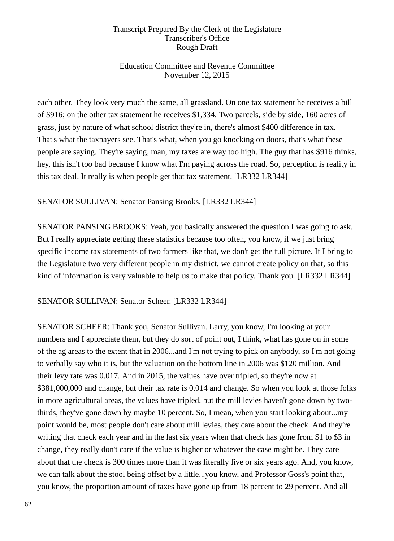# Education Committee and Revenue Committee November 12, 2015

each other. They look very much the same, all grassland. On one tax statement he receives a bill of \$916; on the other tax statement he receives \$1,334. Two parcels, side by side, 160 acres of grass, just by nature of what school district they're in, there's almost \$400 difference in tax. That's what the taxpayers see. That's what, when you go knocking on doors, that's what these people are saying. They're saying, man, my taxes are way too high. The guy that has \$916 thinks, hey, this isn't too bad because I know what I'm paying across the road. So, perception is reality in this tax deal. It really is when people get that tax statement. [LR332 LR344]

# SENATOR SULLIVAN: Senator Pansing Brooks. [LR332 LR344]

SENATOR PANSING BROOKS: Yeah, you basically answered the question I was going to ask. But I really appreciate getting these statistics because too often, you know, if we just bring specific income tax statements of two farmers like that, we don't get the full picture. If I bring to the Legislature two very different people in my district, we cannot create policy on that, so this kind of information is very valuable to help us to make that policy. Thank you. [LR332 LR344]

SENATOR SULLIVAN: Senator Scheer. [LR332 LR344]

SENATOR SCHEER: Thank you, Senator Sullivan. Larry, you know, I'm looking at your numbers and I appreciate them, but they do sort of point out, I think, what has gone on in some of the ag areas to the extent that in 2006...and I'm not trying to pick on anybody, so I'm not going to verbally say who it is, but the valuation on the bottom line in 2006 was \$120 million. And their levy rate was 0.017. And in 2015, the values have over tripled, so they're now at \$381,000,000 and change, but their tax rate is 0.014 and change. So when you look at those folks in more agricultural areas, the values have tripled, but the mill levies haven't gone down by twothirds, they've gone down by maybe 10 percent. So, I mean, when you start looking about...my point would be, most people don't care about mill levies, they care about the check. And they're writing that check each year and in the last six years when that check has gone from \$1 to \$3 in change, they really don't care if the value is higher or whatever the case might be. They care about that the check is 300 times more than it was literally five or six years ago. And, you know, we can talk about the stool being offset by a little...you know, and Professor Goss's point that, you know, the proportion amount of taxes have gone up from 18 percent to 29 percent. And all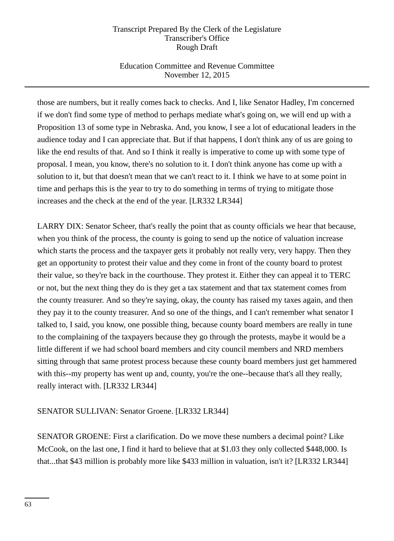# Education Committee and Revenue Committee November 12, 2015

those are numbers, but it really comes back to checks. And I, like Senator Hadley, I'm concerned if we don't find some type of method to perhaps mediate what's going on, we will end up with a Proposition 13 of some type in Nebraska. And, you know, I see a lot of educational leaders in the audience today and I can appreciate that. But if that happens, I don't think any of us are going to like the end results of that. And so I think it really is imperative to come up with some type of proposal. I mean, you know, there's no solution to it. I don't think anyone has come up with a solution to it, but that doesn't mean that we can't react to it. I think we have to at some point in time and perhaps this is the year to try to do something in terms of trying to mitigate those increases and the check at the end of the year. [LR332 LR344]

LARRY DIX: Senator Scheer, that's really the point that as county officials we hear that because, when you think of the process, the county is going to send up the notice of valuation increase which starts the process and the taxpayer gets it probably not really very, very happy. Then they get an opportunity to protest their value and they come in front of the county board to protest their value, so they're back in the courthouse. They protest it. Either they can appeal it to TERC or not, but the next thing they do is they get a tax statement and that tax statement comes from the county treasurer. And so they're saying, okay, the county has raised my taxes again, and then they pay it to the county treasurer. And so one of the things, and I can't remember what senator I talked to, I said, you know, one possible thing, because county board members are really in tune to the complaining of the taxpayers because they go through the protests, maybe it would be a little different if we had school board members and city council members and NRD members sitting through that same protest process because these county board members just get hammered with this--my property has went up and, county, you're the one--because that's all they really, really interact with. [LR332 LR344]

# SENATOR SULLIVAN: Senator Groene. [LR332 LR344]

SENATOR GROENE: First a clarification. Do we move these numbers a decimal point? Like McCook, on the last one, I find it hard to believe that at \$1.03 they only collected \$448,000. Is that...that \$43 million is probably more like \$433 million in valuation, isn't it? [LR332 LR344]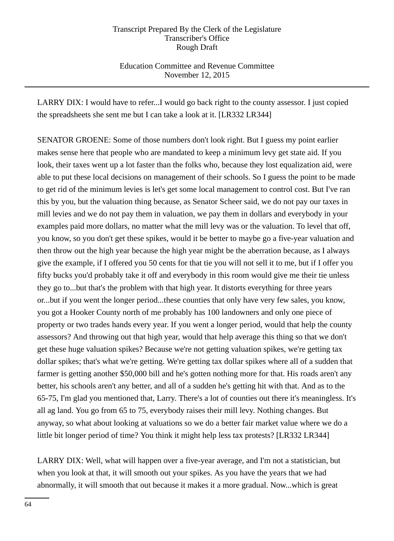Education Committee and Revenue Committee November 12, 2015

LARRY DIX: I would have to refer...I would go back right to the county assessor. I just copied the spreadsheets she sent me but I can take a look at it. [LR332 LR344]

SENATOR GROENE: Some of those numbers don't look right. But I guess my point earlier makes sense here that people who are mandated to keep a minimum levy get state aid. If you look, their taxes went up a lot faster than the folks who, because they lost equalization aid, were able to put these local decisions on management of their schools. So I guess the point to be made to get rid of the minimum levies is let's get some local management to control cost. But I've ran this by you, but the valuation thing because, as Senator Scheer said, we do not pay our taxes in mill levies and we do not pay them in valuation, we pay them in dollars and everybody in your examples paid more dollars, no matter what the mill levy was or the valuation. To level that off, you know, so you don't get these spikes, would it be better to maybe go a five-year valuation and then throw out the high year because the high year might be the aberration because, as I always give the example, if I offered you 50 cents for that tie you will not sell it to me, but if I offer you fifty bucks you'd probably take it off and everybody in this room would give me their tie unless they go to...but that's the problem with that high year. It distorts everything for three years or...but if you went the longer period...these counties that only have very few sales, you know, you got a Hooker County north of me probably has 100 landowners and only one piece of property or two trades hands every year. If you went a longer period, would that help the county assessors? And throwing out that high year, would that help average this thing so that we don't get these huge valuation spikes? Because we're not getting valuation spikes, we're getting tax dollar spikes; that's what we're getting. We're getting tax dollar spikes where all of a sudden that farmer is getting another \$50,000 bill and he's gotten nothing more for that. His roads aren't any better, his schools aren't any better, and all of a sudden he's getting hit with that. And as to the 65-75, I'm glad you mentioned that, Larry. There's a lot of counties out there it's meaningless. It's all ag land. You go from 65 to 75, everybody raises their mill levy. Nothing changes. But anyway, so what about looking at valuations so we do a better fair market value where we do a little bit longer period of time? You think it might help less tax protests? [LR332 LR344]

LARRY DIX: Well, what will happen over a five-year average, and I'm not a statistician, but when you look at that, it will smooth out your spikes. As you have the years that we had abnormally, it will smooth that out because it makes it a more gradual. Now...which is great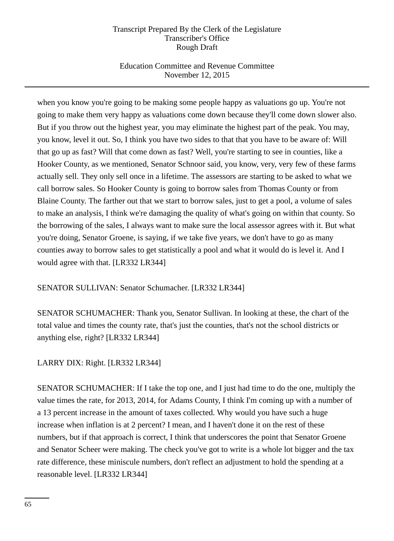# Education Committee and Revenue Committee November 12, 2015

when you know you're going to be making some people happy as valuations go up. You're not going to make them very happy as valuations come down because they'll come down slower also. But if you throw out the highest year, you may eliminate the highest part of the peak. You may, you know, level it out. So, I think you have two sides to that that you have to be aware of: Will that go up as fast? Will that come down as fast? Well, you're starting to see in counties, like a Hooker County, as we mentioned, Senator Schnoor said, you know, very, very few of these farms actually sell. They only sell once in a lifetime. The assessors are starting to be asked to what we call borrow sales. So Hooker County is going to borrow sales from Thomas County or from Blaine County. The farther out that we start to borrow sales, just to get a pool, a volume of sales to make an analysis, I think we're damaging the quality of what's going on within that county. So the borrowing of the sales, I always want to make sure the local assessor agrees with it. But what you're doing, Senator Groene, is saying, if we take five years, we don't have to go as many counties away to borrow sales to get statistically a pool and what it would do is level it. And I would agree with that. [LR332 LR344]

## SENATOR SULLIVAN: Senator Schumacher. [LR332 LR344]

SENATOR SCHUMACHER: Thank you, Senator Sullivan. In looking at these, the chart of the total value and times the county rate, that's just the counties, that's not the school districts or anything else, right? [LR332 LR344]

## LARRY DIX: Right. [LR332 LR344]

SENATOR SCHUMACHER: If I take the top one, and I just had time to do the one, multiply the value times the rate, for 2013, 2014, for Adams County, I think I'm coming up with a number of a 13 percent increase in the amount of taxes collected. Why would you have such a huge increase when inflation is at 2 percent? I mean, and I haven't done it on the rest of these numbers, but if that approach is correct, I think that underscores the point that Senator Groene and Senator Scheer were making. The check you've got to write is a whole lot bigger and the tax rate difference, these miniscule numbers, don't reflect an adjustment to hold the spending at a reasonable level. [LR332 LR344]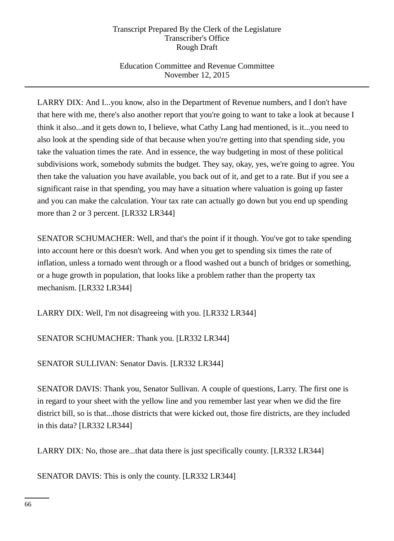# Education Committee and Revenue Committee November 12, 2015

LARRY DIX: And I...you know, also in the Department of Revenue numbers, and I don't have that here with me, there's also another report that you're going to want to take a look at because I think it also...and it gets down to, I believe, what Cathy Lang had mentioned, is it...you need to also look at the spending side of that because when you're getting into that spending side, you take the valuation times the rate. And in essence, the way budgeting in most of these political subdivisions work, somebody submits the budget. They say, okay, yes, we're going to agree. You then take the valuation you have available, you back out of it, and get to a rate. But if you see a significant raise in that spending, you may have a situation where valuation is going up faster and you can make the calculation. Your tax rate can actually go down but you end up spending more than 2 or 3 percent. [LR332 LR344]

SENATOR SCHUMACHER: Well, and that's the point if it though. You've got to take spending into account here or this doesn't work. And when you get to spending six times the rate of inflation, unless a tornado went through or a flood washed out a bunch of bridges or something, or a huge growth in population, that looks like a problem rather than the property tax mechanism. [LR332 LR344]

LARRY DIX: Well, I'm not disagreeing with you. [LR332 LR344]

SENATOR SCHUMACHER: Thank you. [LR332 LR344]

SENATOR SULLIVAN: Senator Davis. [LR332 LR344]

SENATOR DAVIS: Thank you, Senator Sullivan. A couple of questions, Larry. The first one is in regard to your sheet with the yellow line and you remember last year when we did the fire district bill, so is that...those districts that were kicked out, those fire districts, are they included in this data? [LR332 LR344]

LARRY DIX: No, those are...that data there is just specifically county. [LR332 LR344]

SENATOR DAVIS: This is only the county. [LR332 LR344]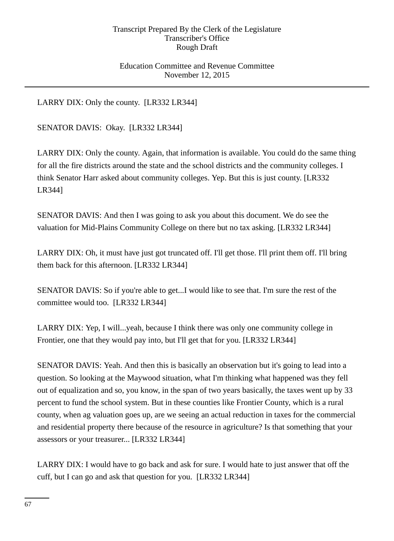## Education Committee and Revenue Committee November 12, 2015

LARRY DIX: Only the county. [LR332 LR344]

SENATOR DAVIS: Okay. [LR332 LR344]

LARRY DIX: Only the county. Again, that information is available. You could do the same thing for all the fire districts around the state and the school districts and the community colleges. I think Senator Harr asked about community colleges. Yep. But this is just county. [LR332 LR344]

SENATOR DAVIS: And then I was going to ask you about this document. We do see the valuation for Mid-Plains Community College on there but no tax asking. [LR332 LR344]

LARRY DIX: Oh, it must have just got truncated off. I'll get those. I'll print them off. I'll bring them back for this afternoon. [LR332 LR344]

SENATOR DAVIS: So if you're able to get...I would like to see that. I'm sure the rest of the committee would too. [LR332 LR344]

LARRY DIX: Yep, I will...yeah, because I think there was only one community college in Frontier, one that they would pay into, but I'll get that for you. [LR332 LR344]

SENATOR DAVIS: Yeah. And then this is basically an observation but it's going to lead into a question. So looking at the Maywood situation, what I'm thinking what happened was they fell out of equalization and so, you know, in the span of two years basically, the taxes went up by 33 percent to fund the school system. But in these counties like Frontier County, which is a rural county, when ag valuation goes up, are we seeing an actual reduction in taxes for the commercial and residential property there because of the resource in agriculture? Is that something that your assessors or your treasurer... [LR332 LR344]

LARRY DIX: I would have to go back and ask for sure. I would hate to just answer that off the cuff, but I can go and ask that question for you. [LR332 LR344]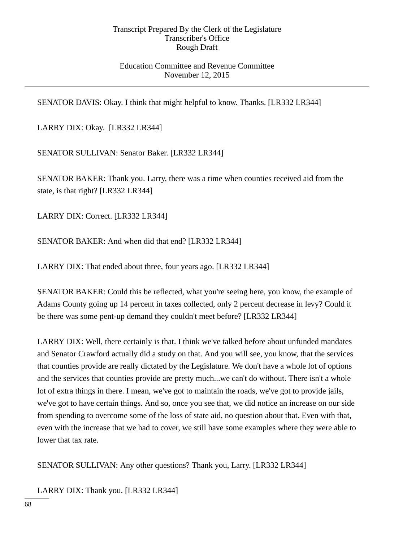## Education Committee and Revenue Committee November 12, 2015

SENATOR DAVIS: Okay. I think that might helpful to know. Thanks. [LR332 LR344]

LARRY DIX: Okay. [LR332 LR344]

SENATOR SULLIVAN: Senator Baker. [LR332 LR344]

SENATOR BAKER: Thank you. Larry, there was a time when counties received aid from the state, is that right? [LR332 LR344]

LARRY DIX: Correct. [LR332 LR344]

SENATOR BAKER: And when did that end? [LR332 LR344]

LARRY DIX: That ended about three, four years ago. [LR332 LR344]

SENATOR BAKER: Could this be reflected, what you're seeing here, you know, the example of Adams County going up 14 percent in taxes collected, only 2 percent decrease in levy? Could it be there was some pent-up demand they couldn't meet before? [LR332 LR344]

LARRY DIX: Well, there certainly is that. I think we've talked before about unfunded mandates and Senator Crawford actually did a study on that. And you will see, you know, that the services that counties provide are really dictated by the Legislature. We don't have a whole lot of options and the services that counties provide are pretty much...we can't do without. There isn't a whole lot of extra things in there. I mean, we've got to maintain the roads, we've got to provide jails, we've got to have certain things. And so, once you see that, we did notice an increase on our side from spending to overcome some of the loss of state aid, no question about that. Even with that, even with the increase that we had to cover, we still have some examples where they were able to lower that tax rate.

SENATOR SULLIVAN: Any other questions? Thank you, Larry. [LR332 LR344]

LARRY DIX: Thank you. [LR332 LR344]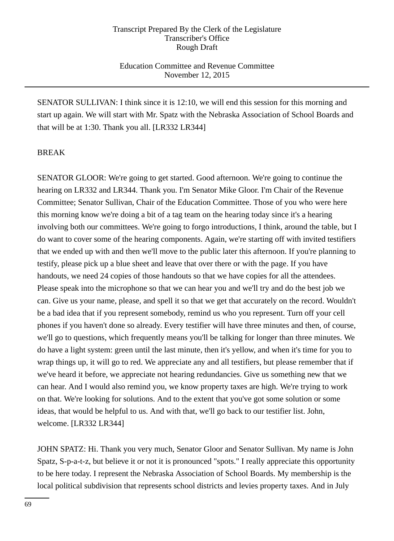## Education Committee and Revenue Committee November 12, 2015

SENATOR SULLIVAN: I think since it is 12:10, we will end this session for this morning and start up again. We will start with Mr. Spatz with the Nebraska Association of School Boards and that will be at 1:30. Thank you all. [LR332 LR344]

## BREAK

SENATOR GLOOR: We're going to get started. Good afternoon. We're going to continue the hearing on LR332 and LR344. Thank you. I'm Senator Mike Gloor. I'm Chair of the Revenue Committee; Senator Sullivan, Chair of the Education Committee. Those of you who were here this morning know we're doing a bit of a tag team on the hearing today since it's a hearing involving both our committees. We're going to forgo introductions, I think, around the table, but I do want to cover some of the hearing components. Again, we're starting off with invited testifiers that we ended up with and then we'll move to the public later this afternoon. If you're planning to testify, please pick up a blue sheet and leave that over there or with the page. If you have handouts, we need 24 copies of those handouts so that we have copies for all the attendees. Please speak into the microphone so that we can hear you and we'll try and do the best job we can. Give us your name, please, and spell it so that we get that accurately on the record. Wouldn't be a bad idea that if you represent somebody, remind us who you represent. Turn off your cell phones if you haven't done so already. Every testifier will have three minutes and then, of course, we'll go to questions, which frequently means you'll be talking for longer than three minutes. We do have a light system: green until the last minute, then it's yellow, and when it's time for you to wrap things up, it will go to red. We appreciate any and all testifiers, but please remember that if we've heard it before, we appreciate not hearing redundancies. Give us something new that we can hear. And I would also remind you, we know property taxes are high. We're trying to work on that. We're looking for solutions. And to the extent that you've got some solution or some ideas, that would be helpful to us. And with that, we'll go back to our testifier list. John, welcome. [LR332 LR344]

JOHN SPATZ: Hi. Thank you very much, Senator Gloor and Senator Sullivan. My name is John Spatz, S-p-a-t-z, but believe it or not it is pronounced "spots." I really appreciate this opportunity to be here today. I represent the Nebraska Association of School Boards. My membership is the local political subdivision that represents school districts and levies property taxes. And in July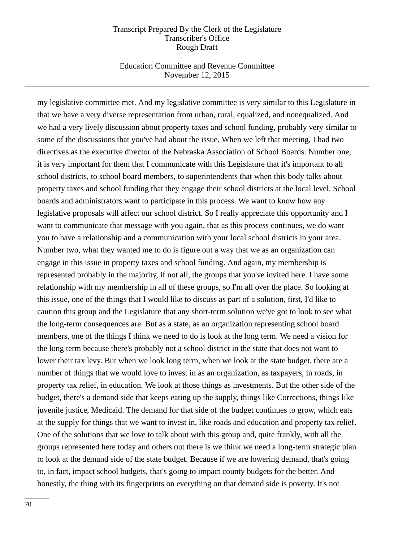## Education Committee and Revenue Committee November 12, 2015

my legislative committee met. And my legislative committee is very similar to this Legislature in that we have a very diverse representation from urban, rural, equalized, and nonequalized. And we had a very lively discussion about property taxes and school funding, probably very similar to some of the discussions that you've had about the issue. When we left that meeting, I had two directives as the executive director of the Nebraska Association of School Boards. Number one, it is very important for them that I communicate with this Legislature that it's important to all school districts, to school board members, to superintendents that when this body talks about property taxes and school funding that they engage their school districts at the local level. School boards and administrators want to participate in this process. We want to know how any legislative proposals will affect our school district. So I really appreciate this opportunity and I want to communicate that message with you again, that as this process continues, we do want you to have a relationship and a communication with your local school districts in your area. Number two, what they wanted me to do is figure out a way that we as an organization can engage in this issue in property taxes and school funding. And again, my membership is represented probably in the majority, if not all, the groups that you've invited here. I have some relationship with my membership in all of these groups, so I'm all over the place. So looking at this issue, one of the things that I would like to discuss as part of a solution, first, I'd like to caution this group and the Legislature that any short-term solution we've got to look to see what the long-term consequences are. But as a state, as an organization representing school board members, one of the things I think we need to do is look at the long term. We need a vision for the long term because there's probably not a school district in the state that does not want to lower their tax levy. But when we look long term, when we look at the state budget, there are a number of things that we would love to invest in as an organization, as taxpayers, in roads, in property tax relief, in education. We look at those things as investments. But the other side of the budget, there's a demand side that keeps eating up the supply, things like Corrections, things like juvenile justice, Medicaid. The demand for that side of the budget continues to grow, which eats at the supply for things that we want to invest in, like roads and education and property tax relief. One of the solutions that we love to talk about with this group and, quite frankly, with all the groups represented here today and others out there is we think we need a long-term strategic plan to look at the demand side of the state budget. Because if we are lowering demand, that's going to, in fact, impact school budgets, that's going to impact county budgets for the better. And honestly, the thing with its fingerprints on everything on that demand side is poverty. It's not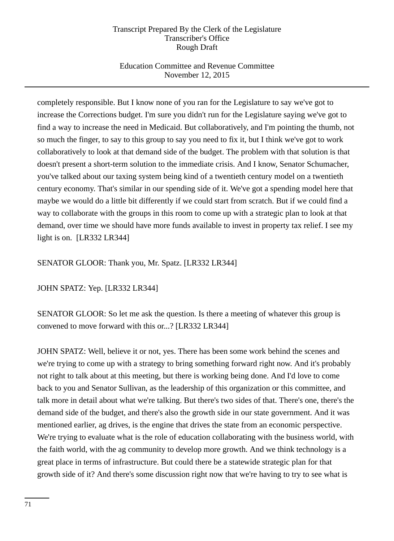# Education Committee and Revenue Committee November 12, 2015

completely responsible. But I know none of you ran for the Legislature to say we've got to increase the Corrections budget. I'm sure you didn't run for the Legislature saying we've got to find a way to increase the need in Medicaid. But collaboratively, and I'm pointing the thumb, not so much the finger, to say to this group to say you need to fix it, but I think we've got to work collaboratively to look at that demand side of the budget. The problem with that solution is that doesn't present a short-term solution to the immediate crisis. And I know, Senator Schumacher, you've talked about our taxing system being kind of a twentieth century model on a twentieth century economy. That's similar in our spending side of it. We've got a spending model here that maybe we would do a little bit differently if we could start from scratch. But if we could find a way to collaborate with the groups in this room to come up with a strategic plan to look at that demand, over time we should have more funds available to invest in property tax relief. I see my light is on. [LR332 LR344]

# SENATOR GLOOR: Thank you, Mr. Spatz. [LR332 LR344]

JOHN SPATZ: Yep. [LR332 LR344]

SENATOR GLOOR: So let me ask the question. Is there a meeting of whatever this group is convened to move forward with this or...? [LR332 LR344]

JOHN SPATZ: Well, believe it or not, yes. There has been some work behind the scenes and we're trying to come up with a strategy to bring something forward right now. And it's probably not right to talk about at this meeting, but there is working being done. And I'd love to come back to you and Senator Sullivan, as the leadership of this organization or this committee, and talk more in detail about what we're talking. But there's two sides of that. There's one, there's the demand side of the budget, and there's also the growth side in our state government. And it was mentioned earlier, ag drives, is the engine that drives the state from an economic perspective. We're trying to evaluate what is the role of education collaborating with the business world, with the faith world, with the ag community to develop more growth. And we think technology is a great place in terms of infrastructure. But could there be a statewide strategic plan for that growth side of it? And there's some discussion right now that we're having to try to see what is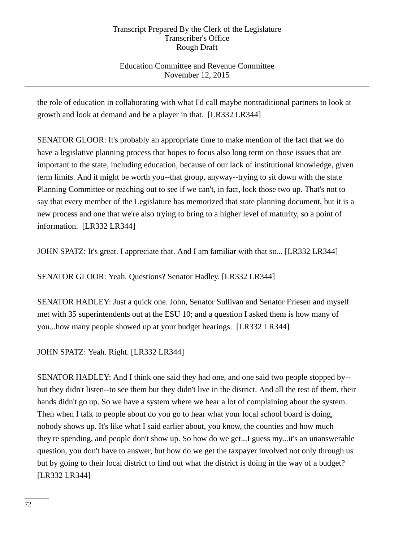# Education Committee and Revenue Committee November 12, 2015

the role of education in collaborating with what I'd call maybe nontraditional partners to look at growth and look at demand and be a player in that. [LR332 LR344]

SENATOR GLOOR: It's probably an appropriate time to make mention of the fact that we do have a legislative planning process that hopes to focus also long term on those issues that are important to the state, including education, because of our lack of institutional knowledge, given term limits. And it might be worth you--that group, anyway--trying to sit down with the state Planning Committee or reaching out to see if we can't, in fact, lock those two up. That's not to say that every member of the Legislature has memorized that state planning document, but it is a new process and one that we're also trying to bring to a higher level of maturity, so a point of information. [LR332 LR344]

JOHN SPATZ: It's great. I appreciate that. And I am familiar with that so... [LR332 LR344]

SENATOR GLOOR: Yeah. Questions? Senator Hadley. [LR332 LR344]

SENATOR HADLEY: Just a quick one. John, Senator Sullivan and Senator Friesen and myself met with 35 superintendents out at the ESU 10; and a question I asked them is how many of you...how many people showed up at your budget hearings. [LR332 LR344]

JOHN SPATZ: Yeah. Right. [LR332 LR344]

SENATOR HADLEY: And I think one said they had one, and one said two people stopped by- but they didn't listen--to see them but they didn't live in the district. And all the rest of them, their hands didn't go up. So we have a system where we hear a lot of complaining about the system. Then when I talk to people about do you go to hear what your local school board is doing, nobody shows up. It's like what I said earlier about, you know, the counties and how much they're spending, and people don't show up. So how do we get...I guess my...it's an unanswerable question, you don't have to answer, but how do we get the taxpayer involved not only through us but by going to their local district to find out what the district is doing in the way of a budget? [LR332 LR344]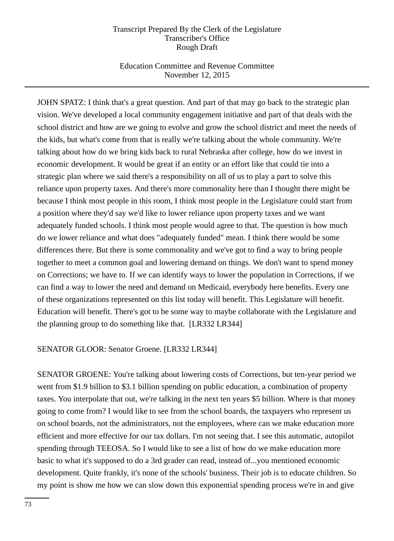## Education Committee and Revenue Committee November 12, 2015

JOHN SPATZ: I think that's a great question. And part of that may go back to the strategic plan vision. We've developed a local community engagement initiative and part of that deals with the school district and how are we going to evolve and grow the school district and meet the needs of the kids, but what's come from that is really we're talking about the whole community. We're talking about how do we bring kids back to rural Nebraska after college, how do we invest in economic development. It would be great if an entity or an effort like that could tie into a strategic plan where we said there's a responsibility on all of us to play a part to solve this reliance upon property taxes. And there's more commonality here than I thought there might be because I think most people in this room, I think most people in the Legislature could start from a position where they'd say we'd like to lower reliance upon property taxes and we want adequately funded schools. I think most people would agree to that. The question is how much do we lower reliance and what does "adequately funded" mean. I think there would be some differences there. But there is some commonality and we've got to find a way to bring people together to meet a common goal and lowering demand on things. We don't want to spend money on Corrections; we have to. If we can identify ways to lower the population in Corrections, if we can find a way to lower the need and demand on Medicaid, everybody here benefits. Every one of these organizations represented on this list today will benefit. This Legislature will benefit. Education will benefit. There's got to be some way to maybe collaborate with the Legislature and the planning group to do something like that. [LR332 LR344]

## SENATOR GLOOR: Senator Groene. [LR332 LR344]

SENATOR GROENE: You're talking about lowering costs of Corrections, but ten-year period we went from \$1.9 billion to \$3.1 billion spending on public education, a combination of property taxes. You interpolate that out, we're talking in the next ten years \$5 billion. Where is that money going to come from? I would like to see from the school boards, the taxpayers who represent us on school boards, not the administrators, not the employees, where can we make education more efficient and more effective for our tax dollars. I'm not seeing that. I see this automatic, autopilot spending through TEEOSA. So I would like to see a list of how do we make education more basic to what it's supposed to do a 3rd grader can read, instead of...you mentioned economic development. Quite frankly, it's none of the schools' business. Their job is to educate children. So my point is show me how we can slow down this exponential spending process we're in and give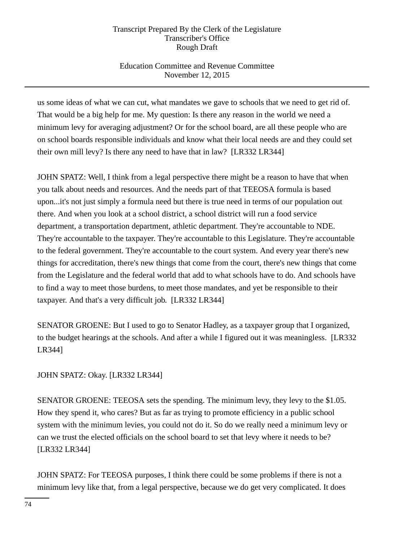# Education Committee and Revenue Committee November 12, 2015

us some ideas of what we can cut, what mandates we gave to schools that we need to get rid of. That would be a big help for me. My question: Is there any reason in the world we need a minimum levy for averaging adjustment? Or for the school board, are all these people who are on school boards responsible individuals and know what their local needs are and they could set their own mill levy? Is there any need to have that in law? [LR332 LR344]

JOHN SPATZ: Well, I think from a legal perspective there might be a reason to have that when you talk about needs and resources. And the needs part of that TEEOSA formula is based upon...it's not just simply a formula need but there is true need in terms of our population out there. And when you look at a school district, a school district will run a food service department, a transportation department, athletic department. They're accountable to NDE. They're accountable to the taxpayer. They're accountable to this Legislature. They're accountable to the federal government. They're accountable to the court system. And every year there's new things for accreditation, there's new things that come from the court, there's new things that come from the Legislature and the federal world that add to what schools have to do. And schools have to find a way to meet those burdens, to meet those mandates, and yet be responsible to their taxpayer. And that's a very difficult job. [LR332 LR344]

SENATOR GROENE: But I used to go to Senator Hadley, as a taxpayer group that I organized, to the budget hearings at the schools. And after a while I figured out it was meaningless. [LR332 LR344]

# JOHN SPATZ: Okay. [LR332 LR344]

SENATOR GROENE: TEEOSA sets the spending. The minimum levy, they levy to the \$1.05. How they spend it, who cares? But as far as trying to promote efficiency in a public school system with the minimum levies, you could not do it. So do we really need a minimum levy or can we trust the elected officials on the school board to set that levy where it needs to be? [LR332 LR344]

JOHN SPATZ: For TEEOSA purposes, I think there could be some problems if there is not a minimum levy like that, from a legal perspective, because we do get very complicated. It does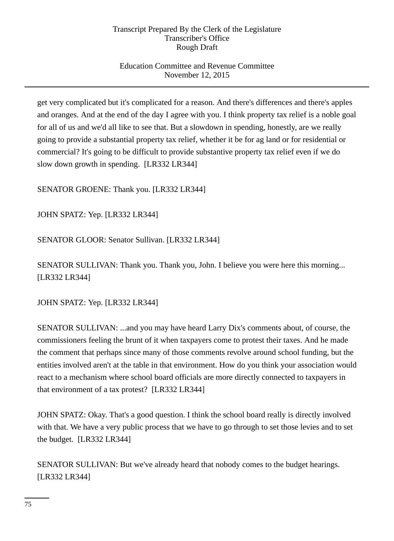# Education Committee and Revenue Committee November 12, 2015

get very complicated but it's complicated for a reason. And there's differences and there's apples and oranges. And at the end of the day I agree with you. I think property tax relief is a noble goal for all of us and we'd all like to see that. But a slowdown in spending, honestly, are we really going to provide a substantial property tax relief, whether it be for ag land or for residential or commercial? It's going to be difficult to provide substantive property tax relief even if we do slow down growth in spending. [LR332 LR344]

SENATOR GROENE: Thank you. [LR332 LR344]

JOHN SPATZ: Yep. [LR332 LR344]

SENATOR GLOOR: Senator Sullivan. [LR332 LR344]

SENATOR SULLIVAN: Thank you. Thank you, John. I believe you were here this morning... [LR332 LR344]

JOHN SPATZ: Yep. [LR332 LR344]

SENATOR SULLIVAN: ...and you may have heard Larry Dix's comments about, of course, the commissioners feeling the brunt of it when taxpayers come to protest their taxes. And he made the comment that perhaps since many of those comments revolve around school funding, but the entities involved aren't at the table in that environment. How do you think your association would react to a mechanism where school board officials are more directly connected to taxpayers in that environment of a tax protest? [LR332 LR344]

JOHN SPATZ: Okay. That's a good question. I think the school board really is directly involved with that. We have a very public process that we have to go through to set those levies and to set the budget. [LR332 LR344]

SENATOR SULLIVAN: But we've already heard that nobody comes to the budget hearings. [LR332 LR344]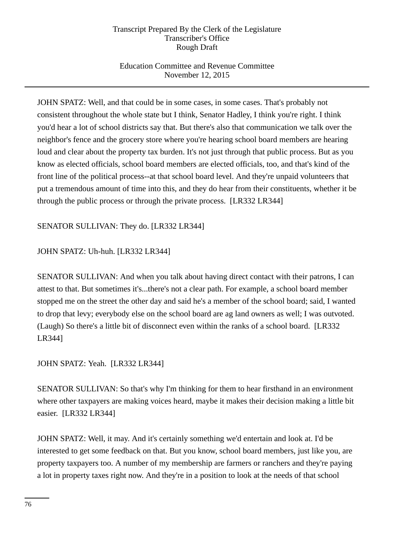# Education Committee and Revenue Committee November 12, 2015

JOHN SPATZ: Well, and that could be in some cases, in some cases. That's probably not consistent throughout the whole state but I think, Senator Hadley, I think you're right. I think you'd hear a lot of school districts say that. But there's also that communication we talk over the neighbor's fence and the grocery store where you're hearing school board members are hearing loud and clear about the property tax burden. It's not just through that public process. But as you know as elected officials, school board members are elected officials, too, and that's kind of the front line of the political process--at that school board level. And they're unpaid volunteers that put a tremendous amount of time into this, and they do hear from their constituents, whether it be through the public process or through the private process. [LR332 LR344]

SENATOR SULLIVAN: They do. [LR332 LR344]

JOHN SPATZ: Uh-huh. [LR332 LR344]

SENATOR SULLIVAN: And when you talk about having direct contact with their patrons, I can attest to that. But sometimes it's...there's not a clear path. For example, a school board member stopped me on the street the other day and said he's a member of the school board; said, I wanted to drop that levy; everybody else on the school board are ag land owners as well; I was outvoted. (Laugh) So there's a little bit of disconnect even within the ranks of a school board. [LR332 LR344]

JOHN SPATZ: Yeah. [LR332 LR344]

SENATOR SULLIVAN: So that's why I'm thinking for them to hear firsthand in an environment where other taxpayers are making voices heard, maybe it makes their decision making a little bit easier. [LR332 LR344]

JOHN SPATZ: Well, it may. And it's certainly something we'd entertain and look at. I'd be interested to get some feedback on that. But you know, school board members, just like you, are property taxpayers too. A number of my membership are farmers or ranchers and they're paying a lot in property taxes right now. And they're in a position to look at the needs of that school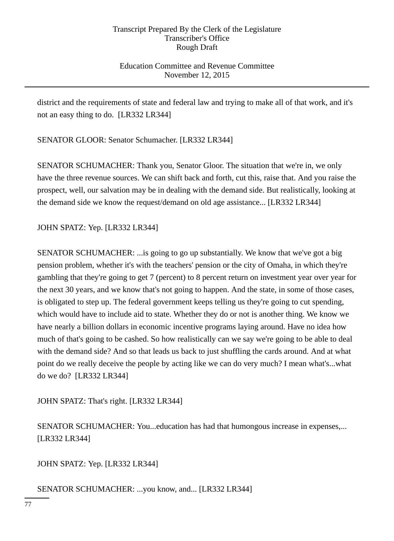Education Committee and Revenue Committee November 12, 2015

district and the requirements of state and federal law and trying to make all of that work, and it's not an easy thing to do. [LR332 LR344]

SENATOR GLOOR: Senator Schumacher. [LR332 LR344]

SENATOR SCHUMACHER: Thank you, Senator Gloor. The situation that we're in, we only have the three revenue sources. We can shift back and forth, cut this, raise that. And you raise the prospect, well, our salvation may be in dealing with the demand side. But realistically, looking at the demand side we know the request/demand on old age assistance... [LR332 LR344]

JOHN SPATZ: Yep. [LR332 LR344]

SENATOR SCHUMACHER: ...is going to go up substantially. We know that we've got a big pension problem, whether it's with the teachers' pension or the city of Omaha, in which they're gambling that they're going to get 7 (percent) to 8 percent return on investment year over year for the next 30 years, and we know that's not going to happen. And the state, in some of those cases, is obligated to step up. The federal government keeps telling us they're going to cut spending, which would have to include aid to state. Whether they do or not is another thing. We know we have nearly a billion dollars in economic incentive programs laying around. Have no idea how much of that's going to be cashed. So how realistically can we say we're going to be able to deal with the demand side? And so that leads us back to just shuffling the cards around. And at what point do we really deceive the people by acting like we can do very much? I mean what's...what do we do? [LR332 LR344]

JOHN SPATZ: That's right. [LR332 LR344]

SENATOR SCHUMACHER: You...education has had that humongous increase in expenses,... [LR332 LR344]

JOHN SPATZ: Yep. [LR332 LR344]

SENATOR SCHUMACHER: ...you know, and... [LR332 LR344]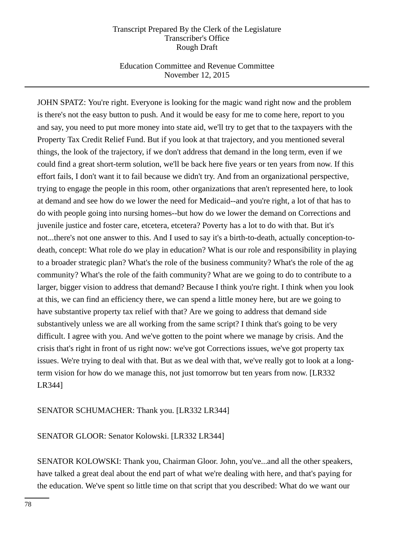## Education Committee and Revenue Committee November 12, 2015

JOHN SPATZ: You're right. Everyone is looking for the magic wand right now and the problem is there's not the easy button to push. And it would be easy for me to come here, report to you and say, you need to put more money into state aid, we'll try to get that to the taxpayers with the Property Tax Credit Relief Fund. But if you look at that trajectory, and you mentioned several things, the look of the trajectory, if we don't address that demand in the long term, even if we could find a great short-term solution, we'll be back here five years or ten years from now. If this effort fails, I don't want it to fail because we didn't try. And from an organizational perspective, trying to engage the people in this room, other organizations that aren't represented here, to look at demand and see how do we lower the need for Medicaid--and you're right, a lot of that has to do with people going into nursing homes--but how do we lower the demand on Corrections and juvenile justice and foster care, etcetera, etcetera? Poverty has a lot to do with that. But it's not...there's not one answer to this. And I used to say it's a birth-to-death, actually conception-todeath, concept: What role do we play in education? What is our role and responsibility in playing to a broader strategic plan? What's the role of the business community? What's the role of the ag community? What's the role of the faith community? What are we going to do to contribute to a larger, bigger vision to address that demand? Because I think you're right. I think when you look at this, we can find an efficiency there, we can spend a little money here, but are we going to have substantive property tax relief with that? Are we going to address that demand side substantively unless we are all working from the same script? I think that's going to be very difficult. I agree with you. And we've gotten to the point where we manage by crisis. And the crisis that's right in front of us right now: we've got Corrections issues, we've got property tax issues. We're trying to deal with that. But as we deal with that, we've really got to look at a longterm vision for how do we manage this, not just tomorrow but ten years from now. [LR332 LR344]

## SENATOR SCHUMACHER: Thank you. [LR332 LR344]

## SENATOR GLOOR: Senator Kolowski. [LR332 LR344]

SENATOR KOLOWSKI: Thank you, Chairman Gloor. John, you've...and all the other speakers, have talked a great deal about the end part of what we're dealing with here, and that's paying for the education. We've spent so little time on that script that you described: What do we want our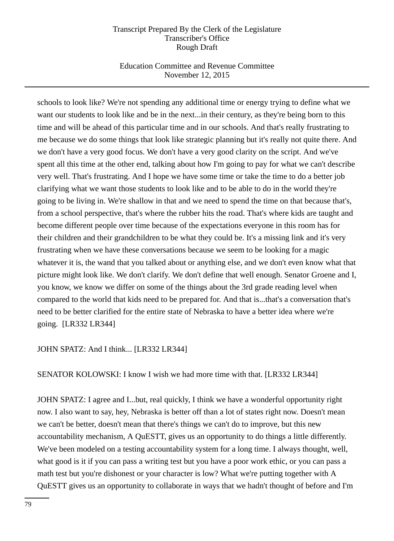## Education Committee and Revenue Committee November 12, 2015

schools to look like? We're not spending any additional time or energy trying to define what we want our students to look like and be in the next...in their century, as they're being born to this time and will be ahead of this particular time and in our schools. And that's really frustrating to me because we do some things that look like strategic planning but it's really not quite there. And we don't have a very good focus. We don't have a very good clarity on the script. And we've spent all this time at the other end, talking about how I'm going to pay for what we can't describe very well. That's frustrating. And I hope we have some time or take the time to do a better job clarifying what we want those students to look like and to be able to do in the world they're going to be living in. We're shallow in that and we need to spend the time on that because that's, from a school perspective, that's where the rubber hits the road. That's where kids are taught and become different people over time because of the expectations everyone in this room has for their children and their grandchildren to be what they could be. It's a missing link and it's very frustrating when we have these conversations because we seem to be looking for a magic whatever it is, the wand that you talked about or anything else, and we don't even know what that picture might look like. We don't clarify. We don't define that well enough. Senator Groene and I, you know, we know we differ on some of the things about the 3rd grade reading level when compared to the world that kids need to be prepared for. And that is...that's a conversation that's need to be better clarified for the entire state of Nebraska to have a better idea where we're going. [LR332 LR344]

## JOHN SPATZ: And I think... [LR332 LR344]

SENATOR KOLOWSKI: I know I wish we had more time with that. [LR332 LR344]

JOHN SPATZ: I agree and I...but, real quickly, I think we have a wonderful opportunity right now. I also want to say, hey, Nebraska is better off than a lot of states right now. Doesn't mean we can't be better, doesn't mean that there's things we can't do to improve, but this new accountability mechanism, A QuESTT, gives us an opportunity to do things a little differently. We've been modeled on a testing accountability system for a long time. I always thought, well, what good is it if you can pass a writing test but you have a poor work ethic, or you can pass a math test but you're dishonest or your character is low? What we're putting together with A QuESTT gives us an opportunity to collaborate in ways that we hadn't thought of before and I'm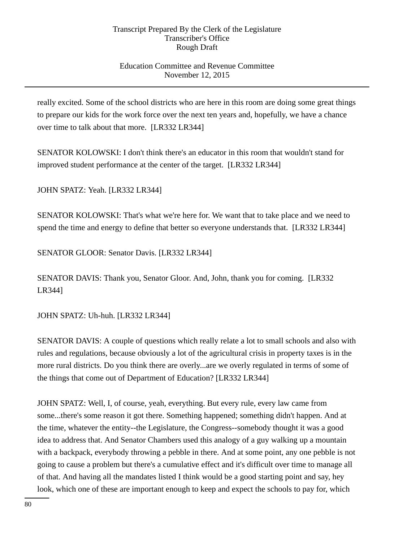# Education Committee and Revenue Committee November 12, 2015

really excited. Some of the school districts who are here in this room are doing some great things to prepare our kids for the work force over the next ten years and, hopefully, we have a chance over time to talk about that more. [LR332 LR344]

SENATOR KOLOWSKI: I don't think there's an educator in this room that wouldn't stand for improved student performance at the center of the target. [LR332 LR344]

JOHN SPATZ: Yeah. [LR332 LR344]

SENATOR KOLOWSKI: That's what we're here for. We want that to take place and we need to spend the time and energy to define that better so everyone understands that. [LR332 LR344]

SENATOR GLOOR: Senator Davis. [LR332 LR344]

SENATOR DAVIS: Thank you, Senator Gloor. And, John, thank you for coming. [LR332 LR344]

JOHN SPATZ: Uh-huh. [LR332 LR344]

SENATOR DAVIS: A couple of questions which really relate a lot to small schools and also with rules and regulations, because obviously a lot of the agricultural crisis in property taxes is in the more rural districts. Do you think there are overly...are we overly regulated in terms of some of the things that come out of Department of Education? [LR332 LR344]

JOHN SPATZ: Well, I, of course, yeah, everything. But every rule, every law came from some...there's some reason it got there. Something happened; something didn't happen. And at the time, whatever the entity--the Legislature, the Congress--somebody thought it was a good idea to address that. And Senator Chambers used this analogy of a guy walking up a mountain with a backpack, everybody throwing a pebble in there. And at some point, any one pebble is not going to cause a problem but there's a cumulative effect and it's difficult over time to manage all of that. And having all the mandates listed I think would be a good starting point and say, hey look, which one of these are important enough to keep and expect the schools to pay for, which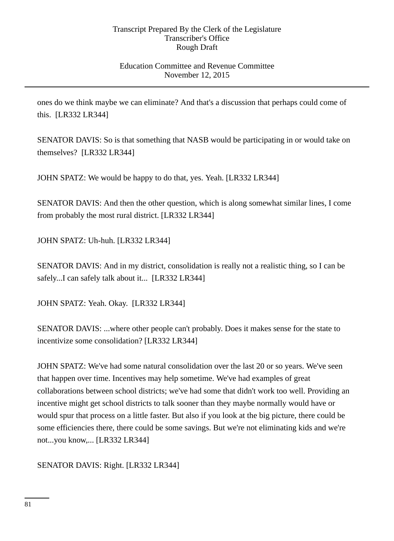## Education Committee and Revenue Committee November 12, 2015

ones do we think maybe we can eliminate? And that's a discussion that perhaps could come of this. [LR332 LR344]

SENATOR DAVIS: So is that something that NASB would be participating in or would take on themselves? [LR332 LR344]

JOHN SPATZ: We would be happy to do that, yes. Yeah. [LR332 LR344]

SENATOR DAVIS: And then the other question, which is along somewhat similar lines, I come from probably the most rural district. [LR332 LR344]

JOHN SPATZ: Uh-huh. [LR332 LR344]

SENATOR DAVIS: And in my district, consolidation is really not a realistic thing, so I can be safely...I can safely talk about it... [LR332 LR344]

JOHN SPATZ: Yeah. Okay. [LR332 LR344]

SENATOR DAVIS: ...where other people can't probably. Does it makes sense for the state to incentivize some consolidation? [LR332 LR344]

JOHN SPATZ: We've had some natural consolidation over the last 20 or so years. We've seen that happen over time. Incentives may help sometime. We've had examples of great collaborations between school districts; we've had some that didn't work too well. Providing an incentive might get school districts to talk sooner than they maybe normally would have or would spur that process on a little faster. But also if you look at the big picture, there could be some efficiencies there, there could be some savings. But we're not eliminating kids and we're not...you know,... [LR332 LR344]

SENATOR DAVIS: Right. [LR332 LR344]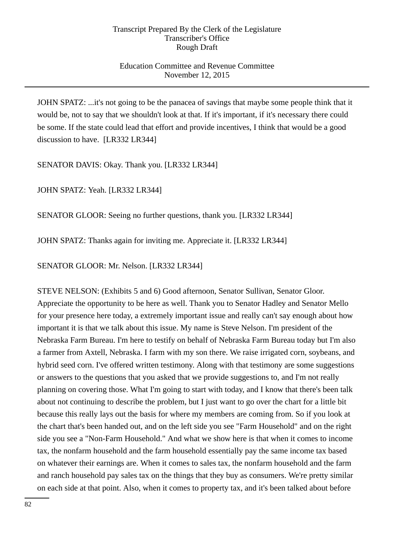## Education Committee and Revenue Committee November 12, 2015

JOHN SPATZ: ...it's not going to be the panacea of savings that maybe some people think that it would be, not to say that we shouldn't look at that. If it's important, if it's necessary there could be some. If the state could lead that effort and provide incentives, I think that would be a good discussion to have. [LR332 LR344]

SENATOR DAVIS: Okay. Thank you. [LR332 LR344]

JOHN SPATZ: Yeah. [LR332 LR344]

SENATOR GLOOR: Seeing no further questions, thank you. [LR332 LR344]

JOHN SPATZ: Thanks again for inviting me. Appreciate it. [LR332 LR344]

SENATOR GLOOR: Mr. Nelson. [LR332 LR344]

STEVE NELSON: (Exhibits 5 and 6) Good afternoon, Senator Sullivan, Senator Gloor. Appreciate the opportunity to be here as well. Thank you to Senator Hadley and Senator Mello for your presence here today, a extremely important issue and really can't say enough about how important it is that we talk about this issue. My name is Steve Nelson. I'm president of the Nebraska Farm Bureau. I'm here to testify on behalf of Nebraska Farm Bureau today but I'm also a farmer from Axtell, Nebraska. I farm with my son there. We raise irrigated corn, soybeans, and hybrid seed corn. I've offered written testimony. Along with that testimony are some suggestions or answers to the questions that you asked that we provide suggestions to, and I'm not really planning on covering those. What I'm going to start with today, and I know that there's been talk about not continuing to describe the problem, but I just want to go over the chart for a little bit because this really lays out the basis for where my members are coming from. So if you look at the chart that's been handed out, and on the left side you see "Farm Household" and on the right side you see a "Non-Farm Household." And what we show here is that when it comes to income tax, the nonfarm household and the farm household essentially pay the same income tax based on whatever their earnings are. When it comes to sales tax, the nonfarm household and the farm and ranch household pay sales tax on the things that they buy as consumers. We're pretty similar on each side at that point. Also, when it comes to property tax, and it's been talked about before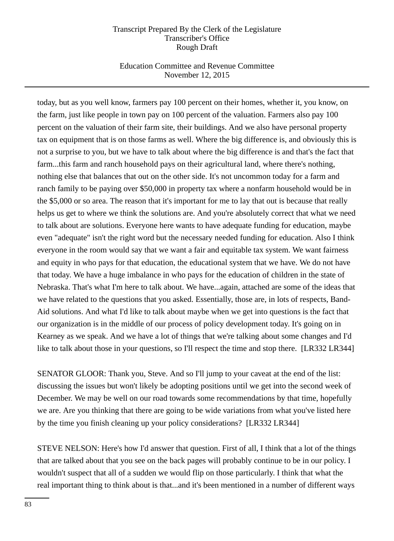## Education Committee and Revenue Committee November 12, 2015

today, but as you well know, farmers pay 100 percent on their homes, whether it, you know, on the farm, just like people in town pay on 100 percent of the valuation. Farmers also pay 100 percent on the valuation of their farm site, their buildings. And we also have personal property tax on equipment that is on those farms as well. Where the big difference is, and obviously this is not a surprise to you, but we have to talk about where the big difference is and that's the fact that farm...this farm and ranch household pays on their agricultural land, where there's nothing, nothing else that balances that out on the other side. It's not uncommon today for a farm and ranch family to be paying over \$50,000 in property tax where a nonfarm household would be in the \$5,000 or so area. The reason that it's important for me to lay that out is because that really helps us get to where we think the solutions are. And you're absolutely correct that what we need to talk about are solutions. Everyone here wants to have adequate funding for education, maybe even "adequate" isn't the right word but the necessary needed funding for education. Also I think everyone in the room would say that we want a fair and equitable tax system. We want fairness and equity in who pays for that education, the educational system that we have. We do not have that today. We have a huge imbalance in who pays for the education of children in the state of Nebraska. That's what I'm here to talk about. We have...again, attached are some of the ideas that we have related to the questions that you asked. Essentially, those are, in lots of respects, Band-Aid solutions. And what I'd like to talk about maybe when we get into questions is the fact that our organization is in the middle of our process of policy development today. It's going on in Kearney as we speak. And we have a lot of things that we're talking about some changes and I'd like to talk about those in your questions, so I'll respect the time and stop there. [LR332 LR344]

SENATOR GLOOR: Thank you, Steve. And so I'll jump to your caveat at the end of the list: discussing the issues but won't likely be adopting positions until we get into the second week of December. We may be well on our road towards some recommendations by that time, hopefully we are. Are you thinking that there are going to be wide variations from what you've listed here by the time you finish cleaning up your policy considerations? [LR332 LR344]

STEVE NELSON: Here's how I'd answer that question. First of all, I think that a lot of the things that are talked about that you see on the back pages will probably continue to be in our policy. I wouldn't suspect that all of a sudden we would flip on those particularly. I think that what the real important thing to think about is that...and it's been mentioned in a number of different ways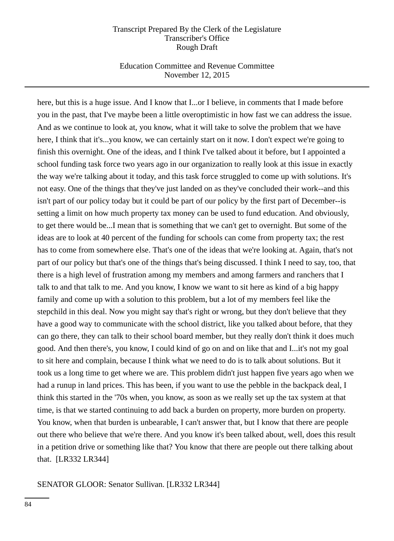### Education Committee and Revenue Committee November 12, 2015

here, but this is a huge issue. And I know that I...or I believe, in comments that I made before you in the past, that I've maybe been a little overoptimistic in how fast we can address the issue. And as we continue to look at, you know, what it will take to solve the problem that we have here, I think that it's...you know, we can certainly start on it now. I don't expect we're going to finish this overnight. One of the ideas, and I think I've talked about it before, but I appointed a school funding task force two years ago in our organization to really look at this issue in exactly the way we're talking about it today, and this task force struggled to come up with solutions. It's not easy. One of the things that they've just landed on as they've concluded their work--and this isn't part of our policy today but it could be part of our policy by the first part of December--is setting a limit on how much property tax money can be used to fund education. And obviously, to get there would be...I mean that is something that we can't get to overnight. But some of the ideas are to look at 40 percent of the funding for schools can come from property tax; the rest has to come from somewhere else. That's one of the ideas that we're looking at. Again, that's not part of our policy but that's one of the things that's being discussed. I think I need to say, too, that there is a high level of frustration among my members and among farmers and ranchers that I talk to and that talk to me. And you know, I know we want to sit here as kind of a big happy family and come up with a solution to this problem, but a lot of my members feel like the stepchild in this deal. Now you might say that's right or wrong, but they don't believe that they have a good way to communicate with the school district, like you talked about before, that they can go there, they can talk to their school board member, but they really don't think it does much good. And then there's, you know, I could kind of go on and on like that and I...it's not my goal to sit here and complain, because I think what we need to do is to talk about solutions. But it took us a long time to get where we are. This problem didn't just happen five years ago when we had a runup in land prices. This has been, if you want to use the pebble in the backpack deal, I think this started in the '70s when, you know, as soon as we really set up the tax system at that time, is that we started continuing to add back a burden on property, more burden on property. You know, when that burden is unbearable, I can't answer that, but I know that there are people out there who believe that we're there. And you know it's been talked about, well, does this result in a petition drive or something like that? You know that there are people out there talking about that. [LR332 LR344]

#### SENATOR GLOOR: Senator Sullivan. [LR332 LR344]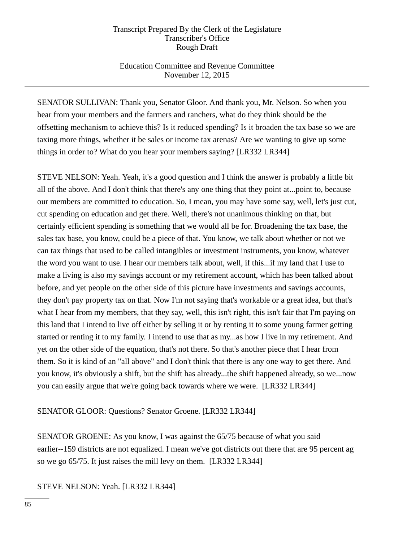# Education Committee and Revenue Committee November 12, 2015

SENATOR SULLIVAN: Thank you, Senator Gloor. And thank you, Mr. Nelson. So when you hear from your members and the farmers and ranchers, what do they think should be the offsetting mechanism to achieve this? Is it reduced spending? Is it broaden the tax base so we are taxing more things, whether it be sales or income tax arenas? Are we wanting to give up some things in order to? What do you hear your members saying? [LR332 LR344]

STEVE NELSON: Yeah. Yeah, it's a good question and I think the answer is probably a little bit all of the above. And I don't think that there's any one thing that they point at...point to, because our members are committed to education. So, I mean, you may have some say, well, let's just cut, cut spending on education and get there. Well, there's not unanimous thinking on that, but certainly efficient spending is something that we would all be for. Broadening the tax base, the sales tax base, you know, could be a piece of that. You know, we talk about whether or not we can tax things that used to be called intangibles or investment instruments, you know, whatever the word you want to use. I hear our members talk about, well, if this...if my land that I use to make a living is also my savings account or my retirement account, which has been talked about before, and yet people on the other side of this picture have investments and savings accounts, they don't pay property tax on that. Now I'm not saying that's workable or a great idea, but that's what I hear from my members, that they say, well, this isn't right, this isn't fair that I'm paying on this land that I intend to live off either by selling it or by renting it to some young farmer getting started or renting it to my family. I intend to use that as my...as how I live in my retirement. And yet on the other side of the equation, that's not there. So that's another piece that I hear from them. So it is kind of an "all above" and I don't think that there is any one way to get there. And you know, it's obviously a shift, but the shift has already...the shift happened already, so we...now you can easily argue that we're going back towards where we were. [LR332 LR344]

## SENATOR GLOOR: Questions? Senator Groene. [LR332 LR344]

SENATOR GROENE: As you know, I was against the 65/75 because of what you said earlier--159 districts are not equalized. I mean we've got districts out there that are 95 percent ag so we go 65/75. It just raises the mill levy on them. [LR332 LR344]

STEVE NELSON: Yeah. [LR332 LR344]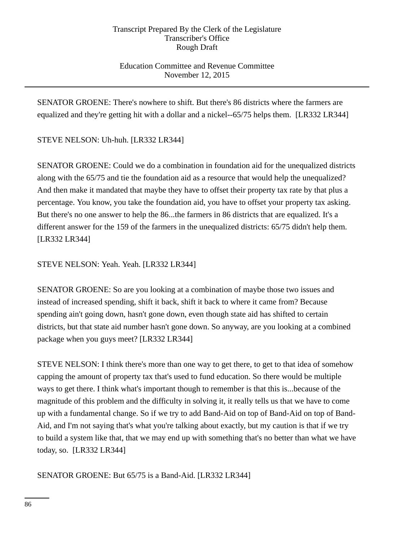# Education Committee and Revenue Committee November 12, 2015

SENATOR GROENE: There's nowhere to shift. But there's 86 districts where the farmers are equalized and they're getting hit with a dollar and a nickel--65/75 helps them. [LR332 LR344]

STEVE NELSON: Uh-huh. [LR332 LR344]

SENATOR GROENE: Could we do a combination in foundation aid for the unequalized districts along with the 65/75 and tie the foundation aid as a resource that would help the unequalized? And then make it mandated that maybe they have to offset their property tax rate by that plus a percentage. You know, you take the foundation aid, you have to offset your property tax asking. But there's no one answer to help the 86...the farmers in 86 districts that are equalized. It's a different answer for the 159 of the farmers in the unequalized districts: 65/75 didn't help them. [LR332 LR344]

STEVE NELSON: Yeah. Yeah. [LR332 LR344]

SENATOR GROENE: So are you looking at a combination of maybe those two issues and instead of increased spending, shift it back, shift it back to where it came from? Because spending ain't going down, hasn't gone down, even though state aid has shifted to certain districts, but that state aid number hasn't gone down. So anyway, are you looking at a combined package when you guys meet? [LR332 LR344]

STEVE NELSON: I think there's more than one way to get there, to get to that idea of somehow capping the amount of property tax that's used to fund education. So there would be multiple ways to get there. I think what's important though to remember is that this is...because of the magnitude of this problem and the difficulty in solving it, it really tells us that we have to come up with a fundamental change. So if we try to add Band-Aid on top of Band-Aid on top of Band-Aid, and I'm not saying that's what you're talking about exactly, but my caution is that if we try to build a system like that, that we may end up with something that's no better than what we have today, so. [LR332 LR344]

SENATOR GROENE: But 65/75 is a Band-Aid. [LR332 LR344]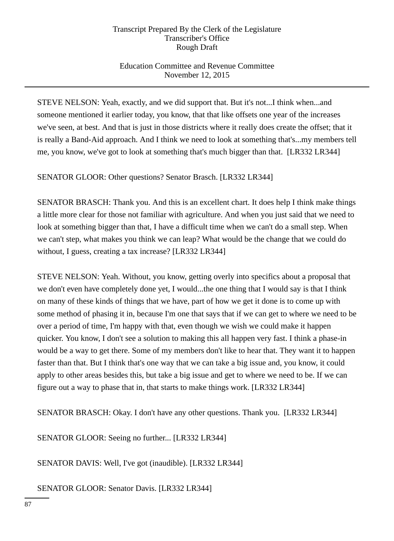# Education Committee and Revenue Committee November 12, 2015

STEVE NELSON: Yeah, exactly, and we did support that. But it's not...I think when...and someone mentioned it earlier today, you know, that that like offsets one year of the increases we've seen, at best. And that is just in those districts where it really does create the offset; that it is really a Band-Aid approach. And I think we need to look at something that's...my members tell me, you know, we've got to look at something that's much bigger than that. [LR332 LR344]

SENATOR GLOOR: Other questions? Senator Brasch. [LR332 LR344]

SENATOR BRASCH: Thank you. And this is an excellent chart. It does help I think make things a little more clear for those not familiar with agriculture. And when you just said that we need to look at something bigger than that, I have a difficult time when we can't do a small step. When we can't step, what makes you think we can leap? What would be the change that we could do without, I guess, creating a tax increase? [LR332 LR344]

STEVE NELSON: Yeah. Without, you know, getting overly into specifics about a proposal that we don't even have completely done yet, I would...the one thing that I would say is that I think on many of these kinds of things that we have, part of how we get it done is to come up with some method of phasing it in, because I'm one that says that if we can get to where we need to be over a period of time, I'm happy with that, even though we wish we could make it happen quicker. You know, I don't see a solution to making this all happen very fast. I think a phase-in would be a way to get there. Some of my members don't like to hear that. They want it to happen faster than that. But I think that's one way that we can take a big issue and, you know, it could apply to other areas besides this, but take a big issue and get to where we need to be. If we can figure out a way to phase that in, that starts to make things work. [LR332 LR344]

SENATOR BRASCH: Okay. I don't have any other questions. Thank you. [LR332 LR344]

SENATOR GLOOR: Seeing no further... [LR332 LR344]

SENATOR DAVIS: Well, I've got (inaudible). [LR332 LR344]

SENATOR GLOOR: Senator Davis. [LR332 LR344]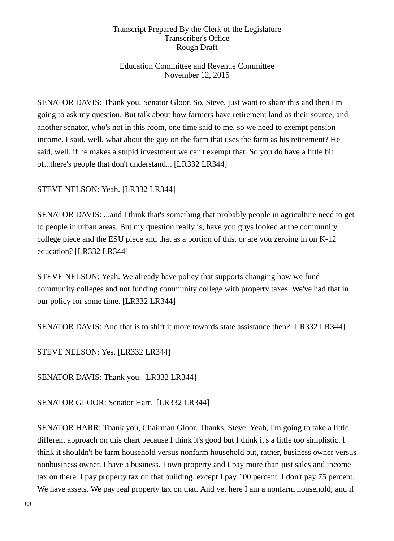# Education Committee and Revenue Committee November 12, 2015

SENATOR DAVIS: Thank you, Senator Gloor. So, Steve, just want to share this and then I'm going to ask my question. But talk about how farmers have retirement land as their source, and another senator, who's not in this room, one time said to me, so we need to exempt pension income. I said, well, what about the guy on the farm that uses the farm as his retirement? He said, well, if he makes a stupid investment we can't exempt that. So you do have a little bit of...there's people that don't understand... [LR332 LR344]

STEVE NELSON: Yeah. [LR332 LR344]

SENATOR DAVIS: ...and I think that's something that probably people in agriculture need to get to people in urban areas. But my question really is, have you guys looked at the community college piece and the ESU piece and that as a portion of this, or are you zeroing in on K-12 education? [LR332 LR344]

STEVE NELSON: Yeah. We already have policy that supports changing how we fund community colleges and not funding community college with property taxes. We've had that in our policy for some time. [LR332 LR344]

SENATOR DAVIS: And that is to shift it more towards state assistance then? [LR332 LR344]

STEVE NELSON: Yes. [LR332 LR344]

SENATOR DAVIS: Thank you. [LR332 LR344]

SENATOR GLOOR: Senator Harr. [LR332 LR344]

SENATOR HARR: Thank you, Chairman Gloor. Thanks, Steve. Yeah, I'm going to take a little different approach on this chart because I think it's good but I think it's a little too simplistic. I think it shouldn't be farm household versus nonfarm household but, rather, business owner versus nonbusiness owner. I have a business. I own property and I pay more than just sales and income tax on there. I pay property tax on that building, except I pay 100 percent. I don't pay 75 percent. We have assets. We pay real property tax on that. And yet here I am a nonfarm household; and if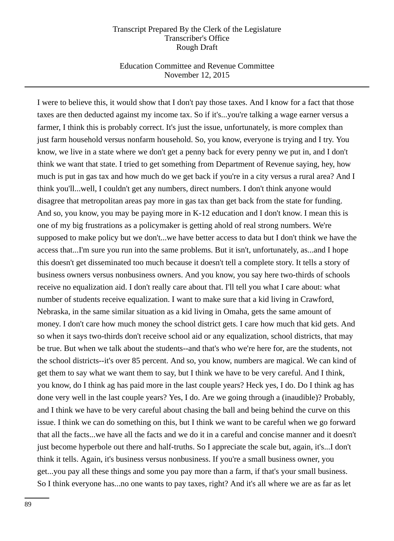### Education Committee and Revenue Committee November 12, 2015

I were to believe this, it would show that I don't pay those taxes. And I know for a fact that those taxes are then deducted against my income tax. So if it's...you're talking a wage earner versus a farmer, I think this is probably correct. It's just the issue, unfortunately, is more complex than just farm household versus nonfarm household. So, you know, everyone is trying and I try. You know, we live in a state where we don't get a penny back for every penny we put in, and I don't think we want that state. I tried to get something from Department of Revenue saying, hey, how much is put in gas tax and how much do we get back if you're in a city versus a rural area? And I think you'll...well, I couldn't get any numbers, direct numbers. I don't think anyone would disagree that metropolitan areas pay more in gas tax than get back from the state for funding. And so, you know, you may be paying more in K-12 education and I don't know. I mean this is one of my big frustrations as a policymaker is getting ahold of real strong numbers. We're supposed to make policy but we don't...we have better access to data but I don't think we have the access that...I'm sure you run into the same problems. But it isn't, unfortunately, as...and I hope this doesn't get disseminated too much because it doesn't tell a complete story. It tells a story of business owners versus nonbusiness owners. And you know, you say here two-thirds of schools receive no equalization aid. I don't really care about that. I'll tell you what I care about: what number of students receive equalization. I want to make sure that a kid living in Crawford, Nebraska, in the same similar situation as a kid living in Omaha, gets the same amount of money. I don't care how much money the school district gets. I care how much that kid gets. And so when it says two-thirds don't receive school aid or any equalization, school districts, that may be true. But when we talk about the students--and that's who we're here for, are the students, not the school districts--it's over 85 percent. And so, you know, numbers are magical. We can kind of get them to say what we want them to say, but I think we have to be very careful. And I think, you know, do I think ag has paid more in the last couple years? Heck yes, I do. Do I think ag has done very well in the last couple years? Yes, I do. Are we going through a (inaudible)? Probably, and I think we have to be very careful about chasing the ball and being behind the curve on this issue. I think we can do something on this, but I think we want to be careful when we go forward that all the facts...we have all the facts and we do it in a careful and concise manner and it doesn't just become hyperbole out there and half-truths. So I appreciate the scale but, again, it's...I don't think it tells. Again, it's business versus nonbusiness. If you're a small business owner, you get...you pay all these things and some you pay more than a farm, if that's your small business. So I think everyone has...no one wants to pay taxes, right? And it's all where we are as far as let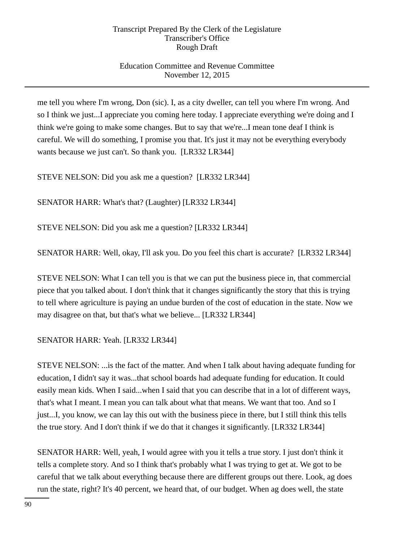# Education Committee and Revenue Committee November 12, 2015

me tell you where I'm wrong, Don (sic). I, as a city dweller, can tell you where I'm wrong. And so I think we just...I appreciate you coming here today. I appreciate everything we're doing and I think we're going to make some changes. But to say that we're...I mean tone deaf I think is careful. We will do something, I promise you that. It's just it may not be everything everybody wants because we just can't. So thank you. [LR332 LR344]

STEVE NELSON: Did you ask me a question? [LR332 LR344]

SENATOR HARR: What's that? (Laughter) [LR332 LR344]

STEVE NELSON: Did you ask me a question? [LR332 LR344]

SENATOR HARR: Well, okay, I'll ask you. Do you feel this chart is accurate? [LR332 LR344]

STEVE NELSON: What I can tell you is that we can put the business piece in, that commercial piece that you talked about. I don't think that it changes significantly the story that this is trying to tell where agriculture is paying an undue burden of the cost of education in the state. Now we may disagree on that, but that's what we believe... [LR332 LR344]

SENATOR HARR: Yeah. [LR332 LR344]

STEVE NELSON: ...is the fact of the matter. And when I talk about having adequate funding for education, I didn't say it was...that school boards had adequate funding for education. It could easily mean kids. When I said...when I said that you can describe that in a lot of different ways, that's what I meant. I mean you can talk about what that means. We want that too. And so I just...I, you know, we can lay this out with the business piece in there, but I still think this tells the true story. And I don't think if we do that it changes it significantly. [LR332 LR344]

SENATOR HARR: Well, yeah, I would agree with you it tells a true story. I just don't think it tells a complete story. And so I think that's probably what I was trying to get at. We got to be careful that we talk about everything because there are different groups out there. Look, ag does run the state, right? It's 40 percent, we heard that, of our budget. When ag does well, the state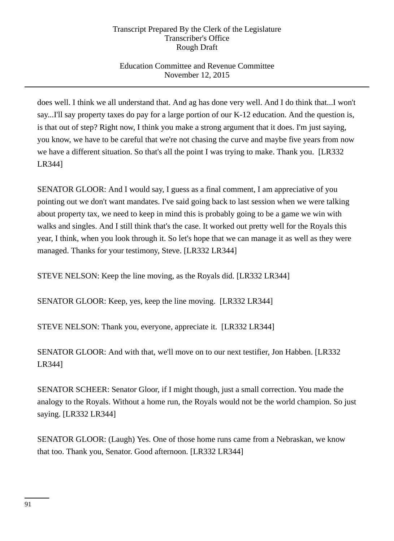# Education Committee and Revenue Committee November 12, 2015

does well. I think we all understand that. And ag has done very well. And I do think that...I won't say...I'll say property taxes do pay for a large portion of our K-12 education. And the question is, is that out of step? Right now, I think you make a strong argument that it does. I'm just saying, you know, we have to be careful that we're not chasing the curve and maybe five years from now we have a different situation. So that's all the point I was trying to make. Thank you. [LR332 LR344]

SENATOR GLOOR: And I would say, I guess as a final comment, I am appreciative of you pointing out we don't want mandates. I've said going back to last session when we were talking about property tax, we need to keep in mind this is probably going to be a game we win with walks and singles. And I still think that's the case. It worked out pretty well for the Royals this year, I think, when you look through it. So let's hope that we can manage it as well as they were managed. Thanks for your testimony, Steve. [LR332 LR344]

STEVE NELSON: Keep the line moving, as the Royals did. [LR332 LR344]

SENATOR GLOOR: Keep, yes, keep the line moving. [LR332 LR344]

STEVE NELSON: Thank you, everyone, appreciate it. [LR332 LR344]

SENATOR GLOOR: And with that, we'll move on to our next testifier, Jon Habben. [LR332 LR344]

SENATOR SCHEER: Senator Gloor, if I might though, just a small correction. You made the analogy to the Royals. Without a home run, the Royals would not be the world champion. So just saying. [LR332 LR344]

SENATOR GLOOR: (Laugh) Yes. One of those home runs came from a Nebraskan, we know that too. Thank you, Senator. Good afternoon. [LR332 LR344]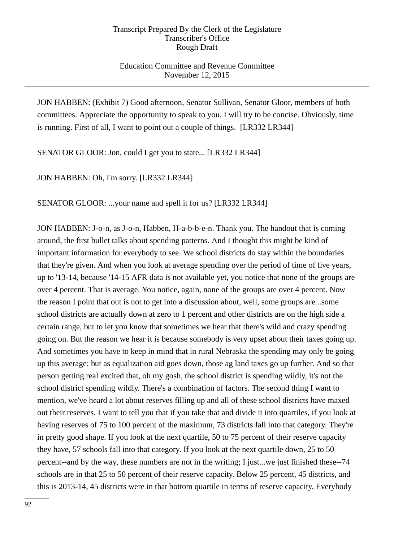## Education Committee and Revenue Committee November 12, 2015

JON HABBEN: (Exhibit 7) Good afternoon, Senator Sullivan, Senator Gloor, members of both committees. Appreciate the opportunity to speak to you. I will try to be concise. Obviously, time is running. First of all, I want to point out a couple of things. [LR332 LR344]

SENATOR GLOOR: Jon, could I get you to state... [LR332 LR344]

JON HABBEN: Oh, I'm sorry. [LR332 LR344]

SENATOR GLOOR: ...your name and spell it for us? [LR332 LR344]

JON HABBEN: J-o-n, as J-o-n, Habben, H-a-b-b-e-n. Thank you. The handout that is coming around, the first bullet talks about spending patterns. And I thought this might be kind of important information for everybody to see. We school districts do stay within the boundaries that they're given. And when you look at average spending over the period of time of five years, up to '13-14, because '14-15 AFR data is not available yet, you notice that none of the groups are over 4 percent. That is average. You notice, again, none of the groups are over 4 percent. Now the reason I point that out is not to get into a discussion about, well, some groups are...some school districts are actually down at zero to 1 percent and other districts are on the high side a certain range, but to let you know that sometimes we hear that there's wild and crazy spending going on. But the reason we hear it is because somebody is very upset about their taxes going up. And sometimes you have to keep in mind that in rural Nebraska the spending may only be going up this average; but as equalization aid goes down, those ag land taxes go up further. And so that person getting real excited that, oh my gosh, the school district is spending wildly, it's not the school district spending wildly. There's a combination of factors. The second thing I want to mention, we've heard a lot about reserves filling up and all of these school districts have maxed out their reserves. I want to tell you that if you take that and divide it into quartiles, if you look at having reserves of 75 to 100 percent of the maximum, 73 districts fall into that category. They're in pretty good shape. If you look at the next quartile, 50 to 75 percent of their reserve capacity they have, 57 schools fall into that category. If you look at the next quartile down, 25 to 50 percent--and by the way, these numbers are not in the writing; I just...we just finished these--74 schools are in that 25 to 50 percent of their reserve capacity. Below 25 percent, 45 districts, and this is 2013-14, 45 districts were in that bottom quartile in terms of reserve capacity. Everybody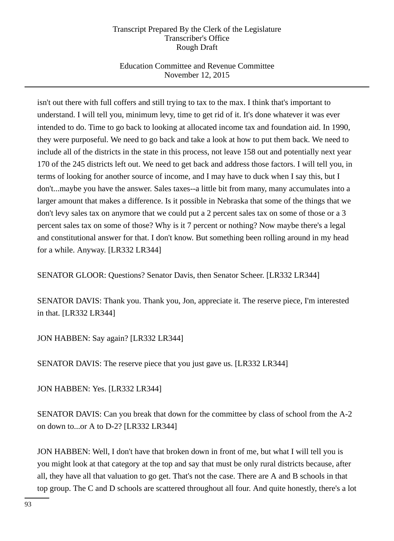# Education Committee and Revenue Committee November 12, 2015

isn't out there with full coffers and still trying to tax to the max. I think that's important to understand. I will tell you, minimum levy, time to get rid of it. It's done whatever it was ever intended to do. Time to go back to looking at allocated income tax and foundation aid. In 1990, they were purposeful. We need to go back and take a look at how to put them back. We need to include all of the districts in the state in this process, not leave 158 out and potentially next year 170 of the 245 districts left out. We need to get back and address those factors. I will tell you, in terms of looking for another source of income, and I may have to duck when I say this, but I don't...maybe you have the answer. Sales taxes--a little bit from many, many accumulates into a larger amount that makes a difference. Is it possible in Nebraska that some of the things that we don't levy sales tax on anymore that we could put a 2 percent sales tax on some of those or a 3 percent sales tax on some of those? Why is it 7 percent or nothing? Now maybe there's a legal and constitutional answer for that. I don't know. But something been rolling around in my head for a while. Anyway. [LR332 LR344]

SENATOR GLOOR: Questions? Senator Davis, then Senator Scheer. [LR332 LR344]

SENATOR DAVIS: Thank you. Thank you, Jon, appreciate it. The reserve piece, I'm interested in that. [LR332 LR344]

JON HABBEN: Say again? [LR332 LR344]

SENATOR DAVIS: The reserve piece that you just gave us. [LR332 LR344]

JON HABBEN: Yes. [LR332 LR344]

SENATOR DAVIS: Can you break that down for the committee by class of school from the A-2 on down to...or A to D-2? [LR332 LR344]

JON HABBEN: Well, I don't have that broken down in front of me, but what I will tell you is you might look at that category at the top and say that must be only rural districts because, after all, they have all that valuation to go get. That's not the case. There are A and B schools in that top group. The C and D schools are scattered throughout all four. And quite honestly, there's a lot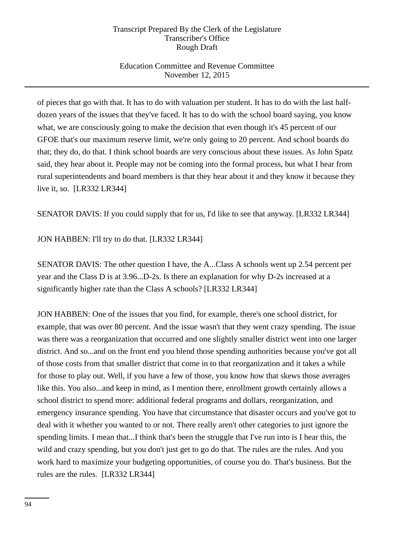# Education Committee and Revenue Committee November 12, 2015

of pieces that go with that. It has to do with valuation per student. It has to do with the last halfdozen years of the issues that they've faced. It has to do with the school board saying, you know what, we are consciously going to make the decision that even though it's 45 percent of our GFOE that's our maximum reserve limit, we're only going to 20 percent. And school boards do that; they do, do that. I think school boards are very conscious about these issues. As John Spatz said, they hear about it. People may not be coming into the formal process, but what I hear from rural superintendents and board members is that they hear about it and they know it because they live it, so. [LR332 LR344]

SENATOR DAVIS: If you could supply that for us, I'd like to see that anyway. [LR332 LR344]

JON HABBEN: I'll try to do that. [LR332 LR344]

SENATOR DAVIS: The other question I have, the A...Class A schools went up 2.54 percent per year and the Class D is at 3.96...D-2s. Is there an explanation for why D-2s increased at a significantly higher rate than the Class A schools? [LR332 LR344]

JON HABBEN: One of the issues that you find, for example, there's one school district, for example, that was over 80 percent. And the issue wasn't that they went crazy spending. The issue was there was a reorganization that occurred and one slightly smaller district went into one larger district. And so...and on the front end you blend those spending authorities because you've got all of those costs from that smaller district that come in to that reorganization and it takes a while for those to play out. Well, if you have a few of those, you know how that skews those averages like this. You also...and keep in mind, as I mention there, enrollment growth certainly allows a school district to spend more: additional federal programs and dollars, reorganization, and emergency insurance spending. You have that circumstance that disaster occurs and you've got to deal with it whether you wanted to or not. There really aren't other categories to just ignore the spending limits. I mean that...I think that's been the struggle that I've run into is I hear this, the wild and crazy spending, but you don't just get to go do that. The rules are the rules. And you work hard to maximize your budgeting opportunities, of course you do. That's business. But the rules are the rules. [LR332 LR344]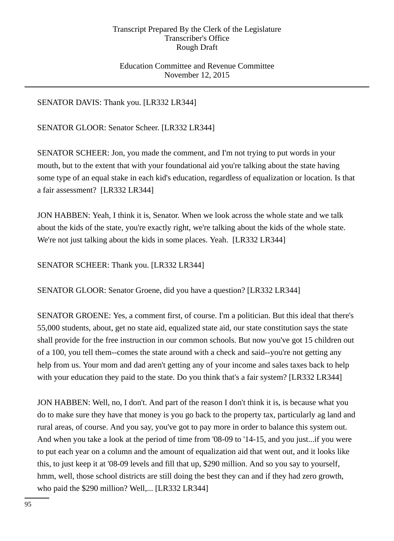## Education Committee and Revenue Committee November 12, 2015

## SENATOR DAVIS: Thank you. [LR332 LR344]

SENATOR GLOOR: Senator Scheer. [LR332 LR344]

SENATOR SCHEER: Jon, you made the comment, and I'm not trying to put words in your mouth, but to the extent that with your foundational aid you're talking about the state having some type of an equal stake in each kid's education, regardless of equalization or location. Is that a fair assessment? [LR332 LR344]

JON HABBEN: Yeah, I think it is, Senator. When we look across the whole state and we talk about the kids of the state, you're exactly right, we're talking about the kids of the whole state. We're not just talking about the kids in some places. Yeah. [LR332 LR344]

SENATOR SCHEER: Thank you. [LR332 LR344]

SENATOR GLOOR: Senator Groene, did you have a question? [LR332 LR344]

SENATOR GROENE: Yes, a comment first, of course. I'm a politician. But this ideal that there's 55,000 students, about, get no state aid, equalized state aid, our state constitution says the state shall provide for the free instruction in our common schools. But now you've got 15 children out of a 100, you tell them--comes the state around with a check and said--you're not getting any help from us. Your mom and dad aren't getting any of your income and sales taxes back to help with your education they paid to the state. Do you think that's a fair system? [LR332 LR344]

JON HABBEN: Well, no, I don't. And part of the reason I don't think it is, is because what you do to make sure they have that money is you go back to the property tax, particularly ag land and rural areas, of course. And you say, you've got to pay more in order to balance this system out. And when you take a look at the period of time from '08-09 to '14-15, and you just...if you were to put each year on a column and the amount of equalization aid that went out, and it looks like this, to just keep it at '08-09 levels and fill that up, \$290 million. And so you say to yourself, hmm, well, those school districts are still doing the best they can and if they had zero growth, who paid the \$290 million? Well,... [LR332 LR344]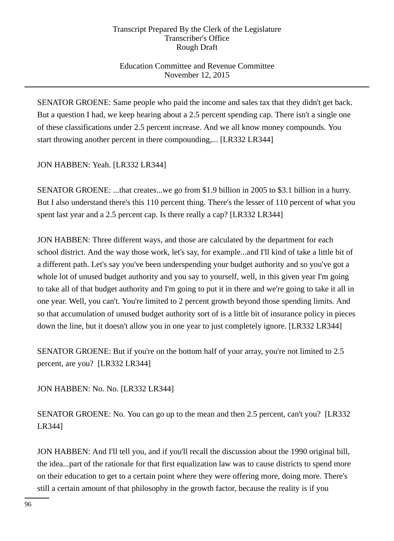# Education Committee and Revenue Committee November 12, 2015

SENATOR GROENE: Same people who paid the income and sales tax that they didn't get back. But a question I had, we keep hearing about a 2.5 percent spending cap. There isn't a single one of these classifications under 2.5 percent increase. And we all know money compounds. You start throwing another percent in there compounding,... [LR332 LR344]

# JON HABBEN: Yeah. [LR332 LR344]

SENATOR GROENE: ...that creates...we go from \$1.9 billion in 2005 to \$3.1 billion in a hurry. But I also understand there's this 110 percent thing. There's the lesser of 110 percent of what you spent last year and a 2.5 percent cap. Is there really a cap? [LR332 LR344]

JON HABBEN: Three different ways, and those are calculated by the department for each school district. And the way those work, let's say, for example...and I'll kind of take a little bit of a different path. Let's say you've been underspending your budget authority and so you've got a whole lot of unused budget authority and you say to yourself, well, in this given year I'm going to take all of that budget authority and I'm going to put it in there and we're going to take it all in one year. Well, you can't. You're limited to 2 percent growth beyond those spending limits. And so that accumulation of unused budget authority sort of is a little bit of insurance policy in pieces down the line, but it doesn't allow you in one year to just completely ignore. [LR332 LR344]

SENATOR GROENE: But if you're on the bottom half of your array, you're not limited to 2.5 percent, are you? [LR332 LR344]

JON HABBEN: No. No. [LR332 LR344]

SENATOR GROENE: No. You can go up to the mean and then 2.5 percent, can't you? [LR332 LR344]

JON HABBEN: And I'll tell you, and if you'll recall the discussion about the 1990 original bill, the idea...part of the rationale for that first equalization law was to cause districts to spend more on their education to get to a certain point where they were offering more, doing more. There's still a certain amount of that philosophy in the growth factor, because the reality is if you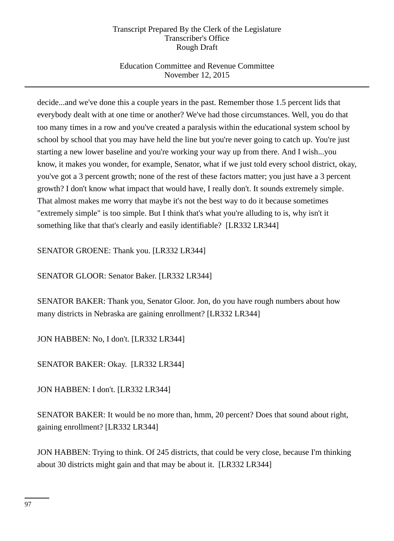# Education Committee and Revenue Committee November 12, 2015

decide...and we've done this a couple years in the past. Remember those 1.5 percent lids that everybody dealt with at one time or another? We've had those circumstances. Well, you do that too many times in a row and you've created a paralysis within the educational system school by school by school that you may have held the line but you're never going to catch up. You're just starting a new lower baseline and you're working your way up from there. And I wish...you know, it makes you wonder, for example, Senator, what if we just told every school district, okay, you've got a 3 percent growth; none of the rest of these factors matter; you just have a 3 percent growth? I don't know what impact that would have, I really don't. It sounds extremely simple. That almost makes me worry that maybe it's not the best way to do it because sometimes "extremely simple" is too simple. But I think that's what you're alluding to is, why isn't it something like that that's clearly and easily identifiable? [LR332 LR344]

SENATOR GROENE: Thank you. [LR332 LR344]

SENATOR GLOOR: Senator Baker. [LR332 LR344]

SENATOR BAKER: Thank you, Senator Gloor. Jon, do you have rough numbers about how many districts in Nebraska are gaining enrollment? [LR332 LR344]

JON HABBEN: No, I don't. [LR332 LR344]

SENATOR BAKER: Okay. [LR332 LR344]

JON HABBEN: I don't. [LR332 LR344]

SENATOR BAKER: It would be no more than, hmm, 20 percent? Does that sound about right, gaining enrollment? [LR332 LR344]

JON HABBEN: Trying to think. Of 245 districts, that could be very close, because I'm thinking about 30 districts might gain and that may be about it. [LR332 LR344]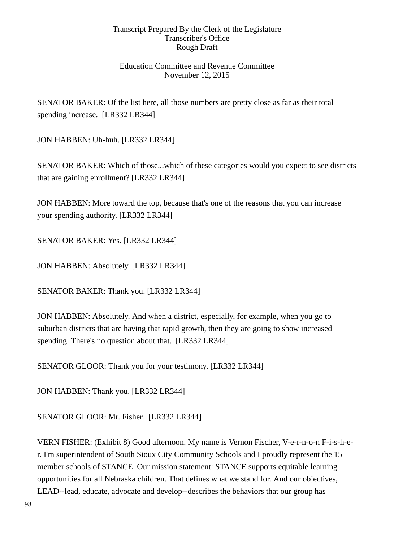## Education Committee and Revenue Committee November 12, 2015

SENATOR BAKER: Of the list here, all those numbers are pretty close as far as their total spending increase. [LR332 LR344]

JON HABBEN: Uh-huh. [LR332 LR344]

SENATOR BAKER: Which of those...which of these categories would you expect to see districts that are gaining enrollment? [LR332 LR344]

JON HABBEN: More toward the top, because that's one of the reasons that you can increase your spending authority. [LR332 LR344]

SENATOR BAKER: Yes. [LR332 LR344]

JON HABBEN: Absolutely. [LR332 LR344]

SENATOR BAKER: Thank you. [LR332 LR344]

JON HABBEN: Absolutely. And when a district, especially, for example, when you go to suburban districts that are having that rapid growth, then they are going to show increased spending. There's no question about that. [LR332 LR344]

SENATOR GLOOR: Thank you for your testimony. [LR332 LR344]

JON HABBEN: Thank you. [LR332 LR344]

SENATOR GLOOR: Mr. Fisher. [LR332 LR344]

VERN FISHER: (Exhibit 8) Good afternoon. My name is Vernon Fischer, V-e-r-n-o-n F-i-s-h-er. I'm superintendent of South Sioux City Community Schools and I proudly represent the 15 member schools of STANCE. Our mission statement: STANCE supports equitable learning opportunities for all Nebraska children. That defines what we stand for. And our objectives, LEAD--lead, educate, advocate and develop--describes the behaviors that our group has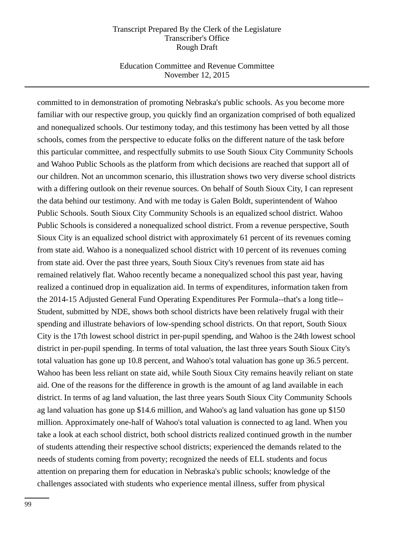### Education Committee and Revenue Committee November 12, 2015

committed to in demonstration of promoting Nebraska's public schools. As you become more familiar with our respective group, you quickly find an organization comprised of both equalized and nonequalized schools. Our testimony today, and this testimony has been vetted by all those schools, comes from the perspective to educate folks on the different nature of the task before this particular committee, and respectfully submits to use South Sioux City Community Schools and Wahoo Public Schools as the platform from which decisions are reached that support all of our children. Not an uncommon scenario, this illustration shows two very diverse school districts with a differing outlook on their revenue sources. On behalf of South Sioux City, I can represent the data behind our testimony. And with me today is Galen Boldt, superintendent of Wahoo Public Schools. South Sioux City Community Schools is an equalized school district. Wahoo Public Schools is considered a nonequalized school district. From a revenue perspective, South Sioux City is an equalized school district with approximately 61 percent of its revenues coming from state aid. Wahoo is a nonequalized school district with 10 percent of its revenues coming from state aid. Over the past three years, South Sioux City's revenues from state aid has remained relatively flat. Wahoo recently became a nonequalized school this past year, having realized a continued drop in equalization aid. In terms of expenditures, information taken from the 2014-15 Adjusted General Fund Operating Expenditures Per Formula--that's a long title-- Student, submitted by NDE, shows both school districts have been relatively frugal with their spending and illustrate behaviors of low-spending school districts. On that report, South Sioux City is the 17th lowest school district in per-pupil spending, and Wahoo is the 24th lowest school district in per-pupil spending. In terms of total valuation, the last three years South Sioux City's total valuation has gone up 10.8 percent, and Wahoo's total valuation has gone up 36.5 percent. Wahoo has been less reliant on state aid, while South Sioux City remains heavily reliant on state aid. One of the reasons for the difference in growth is the amount of ag land available in each district. In terms of ag land valuation, the last three years South Sioux City Community Schools ag land valuation has gone up \$14.6 million, and Wahoo's ag land valuation has gone up \$150 million. Approximately one-half of Wahoo's total valuation is connected to ag land. When you take a look at each school district, both school districts realized continued growth in the number of students attending their respective school districts; experienced the demands related to the needs of students coming from poverty; recognized the needs of ELL students and focus attention on preparing them for education in Nebraska's public schools; knowledge of the challenges associated with students who experience mental illness, suffer from physical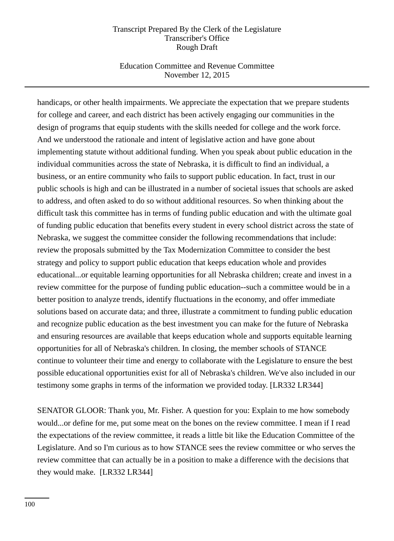## Education Committee and Revenue Committee November 12, 2015

handicaps, or other health impairments. We appreciate the expectation that we prepare students for college and career, and each district has been actively engaging our communities in the design of programs that equip students with the skills needed for college and the work force. And we understood the rationale and intent of legislative action and have gone about implementing statute without additional funding. When you speak about public education in the individual communities across the state of Nebraska, it is difficult to find an individual, a business, or an entire community who fails to support public education. In fact, trust in our public schools is high and can be illustrated in a number of societal issues that schools are asked to address, and often asked to do so without additional resources. So when thinking about the difficult task this committee has in terms of funding public education and with the ultimate goal of funding public education that benefits every student in every school district across the state of Nebraska, we suggest the committee consider the following recommendations that include: review the proposals submitted by the Tax Modernization Committee to consider the best strategy and policy to support public education that keeps education whole and provides educational...or equitable learning opportunities for all Nebraska children; create and invest in a review committee for the purpose of funding public education--such a committee would be in a better position to analyze trends, identify fluctuations in the economy, and offer immediate solutions based on accurate data; and three, illustrate a commitment to funding public education and recognize public education as the best investment you can make for the future of Nebraska and ensuring resources are available that keeps education whole and supports equitable learning opportunities for all of Nebraska's children. In closing, the member schools of STANCE continue to volunteer their time and energy to collaborate with the Legislature to ensure the best possible educational opportunities exist for all of Nebraska's children. We've also included in our testimony some graphs in terms of the information we provided today. [LR332 LR344]

SENATOR GLOOR: Thank you, Mr. Fisher. A question for you: Explain to me how somebody would...or define for me, put some meat on the bones on the review committee. I mean if I read the expectations of the review committee, it reads a little bit like the Education Committee of the Legislature. And so I'm curious as to how STANCE sees the review committee or who serves the review committee that can actually be in a position to make a difference with the decisions that they would make. [LR332 LR344]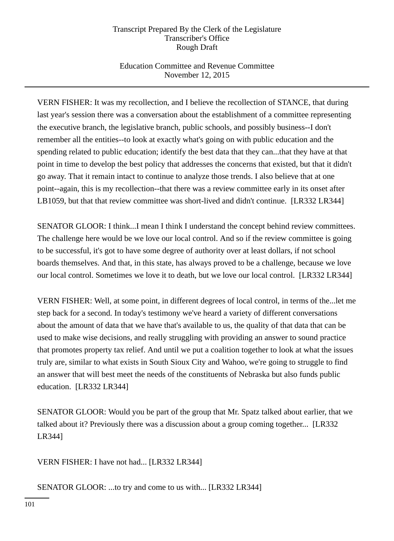# Education Committee and Revenue Committee November 12, 2015

VERN FISHER: It was my recollection, and I believe the recollection of STANCE, that during last year's session there was a conversation about the establishment of a committee representing the executive branch, the legislative branch, public schools, and possibly business--I don't remember all the entities--to look at exactly what's going on with public education and the spending related to public education; identify the best data that they can...that they have at that point in time to develop the best policy that addresses the concerns that existed, but that it didn't go away. That it remain intact to continue to analyze those trends. I also believe that at one point--again, this is my recollection--that there was a review committee early in its onset after LB1059, but that that review committee was short-lived and didn't continue. [LR332 LR344]

SENATOR GLOOR: I think...I mean I think I understand the concept behind review committees. The challenge here would be we love our local control. And so if the review committee is going to be successful, it's got to have some degree of authority over at least dollars, if not school boards themselves. And that, in this state, has always proved to be a challenge, because we love our local control. Sometimes we love it to death, but we love our local control. [LR332 LR344]

VERN FISHER: Well, at some point, in different degrees of local control, in terms of the...let me step back for a second. In today's testimony we've heard a variety of different conversations about the amount of data that we have that's available to us, the quality of that data that can be used to make wise decisions, and really struggling with providing an answer to sound practice that promotes property tax relief. And until we put a coalition together to look at what the issues truly are, similar to what exists in South Sioux City and Wahoo, we're going to struggle to find an answer that will best meet the needs of the constituents of Nebraska but also funds public education. [LR332 LR344]

SENATOR GLOOR: Would you be part of the group that Mr. Spatz talked about earlier, that we talked about it? Previously there was a discussion about a group coming together... [LR332 LR344]

VERN FISHER: I have not had... [LR332 LR344]

SENATOR GLOOR: ...to try and come to us with... [LR332 LR344]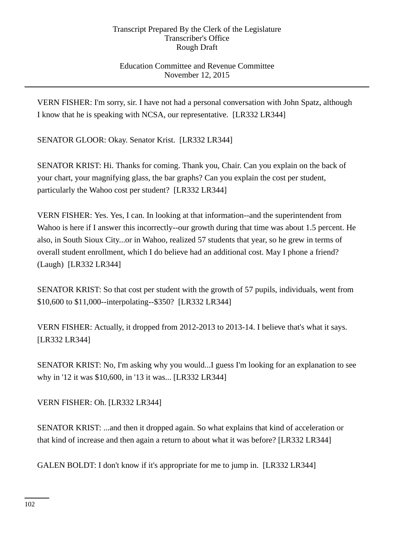# Education Committee and Revenue Committee November 12, 2015

VERN FISHER: I'm sorry, sir. I have not had a personal conversation with John Spatz, although I know that he is speaking with NCSA, our representative. [LR332 LR344]

SENATOR GLOOR: Okay. Senator Krist. [LR332 LR344]

SENATOR KRIST: Hi. Thanks for coming. Thank you, Chair. Can you explain on the back of your chart, your magnifying glass, the bar graphs? Can you explain the cost per student, particularly the Wahoo cost per student? [LR332 LR344]

VERN FISHER: Yes. Yes, I can. In looking at that information--and the superintendent from Wahoo is here if I answer this incorrectly--our growth during that time was about 1.5 percent. He also, in South Sioux City...or in Wahoo, realized 57 students that year, so he grew in terms of overall student enrollment, which I do believe had an additional cost. May I phone a friend? (Laugh) [LR332 LR344]

SENATOR KRIST: So that cost per student with the growth of 57 pupils, individuals, went from \$10,600 to \$11,000--interpolating--\$350? [LR332 LR344]

VERN FISHER: Actually, it dropped from 2012-2013 to 2013-14. I believe that's what it says. [LR332 LR344]

SENATOR KRIST: No, I'm asking why you would...I guess I'm looking for an explanation to see why in '12 it was \$10,600, in '13 it was... [LR332 LR344]

VERN FISHER: Oh. [LR332 LR344]

SENATOR KRIST: ...and then it dropped again. So what explains that kind of acceleration or that kind of increase and then again a return to about what it was before? [LR332 LR344]

GALEN BOLDT: I don't know if it's appropriate for me to jump in. [LR332 LR344]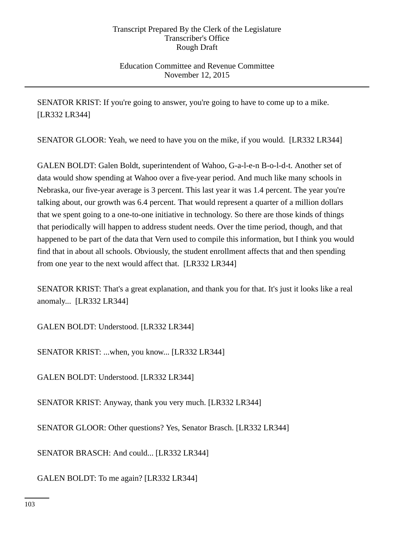Education Committee and Revenue Committee November 12, 2015

SENATOR KRIST: If you're going to answer, you're going to have to come up to a mike. [LR332 LR344]

SENATOR GLOOR: Yeah, we need to have you on the mike, if you would. [LR332 LR344]

GALEN BOLDT: Galen Boldt, superintendent of Wahoo, G-a-l-e-n B-o-l-d-t. Another set of data would show spending at Wahoo over a five-year period. And much like many schools in Nebraska, our five-year average is 3 percent. This last year it was 1.4 percent. The year you're talking about, our growth was 6.4 percent. That would represent a quarter of a million dollars that we spent going to a one-to-one initiative in technology. So there are those kinds of things that periodically will happen to address student needs. Over the time period, though, and that happened to be part of the data that Vern used to compile this information, but I think you would find that in about all schools. Obviously, the student enrollment affects that and then spending from one year to the next would affect that. [LR332 LR344]

SENATOR KRIST: That's a great explanation, and thank you for that. It's just it looks like a real anomaly... [LR332 LR344]

GALEN BOLDT: Understood. [LR332 LR344]

SENATOR KRIST: ...when, you know... [LR332 LR344]

GALEN BOLDT: Understood. [LR332 LR344]

SENATOR KRIST: Anyway, thank you very much. [LR332 LR344]

SENATOR GLOOR: Other questions? Yes, Senator Brasch. [LR332 LR344]

SENATOR BRASCH: And could... [LR332 LR344]

GALEN BOLDT: To me again? [LR332 LR344]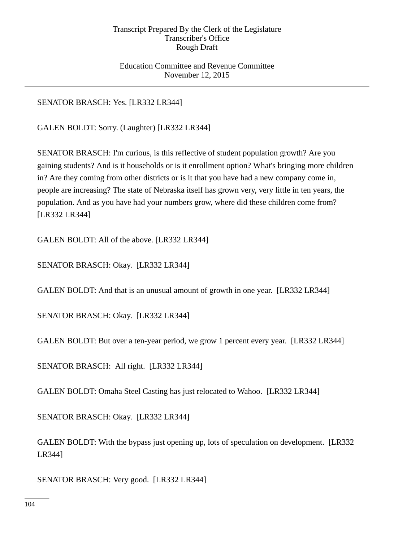## Education Committee and Revenue Committee November 12, 2015

# SENATOR BRASCH: Yes. [LR332 LR344]

GALEN BOLDT: Sorry. (Laughter) [LR332 LR344]

SENATOR BRASCH: I'm curious, is this reflective of student population growth? Are you gaining students? And is it households or is it enrollment option? What's bringing more children in? Are they coming from other districts or is it that you have had a new company come in, people are increasing? The state of Nebraska itself has grown very, very little in ten years, the population. And as you have had your numbers grow, where did these children come from? [LR332 LR344]

GALEN BOLDT: All of the above. [LR332 LR344]

SENATOR BRASCH: Okay. [LR332 LR344]

GALEN BOLDT: And that is an unusual amount of growth in one year. [LR332 LR344]

SENATOR BRASCH: Okay. [LR332 LR344]

GALEN BOLDT: But over a ten-year period, we grow 1 percent every year. [LR332 LR344]

SENATOR BRASCH: All right. [LR332 LR344]

GALEN BOLDT: Omaha Steel Casting has just relocated to Wahoo. [LR332 LR344]

SENATOR BRASCH: Okay. [LR332 LR344]

GALEN BOLDT: With the bypass just opening up, lots of speculation on development. [LR332 LR344]

SENATOR BRASCH: Very good. [LR332 LR344]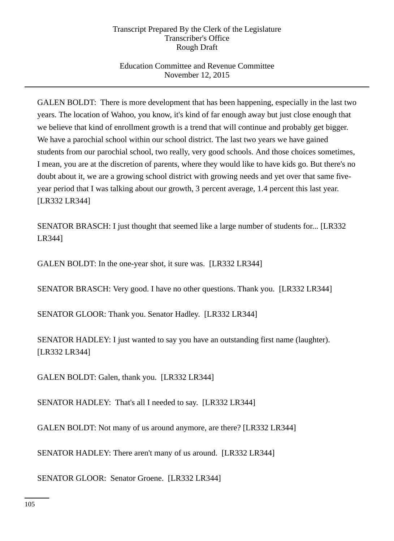# Education Committee and Revenue Committee November 12, 2015

GALEN BOLDT: There is more development that has been happening, especially in the last two years. The location of Wahoo, you know, it's kind of far enough away but just close enough that we believe that kind of enrollment growth is a trend that will continue and probably get bigger. We have a parochial school within our school district. The last two years we have gained students from our parochial school, two really, very good schools. And those choices sometimes, I mean, you are at the discretion of parents, where they would like to have kids go. But there's no doubt about it, we are a growing school district with growing needs and yet over that same fiveyear period that I was talking about our growth, 3 percent average, 1.4 percent this last year. [LR332 LR344]

SENATOR BRASCH: I just thought that seemed like a large number of students for... [LR332 LR344]

GALEN BOLDT: In the one-year shot, it sure was. [LR332 LR344]

SENATOR BRASCH: Very good. I have no other questions. Thank you. [LR332 LR344]

SENATOR GLOOR: Thank you. Senator Hadley. [LR332 LR344]

SENATOR HADLEY: I just wanted to say you have an outstanding first name (laughter). [LR332 LR344]

GALEN BOLDT: Galen, thank you. [LR332 LR344]

SENATOR HADLEY: That's all I needed to say. [LR332 LR344]

GALEN BOLDT: Not many of us around anymore, are there? [LR332 LR344]

SENATOR HADLEY: There aren't many of us around. [LR332 LR344]

SENATOR GLOOR: Senator Groene. [LR332 LR344]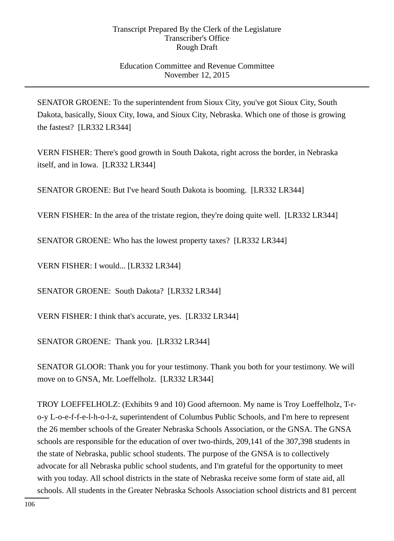## Education Committee and Revenue Committee November 12, 2015

SENATOR GROENE: To the superintendent from Sioux City, you've got Sioux City, South Dakota, basically, Sioux City, Iowa, and Sioux City, Nebraska. Which one of those is growing the fastest? [LR332 LR344]

VERN FISHER: There's good growth in South Dakota, right across the border, in Nebraska itself, and in Iowa. [LR332 LR344]

SENATOR GROENE: But I've heard South Dakota is booming. [LR332 LR344]

VERN FISHER: In the area of the tristate region, they're doing quite well. [LR332 LR344]

SENATOR GROENE: Who has the lowest property taxes? [LR332 LR344]

VERN FISHER: I would... [LR332 LR344]

SENATOR GROENE: South Dakota? [LR332 LR344]

VERN FISHER: I think that's accurate, yes. [LR332 LR344]

SENATOR GROENE: Thank you. [LR332 LR344]

SENATOR GLOOR: Thank you for your testimony. Thank you both for your testimony. We will move on to GNSA, Mr. Loeffelholz. [LR332 LR344]

TROY LOEFFELHOLZ: (Exhibits 9 and 10) Good afternoon. My name is Troy Loeffelholz, T-ro-y L-o-e-f-f-e-l-h-o-l-z, superintendent of Columbus Public Schools, and I'm here to represent the 26 member schools of the Greater Nebraska Schools Association, or the GNSA. The GNSA schools are responsible for the education of over two-thirds, 209,141 of the 307,398 students in the state of Nebraska, public school students. The purpose of the GNSA is to collectively advocate for all Nebraska public school students, and I'm grateful for the opportunity to meet with you today. All school districts in the state of Nebraska receive some form of state aid, all schools. All students in the Greater Nebraska Schools Association school districts and 81 percent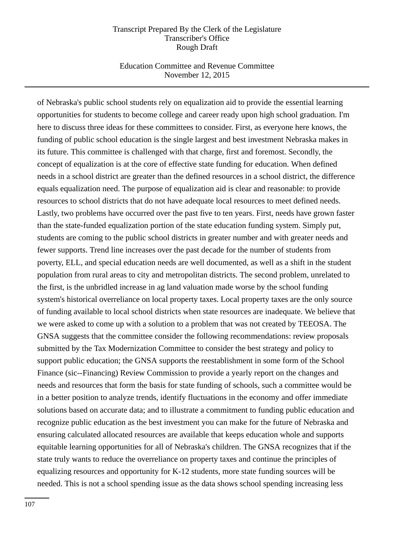### Education Committee and Revenue Committee November 12, 2015

of Nebraska's public school students rely on equalization aid to provide the essential learning opportunities for students to become college and career ready upon high school graduation. I'm here to discuss three ideas for these committees to consider. First, as everyone here knows, the funding of public school education is the single largest and best investment Nebraska makes in its future. This committee is challenged with that charge, first and foremost. Secondly, the concept of equalization is at the core of effective state funding for education. When defined needs in a school district are greater than the defined resources in a school district, the difference equals equalization need. The purpose of equalization aid is clear and reasonable: to provide resources to school districts that do not have adequate local resources to meet defined needs. Lastly, two problems have occurred over the past five to ten years. First, needs have grown faster than the state-funded equalization portion of the state education funding system. Simply put, students are coming to the public school districts in greater number and with greater needs and fewer supports. Trend line increases over the past decade for the number of students from poverty, ELL, and special education needs are well documented, as well as a shift in the student population from rural areas to city and metropolitan districts. The second problem, unrelated to the first, is the unbridled increase in ag land valuation made worse by the school funding system's historical overreliance on local property taxes. Local property taxes are the only source of funding available to local school districts when state resources are inadequate. We believe that we were asked to come up with a solution to a problem that was not created by TEEOSA. The GNSA suggests that the committee consider the following recommendations: review proposals submitted by the Tax Modernization Committee to consider the best strategy and policy to support public education; the GNSA supports the reestablishment in some form of the School Finance (sic--Financing) Review Commission to provide a yearly report on the changes and needs and resources that form the basis for state funding of schools, such a committee would be in a better position to analyze trends, identify fluctuations in the economy and offer immediate solutions based on accurate data; and to illustrate a commitment to funding public education and recognize public education as the best investment you can make for the future of Nebraska and ensuring calculated allocated resources are available that keeps education whole and supports equitable learning opportunities for all of Nebraska's children. The GNSA recognizes that if the state truly wants to reduce the overreliance on property taxes and continue the principles of equalizing resources and opportunity for K-12 students, more state funding sources will be needed. This is not a school spending issue as the data shows school spending increasing less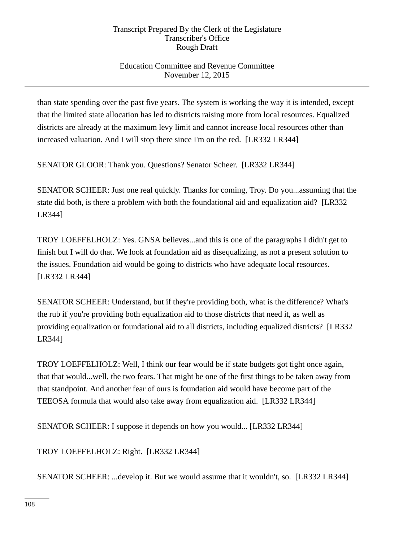# Education Committee and Revenue Committee November 12, 2015

than state spending over the past five years. The system is working the way it is intended, except that the limited state allocation has led to districts raising more from local resources. Equalized districts are already at the maximum levy limit and cannot increase local resources other than increased valuation. And I will stop there since I'm on the red. [LR332 LR344]

SENATOR GLOOR: Thank you. Questions? Senator Scheer. [LR332 LR344]

SENATOR SCHEER: Just one real quickly. Thanks for coming, Troy. Do you...assuming that the state did both, is there a problem with both the foundational aid and equalization aid? [LR332 LR344]

TROY LOEFFELHOLZ: Yes. GNSA believes...and this is one of the paragraphs I didn't get to finish but I will do that. We look at foundation aid as disequalizing, as not a present solution to the issues. Foundation aid would be going to districts who have adequate local resources. [LR332 LR344]

SENATOR SCHEER: Understand, but if they're providing both, what is the difference? What's the rub if you're providing both equalization aid to those districts that need it, as well as providing equalization or foundational aid to all districts, including equalized districts? [LR332 LR344]

TROY LOEFFELHOLZ: Well, I think our fear would be if state budgets got tight once again, that that would...well, the two fears. That might be one of the first things to be taken away from that standpoint. And another fear of ours is foundation aid would have become part of the TEEOSA formula that would also take away from equalization aid. [LR332 LR344]

SENATOR SCHEER: I suppose it depends on how you would... [LR332 LR344]

TROY LOEFFELHOLZ: Right. [LR332 LR344]

SENATOR SCHEER: ...develop it. But we would assume that it wouldn't, so. [LR332 LR344]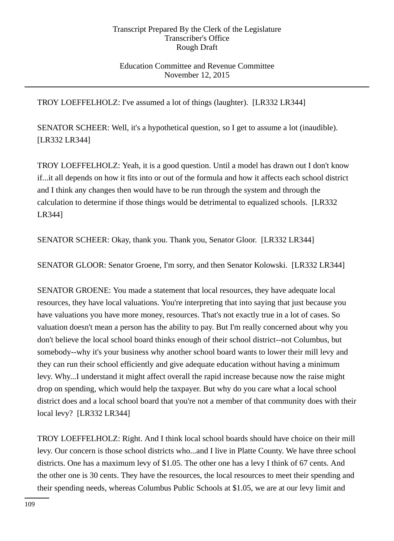### Education Committee and Revenue Committee November 12, 2015

TROY LOEFFELHOLZ: I've assumed a lot of things (laughter). [LR332 LR344]

SENATOR SCHEER: Well, it's a hypothetical question, so I get to assume a lot (inaudible). [LR332 LR344]

TROY LOEFFELHOLZ: Yeah, it is a good question. Until a model has drawn out I don't know if...it all depends on how it fits into or out of the formula and how it affects each school district and I think any changes then would have to be run through the system and through the calculation to determine if those things would be detrimental to equalized schools. [LR332 LR344]

SENATOR SCHEER: Okay, thank you. Thank you, Senator Gloor. [LR332 LR344]

SENATOR GLOOR: Senator Groene, I'm sorry, and then Senator Kolowski. [LR332 LR344]

SENATOR GROENE: You made a statement that local resources, they have adequate local resources, they have local valuations. You're interpreting that into saying that just because you have valuations you have more money, resources. That's not exactly true in a lot of cases. So valuation doesn't mean a person has the ability to pay. But I'm really concerned about why you don't believe the local school board thinks enough of their school district--not Columbus, but somebody--why it's your business why another school board wants to lower their mill levy and they can run their school efficiently and give adequate education without having a minimum levy. Why...I understand it might affect overall the rapid increase because now the raise might drop on spending, which would help the taxpayer. But why do you care what a local school district does and a local school board that you're not a member of that community does with their local levy? [LR332 LR344]

TROY LOEFFELHOLZ: Right. And I think local school boards should have choice on their mill levy. Our concern is those school districts who...and I live in Platte County. We have three school districts. One has a maximum levy of \$1.05. The other one has a levy I think of 67 cents. And the other one is 30 cents. They have the resources, the local resources to meet their spending and their spending needs, whereas Columbus Public Schools at \$1.05, we are at our levy limit and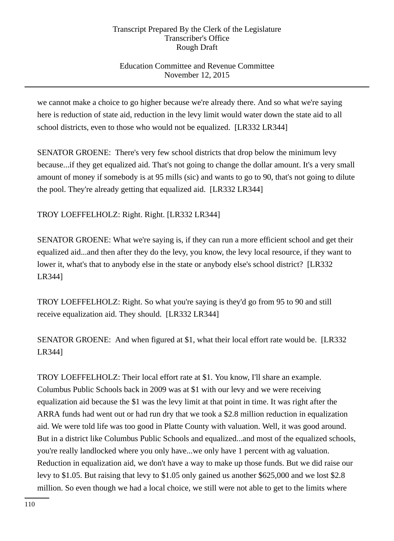# Education Committee and Revenue Committee November 12, 2015

we cannot make a choice to go higher because we're already there. And so what we're saying here is reduction of state aid, reduction in the levy limit would water down the state aid to all school districts, even to those who would not be equalized. [LR332 LR344]

SENATOR GROENE: There's very few school districts that drop below the minimum levy because...if they get equalized aid. That's not going to change the dollar amount. It's a very small amount of money if somebody is at 95 mills (sic) and wants to go to 90, that's not going to dilute the pool. They're already getting that equalized aid. [LR332 LR344]

TROY LOEFFELHOLZ: Right. Right. [LR332 LR344]

SENATOR GROENE: What we're saying is, if they can run a more efficient school and get their equalized aid...and then after they do the levy, you know, the levy local resource, if they want to lower it, what's that to anybody else in the state or anybody else's school district? [LR332 LR344]

TROY LOEFFELHOLZ: Right. So what you're saying is they'd go from 95 to 90 and still receive equalization aid. They should. [LR332 LR344]

SENATOR GROENE: And when figured at \$1, what their local effort rate would be. [LR332 LR344]

TROY LOEFFELHOLZ: Their local effort rate at \$1. You know, I'll share an example. Columbus Public Schools back in 2009 was at \$1 with our levy and we were receiving equalization aid because the \$1 was the levy limit at that point in time. It was right after the ARRA funds had went out or had run dry that we took a \$2.8 million reduction in equalization aid. We were told life was too good in Platte County with valuation. Well, it was good around. But in a district like Columbus Public Schools and equalized...and most of the equalized schools, you're really landlocked where you only have...we only have 1 percent with ag valuation. Reduction in equalization aid, we don't have a way to make up those funds. But we did raise our levy to \$1.05. But raising that levy to \$1.05 only gained us another \$625,000 and we lost \$2.8 million. So even though we had a local choice, we still were not able to get to the limits where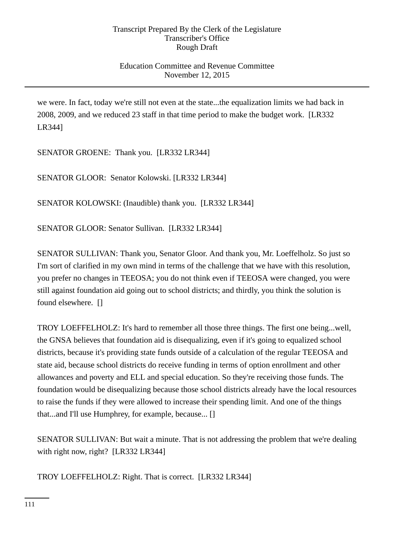## Education Committee and Revenue Committee November 12, 2015

we were. In fact, today we're still not even at the state...the equalization limits we had back in 2008, 2009, and we reduced 23 staff in that time period to make the budget work. [LR332 LR344]

SENATOR GROENE: Thank you. [LR332 LR344]

SENATOR GLOOR: Senator Kolowski. [LR332 LR344]

SENATOR KOLOWSKI: (Inaudible) thank you. [LR332 LR344]

SENATOR GLOOR: Senator Sullivan. [LR332 LR344]

SENATOR SULLIVAN: Thank you, Senator Gloor. And thank you, Mr. Loeffelholz. So just so I'm sort of clarified in my own mind in terms of the challenge that we have with this resolution, you prefer no changes in TEEOSA; you do not think even if TEEOSA were changed, you were still against foundation aid going out to school districts; and thirdly, you think the solution is found elsewhere. []

TROY LOEFFELHOLZ: It's hard to remember all those three things. The first one being...well, the GNSA believes that foundation aid is disequalizing, even if it's going to equalized school districts, because it's providing state funds outside of a calculation of the regular TEEOSA and state aid, because school districts do receive funding in terms of option enrollment and other allowances and poverty and ELL and special education. So they're receiving those funds. The foundation would be disequalizing because those school districts already have the local resources to raise the funds if they were allowed to increase their spending limit. And one of the things that...and I'll use Humphrey, for example, because... []

SENATOR SULLIVAN: But wait a minute. That is not addressing the problem that we're dealing with right now, right? [LR332 LR344]

TROY LOEFFELHOLZ: Right. That is correct. [LR332 LR344]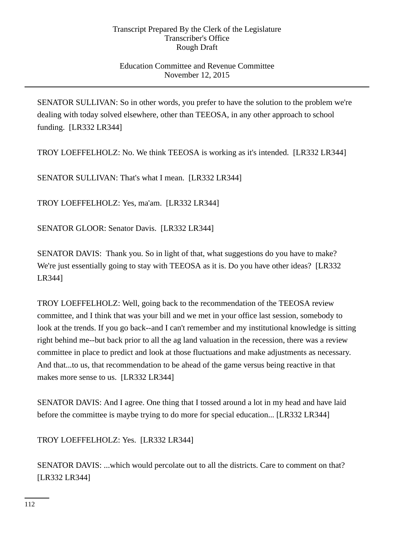### Education Committee and Revenue Committee November 12, 2015

SENATOR SULLIVAN: So in other words, you prefer to have the solution to the problem we're dealing with today solved elsewhere, other than TEEOSA, in any other approach to school funding. [LR332 LR344]

TROY LOEFFELHOLZ: No. We think TEEOSA is working as it's intended. [LR332 LR344]

SENATOR SULLIVAN: That's what I mean. [LR332 LR344]

TROY LOEFFELHOLZ: Yes, ma'am. [LR332 LR344]

SENATOR GLOOR: Senator Davis. [LR332 LR344]

SENATOR DAVIS: Thank you. So in light of that, what suggestions do you have to make? We're just essentially going to stay with TEEOSA as it is. Do you have other ideas? [LR332] LR344]

TROY LOEFFELHOLZ: Well, going back to the recommendation of the TEEOSA review committee, and I think that was your bill and we met in your office last session, somebody to look at the trends. If you go back--and I can't remember and my institutional knowledge is sitting right behind me--but back prior to all the ag land valuation in the recession, there was a review committee in place to predict and look at those fluctuations and make adjustments as necessary. And that...to us, that recommendation to be ahead of the game versus being reactive in that makes more sense to us. [LR332 LR344]

SENATOR DAVIS: And I agree. One thing that I tossed around a lot in my head and have laid before the committee is maybe trying to do more for special education... [LR332 LR344]

TROY LOEFFELHOLZ: Yes. [LR332 LR344]

SENATOR DAVIS: ...which would percolate out to all the districts. Care to comment on that? [LR332 LR344]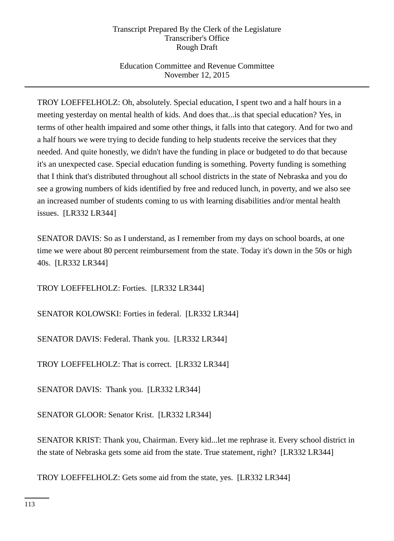# Education Committee and Revenue Committee November 12, 2015

TROY LOEFFELHOLZ: Oh, absolutely. Special education, I spent two and a half hours in a meeting yesterday on mental health of kids. And does that...is that special education? Yes, in terms of other health impaired and some other things, it falls into that category. And for two and a half hours we were trying to decide funding to help students receive the services that they needed. And quite honestly, we didn't have the funding in place or budgeted to do that because it's an unexpected case. Special education funding is something. Poverty funding is something that I think that's distributed throughout all school districts in the state of Nebraska and you do see a growing numbers of kids identified by free and reduced lunch, in poverty, and we also see an increased number of students coming to us with learning disabilities and/or mental health issues. [LR332 LR344]

SENATOR DAVIS: So as I understand, as I remember from my days on school boards, at one time we were about 80 percent reimbursement from the state. Today it's down in the 50s or high 40s. [LR332 LR344]

TROY LOEFFELHOLZ: Forties. [LR332 LR344]

SENATOR KOLOWSKI: Forties in federal. [LR332 LR344]

SENATOR DAVIS: Federal. Thank you. [LR332 LR344]

TROY LOEFFELHOLZ: That is correct. [LR332 LR344]

SENATOR DAVIS: Thank you. [LR332 LR344]

SENATOR GLOOR: Senator Krist. [LR332 LR344]

SENATOR KRIST: Thank you, Chairman. Every kid...let me rephrase it. Every school district in the state of Nebraska gets some aid from the state. True statement, right? [LR332 LR344]

TROY LOEFFELHOLZ: Gets some aid from the state, yes. [LR332 LR344]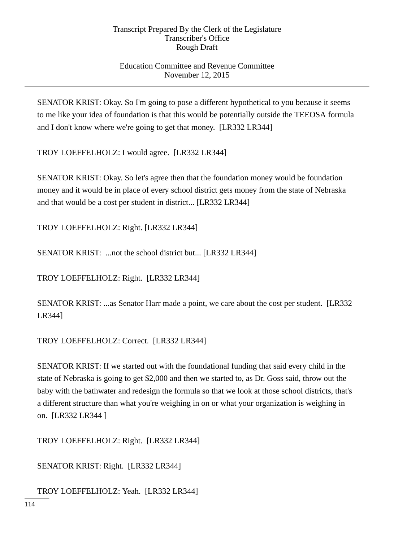## Education Committee and Revenue Committee November 12, 2015

SENATOR KRIST: Okay. So I'm going to pose a different hypothetical to you because it seems to me like your idea of foundation is that this would be potentially outside the TEEOSA formula and I don't know where we're going to get that money. [LR332 LR344]

TROY LOEFFELHOLZ: I would agree. [LR332 LR344]

SENATOR KRIST: Okay. So let's agree then that the foundation money would be foundation money and it would be in place of every school district gets money from the state of Nebraska and that would be a cost per student in district... [LR332 LR344]

TROY LOEFFELHOLZ: Right. [LR332 LR344]

SENATOR KRIST: ...not the school district but... [LR332 LR344]

TROY LOEFFELHOLZ: Right. [LR332 LR344]

SENATOR KRIST: ...as Senator Harr made a point, we care about the cost per student. [LR332 LR344]

TROY LOEFFELHOLZ: Correct. [LR332 LR344]

SENATOR KRIST: If we started out with the foundational funding that said every child in the state of Nebraska is going to get \$2,000 and then we started to, as Dr. Goss said, throw out the baby with the bathwater and redesign the formula so that we look at those school districts, that's a different structure than what you're weighing in on or what your organization is weighing in on. [LR332 LR344 ]

TROY LOEFFELHOLZ: Right. [LR332 LR344]

SENATOR KRIST: Right. [LR332 LR344]

TROY LOEFFELHOLZ: Yeah. [LR332 LR344]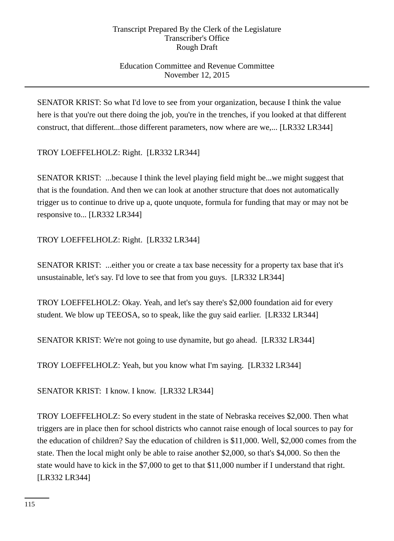# Education Committee and Revenue Committee November 12, 2015

SENATOR KRIST: So what I'd love to see from your organization, because I think the value here is that you're out there doing the job, you're in the trenches, if you looked at that different construct, that different...those different parameters, now where are we,... [LR332 LR344]

TROY LOEFFELHOLZ: Right. [LR332 LR344]

SENATOR KRIST: ...because I think the level playing field might be...we might suggest that that is the foundation. And then we can look at another structure that does not automatically trigger us to continue to drive up a, quote unquote, formula for funding that may or may not be responsive to... [LR332 LR344]

TROY LOEFFELHOLZ: Right. [LR332 LR344]

SENATOR KRIST: ...either you or create a tax base necessity for a property tax base that it's unsustainable, let's say. I'd love to see that from you guys. [LR332 LR344]

TROY LOEFFELHOLZ: Okay. Yeah, and let's say there's \$2,000 foundation aid for every student. We blow up TEEOSA, so to speak, like the guy said earlier. [LR332 LR344]

SENATOR KRIST: We're not going to use dynamite, but go ahead. [LR332 LR344]

TROY LOEFFELHOLZ: Yeah, but you know what I'm saying. [LR332 LR344]

SENATOR KRIST: I know. I know. [LR332 LR344]

TROY LOEFFELHOLZ: So every student in the state of Nebraska receives \$2,000. Then what triggers are in place then for school districts who cannot raise enough of local sources to pay for the education of children? Say the education of children is \$11,000. Well, \$2,000 comes from the state. Then the local might only be able to raise another \$2,000, so that's \$4,000. So then the state would have to kick in the \$7,000 to get to that \$11,000 number if I understand that right. [LR332 LR344]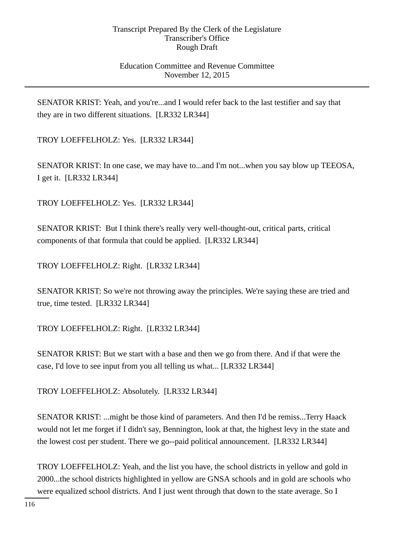### Education Committee and Revenue Committee November 12, 2015

SENATOR KRIST: Yeah, and you're...and I would refer back to the last testifier and say that they are in two different situations. [LR332 LR344]

TROY LOEFFELHOLZ: Yes. [LR332 LR344]

SENATOR KRIST: In one case, we may have to...and I'm not...when you say blow up TEEOSA, I get it. [LR332 LR344]

TROY LOEFFELHOLZ: Yes. [LR332 LR344]

SENATOR KRIST: But I think there's really very well-thought-out, critical parts, critical components of that formula that could be applied. [LR332 LR344]

TROY LOEFFELHOLZ: Right. [LR332 LR344]

SENATOR KRIST: So we're not throwing away the principles. We're saying these are tried and true, time tested. [LR332 LR344]

TROY LOEFFELHOLZ: Right. [LR332 LR344]

SENATOR KRIST: But we start with a base and then we go from there. And if that were the case, I'd love to see input from you all telling us what... [LR332 LR344]

TROY LOEFFELHOLZ: Absolutely. [LR332 LR344]

SENATOR KRIST: ...might be those kind of parameters. And then I'd be remiss...Terry Haack would not let me forget if I didn't say, Bennington, look at that, the highest levy in the state and the lowest cost per student. There we go--paid political announcement. [LR332 LR344]

TROY LOEFFELHOLZ: Yeah, and the list you have, the school districts in yellow and gold in 2000...the school districts highlighted in yellow are GNSA schools and in gold are schools who were equalized school districts. And I just went through that down to the state average. So I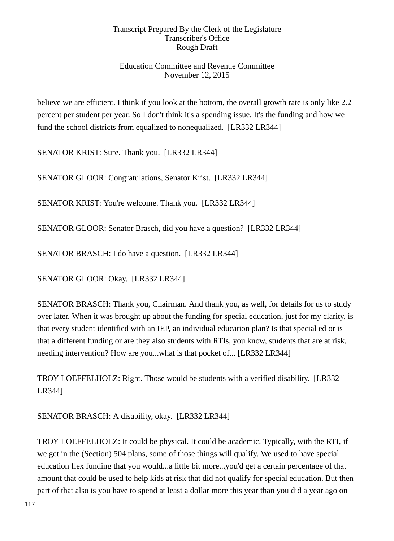# Education Committee and Revenue Committee November 12, 2015

believe we are efficient. I think if you look at the bottom, the overall growth rate is only like 2.2 percent per student per year. So I don't think it's a spending issue. It's the funding and how we fund the school districts from equalized to nonequalized. [LR332 LR344]

SENATOR KRIST: Sure. Thank you. [LR332 LR344]

SENATOR GLOOR: Congratulations, Senator Krist. [LR332 LR344]

SENATOR KRIST: You're welcome. Thank you. [LR332 LR344]

SENATOR GLOOR: Senator Brasch, did you have a question? [LR332 LR344]

SENATOR BRASCH: I do have a question. [LR332 LR344]

SENATOR GLOOR: Okay. [LR332 LR344]

SENATOR BRASCH: Thank you, Chairman. And thank you, as well, for details for us to study over later. When it was brought up about the funding for special education, just for my clarity, is that every student identified with an IEP, an individual education plan? Is that special ed or is that a different funding or are they also students with RTIs, you know, students that are at risk, needing intervention? How are you...what is that pocket of... [LR332 LR344]

TROY LOEFFELHOLZ: Right. Those would be students with a verified disability. [LR332 LR344]

SENATOR BRASCH: A disability, okay. [LR332 LR344]

TROY LOEFFELHOLZ: It could be physical. It could be academic. Typically, with the RTI, if we get in the (Section) 504 plans, some of those things will qualify. We used to have special education flex funding that you would...a little bit more...you'd get a certain percentage of that amount that could be used to help kids at risk that did not qualify for special education. But then part of that also is you have to spend at least a dollar more this year than you did a year ago on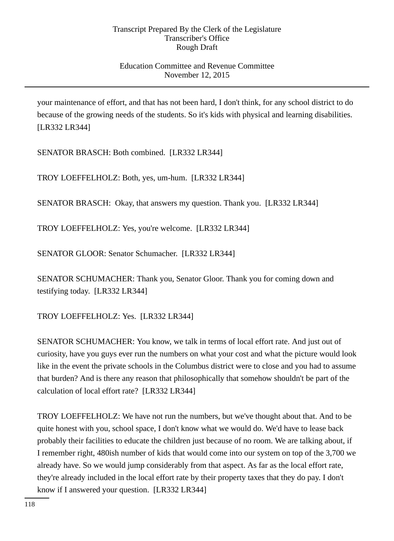## Education Committee and Revenue Committee November 12, 2015

your maintenance of effort, and that has not been hard, I don't think, for any school district to do because of the growing needs of the students. So it's kids with physical and learning disabilities. [LR332 LR344]

SENATOR BRASCH: Both combined. [LR332 LR344]

TROY LOEFFELHOLZ: Both, yes, um-hum. [LR332 LR344]

SENATOR BRASCH: Okay, that answers my question. Thank you. [LR332 LR344]

TROY LOEFFELHOLZ: Yes, you're welcome. [LR332 LR344]

SENATOR GLOOR: Senator Schumacher. [LR332 LR344]

SENATOR SCHUMACHER: Thank you, Senator Gloor. Thank you for coming down and testifying today. [LR332 LR344]

TROY LOEFFELHOLZ: Yes. [LR332 LR344]

SENATOR SCHUMACHER: You know, we talk in terms of local effort rate. And just out of curiosity, have you guys ever run the numbers on what your cost and what the picture would look like in the event the private schools in the Columbus district were to close and you had to assume that burden? And is there any reason that philosophically that somehow shouldn't be part of the calculation of local effort rate? [LR332 LR344]

TROY LOEFFELHOLZ: We have not run the numbers, but we've thought about that. And to be quite honest with you, school space, I don't know what we would do. We'd have to lease back probably their facilities to educate the children just because of no room. We are talking about, if I remember right, 480ish number of kids that would come into our system on top of the 3,700 we already have. So we would jump considerably from that aspect. As far as the local effort rate, they're already included in the local effort rate by their property taxes that they do pay. I don't know if I answered your question. [LR332 LR344]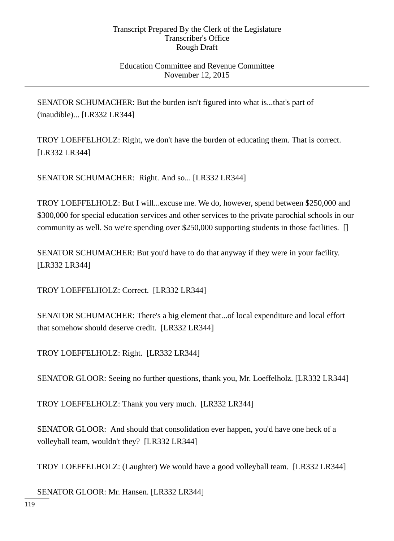### Education Committee and Revenue Committee November 12, 2015

SENATOR SCHUMACHER: But the burden isn't figured into what is...that's part of (inaudible)... [LR332 LR344]

TROY LOEFFELHOLZ: Right, we don't have the burden of educating them. That is correct. [LR332 LR344]

SENATOR SCHUMACHER: Right. And so... [LR332 LR344]

TROY LOEFFELHOLZ: But I will...excuse me. We do, however, spend between \$250,000 and \$300,000 for special education services and other services to the private parochial schools in our community as well. So we're spending over \$250,000 supporting students in those facilities. []

SENATOR SCHUMACHER: But you'd have to do that anyway if they were in your facility. [LR332 LR344]

TROY LOEFFELHOLZ: Correct. [LR332 LR344]

SENATOR SCHUMACHER: There's a big element that...of local expenditure and local effort that somehow should deserve credit. [LR332 LR344]

TROY LOEFFELHOLZ: Right. [LR332 LR344]

SENATOR GLOOR: Seeing no further questions, thank you, Mr. Loeffelholz. [LR332 LR344]

TROY LOEFFELHOLZ: Thank you very much. [LR332 LR344]

SENATOR GLOOR: And should that consolidation ever happen, you'd have one heck of a volleyball team, wouldn't they? [LR332 LR344]

TROY LOEFFELHOLZ: (Laughter) We would have a good volleyball team. [LR332 LR344]

SENATOR GLOOR: Mr. Hansen. [LR332 LR344]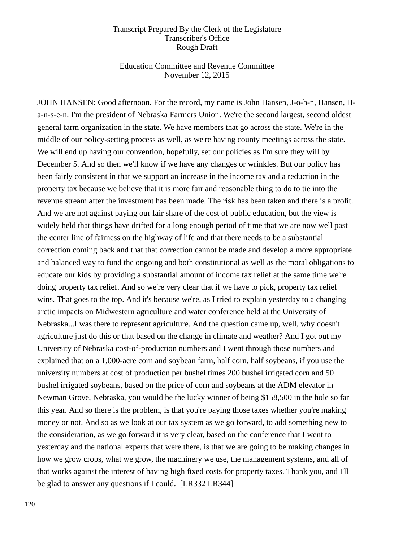### Education Committee and Revenue Committee November 12, 2015

JOHN HANSEN: Good afternoon. For the record, my name is John Hansen, J-o-h-n, Hansen, Ha-n-s-e-n. I'm the president of Nebraska Farmers Union. We're the second largest, second oldest general farm organization in the state. We have members that go across the state. We're in the middle of our policy-setting process as well, as we're having county meetings across the state. We will end up having our convention, hopefully, set our policies as I'm sure they will by December 5. And so then we'll know if we have any changes or wrinkles. But our policy has been fairly consistent in that we support an increase in the income tax and a reduction in the property tax because we believe that it is more fair and reasonable thing to do to tie into the revenue stream after the investment has been made. The risk has been taken and there is a profit. And we are not against paying our fair share of the cost of public education, but the view is widely held that things have drifted for a long enough period of time that we are now well past the center line of fairness on the highway of life and that there needs to be a substantial correction coming back and that that correction cannot be made and develop a more appropriate and balanced way to fund the ongoing and both constitutional as well as the moral obligations to educate our kids by providing a substantial amount of income tax relief at the same time we're doing property tax relief. And so we're very clear that if we have to pick, property tax relief wins. That goes to the top. And it's because we're, as I tried to explain yesterday to a changing arctic impacts on Midwestern agriculture and water conference held at the University of Nebraska...I was there to represent agriculture. And the question came up, well, why doesn't agriculture just do this or that based on the change in climate and weather? And I got out my University of Nebraska cost-of-production numbers and I went through those numbers and explained that on a 1,000-acre corn and soybean farm, half corn, half soybeans, if you use the university numbers at cost of production per bushel times 200 bushel irrigated corn and 50 bushel irrigated soybeans, based on the price of corn and soybeans at the ADM elevator in Newman Grove, Nebraska, you would be the lucky winner of being \$158,500 in the hole so far this year. And so there is the problem, is that you're paying those taxes whether you're making money or not. And so as we look at our tax system as we go forward, to add something new to the consideration, as we go forward it is very clear, based on the conference that I went to yesterday and the national experts that were there, is that we are going to be making changes in how we grow crops, what we grow, the machinery we use, the management systems, and all of that works against the interest of having high fixed costs for property taxes. Thank you, and I'll be glad to answer any questions if I could. [LR332 LR344]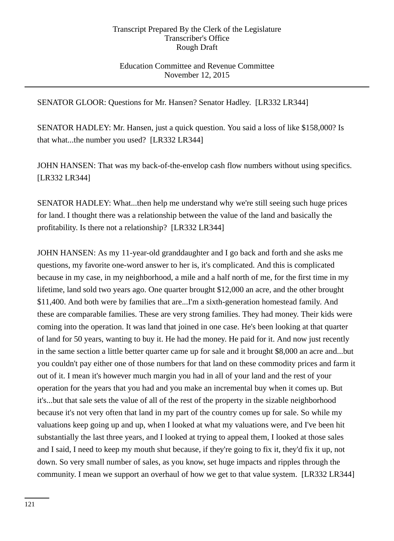### Education Committee and Revenue Committee November 12, 2015

SENATOR GLOOR: Questions for Mr. Hansen? Senator Hadley. [LR332 LR344]

SENATOR HADLEY: Mr. Hansen, just a quick question. You said a loss of like \$158,000? Is that what...the number you used? [LR332 LR344]

JOHN HANSEN: That was my back-of-the-envelop cash flow numbers without using specifics. [LR332 LR344]

SENATOR HADLEY: What...then help me understand why we're still seeing such huge prices for land. I thought there was a relationship between the value of the land and basically the profitability. Is there not a relationship? [LR332 LR344]

JOHN HANSEN: As my 11-year-old granddaughter and I go back and forth and she asks me questions, my favorite one-word answer to her is, it's complicated. And this is complicated because in my case, in my neighborhood, a mile and a half north of me, for the first time in my lifetime, land sold two years ago. One quarter brought \$12,000 an acre, and the other brought \$11,400. And both were by families that are...I'm a sixth-generation homestead family. And these are comparable families. These are very strong families. They had money. Their kids were coming into the operation. It was land that joined in one case. He's been looking at that quarter of land for 50 years, wanting to buy it. He had the money. He paid for it. And now just recently in the same section a little better quarter came up for sale and it brought \$8,000 an acre and...but you couldn't pay either one of those numbers for that land on these commodity prices and farm it out of it. I mean it's however much margin you had in all of your land and the rest of your operation for the years that you had and you make an incremental buy when it comes up. But it's...but that sale sets the value of all of the rest of the property in the sizable neighborhood because it's not very often that land in my part of the country comes up for sale. So while my valuations keep going up and up, when I looked at what my valuations were, and I've been hit substantially the last three years, and I looked at trying to appeal them, I looked at those sales and I said, I need to keep my mouth shut because, if they're going to fix it, they'd fix it up, not down. So very small number of sales, as you know, set huge impacts and ripples through the community. I mean we support an overhaul of how we get to that value system. [LR332 LR344]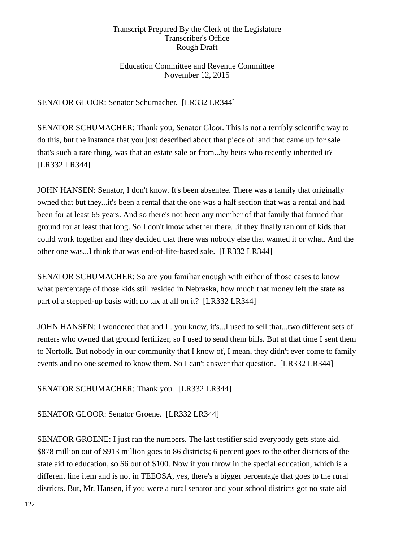# Education Committee and Revenue Committee November 12, 2015

# SENATOR GLOOR: Senator Schumacher. [LR332 LR344]

SENATOR SCHUMACHER: Thank you, Senator Gloor. This is not a terribly scientific way to do this, but the instance that you just described about that piece of land that came up for sale that's such a rare thing, was that an estate sale or from...by heirs who recently inherited it? [LR332 LR344]

JOHN HANSEN: Senator, I don't know. It's been absentee. There was a family that originally owned that but they...it's been a rental that the one was a half section that was a rental and had been for at least 65 years. And so there's not been any member of that family that farmed that ground for at least that long. So I don't know whether there...if they finally ran out of kids that could work together and they decided that there was nobody else that wanted it or what. And the other one was...I think that was end-of-life-based sale. [LR332 LR344]

SENATOR SCHUMACHER: So are you familiar enough with either of those cases to know what percentage of those kids still resided in Nebraska, how much that money left the state as part of a stepped-up basis with no tax at all on it? [LR332 LR344]

JOHN HANSEN: I wondered that and I...you know, it's...I used to sell that...two different sets of renters who owned that ground fertilizer, so I used to send them bills. But at that time I sent them to Norfolk. But nobody in our community that I know of, I mean, they didn't ever come to family events and no one seemed to know them. So I can't answer that question. [LR332 LR344]

SENATOR SCHUMACHER: Thank you. [LR332 LR344]

SENATOR GLOOR: Senator Groene. [LR332 LR344]

SENATOR GROENE: I just ran the numbers. The last testifier said everybody gets state aid, \$878 million out of \$913 million goes to 86 districts; 6 percent goes to the other districts of the state aid to education, so \$6 out of \$100. Now if you throw in the special education, which is a different line item and is not in TEEOSA, yes, there's a bigger percentage that goes to the rural districts. But, Mr. Hansen, if you were a rural senator and your school districts got no state aid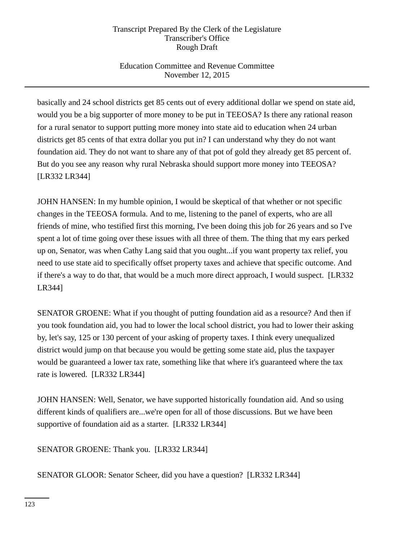Education Committee and Revenue Committee November 12, 2015

basically and 24 school districts get 85 cents out of every additional dollar we spend on state aid, would you be a big supporter of more money to be put in TEEOSA? Is there any rational reason for a rural senator to support putting more money into state aid to education when 24 urban districts get 85 cents of that extra dollar you put in? I can understand why they do not want foundation aid. They do not want to share any of that pot of gold they already get 85 percent of. But do you see any reason why rural Nebraska should support more money into TEEOSA? [LR332 LR344]

JOHN HANSEN: In my humble opinion, I would be skeptical of that whether or not specific changes in the TEEOSA formula. And to me, listening to the panel of experts, who are all friends of mine, who testified first this morning, I've been doing this job for 26 years and so I've spent a lot of time going over these issues with all three of them. The thing that my ears perked up on, Senator, was when Cathy Lang said that you ought...if you want property tax relief, you need to use state aid to specifically offset property taxes and achieve that specific outcome. And if there's a way to do that, that would be a much more direct approach, I would suspect. [LR332 LR344]

SENATOR GROENE: What if you thought of putting foundation aid as a resource? And then if you took foundation aid, you had to lower the local school district, you had to lower their asking by, let's say, 125 or 130 percent of your asking of property taxes. I think every unequalized district would jump on that because you would be getting some state aid, plus the taxpayer would be guaranteed a lower tax rate, something like that where it's guaranteed where the tax rate is lowered. [LR332 LR344]

JOHN HANSEN: Well, Senator, we have supported historically foundation aid. And so using different kinds of qualifiers are...we're open for all of those discussions. But we have been supportive of foundation aid as a starter. [LR332 LR344]

SENATOR GROENE: Thank you. [LR332 LR344]

SENATOR GLOOR: Senator Scheer, did you have a question? [LR332 LR344]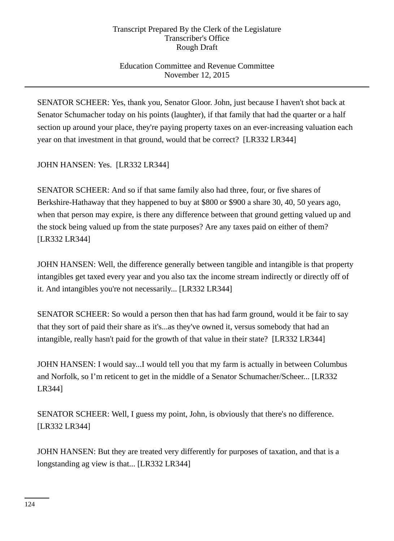# Education Committee and Revenue Committee November 12, 2015

SENATOR SCHEER: Yes, thank you, Senator Gloor. John, just because I haven't shot back at Senator Schumacher today on his points (laughter), if that family that had the quarter or a half section up around your place, they're paying property taxes on an ever-increasing valuation each year on that investment in that ground, would that be correct? [LR332 LR344]

JOHN HANSEN: Yes. [LR332 LR344]

SENATOR SCHEER: And so if that same family also had three, four, or five shares of Berkshire-Hathaway that they happened to buy at \$800 or \$900 a share 30, 40, 50 years ago, when that person may expire, is there any difference between that ground getting valued up and the stock being valued up from the state purposes? Are any taxes paid on either of them? [LR332 LR344]

JOHN HANSEN: Well, the difference generally between tangible and intangible is that property intangibles get taxed every year and you also tax the income stream indirectly or directly off of it. And intangibles you're not necessarily... [LR332 LR344]

SENATOR SCHEER: So would a person then that has had farm ground, would it be fair to say that they sort of paid their share as it's...as they've owned it, versus somebody that had an intangible, really hasn't paid for the growth of that value in their state? [LR332 LR344]

JOHN HANSEN: I would say...I would tell you that my farm is actually in between Columbus and Norfolk, so I'm reticent to get in the middle of a Senator Schumacher/Scheer... [LR332 LR344]

SENATOR SCHEER: Well, I guess my point, John, is obviously that there's no difference. [LR332 LR344]

JOHN HANSEN: But they are treated very differently for purposes of taxation, and that is a longstanding ag view is that... [LR332 LR344]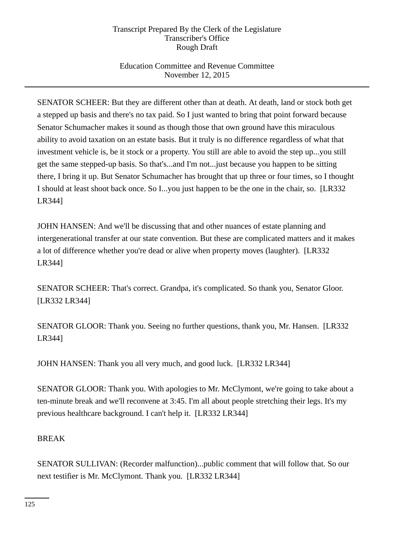# Education Committee and Revenue Committee November 12, 2015

SENATOR SCHEER: But they are different other than at death. At death, land or stock both get a stepped up basis and there's no tax paid. So I just wanted to bring that point forward because Senator Schumacher makes it sound as though those that own ground have this miraculous ability to avoid taxation on an estate basis. But it truly is no difference regardless of what that investment vehicle is, be it stock or a property. You still are able to avoid the step up...you still get the same stepped-up basis. So that's...and I'm not...just because you happen to be sitting there, I bring it up. But Senator Schumacher has brought that up three or four times, so I thought I should at least shoot back once. So I...you just happen to be the one in the chair, so. [LR332 LR344]

JOHN HANSEN: And we'll be discussing that and other nuances of estate planning and intergenerational transfer at our state convention. But these are complicated matters and it makes a lot of difference whether you're dead or alive when property moves (laughter). [LR332 LR344]

SENATOR SCHEER: That's correct. Grandpa, it's complicated. So thank you, Senator Gloor. [LR332 LR344]

SENATOR GLOOR: Thank you. Seeing no further questions, thank you, Mr. Hansen. [LR332 LR344]

JOHN HANSEN: Thank you all very much, and good luck. [LR332 LR344]

SENATOR GLOOR: Thank you. With apologies to Mr. McClymont, we're going to take about a ten-minute break and we'll reconvene at 3:45. I'm all about people stretching their legs. It's my previous healthcare background. I can't help it. [LR332 LR344]

### BREAK

SENATOR SULLIVAN: (Recorder malfunction)...public comment that will follow that. So our next testifier is Mr. McClymont. Thank you. [LR332 LR344]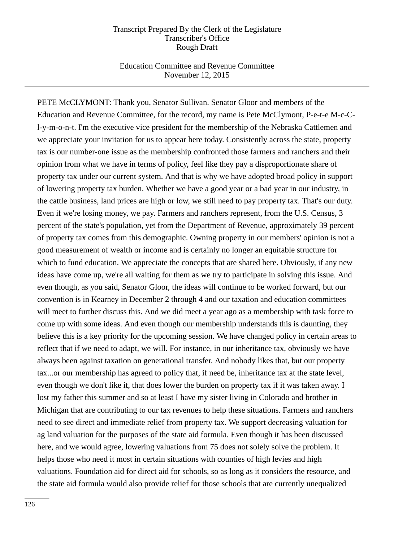### Education Committee and Revenue Committee November 12, 2015

PETE McCLYMONT: Thank you, Senator Sullivan. Senator Gloor and members of the Education and Revenue Committee, for the record, my name is Pete McClymont, P-e-t-e M-c-Cl-y-m-o-n-t. I'm the executive vice president for the membership of the Nebraska Cattlemen and we appreciate your invitation for us to appear here today. Consistently across the state, property tax is our number-one issue as the membership confronted those farmers and ranchers and their opinion from what we have in terms of policy, feel like they pay a disproportionate share of property tax under our current system. And that is why we have adopted broad policy in support of lowering property tax burden. Whether we have a good year or a bad year in our industry, in the cattle business, land prices are high or low, we still need to pay property tax. That's our duty. Even if we're losing money, we pay. Farmers and ranchers represent, from the U.S. Census, 3 percent of the state's population, yet from the Department of Revenue, approximately 39 percent of property tax comes from this demographic. Owning property in our members' opinion is not a good measurement of wealth or income and is certainly no longer an equitable structure for which to fund education. We appreciate the concepts that are shared here. Obviously, if any new ideas have come up, we're all waiting for them as we try to participate in solving this issue. And even though, as you said, Senator Gloor, the ideas will continue to be worked forward, but our convention is in Kearney in December 2 through 4 and our taxation and education committees will meet to further discuss this. And we did meet a year ago as a membership with task force to come up with some ideas. And even though our membership understands this is daunting, they believe this is a key priority for the upcoming session. We have changed policy in certain areas to reflect that if we need to adapt, we will. For instance, in our inheritance tax, obviously we have always been against taxation on generational transfer. And nobody likes that, but our property tax...or our membership has agreed to policy that, if need be, inheritance tax at the state level, even though we don't like it, that does lower the burden on property tax if it was taken away. I lost my father this summer and so at least I have my sister living in Colorado and brother in Michigan that are contributing to our tax revenues to help these situations. Farmers and ranchers need to see direct and immediate relief from property tax. We support decreasing valuation for ag land valuation for the purposes of the state aid formula. Even though it has been discussed here, and we would agree, lowering valuations from 75 does not solely solve the problem. It helps those who need it most in certain situations with counties of high levies and high valuations. Foundation aid for direct aid for schools, so as long as it considers the resource, and the state aid formula would also provide relief for those schools that are currently unequalized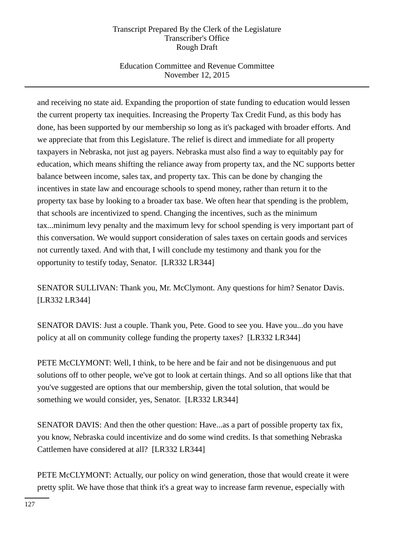# Education Committee and Revenue Committee November 12, 2015

and receiving no state aid. Expanding the proportion of state funding to education would lessen the current property tax inequities. Increasing the Property Tax Credit Fund, as this body has done, has been supported by our membership so long as it's packaged with broader efforts. And we appreciate that from this Legislature. The relief is direct and immediate for all property taxpayers in Nebraska, not just ag payers. Nebraska must also find a way to equitably pay for education, which means shifting the reliance away from property tax, and the NC supports better balance between income, sales tax, and property tax. This can be done by changing the incentives in state law and encourage schools to spend money, rather than return it to the property tax base by looking to a broader tax base. We often hear that spending is the problem, that schools are incentivized to spend. Changing the incentives, such as the minimum tax...minimum levy penalty and the maximum levy for school spending is very important part of this conversation. We would support consideration of sales taxes on certain goods and services not currently taxed. And with that, I will conclude my testimony and thank you for the opportunity to testify today, Senator. [LR332 LR344]

SENATOR SULLIVAN: Thank you, Mr. McClymont. Any questions for him? Senator Davis. [LR332 LR344]

SENATOR DAVIS: Just a couple. Thank you, Pete. Good to see you. Have you...do you have policy at all on community college funding the property taxes? [LR332 LR344]

PETE McCLYMONT: Well, I think, to be here and be fair and not be disingenuous and put solutions off to other people, we've got to look at certain things. And so all options like that that you've suggested are options that our membership, given the total solution, that would be something we would consider, yes, Senator. [LR332 LR344]

SENATOR DAVIS: And then the other question: Have...as a part of possible property tax fix, you know, Nebraska could incentivize and do some wind credits. Is that something Nebraska Cattlemen have considered at all? [LR332 LR344]

PETE McCLYMONT: Actually, our policy on wind generation, those that would create it were pretty split. We have those that think it's a great way to increase farm revenue, especially with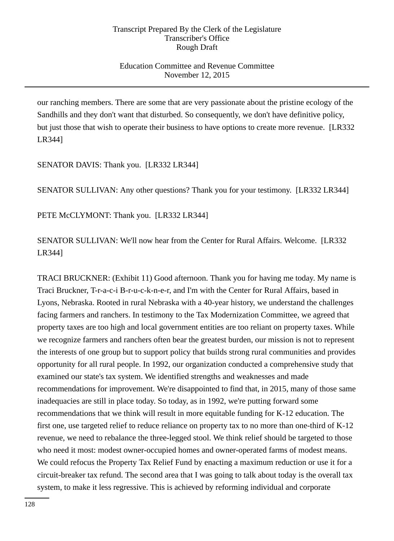## Education Committee and Revenue Committee November 12, 2015

our ranching members. There are some that are very passionate about the pristine ecology of the Sandhills and they don't want that disturbed. So consequently, we don't have definitive policy, but just those that wish to operate their business to have options to create more revenue. [LR332 LR344]

SENATOR DAVIS: Thank you. [LR332 LR344]

SENATOR SULLIVAN: Any other questions? Thank you for your testimony. [LR332 LR344]

PETE McCLYMONT: Thank you. [LR332 LR344]

SENATOR SULLIVAN: We'll now hear from the Center for Rural Affairs. Welcome. [LR332 LR344]

TRACI BRUCKNER: (Exhibit 11) Good afternoon. Thank you for having me today. My name is Traci Bruckner, T-r-a-c-i B-r-u-c-k-n-e-r, and I'm with the Center for Rural Affairs, based in Lyons, Nebraska. Rooted in rural Nebraska with a 40-year history, we understand the challenges facing farmers and ranchers. In testimony to the Tax Modernization Committee, we agreed that property taxes are too high and local government entities are too reliant on property taxes. While we recognize farmers and ranchers often bear the greatest burden, our mission is not to represent the interests of one group but to support policy that builds strong rural communities and provides opportunity for all rural people. In 1992, our organization conducted a comprehensive study that examined our state's tax system. We identified strengths and weaknesses and made recommendations for improvement. We're disappointed to find that, in 2015, many of those same inadequacies are still in place today. So today, as in 1992, we're putting forward some recommendations that we think will result in more equitable funding for K-12 education. The first one, use targeted relief to reduce reliance on property tax to no more than one-third of K-12 revenue, we need to rebalance the three-legged stool. We think relief should be targeted to those who need it most: modest owner-occupied homes and owner-operated farms of modest means. We could refocus the Property Tax Relief Fund by enacting a maximum reduction or use it for a circuit-breaker tax refund. The second area that I was going to talk about today is the overall tax system, to make it less regressive. This is achieved by reforming individual and corporate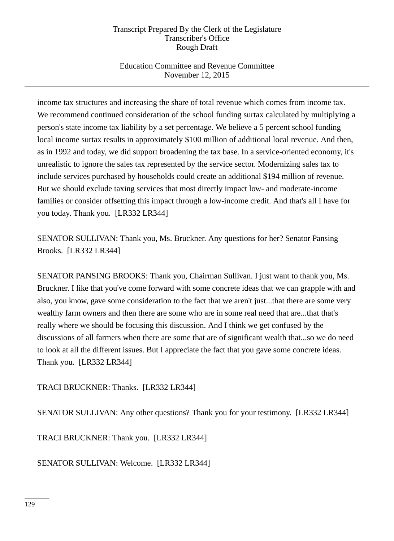# Education Committee and Revenue Committee November 12, 2015

income tax structures and increasing the share of total revenue which comes from income tax. We recommend continued consideration of the school funding surtax calculated by multiplying a person's state income tax liability by a set percentage. We believe a 5 percent school funding local income surtax results in approximately \$100 million of additional local revenue. And then, as in 1992 and today, we did support broadening the tax base. In a service-oriented economy, it's unrealistic to ignore the sales tax represented by the service sector. Modernizing sales tax to include services purchased by households could create an additional \$194 million of revenue. But we should exclude taxing services that most directly impact low- and moderate-income families or consider offsetting this impact through a low-income credit. And that's all I have for you today. Thank you. [LR332 LR344]

SENATOR SULLIVAN: Thank you, Ms. Bruckner. Any questions for her? Senator Pansing Brooks. [LR332 LR344]

SENATOR PANSING BROOKS: Thank you, Chairman Sullivan. I just want to thank you, Ms. Bruckner. I like that you've come forward with some concrete ideas that we can grapple with and also, you know, gave some consideration to the fact that we aren't just...that there are some very wealthy farm owners and then there are some who are in some real need that are...that that's really where we should be focusing this discussion. And I think we get confused by the discussions of all farmers when there are some that are of significant wealth that...so we do need to look at all the different issues. But I appreciate the fact that you gave some concrete ideas. Thank you. [LR332 LR344]

TRACI BRUCKNER: Thanks. [LR332 LR344]

SENATOR SULLIVAN: Any other questions? Thank you for your testimony. [LR332 LR344]

TRACI BRUCKNER: Thank you. [LR332 LR344]

SENATOR SULLIVAN: Welcome. [LR332 LR344]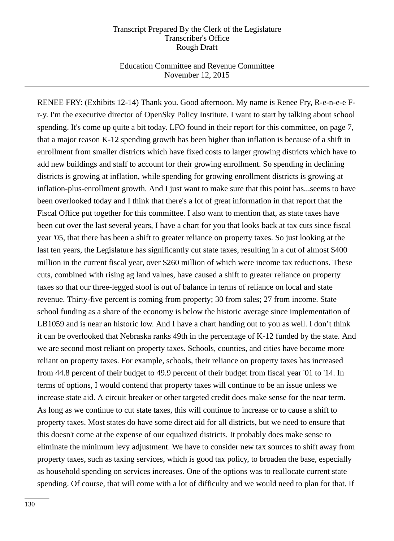### Education Committee and Revenue Committee November 12, 2015

RENEE FRY: (Exhibits 12-14) Thank you. Good afternoon. My name is Renee Fry, R-e-n-e-e Fr-y. I'm the executive director of OpenSky Policy Institute. I want to start by talking about school spending. It's come up quite a bit today. LFO found in their report for this committee, on page 7, that a major reason K-12 spending growth has been higher than inflation is because of a shift in enrollment from smaller districts which have fixed costs to larger growing districts which have to add new buildings and staff to account for their growing enrollment. So spending in declining districts is growing at inflation, while spending for growing enrollment districts is growing at inflation-plus-enrollment growth. And I just want to make sure that this point has...seems to have been overlooked today and I think that there's a lot of great information in that report that the Fiscal Office put together for this committee. I also want to mention that, as state taxes have been cut over the last several years, I have a chart for you that looks back at tax cuts since fiscal year '05, that there has been a shift to greater reliance on property taxes. So just looking at the last ten years, the Legislature has significantly cut state taxes, resulting in a cut of almost \$400 million in the current fiscal year, over \$260 million of which were income tax reductions. These cuts, combined with rising ag land values, have caused a shift to greater reliance on property taxes so that our three-legged stool is out of balance in terms of reliance on local and state revenue. Thirty-five percent is coming from property; 30 from sales; 27 from income. State school funding as a share of the economy is below the historic average since implementation of LB1059 and is near an historic low. And I have a chart handing out to you as well. I don't think it can be overlooked that Nebraska ranks 49th in the percentage of K-12 funded by the state. And we are second most reliant on property taxes. Schools, counties, and cities have become more reliant on property taxes. For example, schools, their reliance on property taxes has increased from 44.8 percent of their budget to 49.9 percent of their budget from fiscal year '01 to '14. In terms of options, I would contend that property taxes will continue to be an issue unless we increase state aid. A circuit breaker or other targeted credit does make sense for the near term. As long as we continue to cut state taxes, this will continue to increase or to cause a shift to property taxes. Most states do have some direct aid for all districts, but we need to ensure that this doesn't come at the expense of our equalized districts. It probably does make sense to eliminate the minimum levy adjustment. We have to consider new tax sources to shift away from property taxes, such as taxing services, which is good tax policy, to broaden the base, especially as household spending on services increases. One of the options was to reallocate current state spending. Of course, that will come with a lot of difficulty and we would need to plan for that. If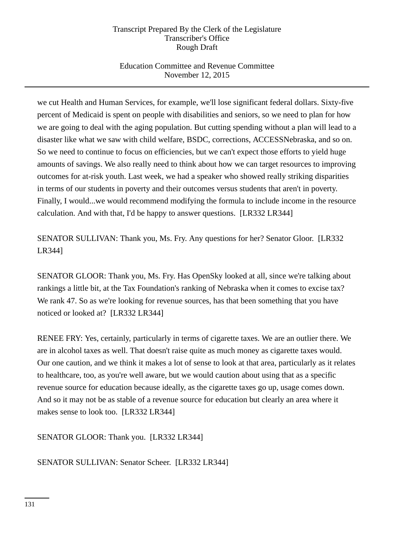# Education Committee and Revenue Committee November 12, 2015

we cut Health and Human Services, for example, we'll lose significant federal dollars. Sixty-five percent of Medicaid is spent on people with disabilities and seniors, so we need to plan for how we are going to deal with the aging population. But cutting spending without a plan will lead to a disaster like what we saw with child welfare, BSDC, corrections, ACCESSNebraska, and so on. So we need to continue to focus on efficiencies, but we can't expect those efforts to yield huge amounts of savings. We also really need to think about how we can target resources to improving outcomes for at-risk youth. Last week, we had a speaker who showed really striking disparities in terms of our students in poverty and their outcomes versus students that aren't in poverty. Finally, I would...we would recommend modifying the formula to include income in the resource calculation. And with that, I'd be happy to answer questions. [LR332 LR344]

SENATOR SULLIVAN: Thank you, Ms. Fry. Any questions for her? Senator Gloor. [LR332 LR344]

SENATOR GLOOR: Thank you, Ms. Fry. Has OpenSky looked at all, since we're talking about rankings a little bit, at the Tax Foundation's ranking of Nebraska when it comes to excise tax? We rank 47. So as we're looking for revenue sources, has that been something that you have noticed or looked at? [LR332 LR344]

RENEE FRY: Yes, certainly, particularly in terms of cigarette taxes. We are an outlier there. We are in alcohol taxes as well. That doesn't raise quite as much money as cigarette taxes would. Our one caution, and we think it makes a lot of sense to look at that area, particularly as it relates to healthcare, too, as you're well aware, but we would caution about using that as a specific revenue source for education because ideally, as the cigarette taxes go up, usage comes down. And so it may not be as stable of a revenue source for education but clearly an area where it makes sense to look too. [LR332 LR344]

SENATOR GLOOR: Thank you. [LR332 LR344]

SENATOR SULLIVAN: Senator Scheer. [LR332 LR344]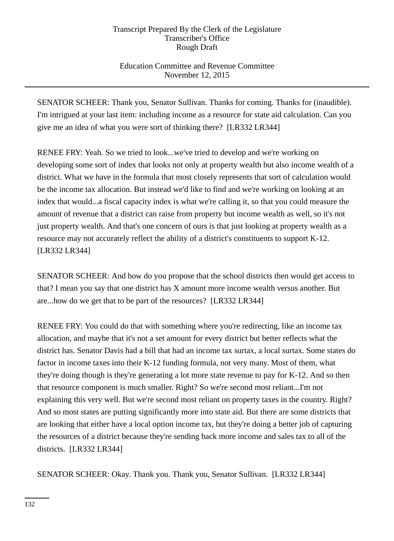# Education Committee and Revenue Committee November 12, 2015

SENATOR SCHEER: Thank you, Senator Sullivan. Thanks for coming. Thanks for (inaudible). I'm intrigued at your last item: including income as a resource for state aid calculation. Can you give me an idea of what you were sort of thinking there? [LR332 LR344]

RENEE FRY: Yeah. So we tried to look...we've tried to develop and we're working on developing some sort of index that looks not only at property wealth but also income wealth of a district. What we have in the formula that most closely represents that sort of calculation would be the income tax allocation. But instead we'd like to find and we're working on looking at an index that would...a fiscal capacity index is what we're calling it, so that you could measure the amount of revenue that a district can raise from property but income wealth as well, so it's not just property wealth. And that's one concern of ours is that just looking at property wealth as a resource may not accurately reflect the ability of a district's constituents to support K-12. [LR332 LR344]

SENATOR SCHEER: And how do you propose that the school districts then would get access to that? I mean you say that one district has X amount more income wealth versus another. But are...how do we get that to be part of the resources? [LR332 LR344]

RENEE FRY: You could do that with something where you're redirecting, like an income tax allocation, and maybe that it's not a set amount for every district but better reflects what the district has. Senator Davis had a bill that had an income tax surtax, a local surtax. Some states do factor in income taxes into their K-12 funding formula, not very many. Most of them, what they're doing though is they're generating a lot more state revenue to pay for K-12. And so then that resource component is much smaller. Right? So we're second most reliant...I'm not explaining this very well. But we're second most reliant on property taxes in the country. Right? And so most states are putting significantly more into state aid. But there are some districts that are looking that either have a local option income tax, but they're doing a better job of capturing the resources of a district because they're sending back more income and sales tax to all of the districts. [LR332 LR344]

SENATOR SCHEER: Okay. Thank you. Thank you, Senator Sullivan. [LR332 LR344]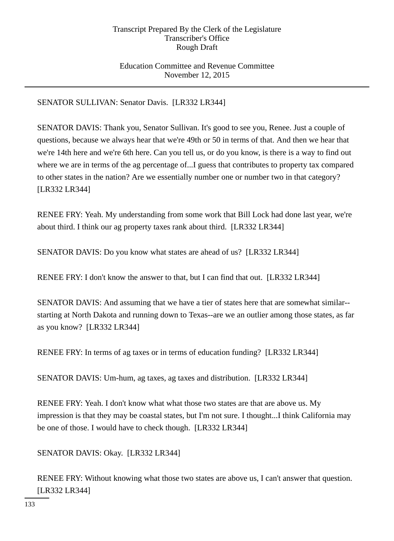### Education Committee and Revenue Committee November 12, 2015

SENATOR SULLIVAN: Senator Davis. [LR332 LR344]

SENATOR DAVIS: Thank you, Senator Sullivan. It's good to see you, Renee. Just a couple of questions, because we always hear that we're 49th or 50 in terms of that. And then we hear that we're 14th here and we're 6th here. Can you tell us, or do you know, is there is a way to find out where we are in terms of the ag percentage of...I guess that contributes to property tax compared to other states in the nation? Are we essentially number one or number two in that category? [LR332 LR344]

RENEE FRY: Yeah. My understanding from some work that Bill Lock had done last year, we're about third. I think our ag property taxes rank about third. [LR332 LR344]

SENATOR DAVIS: Do you know what states are ahead of us? [LR332 LR344]

RENEE FRY: I don't know the answer to that, but I can find that out. [LR332 LR344]

SENATOR DAVIS: And assuming that we have a tier of states here that are somewhat similar- starting at North Dakota and running down to Texas--are we an outlier among those states, as far as you know? [LR332 LR344]

RENEE FRY: In terms of ag taxes or in terms of education funding? [LR332 LR344]

SENATOR DAVIS: Um-hum, ag taxes, ag taxes and distribution. [LR332 LR344]

RENEE FRY: Yeah. I don't know what what those two states are that are above us. My impression is that they may be coastal states, but I'm not sure. I thought...I think California may be one of those. I would have to check though. [LR332 LR344]

SENATOR DAVIS: Okay. [LR332 LR344]

RENEE FRY: Without knowing what those two states are above us, I can't answer that question. [LR332 LR344]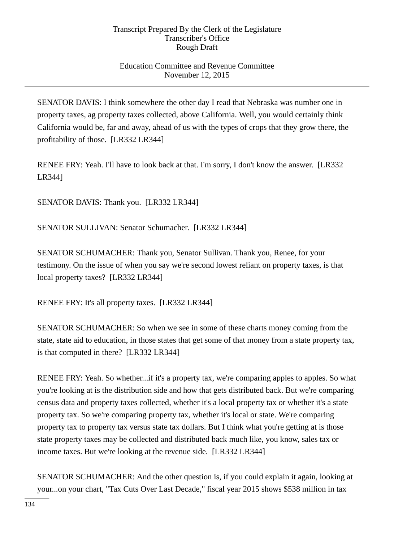# Education Committee and Revenue Committee November 12, 2015

SENATOR DAVIS: I think somewhere the other day I read that Nebraska was number one in property taxes, ag property taxes collected, above California. Well, you would certainly think California would be, far and away, ahead of us with the types of crops that they grow there, the profitability of those. [LR332 LR344]

RENEE FRY: Yeah. I'll have to look back at that. I'm sorry, I don't know the answer. [LR332 LR344]

SENATOR DAVIS: Thank you. [LR332 LR344]

SENATOR SULLIVAN: Senator Schumacher. [LR332 LR344]

SENATOR SCHUMACHER: Thank you, Senator Sullivan. Thank you, Renee, for your testimony. On the issue of when you say we're second lowest reliant on property taxes, is that local property taxes? [LR332 LR344]

RENEE FRY: It's all property taxes. [LR332 LR344]

SENATOR SCHUMACHER: So when we see in some of these charts money coming from the state, state aid to education, in those states that get some of that money from a state property tax, is that computed in there? [LR332 LR344]

RENEE FRY: Yeah. So whether...if it's a property tax, we're comparing apples to apples. So what you're looking at is the distribution side and how that gets distributed back. But we're comparing census data and property taxes collected, whether it's a local property tax or whether it's a state property tax. So we're comparing property tax, whether it's local or state. We're comparing property tax to property tax versus state tax dollars. But I think what you're getting at is those state property taxes may be collected and distributed back much like, you know, sales tax or income taxes. But we're looking at the revenue side. [LR332 LR344]

SENATOR SCHUMACHER: And the other question is, if you could explain it again, looking at your...on your chart, "Tax Cuts Over Last Decade," fiscal year 2015 shows \$538 million in tax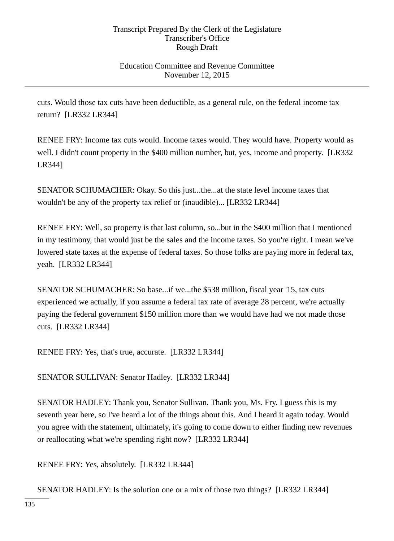### Education Committee and Revenue Committee November 12, 2015

cuts. Would those tax cuts have been deductible, as a general rule, on the federal income tax return? [LR332 LR344]

RENEE FRY: Income tax cuts would. Income taxes would. They would have. Property would as well. I didn't count property in the \$400 million number, but, yes, income and property. [LR332 LR344]

SENATOR SCHUMACHER: Okay. So this just...the...at the state level income taxes that wouldn't be any of the property tax relief or (inaudible)... [LR332 LR344]

RENEE FRY: Well, so property is that last column, so...but in the \$400 million that I mentioned in my testimony, that would just be the sales and the income taxes. So you're right. I mean we've lowered state taxes at the expense of federal taxes. So those folks are paying more in federal tax, yeah. [LR332 LR344]

SENATOR SCHUMACHER: So base...if we...the \$538 million, fiscal year '15, tax cuts experienced we actually, if you assume a federal tax rate of average 28 percent, we're actually paying the federal government \$150 million more than we would have had we not made those cuts. [LR332 LR344]

RENEE FRY: Yes, that's true, accurate. [LR332 LR344]

SENATOR SULLIVAN: Senator Hadley. [LR332 LR344]

SENATOR HADLEY: Thank you, Senator Sullivan. Thank you, Ms. Fry. I guess this is my seventh year here, so I've heard a lot of the things about this. And I heard it again today. Would you agree with the statement, ultimately, it's going to come down to either finding new revenues or reallocating what we're spending right now? [LR332 LR344]

RENEE FRY: Yes, absolutely. [LR332 LR344]

SENATOR HADLEY: Is the solution one or a mix of those two things? [LR332 LR344]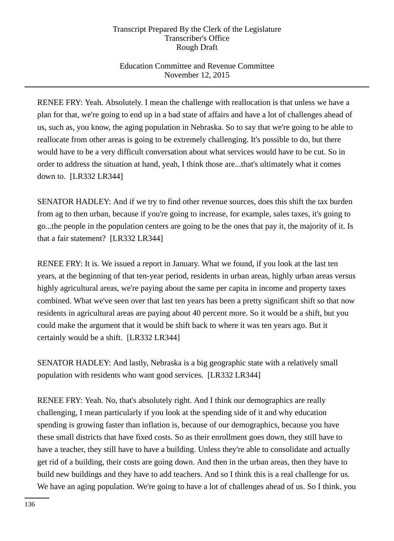# Education Committee and Revenue Committee November 12, 2015

RENEE FRY: Yeah. Absolutely. I mean the challenge with reallocation is that unless we have a plan for that, we're going to end up in a bad state of affairs and have a lot of challenges ahead of us, such as, you know, the aging population in Nebraska. So to say that we're going to be able to reallocate from other areas is going to be extremely challenging. It's possible to do, but there would have to be a very difficult conversation about what services would have to be cut. So in order to address the situation at hand, yeah, I think those are...that's ultimately what it comes down to. [LR332 LR344]

SENATOR HADLEY: And if we try to find other revenue sources, does this shift the tax burden from ag to then urban, because if you're going to increase, for example, sales taxes, it's going to go...the people in the population centers are going to be the ones that pay it, the majority of it. Is that a fair statement? [LR332 LR344]

RENEE FRY: It is. We issued a report in January. What we found, if you look at the last ten years, at the beginning of that ten-year period, residents in urban areas, highly urban areas versus highly agricultural areas, we're paying about the same per capita in income and property taxes combined. What we've seen over that last ten years has been a pretty significant shift so that now residents in agricultural areas are paying about 40 percent more. So it would be a shift, but you could make the argument that it would be shift back to where it was ten years ago. But it certainly would be a shift. [LR332 LR344]

SENATOR HADLEY: And lastly, Nebraska is a big geographic state with a relatively small population with residents who want good services. [LR332 LR344]

RENEE FRY: Yeah. No, that's absolutely right. And I think our demographics are really challenging, I mean particularly if you look at the spending side of it and why education spending is growing faster than inflation is, because of our demographics, because you have these small districts that have fixed costs. So as their enrollment goes down, they still have to have a teacher, they still have to have a building. Unless they're able to consolidate and actually get rid of a building, their costs are going down. And then in the urban areas, then they have to build new buildings and they have to add teachers. And so I think this is a real challenge for us. We have an aging population. We're going to have a lot of challenges ahead of us. So I think, you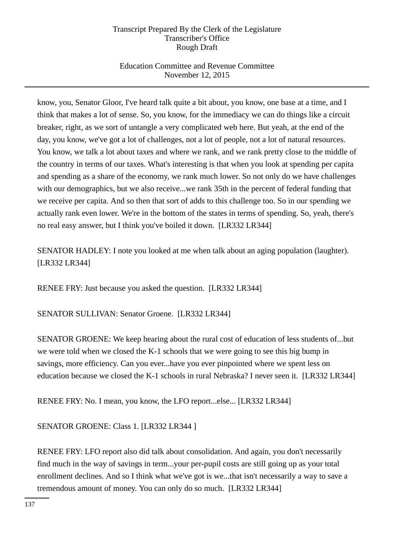# Education Committee and Revenue Committee November 12, 2015

know, you, Senator Gloor, I've heard talk quite a bit about, you know, one base at a time, and I think that makes a lot of sense. So, you know, for the immediacy we can do things like a circuit breaker, right, as we sort of untangle a very complicated web here. But yeah, at the end of the day, you know, we've got a lot of challenges, not a lot of people, not a lot of natural resources. You know, we talk a lot about taxes and where we rank, and we rank pretty close to the middle of the country in terms of our taxes. What's interesting is that when you look at spending per capita and spending as a share of the economy, we rank much lower. So not only do we have challenges with our demographics, but we also receive...we rank 35th in the percent of federal funding that we receive per capita. And so then that sort of adds to this challenge too. So in our spending we actually rank even lower. We're in the bottom of the states in terms of spending. So, yeah, there's no real easy answer, but I think you've boiled it down. [LR332 LR344]

SENATOR HADLEY: I note you looked at me when talk about an aging population (laughter). [LR332 LR344]

RENEE FRY: Just because you asked the question. [LR332 LR344]

SENATOR SULLIVAN: Senator Groene. [LR332 LR344]

SENATOR GROENE: We keep hearing about the rural cost of education of less students of...but we were told when we closed the K-1 schools that we were going to see this big bump in savings, more efficiency. Can you ever...have you ever pinpointed where we spent less on education because we closed the K-1 schools in rural Nebraska? I never seen it. [LR332 LR344]

RENEE FRY: No. I mean, you know, the LFO report...else... [LR332 LR344]

SENATOR GROENE: Class 1. [LR332 LR344 ]

RENEE FRY: LFO report also did talk about consolidation. And again, you don't necessarily find much in the way of savings in term...your per-pupil costs are still going up as your total enrollment declines. And so I think what we've got is we...that isn't necessarily a way to save a tremendous amount of money. You can only do so much. [LR332 LR344]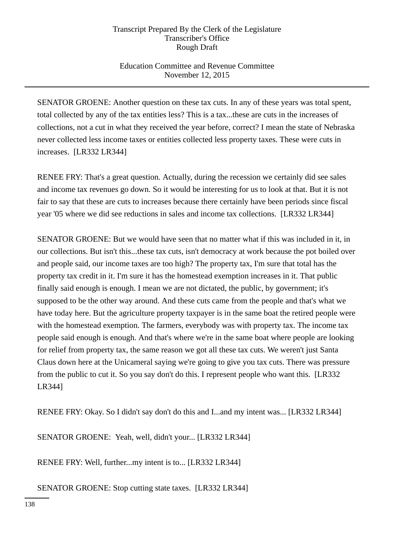# Education Committee and Revenue Committee November 12, 2015

SENATOR GROENE: Another question on these tax cuts. In any of these years was total spent, total collected by any of the tax entities less? This is a tax...these are cuts in the increases of collections, not a cut in what they received the year before, correct? I mean the state of Nebraska never collected less income taxes or entities collected less property taxes. These were cuts in increases. [LR332 LR344]

RENEE FRY: That's a great question. Actually, during the recession we certainly did see sales and income tax revenues go down. So it would be interesting for us to look at that. But it is not fair to say that these are cuts to increases because there certainly have been periods since fiscal year '05 where we did see reductions in sales and income tax collections. [LR332 LR344]

SENATOR GROENE: But we would have seen that no matter what if this was included in it, in our collections. But isn't this...these tax cuts, isn't democracy at work because the pot boiled over and people said, our income taxes are too high? The property tax, I'm sure that total has the property tax credit in it. I'm sure it has the homestead exemption increases in it. That public finally said enough is enough. I mean we are not dictated, the public, by government; it's supposed to be the other way around. And these cuts came from the people and that's what we have today here. But the agriculture property taxpayer is in the same boat the retired people were with the homestead exemption. The farmers, everybody was with property tax. The income tax people said enough is enough. And that's where we're in the same boat where people are looking for relief from property tax, the same reason we got all these tax cuts. We weren't just Santa Claus down here at the Unicameral saying we're going to give you tax cuts. There was pressure from the public to cut it. So you say don't do this. I represent people who want this. [LR332 LR344]

RENEE FRY: Okay. So I didn't say don't do this and I...and my intent was... [LR332 LR344]

SENATOR GROENE: Yeah, well, didn't your... [LR332 LR344]

RENEE FRY: Well, further...my intent is to... [LR332 LR344]

SENATOR GROENE: Stop cutting state taxes. [LR332 LR344]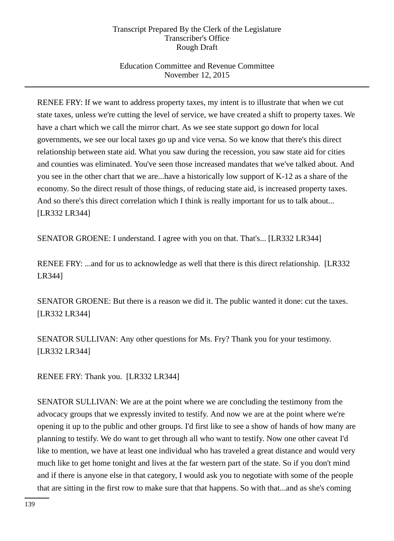# Education Committee and Revenue Committee November 12, 2015

RENEE FRY: If we want to address property taxes, my intent is to illustrate that when we cut state taxes, unless we're cutting the level of service, we have created a shift to property taxes. We have a chart which we call the mirror chart. As we see state support go down for local governments, we see our local taxes go up and vice versa. So we know that there's this direct relationship between state aid. What you saw during the recession, you saw state aid for cities and counties was eliminated. You've seen those increased mandates that we've talked about. And you see in the other chart that we are...have a historically low support of K-12 as a share of the economy. So the direct result of those things, of reducing state aid, is increased property taxes. And so there's this direct correlation which I think is really important for us to talk about... [LR332 LR344]

SENATOR GROENE: I understand. I agree with you on that. That's... [LR332 LR344]

RENEE FRY: ...and for us to acknowledge as well that there is this direct relationship. [LR332] LR344]

SENATOR GROENE: But there is a reason we did it. The public wanted it done: cut the taxes. [LR332 LR344]

SENATOR SULLIVAN: Any other questions for Ms. Fry? Thank you for your testimony. [LR332 LR344]

RENEE FRY: Thank you. [LR332 LR344]

SENATOR SULLIVAN: We are at the point where we are concluding the testimony from the advocacy groups that we expressly invited to testify. And now we are at the point where we're opening it up to the public and other groups. I'd first like to see a show of hands of how many are planning to testify. We do want to get through all who want to testify. Now one other caveat I'd like to mention, we have at least one individual who has traveled a great distance and would very much like to get home tonight and lives at the far western part of the state. So if you don't mind and if there is anyone else in that category, I would ask you to negotiate with some of the people that are sitting in the first row to make sure that that happens. So with that...and as she's coming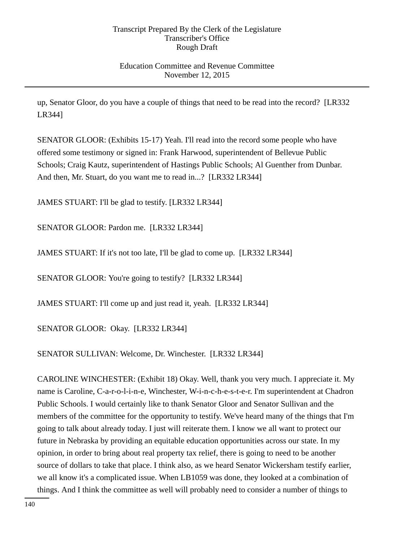# Education Committee and Revenue Committee November 12, 2015

up, Senator Gloor, do you have a couple of things that need to be read into the record? [LR332 LR344]

SENATOR GLOOR: (Exhibits 15-17) Yeah. I'll read into the record some people who have offered some testimony or signed in: Frank Harwood, superintendent of Bellevue Public Schools; Craig Kautz, superintendent of Hastings Public Schools; Al Guenther from Dunbar. And then, Mr. Stuart, do you want me to read in...? [LR332 LR344]

JAMES STUART: I'll be glad to testify. [LR332 LR344]

SENATOR GLOOR: Pardon me. [LR332 LR344]

JAMES STUART: If it's not too late, I'll be glad to come up. [LR332 LR344]

SENATOR GLOOR: You're going to testify? [LR332 LR344]

JAMES STUART: I'll come up and just read it, yeah. [LR332 LR344]

SENATOR GLOOR: Okay. [LR332 LR344]

SENATOR SULLIVAN: Welcome, Dr. Winchester. [LR332 LR344]

CAROLINE WINCHESTER: (Exhibit 18) Okay. Well, thank you very much. I appreciate it. My name is Caroline, C-a-r-o-l-i-n-e, Winchester, W-i-n-c-h-e-s-t-e-r. I'm superintendent at Chadron Public Schools. I would certainly like to thank Senator Gloor and Senator Sullivan and the members of the committee for the opportunity to testify. We've heard many of the things that I'm going to talk about already today. I just will reiterate them. I know we all want to protect our future in Nebraska by providing an equitable education opportunities across our state. In my opinion, in order to bring about real property tax relief, there is going to need to be another source of dollars to take that place. I think also, as we heard Senator Wickersham testify earlier, we all know it's a complicated issue. When LB1059 was done, they looked at a combination of things. And I think the committee as well will probably need to consider a number of things to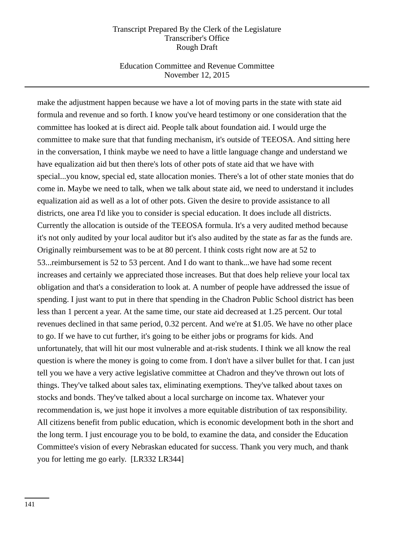### Education Committee and Revenue Committee November 12, 2015

make the adjustment happen because we have a lot of moving parts in the state with state aid formula and revenue and so forth. I know you've heard testimony or one consideration that the committee has looked at is direct aid. People talk about foundation aid. I would urge the committee to make sure that that funding mechanism, it's outside of TEEOSA. And sitting here in the conversation, I think maybe we need to have a little language change and understand we have equalization aid but then there's lots of other pots of state aid that we have with special...you know, special ed, state allocation monies. There's a lot of other state monies that do come in. Maybe we need to talk, when we talk about state aid, we need to understand it includes equalization aid as well as a lot of other pots. Given the desire to provide assistance to all districts, one area I'd like you to consider is special education. It does include all districts. Currently the allocation is outside of the TEEOSA formula. It's a very audited method because it's not only audited by your local auditor but it's also audited by the state as far as the funds are. Originally reimbursement was to be at 80 percent. I think costs right now are at 52 to 53...reimbursement is 52 to 53 percent. And I do want to thank...we have had some recent increases and certainly we appreciated those increases. But that does help relieve your local tax obligation and that's a consideration to look at. A number of people have addressed the issue of spending. I just want to put in there that spending in the Chadron Public School district has been less than 1 percent a year. At the same time, our state aid decreased at 1.25 percent. Our total revenues declined in that same period, 0.32 percent. And we're at \$1.05. We have no other place to go. If we have to cut further, it's going to be either jobs or programs for kids. And unfortunately, that will hit our most vulnerable and at-risk students. I think we all know the real question is where the money is going to come from. I don't have a silver bullet for that. I can just tell you we have a very active legislative committee at Chadron and they've thrown out lots of things. They've talked about sales tax, eliminating exemptions. They've talked about taxes on stocks and bonds. They've talked about a local surcharge on income tax. Whatever your recommendation is, we just hope it involves a more equitable distribution of tax responsibility. All citizens benefit from public education, which is economic development both in the short and the long term. I just encourage you to be bold, to examine the data, and consider the Education Committee's vision of every Nebraskan educated for success. Thank you very much, and thank you for letting me go early. [LR332 LR344]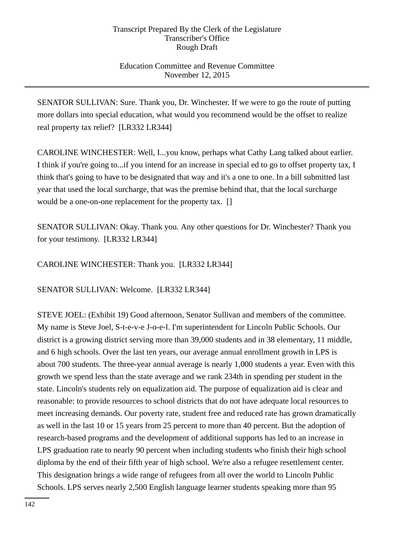## Education Committee and Revenue Committee November 12, 2015

SENATOR SULLIVAN: Sure. Thank you, Dr. Winchester. If we were to go the route of putting more dollars into special education, what would you recommend would be the offset to realize real property tax relief? [LR332 LR344]

CAROLINE WINCHESTER: Well, I...you know, perhaps what Cathy Lang talked about earlier. I think if you're going to...if you intend for an increase in special ed to go to offset property tax, I think that's going to have to be designated that way and it's a one to one. In a bill submitted last year that used the local surcharge, that was the premise behind that, that the local surcharge would be a one-on-one replacement for the property tax. []

SENATOR SULLIVAN: Okay. Thank you. Any other questions for Dr. Winchester? Thank you for your testimony. [LR332 LR344]

CAROLINE WINCHESTER: Thank you. [LR332 LR344]

SENATOR SULLIVAN: Welcome. [LR332 LR344]

STEVE JOEL: (Exhibit 19) Good afternoon, Senator Sullivan and members of the committee. My name is Steve Joel, S-t-e-v-e J-o-e-l. I'm superintendent for Lincoln Public Schools. Our district is a growing district serving more than 39,000 students and in 38 elementary, 11 middle, and 6 high schools. Over the last ten years, our average annual enrollment growth in LPS is about 700 students. The three-year annual average is nearly 1,000 students a year. Even with this growth we spend less than the state average and we rank 234th in spending per student in the state. Lincoln's students rely on equalization aid. The purpose of equalization aid is clear and reasonable: to provide resources to school districts that do not have adequate local resources to meet increasing demands. Our poverty rate, student free and reduced rate has grown dramatically as well in the last 10 or 15 years from 25 percent to more than 40 percent. But the adoption of research-based programs and the development of additional supports has led to an increase in LPS graduation rate to nearly 90 percent when including students who finish their high school diploma by the end of their fifth year of high school. We're also a refugee resettlement center. This designation brings a wide range of refugees from all over the world to Lincoln Public Schools. LPS serves nearly 2,500 English language learner students speaking more than 95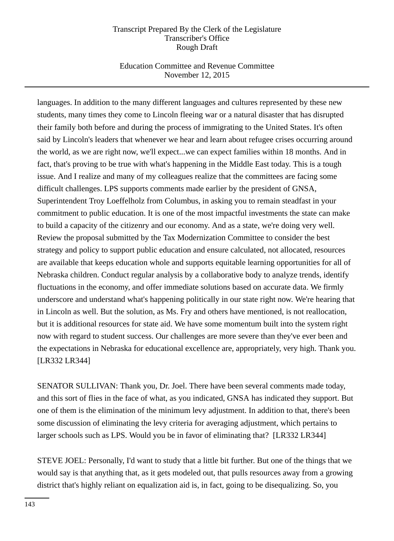# Education Committee and Revenue Committee November 12, 2015

languages. In addition to the many different languages and cultures represented by these new students, many times they come to Lincoln fleeing war or a natural disaster that has disrupted their family both before and during the process of immigrating to the United States. It's often said by Lincoln's leaders that whenever we hear and learn about refugee crises occurring around the world, as we are right now, we'll expect...we can expect families within 18 months. And in fact, that's proving to be true with what's happening in the Middle East today. This is a tough issue. And I realize and many of my colleagues realize that the committees are facing some difficult challenges. LPS supports comments made earlier by the president of GNSA, Superintendent Troy Loeffelholz from Columbus, in asking you to remain steadfast in your commitment to public education. It is one of the most impactful investments the state can make to build a capacity of the citizenry and our economy. And as a state, we're doing very well. Review the proposal submitted by the Tax Modernization Committee to consider the best strategy and policy to support public education and ensure calculated, not allocated, resources are available that keeps education whole and supports equitable learning opportunities for all of Nebraska children. Conduct regular analysis by a collaborative body to analyze trends, identify fluctuations in the economy, and offer immediate solutions based on accurate data. We firmly underscore and understand what's happening politically in our state right now. We're hearing that in Lincoln as well. But the solution, as Ms. Fry and others have mentioned, is not reallocation, but it is additional resources for state aid. We have some momentum built into the system right now with regard to student success. Our challenges are more severe than they've ever been and the expectations in Nebraska for educational excellence are, appropriately, very high. Thank you. [LR332 LR344]

SENATOR SULLIVAN: Thank you, Dr. Joel. There have been several comments made today, and this sort of flies in the face of what, as you indicated, GNSA has indicated they support. But one of them is the elimination of the minimum levy adjustment. In addition to that, there's been some discussion of eliminating the levy criteria for averaging adjustment, which pertains to larger schools such as LPS. Would you be in favor of eliminating that? [LR332 LR344]

STEVE JOEL: Personally, I'd want to study that a little bit further. But one of the things that we would say is that anything that, as it gets modeled out, that pulls resources away from a growing district that's highly reliant on equalization aid is, in fact, going to be disequalizing. So, you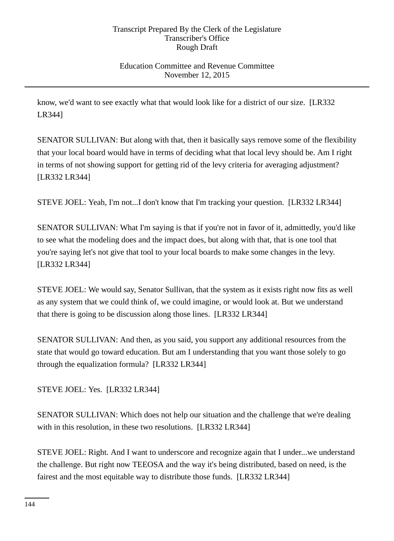## Education Committee and Revenue Committee November 12, 2015

know, we'd want to see exactly what that would look like for a district of our size. [LR332 LR344]

SENATOR SULLIVAN: But along with that, then it basically says remove some of the flexibility that your local board would have in terms of deciding what that local levy should be. Am I right in terms of not showing support for getting rid of the levy criteria for averaging adjustment? [LR332 LR344]

STEVE JOEL: Yeah, I'm not...I don't know that I'm tracking your question. [LR332 LR344]

SENATOR SULLIVAN: What I'm saying is that if you're not in favor of it, admittedly, you'd like to see what the modeling does and the impact does, but along with that, that is one tool that you're saying let's not give that tool to your local boards to make some changes in the levy. [LR332 LR344]

STEVE JOEL: We would say, Senator Sullivan, that the system as it exists right now fits as well as any system that we could think of, we could imagine, or would look at. But we understand that there is going to be discussion along those lines. [LR332 LR344]

SENATOR SULLIVAN: And then, as you said, you support any additional resources from the state that would go toward education. But am I understanding that you want those solely to go through the equalization formula? [LR332 LR344]

STEVE JOEL: Yes. [LR332 LR344]

SENATOR SULLIVAN: Which does not help our situation and the challenge that we're dealing with in this resolution, in these two resolutions. [LR332 LR344]

STEVE JOEL: Right. And I want to underscore and recognize again that I under...we understand the challenge. But right now TEEOSA and the way it's being distributed, based on need, is the fairest and the most equitable way to distribute those funds. [LR332 LR344]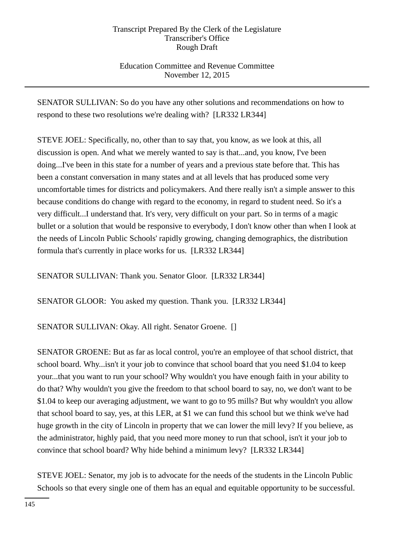Education Committee and Revenue Committee November 12, 2015

SENATOR SULLIVAN: So do you have any other solutions and recommendations on how to respond to these two resolutions we're dealing with? [LR332 LR344]

STEVE JOEL: Specifically, no, other than to say that, you know, as we look at this, all discussion is open. And what we merely wanted to say is that...and, you know, I've been doing...I've been in this state for a number of years and a previous state before that. This has been a constant conversation in many states and at all levels that has produced some very uncomfortable times for districts and policymakers. And there really isn't a simple answer to this because conditions do change with regard to the economy, in regard to student need. So it's a very difficult...I understand that. It's very, very difficult on your part. So in terms of a magic bullet or a solution that would be responsive to everybody, I don't know other than when I look at the needs of Lincoln Public Schools' rapidly growing, changing demographics, the distribution formula that's currently in place works for us. [LR332 LR344]

SENATOR SULLIVAN: Thank you. Senator Gloor. [LR332 LR344]

SENATOR GLOOR: You asked my question. Thank you. [LR332 LR344]

SENATOR SULLIVAN: Okay. All right. Senator Groene. []

SENATOR GROENE: But as far as local control, you're an employee of that school district, that school board. Why...isn't it your job to convince that school board that you need \$1.04 to keep your...that you want to run your school? Why wouldn't you have enough faith in your ability to do that? Why wouldn't you give the freedom to that school board to say, no, we don't want to be \$1.04 to keep our averaging adjustment, we want to go to 95 mills? But why wouldn't you allow that school board to say, yes, at this LER, at \$1 we can fund this school but we think we've had huge growth in the city of Lincoln in property that we can lower the mill levy? If you believe, as the administrator, highly paid, that you need more money to run that school, isn't it your job to convince that school board? Why hide behind a minimum levy? [LR332 LR344]

STEVE JOEL: Senator, my job is to advocate for the needs of the students in the Lincoln Public Schools so that every single one of them has an equal and equitable opportunity to be successful.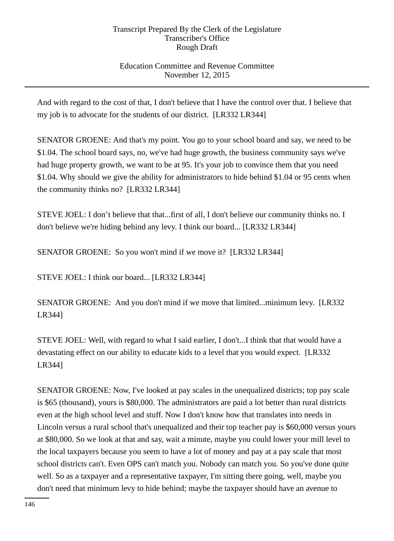## Education Committee and Revenue Committee November 12, 2015

And with regard to the cost of that, I don't believe that I have the control over that. I believe that my job is to advocate for the students of our district. [LR332 LR344]

SENATOR GROENE: And that's my point. You go to your school board and say, we need to be \$1.04. The school board says, no, we've had huge growth, the business community says we've had huge property growth, we want to be at 95. It's your job to convince them that you need \$1.04. Why should we give the ability for administrators to hide behind \$1.04 or 95 cents when the community thinks no? [LR332 LR344]

STEVE JOEL: I don't believe that that...first of all, I don't believe our community thinks no. I don't believe we're hiding behind any levy. I think our board... [LR332 LR344]

SENATOR GROENE: So you won't mind if we move it? [LR332 LR344]

STEVE JOEL: I think our board... [LR332 LR344]

SENATOR GROENE: And you don't mind if we move that limited...minimum levy. [LR332 LR344]

STEVE JOEL: Well, with regard to what I said earlier, I don't...I think that that would have a devastating effect on our ability to educate kids to a level that you would expect. [LR332 LR344]

SENATOR GROENE: Now, I've looked at pay scales in the unequalized districts; top pay scale is \$65 (thousand), yours is \$80,000. The administrators are paid a lot better than rural districts even at the high school level and stuff. Now I don't know how that translates into needs in Lincoln versus a rural school that's unequalized and their top teacher pay is \$60,000 versus yours at \$80,000. So we look at that and say, wait a minute, maybe you could lower your mill level to the local taxpayers because you seem to have a lot of money and pay at a pay scale that most school districts can't. Even OPS can't match you. Nobody can match you. So you've done quite well. So as a taxpayer and a representative taxpayer, I'm sitting there going, well, maybe you don't need that minimum levy to hide behind; maybe the taxpayer should have an avenue to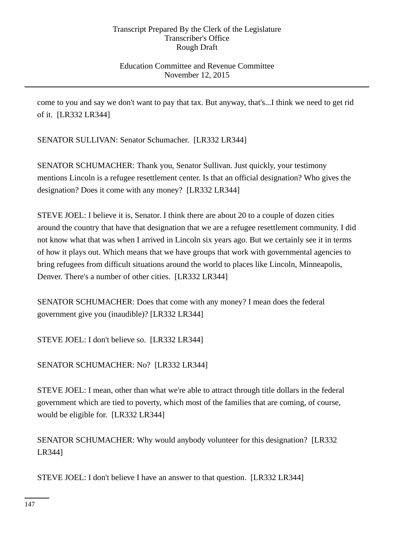### Education Committee and Revenue Committee November 12, 2015

come to you and say we don't want to pay that tax. But anyway, that's...I think we need to get rid of it. [LR332 LR344]

SENATOR SULLIVAN: Senator Schumacher. [LR332 LR344]

SENATOR SCHUMACHER: Thank you, Senator Sullivan. Just quickly, your testimony mentions Lincoln is a refugee resettlement center. Is that an official designation? Who gives the designation? Does it come with any money? [LR332 LR344]

STEVE JOEL: I believe it is, Senator. I think there are about 20 to a couple of dozen cities around the country that have that designation that we are a refugee resettlement community. I did not know what that was when I arrived in Lincoln six years ago. But we certainly see it in terms of how it plays out. Which means that we have groups that work with governmental agencies to bring refugees from difficult situations around the world to places like Lincoln, Minneapolis, Denver. There's a number of other cities. [LR332 LR344]

SENATOR SCHUMACHER: Does that come with any money? I mean does the federal government give you (inaudible)? [LR332 LR344]

STEVE JOEL: I don't believe so. [LR332 LR344]

SENATOR SCHUMACHER: No? [LR332 LR344]

STEVE JOEL: I mean, other than what we're able to attract through title dollars in the federal government which are tied to poverty, which most of the families that are coming, of course, would be eligible for. [LR332 LR344]

SENATOR SCHUMACHER: Why would anybody volunteer for this designation? [LR332 LR344]

STEVE JOEL: I don't believe I have an answer to that question. [LR332 LR344]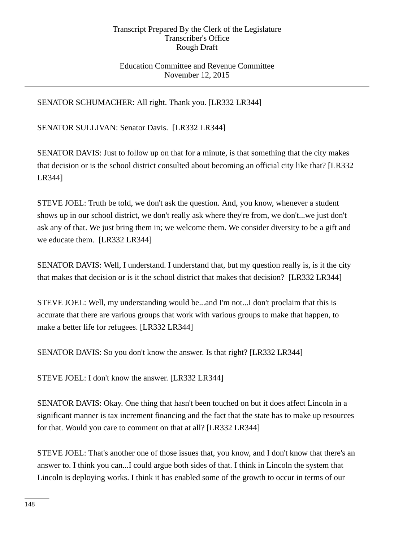### Education Committee and Revenue Committee November 12, 2015

SENATOR SCHUMACHER: All right. Thank you. [LR332 LR344]

SENATOR SULLIVAN: Senator Davis. [LR332 LR344]

SENATOR DAVIS: Just to follow up on that for a minute, is that something that the city makes that decision or is the school district consulted about becoming an official city like that? [LR332 LR344]

STEVE JOEL: Truth be told, we don't ask the question. And, you know, whenever a student shows up in our school district, we don't really ask where they're from, we don't...we just don't ask any of that. We just bring them in; we welcome them. We consider diversity to be a gift and we educate them. [LR332 LR344]

SENATOR DAVIS: Well, I understand. I understand that, but my question really is, is it the city that makes that decision or is it the school district that makes that decision? [LR332 LR344]

STEVE JOEL: Well, my understanding would be...and I'm not...I don't proclaim that this is accurate that there are various groups that work with various groups to make that happen, to make a better life for refugees. [LR332 LR344]

SENATOR DAVIS: So you don't know the answer. Is that right? [LR332 LR344]

STEVE JOEL: I don't know the answer. [LR332 LR344]

SENATOR DAVIS: Okay. One thing that hasn't been touched on but it does affect Lincoln in a significant manner is tax increment financing and the fact that the state has to make up resources for that. Would you care to comment on that at all? [LR332 LR344]

STEVE JOEL: That's another one of those issues that, you know, and I don't know that there's an answer to. I think you can...I could argue both sides of that. I think in Lincoln the system that Lincoln is deploying works. I think it has enabled some of the growth to occur in terms of our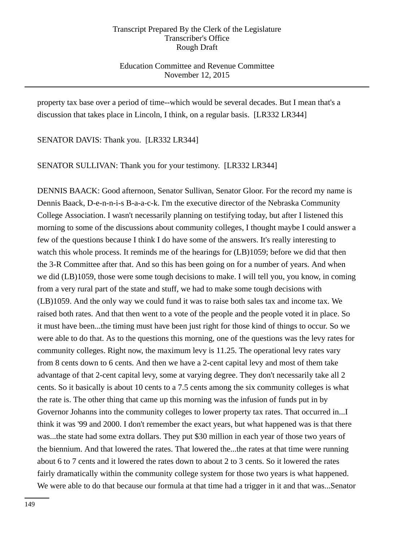Education Committee and Revenue Committee November 12, 2015

property tax base over a period of time--which would be several decades. But I mean that's a discussion that takes place in Lincoln, I think, on a regular basis. [LR332 LR344]

SENATOR DAVIS: Thank you. [LR332 LR344]

SENATOR SULLIVAN: Thank you for your testimony. [LR332 LR344]

DENNIS BAACK: Good afternoon, Senator Sullivan, Senator Gloor. For the record my name is Dennis Baack, D-e-n-n-i-s B-a-a-c-k. I'm the executive director of the Nebraska Community College Association. I wasn't necessarily planning on testifying today, but after I listened this morning to some of the discussions about community colleges, I thought maybe I could answer a few of the questions because I think I do have some of the answers. It's really interesting to watch this whole process. It reminds me of the hearings for  $(LB)1059$ ; before we did that then the 3-R Committee after that. And so this has been going on for a number of years. And when we did (LB)1059, those were some tough decisions to make. I will tell you, you know, in coming from a very rural part of the state and stuff, we had to make some tough decisions with (LB)1059. And the only way we could fund it was to raise both sales tax and income tax. We raised both rates. And that then went to a vote of the people and the people voted it in place. So it must have been...the timing must have been just right for those kind of things to occur. So we were able to do that. As to the questions this morning, one of the questions was the levy rates for community colleges. Right now, the maximum levy is 11.25. The operational levy rates vary from 8 cents down to 6 cents. And then we have a 2-cent capital levy and most of them take advantage of that 2-cent capital levy, some at varying degree. They don't necessarily take all 2 cents. So it basically is about 10 cents to a 7.5 cents among the six community colleges is what the rate is. The other thing that came up this morning was the infusion of funds put in by Governor Johanns into the community colleges to lower property tax rates. That occurred in...I think it was '99 and 2000. I don't remember the exact years, but what happened was is that there was...the state had some extra dollars. They put \$30 million in each year of those two years of the biennium. And that lowered the rates. That lowered the...the rates at that time were running about 6 to 7 cents and it lowered the rates down to about 2 to 3 cents. So it lowered the rates fairly dramatically within the community college system for those two years is what happened. We were able to do that because our formula at that time had a trigger in it and that was...Senator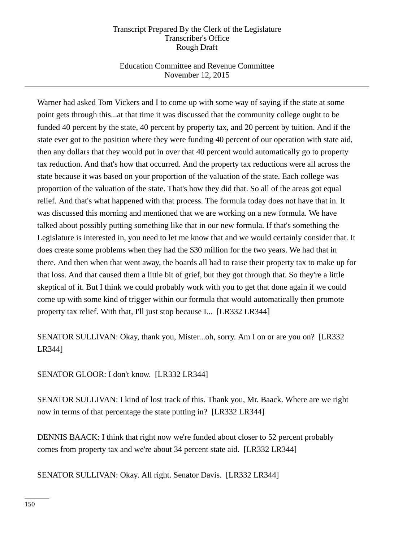## Education Committee and Revenue Committee November 12, 2015

Warner had asked Tom Vickers and I to come up with some way of saying if the state at some point gets through this...at that time it was discussed that the community college ought to be funded 40 percent by the state, 40 percent by property tax, and 20 percent by tuition. And if the state ever got to the position where they were funding 40 percent of our operation with state aid, then any dollars that they would put in over that 40 percent would automatically go to property tax reduction. And that's how that occurred. And the property tax reductions were all across the state because it was based on your proportion of the valuation of the state. Each college was proportion of the valuation of the state. That's how they did that. So all of the areas got equal relief. And that's what happened with that process. The formula today does not have that in. It was discussed this morning and mentioned that we are working on a new formula. We have talked about possibly putting something like that in our new formula. If that's something the Legislature is interested in, you need to let me know that and we would certainly consider that. It does create some problems when they had the \$30 million for the two years. We had that in there. And then when that went away, the boards all had to raise their property tax to make up for that loss. And that caused them a little bit of grief, but they got through that. So they're a little skeptical of it. But I think we could probably work with you to get that done again if we could come up with some kind of trigger within our formula that would automatically then promote property tax relief. With that, I'll just stop because I... [LR332 LR344]

SENATOR SULLIVAN: Okay, thank you, Mister...oh, sorry. Am I on or are you on? [LR332 LR344]

SENATOR GLOOR: I don't know. [LR332 LR344]

SENATOR SULLIVAN: I kind of lost track of this. Thank you, Mr. Baack. Where are we right now in terms of that percentage the state putting in? [LR332 LR344]

DENNIS BAACK: I think that right now we're funded about closer to 52 percent probably comes from property tax and we're about 34 percent state aid. [LR332 LR344]

SENATOR SULLIVAN: Okay. All right. Senator Davis. [LR332 LR344]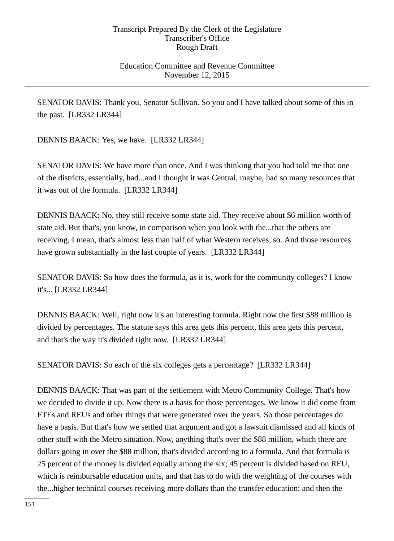### Education Committee and Revenue Committee November 12, 2015

SENATOR DAVIS: Thank you, Senator Sullivan. So you and I have talked about some of this in the past. [LR332 LR344]

DENNIS BAACK: Yes, we have. [LR332 LR344]

SENATOR DAVIS: We have more than once. And I was thinking that you had told me that one of the districts, essentially, had...and I thought it was Central, maybe, had so many resources that it was out of the formula. [LR332 LR344]

DENNIS BAACK: No, they still receive some state aid. They receive about \$6 million worth of state aid. But that's, you know, in comparison when you look with the...that the others are receiving, I mean, that's almost less than half of what Western receives, so. And those resources have grown substantially in the last couple of years. [LR332 LR344]

SENATOR DAVIS: So how does the formula, as it is, work for the community colleges? I know it's... [LR332 LR344]

DENNIS BAACK: Well, right now it's an interesting formula. Right now the first \$88 million is divided by percentages. The statute says this area gets this percent, this area gets this percent, and that's the way it's divided right now. [LR332 LR344]

SENATOR DAVIS: So each of the six colleges gets a percentage? [LR332 LR344]

DENNIS BAACK: That was part of the settlement with Metro Community College. That's how we decided to divide it up. Now there is a basis for those percentages. We know it did come from FTEs and REUs and other things that were generated over the years. So those percentages do have a basis. But that's how we settled that argument and got a lawsuit dismissed and all kinds of other stuff with the Metro situation. Now, anything that's over the \$88 million, which there are dollars going in over the \$88 million, that's divided according to a formula. And that formula is 25 percent of the money is divided equally among the six; 45 percent is divided based on REU, which is reimbursable education units, and that has to do with the weighting of the courses with the...higher technical courses receiving more dollars than the transfer education; and then the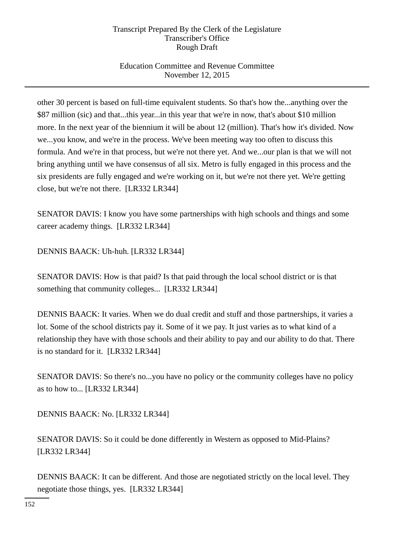## Education Committee and Revenue Committee November 12, 2015

other 30 percent is based on full-time equivalent students. So that's how the...anything over the \$87 million (sic) and that...this year...in this year that we're in now, that's about \$10 million more. In the next year of the biennium it will be about 12 (million). That's how it's divided. Now we...you know, and we're in the process. We've been meeting way too often to discuss this formula. And we're in that process, but we're not there yet. And we...our plan is that we will not bring anything until we have consensus of all six. Metro is fully engaged in this process and the six presidents are fully engaged and we're working on it, but we're not there yet. We're getting close, but we're not there. [LR332 LR344]

SENATOR DAVIS: I know you have some partnerships with high schools and things and some career academy things. [LR332 LR344]

DENNIS BAACK: Uh-huh. [LR332 LR344]

SENATOR DAVIS: How is that paid? Is that paid through the local school district or is that something that community colleges... [LR332 LR344]

DENNIS BAACK: It varies. When we do dual credit and stuff and those partnerships, it varies a lot. Some of the school districts pay it. Some of it we pay. It just varies as to what kind of a relationship they have with those schools and their ability to pay and our ability to do that. There is no standard for it. [LR332 LR344]

SENATOR DAVIS: So there's no...you have no policy or the community colleges have no policy as to how to... [LR332 LR344]

DENNIS BAACK: No. [LR332 LR344]

SENATOR DAVIS: So it could be done differently in Western as opposed to Mid-Plains? [LR332 LR344]

DENNIS BAACK: It can be different. And those are negotiated strictly on the local level. They negotiate those things, yes. [LR332 LR344]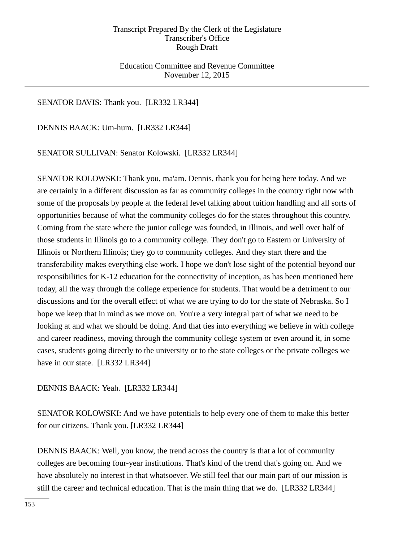Education Committee and Revenue Committee November 12, 2015

### SENATOR DAVIS: Thank you. [LR332 LR344]

DENNIS BAACK: Um-hum. [LR332 LR344]

SENATOR SULLIVAN: Senator Kolowski. [LR332 LR344]

SENATOR KOLOWSKI: Thank you, ma'am. Dennis, thank you for being here today. And we are certainly in a different discussion as far as community colleges in the country right now with some of the proposals by people at the federal level talking about tuition handling and all sorts of opportunities because of what the community colleges do for the states throughout this country. Coming from the state where the junior college was founded, in Illinois, and well over half of those students in Illinois go to a community college. They don't go to Eastern or University of Illinois or Northern Illinois; they go to community colleges. And they start there and the transferability makes everything else work. I hope we don't lose sight of the potential beyond our responsibilities for K-12 education for the connectivity of inception, as has been mentioned here today, all the way through the college experience for students. That would be a detriment to our discussions and for the overall effect of what we are trying to do for the state of Nebraska. So I hope we keep that in mind as we move on. You're a very integral part of what we need to be looking at and what we should be doing. And that ties into everything we believe in with college and career readiness, moving through the community college system or even around it, in some cases, students going directly to the university or to the state colleges or the private colleges we have in our state. [LR332 LR344]

### DENNIS BAACK: Yeah. [LR332 LR344]

SENATOR KOLOWSKI: And we have potentials to help every one of them to make this better for our citizens. Thank you. [LR332 LR344]

DENNIS BAACK: Well, you know, the trend across the country is that a lot of community colleges are becoming four-year institutions. That's kind of the trend that's going on. And we have absolutely no interest in that whatsoever. We still feel that our main part of our mission is still the career and technical education. That is the main thing that we do. [LR332 LR344]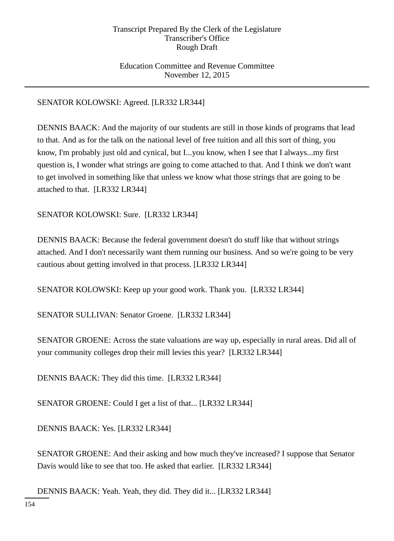### Education Committee and Revenue Committee November 12, 2015

## SENATOR KOLOWSKI: Agreed. [LR332 LR344]

DENNIS BAACK: And the majority of our students are still in those kinds of programs that lead to that. And as for the talk on the national level of free tuition and all this sort of thing, you know, I'm probably just old and cynical, but I...you know, when I see that I always...my first question is, I wonder what strings are going to come attached to that. And I think we don't want to get involved in something like that unless we know what those strings that are going to be attached to that. [LR332 LR344]

SENATOR KOLOWSKI: Sure. [LR332 LR344]

DENNIS BAACK: Because the federal government doesn't do stuff like that without strings attached. And I don't necessarily want them running our business. And so we're going to be very cautious about getting involved in that process. [LR332 LR344]

SENATOR KOLOWSKI: Keep up your good work. Thank you. [LR332 LR344]

SENATOR SULLIVAN: Senator Groene. [LR332 LR344]

SENATOR GROENE: Across the state valuations are way up, especially in rural areas. Did all of your community colleges drop their mill levies this year? [LR332 LR344]

DENNIS BAACK: They did this time. [LR332 LR344]

SENATOR GROENE: Could I get a list of that... [LR332 LR344]

DENNIS BAACK: Yes. [LR332 LR344]

SENATOR GROENE: And their asking and how much they've increased? I suppose that Senator Davis would like to see that too. He asked that earlier. [LR332 LR344]

DENNIS BAACK: Yeah. Yeah, they did. They did it... [LR332 LR344]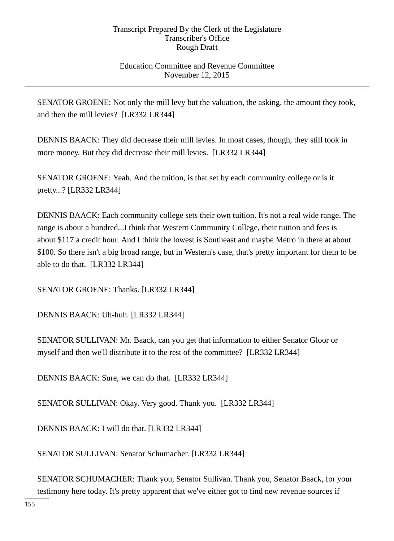### Education Committee and Revenue Committee November 12, 2015

SENATOR GROENE: Not only the mill levy but the valuation, the asking, the amount they took, and then the mill levies? [LR332 LR344]

DENNIS BAACK: They did decrease their mill levies. In most cases, though, they still took in more money. But they did decrease their mill levies. [LR332 LR344]

SENATOR GROENE: Yeah. And the tuition, is that set by each community college or is it pretty...? [LR332 LR344]

DENNIS BAACK: Each community college sets their own tuition. It's not a real wide range. The range is about a hundred...I think that Western Community College, their tuition and fees is about \$117 a credit hour. And I think the lowest is Southeast and maybe Metro in there at about \$100. So there isn't a big broad range, but in Western's case, that's pretty important for them to be able to do that. [LR332 LR344]

SENATOR GROENE: Thanks. [LR332 LR344]

DENNIS BAACK: Uh-huh. [LR332 LR344]

SENATOR SULLIVAN: Mr. Baack, can you get that information to either Senator Gloor or myself and then we'll distribute it to the rest of the committee? [LR332 LR344]

DENNIS BAACK: Sure, we can do that. [LR332 LR344]

SENATOR SULLIVAN: Okay. Very good. Thank you. [LR332 LR344]

DENNIS BAACK: I will do that. [LR332 LR344]

SENATOR SULLIVAN: Senator Schumacher. [LR332 LR344]

SENATOR SCHUMACHER: Thank you, Senator Sullivan. Thank you, Senator Baack, for your testimony here today. It's pretty apparent that we've either got to find new revenue sources if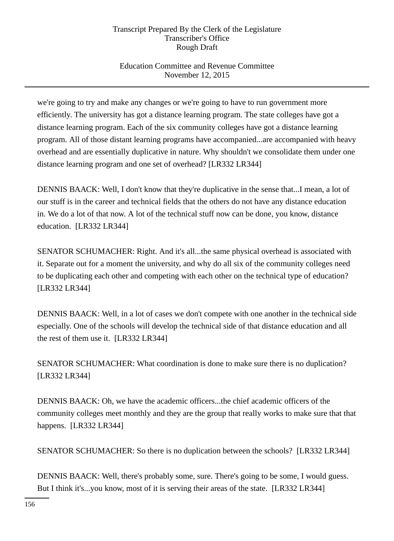## Education Committee and Revenue Committee November 12, 2015

we're going to try and make any changes or we're going to have to run government more efficiently. The university has got a distance learning program. The state colleges have got a distance learning program. Each of the six community colleges have got a distance learning program. All of those distant learning programs have accompanied...are accompanied with heavy overhead and are essentially duplicative in nature. Why shouldn't we consolidate them under one distance learning program and one set of overhead? [LR332 LR344]

DENNIS BAACK: Well, I don't know that they're duplicative in the sense that...I mean, a lot of our stuff is in the career and technical fields that the others do not have any distance education in. We do a lot of that now. A lot of the technical stuff now can be done, you know, distance education. [LR332 LR344]

SENATOR SCHUMACHER: Right. And it's all...the same physical overhead is associated with it. Separate out for a moment the university, and why do all six of the community colleges need to be duplicating each other and competing with each other on the technical type of education? [LR332 LR344]

DENNIS BAACK: Well, in a lot of cases we don't compete with one another in the technical side especially. One of the schools will develop the technical side of that distance education and all the rest of them use it. [LR332 LR344]

SENATOR SCHUMACHER: What coordination is done to make sure there is no duplication? [LR332 LR344]

DENNIS BAACK: Oh, we have the academic officers...the chief academic officers of the community colleges meet monthly and they are the group that really works to make sure that that happens. [LR332 LR344]

SENATOR SCHUMACHER: So there is no duplication between the schools? [LR332 LR344]

DENNIS BAACK: Well, there's probably some, sure. There's going to be some, I would guess. But I think it's...you know, most of it is serving their areas of the state. [LR332 LR344]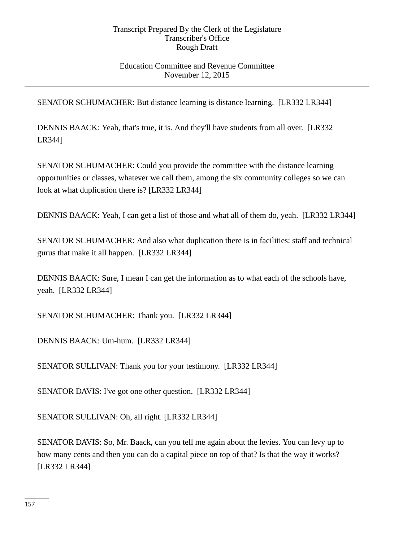### Education Committee and Revenue Committee November 12, 2015

SENATOR SCHUMACHER: But distance learning is distance learning. [LR332 LR344]

DENNIS BAACK: Yeah, that's true, it is. And they'll have students from all over. [LR332 LR344]

SENATOR SCHUMACHER: Could you provide the committee with the distance learning opportunities or classes, whatever we call them, among the six community colleges so we can look at what duplication there is? [LR332 LR344]

DENNIS BAACK: Yeah, I can get a list of those and what all of them do, yeah. [LR332 LR344]

SENATOR SCHUMACHER: And also what duplication there is in facilities: staff and technical gurus that make it all happen. [LR332 LR344]

DENNIS BAACK: Sure, I mean I can get the information as to what each of the schools have, yeah. [LR332 LR344]

SENATOR SCHUMACHER: Thank you. [LR332 LR344]

DENNIS BAACK: Um-hum. [LR332 LR344]

SENATOR SULLIVAN: Thank you for your testimony. [LR332 LR344]

SENATOR DAVIS: I've got one other question. [LR332 LR344]

SENATOR SULLIVAN: Oh, all right. [LR332 LR344]

SENATOR DAVIS: So, Mr. Baack, can you tell me again about the levies. You can levy up to how many cents and then you can do a capital piece on top of that? Is that the way it works? [LR332 LR344]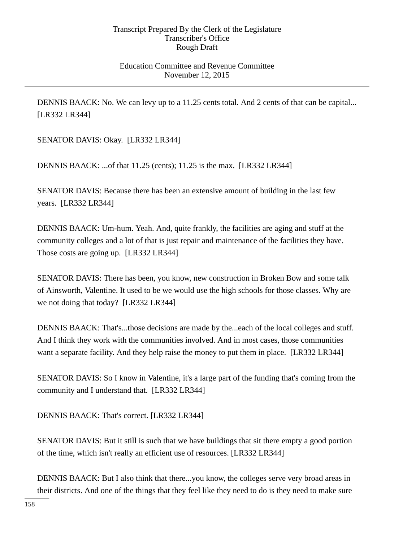### Education Committee and Revenue Committee November 12, 2015

DENNIS BAACK: No. We can levy up to a 11.25 cents total. And 2 cents of that can be capital... [LR332 LR344]

SENATOR DAVIS: Okay. [LR332 LR344]

DENNIS BAACK: ...of that 11.25 (cents); 11.25 is the max. [LR332 LR344]

SENATOR DAVIS: Because there has been an extensive amount of building in the last few years. [LR332 LR344]

DENNIS BAACK: Um-hum. Yeah. And, quite frankly, the facilities are aging and stuff at the community colleges and a lot of that is just repair and maintenance of the facilities they have. Those costs are going up. [LR332 LR344]

SENATOR DAVIS: There has been, you know, new construction in Broken Bow and some talk of Ainsworth, Valentine. It used to be we would use the high schools for those classes. Why are we not doing that today? [LR332 LR344]

DENNIS BAACK: That's...those decisions are made by the...each of the local colleges and stuff. And I think they work with the communities involved. And in most cases, those communities want a separate facility. And they help raise the money to put them in place. [LR332 LR344]

SENATOR DAVIS: So I know in Valentine, it's a large part of the funding that's coming from the community and I understand that. [LR332 LR344]

DENNIS BAACK: That's correct. [LR332 LR344]

SENATOR DAVIS: But it still is such that we have buildings that sit there empty a good portion of the time, which isn't really an efficient use of resources. [LR332 LR344]

DENNIS BAACK: But I also think that there...you know, the colleges serve very broad areas in their districts. And one of the things that they feel like they need to do is they need to make sure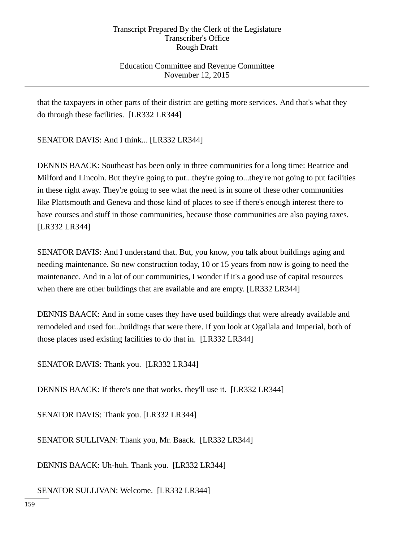### Education Committee and Revenue Committee November 12, 2015

that the taxpayers in other parts of their district are getting more services. And that's what they do through these facilities. [LR332 LR344]

SENATOR DAVIS: And I think... [LR332 LR344]

DENNIS BAACK: Southeast has been only in three communities for a long time: Beatrice and Milford and Lincoln. But they're going to put...they're going to...they're not going to put facilities in these right away. They're going to see what the need is in some of these other communities like Plattsmouth and Geneva and those kind of places to see if there's enough interest there to have courses and stuff in those communities, because those communities are also paying taxes. [LR332 LR344]

SENATOR DAVIS: And I understand that. But, you know, you talk about buildings aging and needing maintenance. So new construction today, 10 or 15 years from now is going to need the maintenance. And in a lot of our communities, I wonder if it's a good use of capital resources when there are other buildings that are available and are empty. [LR332 LR344]

DENNIS BAACK: And in some cases they have used buildings that were already available and remodeled and used for...buildings that were there. If you look at Ogallala and Imperial, both of those places used existing facilities to do that in. [LR332 LR344]

SENATOR DAVIS: Thank you. [LR332 LR344]

DENNIS BAACK: If there's one that works, they'll use it. [LR332 LR344]

SENATOR DAVIS: Thank you. [LR332 LR344]

SENATOR SULLIVAN: Thank you, Mr. Baack. [LR332 LR344]

DENNIS BAACK: Uh-huh. Thank you. [LR332 LR344]

SENATOR SULLIVAN: Welcome. [LR332 LR344]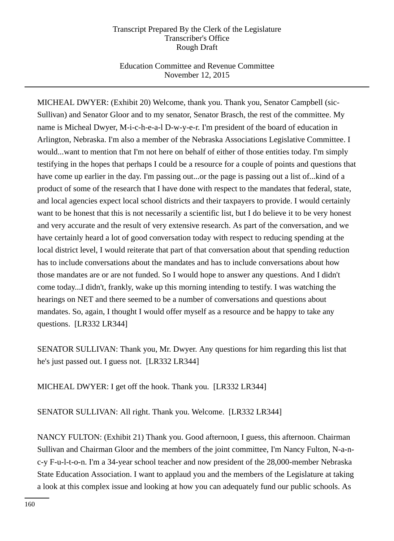## Education Committee and Revenue Committee November 12, 2015

MICHEAL DWYER: (Exhibit 20) Welcome, thank you. Thank you, Senator Campbell (sic-Sullivan) and Senator Gloor and to my senator, Senator Brasch, the rest of the committee. My name is Micheal Dwyer, M-i-c-h-e-a-l D-w-y-e-r. I'm president of the board of education in Arlington, Nebraska. I'm also a member of the Nebraska Associations Legislative Committee. I would...want to mention that I'm not here on behalf of either of those entities today. I'm simply testifying in the hopes that perhaps I could be a resource for a couple of points and questions that have come up earlier in the day. I'm passing out...or the page is passing out a list of...kind of a product of some of the research that I have done with respect to the mandates that federal, state, and local agencies expect local school districts and their taxpayers to provide. I would certainly want to be honest that this is not necessarily a scientific list, but I do believe it to be very honest and very accurate and the result of very extensive research. As part of the conversation, and we have certainly heard a lot of good conversation today with respect to reducing spending at the local district level, I would reiterate that part of that conversation about that spending reduction has to include conversations about the mandates and has to include conversations about how those mandates are or are not funded. So I would hope to answer any questions. And I didn't come today...I didn't, frankly, wake up this morning intending to testify. I was watching the hearings on NET and there seemed to be a number of conversations and questions about mandates. So, again, I thought I would offer myself as a resource and be happy to take any questions. [LR332 LR344]

SENATOR SULLIVAN: Thank you, Mr. Dwyer. Any questions for him regarding this list that he's just passed out. I guess not. [LR332 LR344]

MICHEAL DWYER: I get off the hook. Thank you. [LR332 LR344]

SENATOR SULLIVAN: All right. Thank you. Welcome. [LR332 LR344]

NANCY FULTON: (Exhibit 21) Thank you. Good afternoon, I guess, this afternoon. Chairman Sullivan and Chairman Gloor and the members of the joint committee, I'm Nancy Fulton, N-a-nc-y F-u-l-t-o-n. I'm a 34-year school teacher and now president of the 28,000-member Nebraska State Education Association. I want to applaud you and the members of the Legislature at taking a look at this complex issue and looking at how you can adequately fund our public schools. As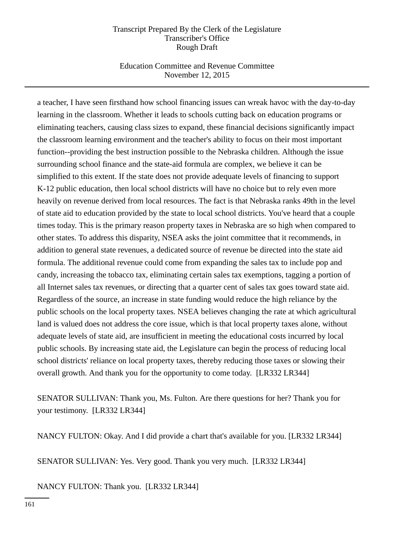### Education Committee and Revenue Committee November 12, 2015

a teacher, I have seen firsthand how school financing issues can wreak havoc with the day-to-day learning in the classroom. Whether it leads to schools cutting back on education programs or eliminating teachers, causing class sizes to expand, these financial decisions significantly impact the classroom learning environment and the teacher's ability to focus on their most important function--providing the best instruction possible to the Nebraska children. Although the issue surrounding school finance and the state-aid formula are complex, we believe it can be simplified to this extent. If the state does not provide adequate levels of financing to support K-12 public education, then local school districts will have no choice but to rely even more heavily on revenue derived from local resources. The fact is that Nebraska ranks 49th in the level of state aid to education provided by the state to local school districts. You've heard that a couple times today. This is the primary reason property taxes in Nebraska are so high when compared to other states. To address this disparity, NSEA asks the joint committee that it recommends, in addition to general state revenues, a dedicated source of revenue be directed into the state aid formula. The additional revenue could come from expanding the sales tax to include pop and candy, increasing the tobacco tax, eliminating certain sales tax exemptions, tagging a portion of all Internet sales tax revenues, or directing that a quarter cent of sales tax goes toward state aid. Regardless of the source, an increase in state funding would reduce the high reliance by the public schools on the local property taxes. NSEA believes changing the rate at which agricultural land is valued does not address the core issue, which is that local property taxes alone, without adequate levels of state aid, are insufficient in meeting the educational costs incurred by local public schools. By increasing state aid, the Legislature can begin the process of reducing local school districts' reliance on local property taxes, thereby reducing those taxes or slowing their overall growth. And thank you for the opportunity to come today. [LR332 LR344]

SENATOR SULLIVAN: Thank you, Ms. Fulton. Are there questions for her? Thank you for your testimony. [LR332 LR344]

NANCY FULTON: Okay. And I did provide a chart that's available for you. [LR332 LR344]

SENATOR SULLIVAN: Yes. Very good. Thank you very much. [LR332 LR344]

NANCY FULTON: Thank you. [LR332 LR344]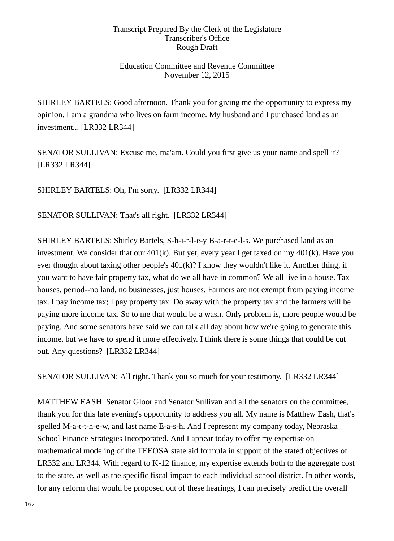### Education Committee and Revenue Committee November 12, 2015

SHIRLEY BARTELS: Good afternoon. Thank you for giving me the opportunity to express my opinion. I am a grandma who lives on farm income. My husband and I purchased land as an investment... [LR332 LR344]

SENATOR SULLIVAN: Excuse me, ma'am. Could you first give us your name and spell it? [LR332 LR344]

SHIRLEY BARTELS: Oh, I'm sorry. [LR332 LR344]

SENATOR SULLIVAN: That's all right. [LR332 LR344]

SHIRLEY BARTELS: Shirley Bartels, S-h-i-r-l-e-y B-a-r-t-e-l-s. We purchased land as an investment. We consider that our  $401(k)$ . But yet, every year I get taxed on my  $401(k)$ . Have you ever thought about taxing other people's 401(k)? I know they wouldn't like it. Another thing, if you want to have fair property tax, what do we all have in common? We all live in a house. Tax houses, period--no land, no businesses, just houses. Farmers are not exempt from paying income tax. I pay income tax; I pay property tax. Do away with the property tax and the farmers will be paying more income tax. So to me that would be a wash. Only problem is, more people would be paying. And some senators have said we can talk all day about how we're going to generate this income, but we have to spend it more effectively. I think there is some things that could be cut out. Any questions? [LR332 LR344]

SENATOR SULLIVAN: All right. Thank you so much for your testimony. [LR332 LR344]

MATTHEW EASH: Senator Gloor and Senator Sullivan and all the senators on the committee, thank you for this late evening's opportunity to address you all. My name is Matthew Eash, that's spelled M-a-t-t-h-e-w, and last name E-a-s-h. And I represent my company today, Nebraska School Finance Strategies Incorporated. And I appear today to offer my expertise on mathematical modeling of the TEEOSA state aid formula in support of the stated objectives of LR332 and LR344. With regard to K-12 finance, my expertise extends both to the aggregate cost to the state, as well as the specific fiscal impact to each individual school district. In other words, for any reform that would be proposed out of these hearings, I can precisely predict the overall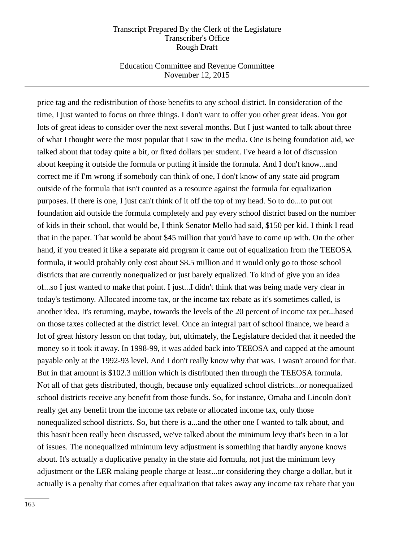### Education Committee and Revenue Committee November 12, 2015

price tag and the redistribution of those benefits to any school district. In consideration of the time, I just wanted to focus on three things. I don't want to offer you other great ideas. You got lots of great ideas to consider over the next several months. But I just wanted to talk about three of what I thought were the most popular that I saw in the media. One is being foundation aid, we talked about that today quite a bit, or fixed dollars per student. I've heard a lot of discussion about keeping it outside the formula or putting it inside the formula. And I don't know...and correct me if I'm wrong if somebody can think of one, I don't know of any state aid program outside of the formula that isn't counted as a resource against the formula for equalization purposes. If there is one, I just can't think of it off the top of my head. So to do...to put out foundation aid outside the formula completely and pay every school district based on the number of kids in their school, that would be, I think Senator Mello had said, \$150 per kid. I think I read that in the paper. That would be about \$45 million that you'd have to come up with. On the other hand, if you treated it like a separate aid program it came out of equalization from the TEEOSA formula, it would probably only cost about \$8.5 million and it would only go to those school districts that are currently nonequalized or just barely equalized. To kind of give you an idea of...so I just wanted to make that point. I just...I didn't think that was being made very clear in today's testimony. Allocated income tax, or the income tax rebate as it's sometimes called, is another idea. It's returning, maybe, towards the levels of the 20 percent of income tax per...based on those taxes collected at the district level. Once an integral part of school finance, we heard a lot of great history lesson on that today, but, ultimately, the Legislature decided that it needed the money so it took it away. In 1998-99, it was added back into TEEOSA and capped at the amount payable only at the 1992-93 level. And I don't really know why that was. I wasn't around for that. But in that amount is \$102.3 million which is distributed then through the TEEOSA formula. Not all of that gets distributed, though, because only equalized school districts...or nonequalized school districts receive any benefit from those funds. So, for instance, Omaha and Lincoln don't really get any benefit from the income tax rebate or allocated income tax, only those nonequalized school districts. So, but there is a...and the other one I wanted to talk about, and this hasn't been really been discussed, we've talked about the minimum levy that's been in a lot of issues. The nonequalized minimum levy adjustment is something that hardly anyone knows about. It's actually a duplicative penalty in the state aid formula, not just the minimum levy adjustment or the LER making people charge at least...or considering they charge a dollar, but it actually is a penalty that comes after equalization that takes away any income tax rebate that you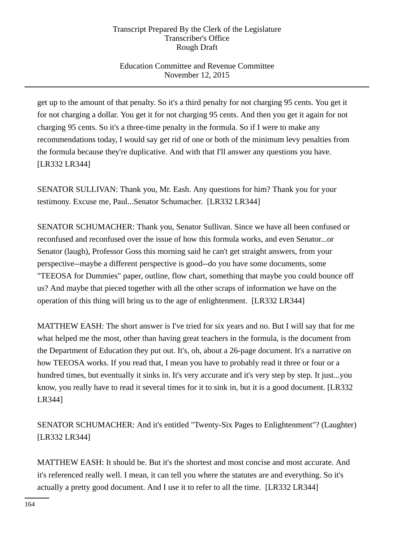## Education Committee and Revenue Committee November 12, 2015

get up to the amount of that penalty. So it's a third penalty for not charging 95 cents. You get it for not charging a dollar. You get it for not charging 95 cents. And then you get it again for not charging 95 cents. So it's a three-time penalty in the formula. So if I were to make any recommendations today, I would say get rid of one or both of the minimum levy penalties from the formula because they're duplicative. And with that I'll answer any questions you have. [LR332 LR344]

SENATOR SULLIVAN: Thank you, Mr. Eash. Any questions for him? Thank you for your testimony. Excuse me, Paul...Senator Schumacher. [LR332 LR344]

SENATOR SCHUMACHER: Thank you, Senator Sullivan. Since we have all been confused or reconfused and reconfused over the issue of how this formula works, and even Senator...or Senator (laugh), Professor Goss this morning said he can't get straight answers, from your perspective--maybe a different perspective is good--do you have some documents, some "TEEOSA for Dummies" paper, outline, flow chart, something that maybe you could bounce off us? And maybe that pieced together with all the other scraps of information we have on the operation of this thing will bring us to the age of enlightenment. [LR332 LR344]

MATTHEW EASH: The short answer is I've tried for six years and no. But I will say that for me what helped me the most, other than having great teachers in the formula, is the document from the Department of Education they put out. It's, oh, about a 26-page document. It's a narrative on how TEEOSA works. If you read that, I mean you have to probably read it three or four or a hundred times, but eventually it sinks in. It's very accurate and it's very step by step. It just...you know, you really have to read it several times for it to sink in, but it is a good document. [LR332 LR344]

SENATOR SCHUMACHER: And it's entitled "Twenty-Six Pages to Enlightenment"? (Laughter) [LR332 LR344]

MATTHEW EASH: It should be. But it's the shortest and most concise and most accurate. And it's referenced really well. I mean, it can tell you where the statutes are and everything. So it's actually a pretty good document. And I use it to refer to all the time. [LR332 LR344]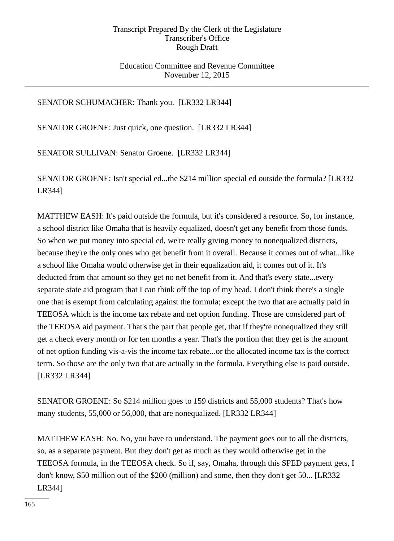### Education Committee and Revenue Committee November 12, 2015

## SENATOR SCHUMACHER: Thank you. [LR332 LR344]

SENATOR GROENE: Just quick, one question. [LR332 LR344]

SENATOR SULLIVAN: Senator Groene. [LR332 LR344]

SENATOR GROENE: Isn't special ed...the \$214 million special ed outside the formula? [LR332 LR344]

MATTHEW EASH: It's paid outside the formula, but it's considered a resource. So, for instance, a school district like Omaha that is heavily equalized, doesn't get any benefit from those funds. So when we put money into special ed, we're really giving money to nonequalized districts, because they're the only ones who get benefit from it overall. Because it comes out of what...like a school like Omaha would otherwise get in their equalization aid, it comes out of it. It's deducted from that amount so they get no net benefit from it. And that's every state...every separate state aid program that I can think off the top of my head. I don't think there's a single one that is exempt from calculating against the formula; except the two that are actually paid in TEEOSA which is the income tax rebate and net option funding. Those are considered part of the TEEOSA aid payment. That's the part that people get, that if they're nonequalized they still get a check every month or for ten months a year. That's the portion that they get is the amount of net option funding vis-a-vis the income tax rebate...or the allocated income tax is the correct term. So those are the only two that are actually in the formula. Everything else is paid outside. [LR332 LR344]

SENATOR GROENE: So \$214 million goes to 159 districts and 55,000 students? That's how many students, 55,000 or 56,000, that are nonequalized. [LR332 LR344]

MATTHEW EASH: No. No, you have to understand. The payment goes out to all the districts, so, as a separate payment. But they don't get as much as they would otherwise get in the TEEOSA formula, in the TEEOSA check. So if, say, Omaha, through this SPED payment gets, I don't know, \$50 million out of the \$200 (million) and some, then they don't get 50... [LR332 LR344]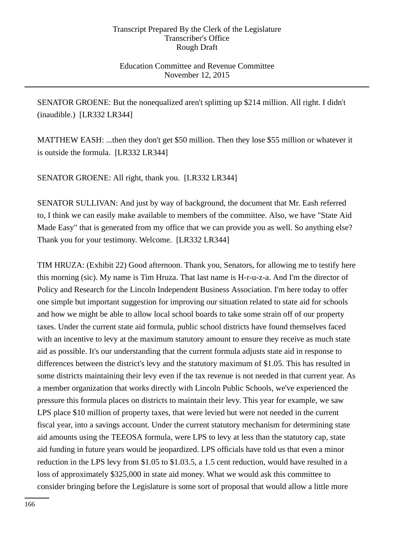### Education Committee and Revenue Committee November 12, 2015

SENATOR GROENE: But the nonequalized aren't splitting up \$214 million. All right. I didn't (inaudible.) [LR332 LR344]

MATTHEW EASH: ...then they don't get \$50 million. Then they lose \$55 million or whatever it is outside the formula. [LR332 LR344]

SENATOR GROENE: All right, thank you. [LR332 LR344]

SENATOR SULLIVAN: And just by way of background, the document that Mr. Eash referred to, I think we can easily make available to members of the committee. Also, we have "State Aid Made Easy" that is generated from my office that we can provide you as well. So anything else? Thank you for your testimony. Welcome. [LR332 LR344]

TIM HRUZA: (Exhibit 22) Good afternoon. Thank you, Senators, for allowing me to testify here this morning (sic). My name is Tim Hruza. That last name is H-r-u-z-a. And I'm the director of Policy and Research for the Lincoln Independent Business Association. I'm here today to offer one simple but important suggestion for improving our situation related to state aid for schools and how we might be able to allow local school boards to take some strain off of our property taxes. Under the current state aid formula, public school districts have found themselves faced with an incentive to levy at the maximum statutory amount to ensure they receive as much state aid as possible. It's our understanding that the current formula adjusts state aid in response to differences between the district's levy and the statutory maximum of \$1.05. This has resulted in some districts maintaining their levy even if the tax revenue is not needed in that current year. As a member organization that works directly with Lincoln Public Schools, we've experienced the pressure this formula places on districts to maintain their levy. This year for example, we saw LPS place \$10 million of property taxes, that were levied but were not needed in the current fiscal year, into a savings account. Under the current statutory mechanism for determining state aid amounts using the TEEOSA formula, were LPS to levy at less than the statutory cap, state aid funding in future years would be jeopardized. LPS officials have told us that even a minor reduction in the LPS levy from \$1.05 to \$1.03.5, a 1.5 cent reduction, would have resulted in a loss of approximately \$325,000 in state aid money. What we would ask this committee to consider bringing before the Legislature is some sort of proposal that would allow a little more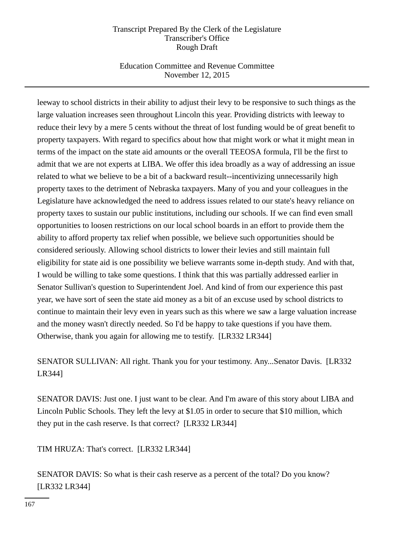## Education Committee and Revenue Committee November 12, 2015

leeway to school districts in their ability to adjust their levy to be responsive to such things as the large valuation increases seen throughout Lincoln this year. Providing districts with leeway to reduce their levy by a mere 5 cents without the threat of lost funding would be of great benefit to property taxpayers. With regard to specifics about how that might work or what it might mean in terms of the impact on the state aid amounts or the overall TEEOSA formula, I'll be the first to admit that we are not experts at LIBA. We offer this idea broadly as a way of addressing an issue related to what we believe to be a bit of a backward result--incentivizing unnecessarily high property taxes to the detriment of Nebraska taxpayers. Many of you and your colleagues in the Legislature have acknowledged the need to address issues related to our state's heavy reliance on property taxes to sustain our public institutions, including our schools. If we can find even small opportunities to loosen restrictions on our local school boards in an effort to provide them the ability to afford property tax relief when possible, we believe such opportunities should be considered seriously. Allowing school districts to lower their levies and still maintain full eligibility for state aid is one possibility we believe warrants some in-depth study. And with that, I would be willing to take some questions. I think that this was partially addressed earlier in Senator Sullivan's question to Superintendent Joel. And kind of from our experience this past year, we have sort of seen the state aid money as a bit of an excuse used by school districts to continue to maintain their levy even in years such as this where we saw a large valuation increase and the money wasn't directly needed. So I'd be happy to take questions if you have them. Otherwise, thank you again for allowing me to testify. [LR332 LR344]

SENATOR SULLIVAN: All right. Thank you for your testimony. Any...Senator Davis. [LR332 LR344]

SENATOR DAVIS: Just one. I just want to be clear. And I'm aware of this story about LIBA and Lincoln Public Schools. They left the levy at \$1.05 in order to secure that \$10 million, which they put in the cash reserve. Is that correct? [LR332 LR344]

TIM HRUZA: That's correct. [LR332 LR344]

SENATOR DAVIS: So what is their cash reserve as a percent of the total? Do you know? [LR332 LR344]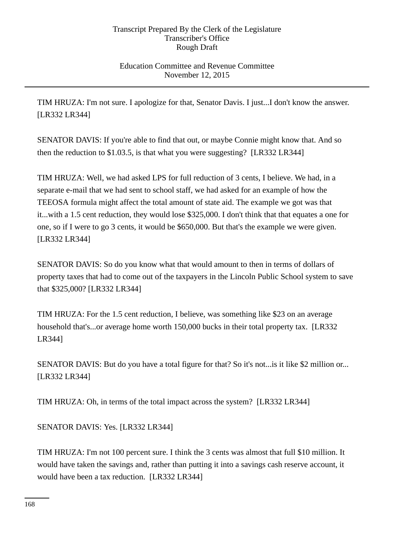Education Committee and Revenue Committee November 12, 2015

TIM HRUZA: I'm not sure. I apologize for that, Senator Davis. I just...I don't know the answer. [LR332 LR344]

SENATOR DAVIS: If you're able to find that out, or maybe Connie might know that. And so then the reduction to \$1.03.5, is that what you were suggesting? [LR332 LR344]

TIM HRUZA: Well, we had asked LPS for full reduction of 3 cents, I believe. We had, in a separate e-mail that we had sent to school staff, we had asked for an example of how the TEEOSA formula might affect the total amount of state aid. The example we got was that it...with a 1.5 cent reduction, they would lose \$325,000. I don't think that that equates a one for one, so if I were to go 3 cents, it would be \$650,000. But that's the example we were given. [LR332 LR344]

SENATOR DAVIS: So do you know what that would amount to then in terms of dollars of property taxes that had to come out of the taxpayers in the Lincoln Public School system to save that \$325,000? [LR332 LR344]

TIM HRUZA: For the 1.5 cent reduction, I believe, was something like \$23 on an average household that's...or average home worth 150,000 bucks in their total property tax. [LR332 LR344]

SENATOR DAVIS: But do you have a total figure for that? So it's not...is it like \$2 million or... [LR332 LR344]

TIM HRUZA: Oh, in terms of the total impact across the system? [LR332 LR344]

SENATOR DAVIS: Yes. [LR332 LR344]

TIM HRUZA: I'm not 100 percent sure. I think the 3 cents was almost that full \$10 million. It would have taken the savings and, rather than putting it into a savings cash reserve account, it would have been a tax reduction. [LR332 LR344]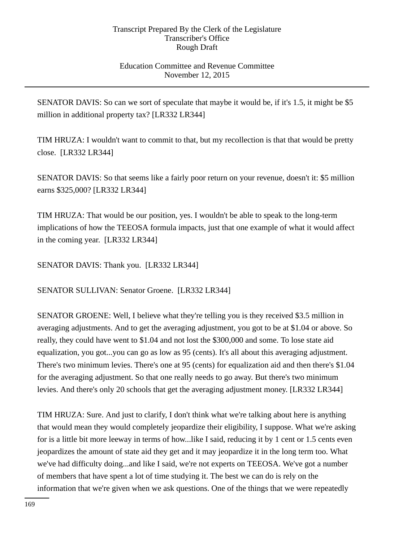### Education Committee and Revenue Committee November 12, 2015

SENATOR DAVIS: So can we sort of speculate that maybe it would be, if it's 1.5, it might be \$5 million in additional property tax? [LR332 LR344]

TIM HRUZA: I wouldn't want to commit to that, but my recollection is that that would be pretty close. [LR332 LR344]

SENATOR DAVIS: So that seems like a fairly poor return on your revenue, doesn't it: \$5 million earns \$325,000? [LR332 LR344]

TIM HRUZA: That would be our position, yes. I wouldn't be able to speak to the long-term implications of how the TEEOSA formula impacts, just that one example of what it would affect in the coming year. [LR332 LR344]

SENATOR DAVIS: Thank you. [LR332 LR344]

SENATOR SULLIVAN: Senator Groene. [LR332 LR344]

SENATOR GROENE: Well, I believe what they're telling you is they received \$3.5 million in averaging adjustments. And to get the averaging adjustment, you got to be at \$1.04 or above. So really, they could have went to \$1.04 and not lost the \$300,000 and some. To lose state aid equalization, you got...you can go as low as 95 (cents). It's all about this averaging adjustment. There's two minimum levies. There's one at 95 (cents) for equalization aid and then there's \$1.04 for the averaging adjustment. So that one really needs to go away. But there's two minimum levies. And there's only 20 schools that get the averaging adjustment money. [LR332 LR344]

TIM HRUZA: Sure. And just to clarify, I don't think what we're talking about here is anything that would mean they would completely jeopardize their eligibility, I suppose. What we're asking for is a little bit more leeway in terms of how...like I said, reducing it by 1 cent or 1.5 cents even jeopardizes the amount of state aid they get and it may jeopardize it in the long term too. What we've had difficulty doing...and like I said, we're not experts on TEEOSA. We've got a number of members that have spent a lot of time studying it. The best we can do is rely on the information that we're given when we ask questions. One of the things that we were repeatedly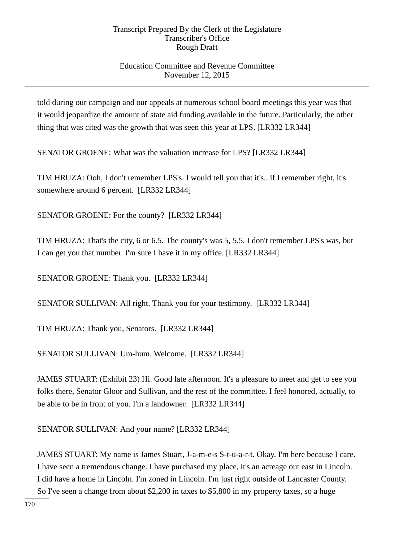## Education Committee and Revenue Committee November 12, 2015

told during our campaign and our appeals at numerous school board meetings this year was that it would jeopardize the amount of state aid funding available in the future. Particularly, the other thing that was cited was the growth that was seen this year at LPS. [LR332 LR344]

SENATOR GROENE: What was the valuation increase for LPS? [LR332 LR344]

TIM HRUZA: Ooh, I don't remember LPS's. I would tell you that it's...if I remember right, it's somewhere around 6 percent. [LR332 LR344]

SENATOR GROENE: For the county? [LR332 LR344]

TIM HRUZA: That's the city, 6 or 6.5. The county's was 5, 5.5. I don't remember LPS's was, but I can get you that number. I'm sure I have it in my office. [LR332 LR344]

SENATOR GROENE: Thank you. [LR332 LR344]

SENATOR SULLIVAN: All right. Thank you for your testimony. [LR332 LR344]

TIM HRUZA: Thank you, Senators. [LR332 LR344]

SENATOR SULLIVAN: Um-hum. Welcome. [LR332 LR344]

JAMES STUART: (Exhibit 23) Hi. Good late afternoon. It's a pleasure to meet and get to see you folks there, Senator Gloor and Sullivan, and the rest of the committee. I feel honored, actually, to be able to be in front of you. I'm a landowner. [LR332 LR344]

SENATOR SULLIVAN: And your name? [LR332 LR344]

JAMES STUART: My name is James Stuart, J-a-m-e-s S-t-u-a-r-t. Okay. I'm here because I care. I have seen a tremendous change. I have purchased my place, it's an acreage out east in Lincoln. I did have a home in Lincoln. I'm zoned in Lincoln. I'm just right outside of Lancaster County. So I've seen a change from about \$2,200 in taxes to \$5,800 in my property taxes, so a huge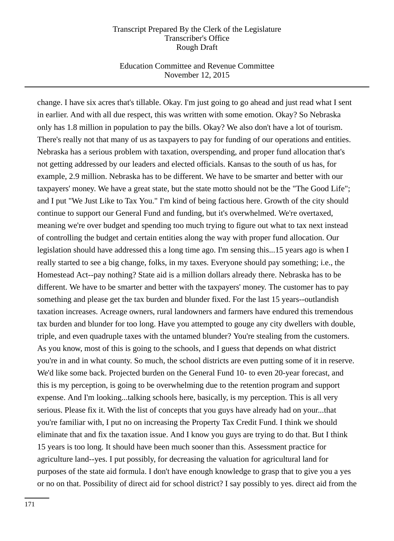### Education Committee and Revenue Committee November 12, 2015

change. I have six acres that's tillable. Okay. I'm just going to go ahead and just read what I sent in earlier. And with all due respect, this was written with some emotion. Okay? So Nebraska only has 1.8 million in population to pay the bills. Okay? We also don't have a lot of tourism. There's really not that many of us as taxpayers to pay for funding of our operations and entities. Nebraska has a serious problem with taxation, overspending, and proper fund allocation that's not getting addressed by our leaders and elected officials. Kansas to the south of us has, for example, 2.9 million. Nebraska has to be different. We have to be smarter and better with our taxpayers' money. We have a great state, but the state motto should not be the "The Good Life"; and I put "We Just Like to Tax You." I'm kind of being factious here. Growth of the city should continue to support our General Fund and funding, but it's overwhelmed. We're overtaxed, meaning we're over budget and spending too much trying to figure out what to tax next instead of controlling the budget and certain entities along the way with proper fund allocation. Our legislation should have addressed this a long time ago. I'm sensing this...15 years ago is when I really started to see a big change, folks, in my taxes. Everyone should pay something; i.e., the Homestead Act--pay nothing? State aid is a million dollars already there. Nebraska has to be different. We have to be smarter and better with the taxpayers' money. The customer has to pay something and please get the tax burden and blunder fixed. For the last 15 years--outlandish taxation increases. Acreage owners, rural landowners and farmers have endured this tremendous tax burden and blunder for too long. Have you attempted to gouge any city dwellers with double, triple, and even quadruple taxes with the untamed blunder? You're stealing from the customers. As you know, most of this is going to the schools, and I guess that depends on what district you're in and in what county. So much, the school districts are even putting some of it in reserve. We'd like some back. Projected burden on the General Fund 10- to even 20-year forecast, and this is my perception, is going to be overwhelming due to the retention program and support expense. And I'm looking...talking schools here, basically, is my perception. This is all very serious. Please fix it. With the list of concepts that you guys have already had on your...that you're familiar with, I put no on increasing the Property Tax Credit Fund. I think we should eliminate that and fix the taxation issue. And I know you guys are trying to do that. But I think 15 years is too long. It should have been much sooner than this. Assessment practice for agriculture land--yes. I put possibly, for decreasing the valuation for agricultural land for purposes of the state aid formula. I don't have enough knowledge to grasp that to give you a yes or no on that. Possibility of direct aid for school district? I say possibly to yes. direct aid from the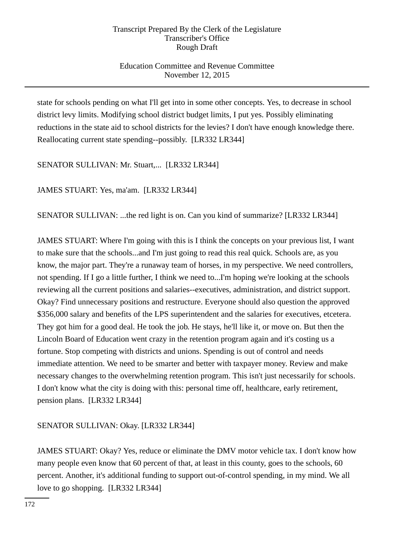## Education Committee and Revenue Committee November 12, 2015

state for schools pending on what I'll get into in some other concepts. Yes, to decrease in school district levy limits. Modifying school district budget limits, I put yes. Possibly eliminating reductions in the state aid to school districts for the levies? I don't have enough knowledge there. Reallocating current state spending--possibly. [LR332 LR344]

SENATOR SULLIVAN: Mr. Stuart,... [LR332 LR344]

JAMES STUART: Yes, ma'am. [LR332 LR344]

SENATOR SULLIVAN: ...the red light is on. Can you kind of summarize? [LR332 LR344]

JAMES STUART: Where I'm going with this is I think the concepts on your previous list, I want to make sure that the schools...and I'm just going to read this real quick. Schools are, as you know, the major part. They're a runaway team of horses, in my perspective. We need controllers, not spending. If I go a little further, I think we need to...I'm hoping we're looking at the schools reviewing all the current positions and salaries--executives, administration, and district support. Okay? Find unnecessary positions and restructure. Everyone should also question the approved \$356,000 salary and benefits of the LPS superintendent and the salaries for executives, etcetera. They got him for a good deal. He took the job. He stays, he'll like it, or move on. But then the Lincoln Board of Education went crazy in the retention program again and it's costing us a fortune. Stop competing with districts and unions. Spending is out of control and needs immediate attention. We need to be smarter and better with taxpayer money. Review and make necessary changes to the overwhelming retention program. This isn't just necessarily for schools. I don't know what the city is doing with this: personal time off, healthcare, early retirement, pension plans. [LR332 LR344]

### SENATOR SULLIVAN: Okay. [LR332 LR344]

JAMES STUART: Okay? Yes, reduce or eliminate the DMV motor vehicle tax. I don't know how many people even know that 60 percent of that, at least in this county, goes to the schools, 60 percent. Another, it's additional funding to support out-of-control spending, in my mind. We all love to go shopping. [LR332 LR344]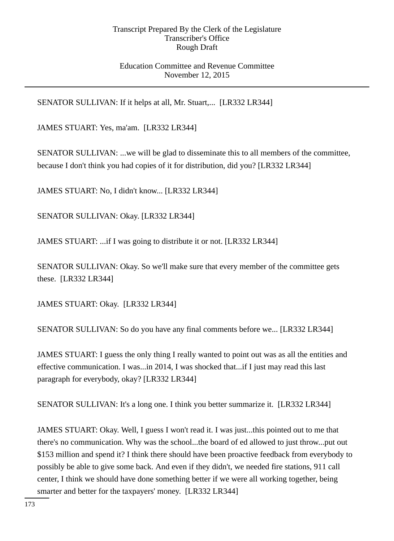### Education Committee and Revenue Committee November 12, 2015

SENATOR SULLIVAN: If it helps at all, Mr. Stuart,... [LR332 LR344]

JAMES STUART: Yes, ma'am. [LR332 LR344]

SENATOR SULLIVAN: ...we will be glad to disseminate this to all members of the committee, because I don't think you had copies of it for distribution, did you? [LR332 LR344]

JAMES STUART: No, I didn't know... [LR332 LR344]

SENATOR SULLIVAN: Okay. [LR332 LR344]

JAMES STUART: ...if I was going to distribute it or not. [LR332 LR344]

SENATOR SULLIVAN: Okay. So we'll make sure that every member of the committee gets these. [LR332 LR344]

JAMES STUART: Okay. [LR332 LR344]

SENATOR SULLIVAN: So do you have any final comments before we... [LR332 LR344]

JAMES STUART: I guess the only thing I really wanted to point out was as all the entities and effective communication. I was...in 2014, I was shocked that...if I just may read this last paragraph for everybody, okay? [LR332 LR344]

SENATOR SULLIVAN: It's a long one. I think you better summarize it. [LR332 LR344]

JAMES STUART: Okay. Well, I guess I won't read it. I was just...this pointed out to me that there's no communication. Why was the school...the board of ed allowed to just throw...put out \$153 million and spend it? I think there should have been proactive feedback from everybody to possibly be able to give some back. And even if they didn't, we needed fire stations, 911 call center, I think we should have done something better if we were all working together, being smarter and better for the taxpayers' money. [LR332 LR344]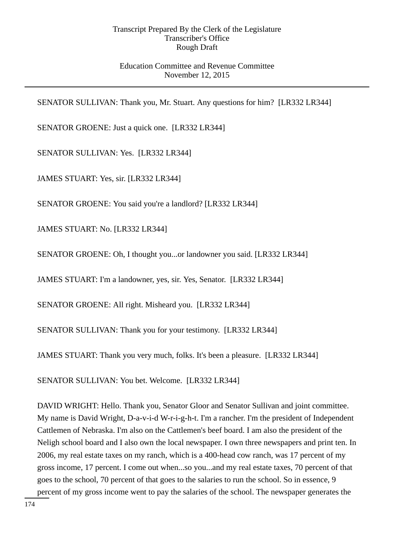### Education Committee and Revenue Committee November 12, 2015

SENATOR SULLIVAN: Thank you, Mr. Stuart. Any questions for him? [LR332 LR344]

SENATOR GROENE: Just a quick one. [LR332 LR344]

SENATOR SULLIVAN: Yes. [LR332 LR344]

JAMES STUART: Yes, sir. [LR332 LR344]

SENATOR GROENE: You said you're a landlord? [LR332 LR344]

JAMES STUART: No. [LR332 LR344]

SENATOR GROENE: Oh, I thought you...or landowner you said. [LR332 LR344]

JAMES STUART: I'm a landowner, yes, sir. Yes, Senator. [LR332 LR344]

SENATOR GROENE: All right. Misheard you. [LR332 LR344]

SENATOR SULLIVAN: Thank you for your testimony. [LR332 LR344]

JAMES STUART: Thank you very much, folks. It's been a pleasure. [LR332 LR344]

SENATOR SULLIVAN: You bet. Welcome. [LR332 LR344]

DAVID WRIGHT: Hello. Thank you, Senator Gloor and Senator Sullivan and joint committee. My name is David Wright, D-a-v-i-d W-r-i-g-h-t. I'm a rancher. I'm the president of Independent Cattlemen of Nebraska. I'm also on the Cattlemen's beef board. I am also the president of the Neligh school board and I also own the local newspaper. I own three newspapers and print ten. In 2006, my real estate taxes on my ranch, which is a 400-head cow ranch, was 17 percent of my gross income, 17 percent. I come out when...so you...and my real estate taxes, 70 percent of that goes to the school, 70 percent of that goes to the salaries to run the school. So in essence, 9 percent of my gross income went to pay the salaries of the school. The newspaper generates the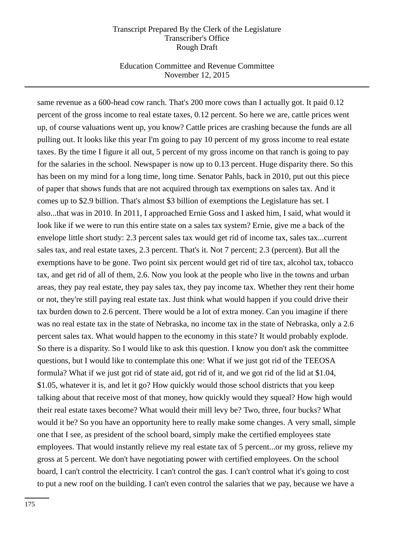### Education Committee and Revenue Committee November 12, 2015

same revenue as a 600-head cow ranch. That's 200 more cows than I actually got. It paid 0.12 percent of the gross income to real estate taxes, 0.12 percent. So here we are, cattle prices went up, of course valuations went up, you know? Cattle prices are crashing because the funds are all pulling out. It looks like this year I'm going to pay 10 percent of my gross income to real estate taxes. By the time I figure it all out, 5 percent of my gross income on that ranch is going to pay for the salaries in the school. Newspaper is now up to 0.13 percent. Huge disparity there. So this has been on my mind for a long time, long time. Senator Pahls, back in 2010, put out this piece of paper that shows funds that are not acquired through tax exemptions on sales tax. And it comes up to \$2.9 billion. That's almost \$3 billion of exemptions the Legislature has set. I also...that was in 2010. In 2011, I approached Ernie Goss and I asked him, I said, what would it look like if we were to run this entire state on a sales tax system? Ernie, give me a back of the envelope little short study: 2.3 percent sales tax would get rid of income tax, sales tax...current sales tax, and real estate taxes, 2.3 percent. That's it. Not 7 percent; 2.3 (percent). But all the exemptions have to be gone. Two point six percent would get rid of tire tax, alcohol tax, tobacco tax, and get rid of all of them, 2.6. Now you look at the people who live in the towns and urban areas, they pay real estate, they pay sales tax, they pay income tax. Whether they rent their home or not, they're still paying real estate tax. Just think what would happen if you could drive their tax burden down to 2.6 percent. There would be a lot of extra money. Can you imagine if there was no real estate tax in the state of Nebraska, no income tax in the state of Nebraska, only a 2.6 percent sales tax. What would happen to the economy in this state? It would probably explode. So there is a disparity. So I would like to ask this question. I know you don't ask the committee questions, but I would like to contemplate this one: What if we just got rid of the TEEOSA formula? What if we just got rid of state aid, got rid of it, and we got rid of the lid at \$1.04, \$1.05, whatever it is, and let it go? How quickly would those school districts that you keep talking about that receive most of that money, how quickly would they squeal? How high would their real estate taxes become? What would their mill levy be? Two, three, four bucks? What would it be? So you have an opportunity here to really make some changes. A very small, simple one that I see, as president of the school board, simply make the certified employees state employees. That would instantly relieve my real estate tax of 5 percent...or my gross, relieve my gross at 5 percent. We don't have negotiating power with certified employees. On the school board, I can't control the electricity. I can't control the gas. I can't control what it's going to cost to put a new roof on the building. I can't even control the salaries that we pay, because we have a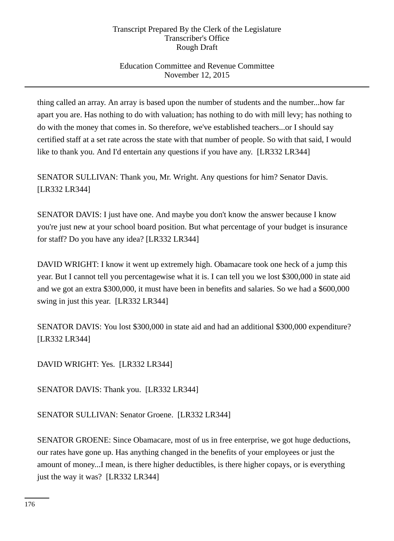## Education Committee and Revenue Committee November 12, 2015

thing called an array. An array is based upon the number of students and the number...how far apart you are. Has nothing to do with valuation; has nothing to do with mill levy; has nothing to do with the money that comes in. So therefore, we've established teachers...or I should say certified staff at a set rate across the state with that number of people. So with that said, I would like to thank you. And I'd entertain any questions if you have any. [LR332 LR344]

SENATOR SULLIVAN: Thank you, Mr. Wright. Any questions for him? Senator Davis. [LR332 LR344]

SENATOR DAVIS: I just have one. And maybe you don't know the answer because I know you're just new at your school board position. But what percentage of your budget is insurance for staff? Do you have any idea? [LR332 LR344]

DAVID WRIGHT: I know it went up extremely high. Obamacare took one heck of a jump this year. But I cannot tell you percentagewise what it is. I can tell you we lost \$300,000 in state aid and we got an extra \$300,000, it must have been in benefits and salaries. So we had a \$600,000 swing in just this year. [LR332 LR344]

SENATOR DAVIS: You lost \$300,000 in state aid and had an additional \$300,000 expenditure? [LR332 LR344]

DAVID WRIGHT: Yes. [LR332 LR344]

SENATOR DAVIS: Thank you. [LR332 LR344]

SENATOR SULLIVAN: Senator Groene. [LR332 LR344]

SENATOR GROENE: Since Obamacare, most of us in free enterprise, we got huge deductions, our rates have gone up. Has anything changed in the benefits of your employees or just the amount of money...I mean, is there higher deductibles, is there higher copays, or is everything just the way it was? [LR332 LR344]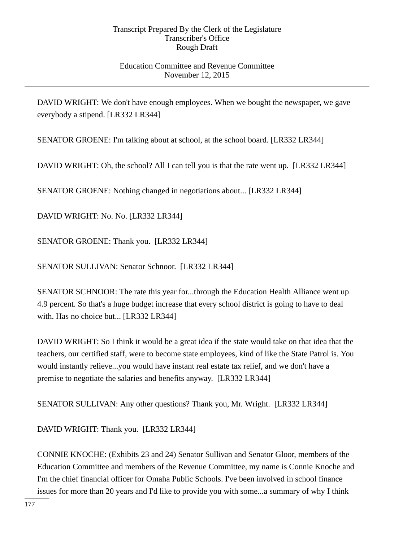### Education Committee and Revenue Committee November 12, 2015

DAVID WRIGHT: We don't have enough employees. When we bought the newspaper, we gave everybody a stipend. [LR332 LR344]

SENATOR GROENE: I'm talking about at school, at the school board. [LR332 LR344]

DAVID WRIGHT: Oh, the school? All I can tell you is that the rate went up. [LR332 LR344]

SENATOR GROENE: Nothing changed in negotiations about... [LR332 LR344]

DAVID WRIGHT: No. No. [LR332 LR344]

SENATOR GROENE: Thank you. [LR332 LR344]

SENATOR SULLIVAN: Senator Schnoor. [LR332 LR344]

SENATOR SCHNOOR: The rate this year for...through the Education Health Alliance went up 4.9 percent. So that's a huge budget increase that every school district is going to have to deal with. Has no choice but... [LR332 LR344]

DAVID WRIGHT: So I think it would be a great idea if the state would take on that idea that the teachers, our certified staff, were to become state employees, kind of like the State Patrol is. You would instantly relieve...you would have instant real estate tax relief, and we don't have a premise to negotiate the salaries and benefits anyway. [LR332 LR344]

SENATOR SULLIVAN: Any other questions? Thank you, Mr. Wright. [LR332 LR344]

DAVID WRIGHT: Thank you. [LR332 LR344]

CONNIE KNOCHE: (Exhibits 23 and 24) Senator Sullivan and Senator Gloor, members of the Education Committee and members of the Revenue Committee, my name is Connie Knoche and I'm the chief financial officer for Omaha Public Schools. I've been involved in school finance issues for more than 20 years and I'd like to provide you with some...a summary of why I think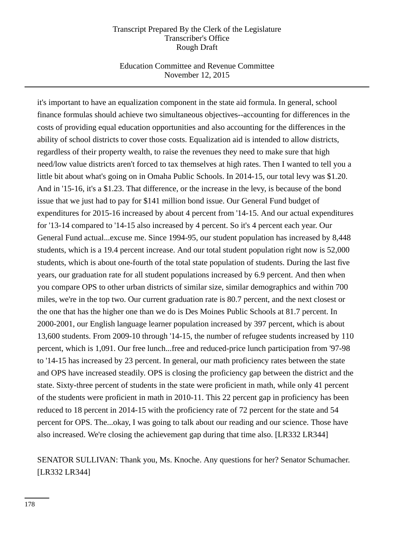### Education Committee and Revenue Committee November 12, 2015

it's important to have an equalization component in the state aid formula. In general, school finance formulas should achieve two simultaneous objectives--accounting for differences in the costs of providing equal education opportunities and also accounting for the differences in the ability of school districts to cover those costs. Equalization aid is intended to allow districts, regardless of their property wealth, to raise the revenues they need to make sure that high need/low value districts aren't forced to tax themselves at high rates. Then I wanted to tell you a little bit about what's going on in Omaha Public Schools. In 2014-15, our total levy was \$1.20. And in '15-16, it's a \$1.23. That difference, or the increase in the levy, is because of the bond issue that we just had to pay for \$141 million bond issue. Our General Fund budget of expenditures for 2015-16 increased by about 4 percent from '14-15. And our actual expenditures for '13-14 compared to '14-15 also increased by 4 percent. So it's 4 percent each year. Our General Fund actual...excuse me. Since 1994-95, our student population has increased by 8,448 students, which is a 19.4 percent increase. And our total student population right now is 52,000 students, which is about one-fourth of the total state population of students. During the last five years, our graduation rate for all student populations increased by 6.9 percent. And then when you compare OPS to other urban districts of similar size, similar demographics and within 700 miles, we're in the top two. Our current graduation rate is 80.7 percent, and the next closest or the one that has the higher one than we do is Des Moines Public Schools at 81.7 percent. In 2000-2001, our English language learner population increased by 397 percent, which is about 13,600 students. From 2009-10 through '14-15, the number of refugee students increased by 110 percent, which is 1,091. Our free lunch...free and reduced-price lunch participation from '97-98 to '14-15 has increased by 23 percent. In general, our math proficiency rates between the state and OPS have increased steadily. OPS is closing the proficiency gap between the district and the state. Sixty-three percent of students in the state were proficient in math, while only 41 percent of the students were proficient in math in 2010-11. This 22 percent gap in proficiency has been reduced to 18 percent in 2014-15 with the proficiency rate of 72 percent for the state and 54 percent for OPS. The...okay, I was going to talk about our reading and our science. Those have also increased. We're closing the achievement gap during that time also. [LR332 LR344]

# SENATOR SULLIVAN: Thank you, Ms. Knoche. Any questions for her? Senator Schumacher. [LR332 LR344]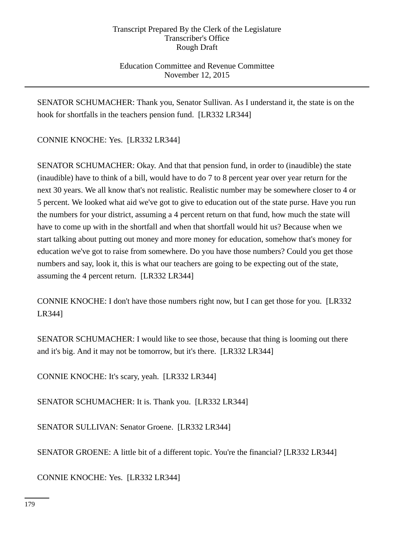## Education Committee and Revenue Committee November 12, 2015

SENATOR SCHUMACHER: Thank you, Senator Sullivan. As I understand it, the state is on the hook for shortfalls in the teachers pension fund. [LR332 LR344]

CONNIE KNOCHE: Yes. [LR332 LR344]

SENATOR SCHUMACHER: Okay. And that that pension fund, in order to (inaudible) the state (inaudible) have to think of a bill, would have to do 7 to 8 percent year over year return for the next 30 years. We all know that's not realistic. Realistic number may be somewhere closer to 4 or 5 percent. We looked what aid we've got to give to education out of the state purse. Have you run the numbers for your district, assuming a 4 percent return on that fund, how much the state will have to come up with in the shortfall and when that shortfall would hit us? Because when we start talking about putting out money and more money for education, somehow that's money for education we've got to raise from somewhere. Do you have those numbers? Could you get those numbers and say, look it, this is what our teachers are going to be expecting out of the state, assuming the 4 percent return. [LR332 LR344]

CONNIE KNOCHE: I don't have those numbers right now, but I can get those for you. [LR332 LR344]

SENATOR SCHUMACHER: I would like to see those, because that thing is looming out there and it's big. And it may not be tomorrow, but it's there. [LR332 LR344]

CONNIE KNOCHE: It's scary, yeah. [LR332 LR344]

SENATOR SCHUMACHER: It is. Thank you. [LR332 LR344]

SENATOR SULLIVAN: Senator Groene. [LR332 LR344]

SENATOR GROENE: A little bit of a different topic. You're the financial? [LR332 LR344]

CONNIE KNOCHE: Yes. [LR332 LR344]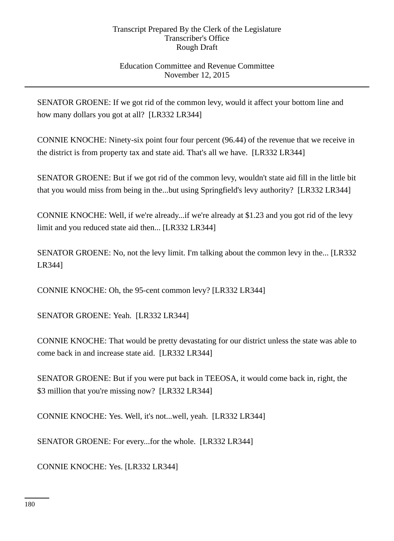### Education Committee and Revenue Committee November 12, 2015

SENATOR GROENE: If we got rid of the common levy, would it affect your bottom line and how many dollars you got at all? [LR332 LR344]

CONNIE KNOCHE: Ninety-six point four four percent (96.44) of the revenue that we receive in the district is from property tax and state aid. That's all we have. [LR332 LR344]

SENATOR GROENE: But if we got rid of the common levy, wouldn't state aid fill in the little bit that you would miss from being in the...but using Springfield's levy authority? [LR332 LR344]

CONNIE KNOCHE: Well, if we're already...if we're already at \$1.23 and you got rid of the levy limit and you reduced state aid then... [LR332 LR344]

SENATOR GROENE: No, not the levy limit. I'm talking about the common levy in the... [LR332 LR344]

CONNIE KNOCHE: Oh, the 95-cent common levy? [LR332 LR344]

SENATOR GROENE: Yeah. [LR332 LR344]

CONNIE KNOCHE: That would be pretty devastating for our district unless the state was able to come back in and increase state aid. [LR332 LR344]

SENATOR GROENE: But if you were put back in TEEOSA, it would come back in, right, the \$3 million that you're missing now? [LR332 LR344]

CONNIE KNOCHE: Yes. Well, it's not...well, yeah. [LR332 LR344]

SENATOR GROENE: For every...for the whole. [LR332 LR344]

CONNIE KNOCHE: Yes. [LR332 LR344]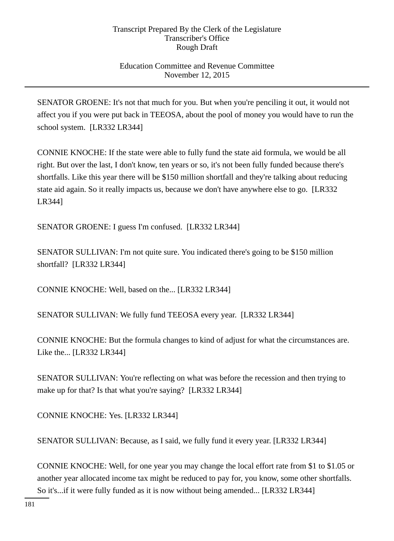# Education Committee and Revenue Committee November 12, 2015

SENATOR GROENE: It's not that much for you. But when you're penciling it out, it would not affect you if you were put back in TEEOSA, about the pool of money you would have to run the school system. [LR332 LR344]

CONNIE KNOCHE: If the state were able to fully fund the state aid formula, we would be all right. But over the last, I don't know, ten years or so, it's not been fully funded because there's shortfalls. Like this year there will be \$150 million shortfall and they're talking about reducing state aid again. So it really impacts us, because we don't have anywhere else to go. [LR332 LR344]

SENATOR GROENE: I guess I'm confused. [LR332 LR344]

SENATOR SULLIVAN: I'm not quite sure. You indicated there's going to be \$150 million shortfall? [LR332 LR344]

CONNIE KNOCHE: Well, based on the... [LR332 LR344]

SENATOR SULLIVAN: We fully fund TEEOSA every year. [LR332 LR344]

CONNIE KNOCHE: But the formula changes to kind of adjust for what the circumstances are. Like the... [LR332 LR344]

SENATOR SULLIVAN: You're reflecting on what was before the recession and then trying to make up for that? Is that what you're saying? [LR332 LR344]

CONNIE KNOCHE: Yes. [LR332 LR344]

SENATOR SULLIVAN: Because, as I said, we fully fund it every year. [LR332 LR344]

CONNIE KNOCHE: Well, for one year you may change the local effort rate from \$1 to \$1.05 or another year allocated income tax might be reduced to pay for, you know, some other shortfalls. So it's...if it were fully funded as it is now without being amended... [LR332 LR344]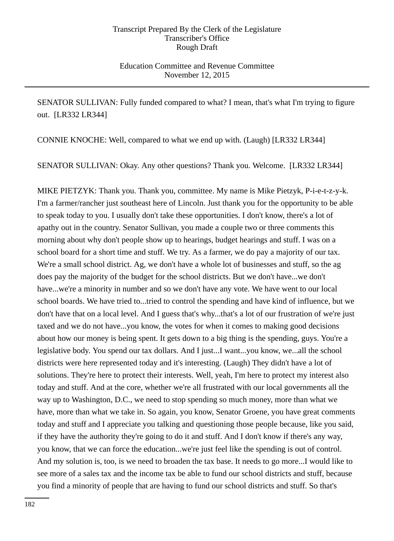Education Committee and Revenue Committee November 12, 2015

SENATOR SULLIVAN: Fully funded compared to what? I mean, that's what I'm trying to figure out. [LR332 LR344]

CONNIE KNOCHE: Well, compared to what we end up with. (Laugh) [LR332 LR344]

SENATOR SULLIVAN: Okay. Any other questions? Thank you. Welcome. [LR332 LR344]

MIKE PIETZYK: Thank you. Thank you, committee. My name is Mike Pietzyk, P-i-e-t-z-y-k. I'm a farmer/rancher just southeast here of Lincoln. Just thank you for the opportunity to be able to speak today to you. I usually don't take these opportunities. I don't know, there's a lot of apathy out in the country. Senator Sullivan, you made a couple two or three comments this morning about why don't people show up to hearings, budget hearings and stuff. I was on a school board for a short time and stuff. We try. As a farmer, we do pay a majority of our tax. We're a small school district. Ag, we don't have a whole lot of businesses and stuff, so the ag does pay the majority of the budget for the school districts. But we don't have...we don't have...we're a minority in number and so we don't have any vote. We have went to our local school boards. We have tried to...tried to control the spending and have kind of influence, but we don't have that on a local level. And I guess that's why...that's a lot of our frustration of we're just taxed and we do not have...you know, the votes for when it comes to making good decisions about how our money is being spent. It gets down to a big thing is the spending, guys. You're a legislative body. You spend our tax dollars. And I just...I want...you know, we...all the school districts were here represented today and it's interesting. (Laugh) They didn't have a lot of solutions. They're here to protect their interests. Well, yeah, I'm here to protect my interest also today and stuff. And at the core, whether we're all frustrated with our local governments all the way up to Washington, D.C., we need to stop spending so much money, more than what we have, more than what we take in. So again, you know, Senator Groene, you have great comments today and stuff and I appreciate you talking and questioning those people because, like you said, if they have the authority they're going to do it and stuff. And I don't know if there's any way, you know, that we can force the education...we're just feel like the spending is out of control. And my solution is, too, is we need to broaden the tax base. It needs to go more...I would like to see more of a sales tax and the income tax be able to fund our school districts and stuff, because you find a minority of people that are having to fund our school districts and stuff. So that's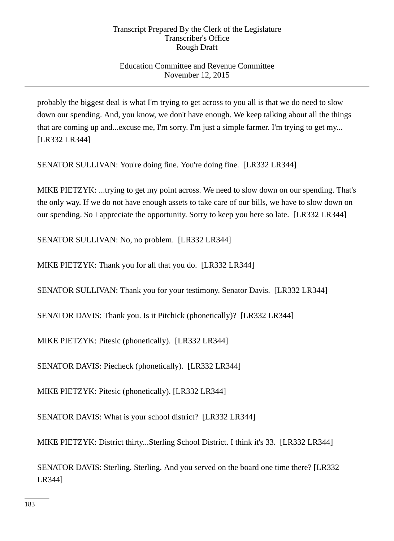# Education Committee and Revenue Committee November 12, 2015

probably the biggest deal is what I'm trying to get across to you all is that we do need to slow down our spending. And, you know, we don't have enough. We keep talking about all the things that are coming up and...excuse me, I'm sorry. I'm just a simple farmer. I'm trying to get my... [LR332 LR344]

SENATOR SULLIVAN: You're doing fine. You're doing fine. [LR332 LR344]

MIKE PIETZYK: ...trying to get my point across. We need to slow down on our spending. That's the only way. If we do not have enough assets to take care of our bills, we have to slow down on our spending. So I appreciate the opportunity. Sorry to keep you here so late. [LR332 LR344]

SENATOR SULLIVAN: No, no problem. [LR332 LR344]

MIKE PIETZYK: Thank you for all that you do. [LR332 LR344]

SENATOR SULLIVAN: Thank you for your testimony. Senator Davis. [LR332 LR344]

SENATOR DAVIS: Thank you. Is it Pitchick (phonetically)? [LR332 LR344]

MIKE PIETZYK: Pitesic (phonetically). [LR332 LR344]

SENATOR DAVIS: Piecheck (phonetically). [LR332 LR344]

MIKE PIETZYK: Pitesic (phonetically). [LR332 LR344]

SENATOR DAVIS: What is your school district? [LR332 LR344]

MIKE PIETZYK: District thirty...Sterling School District. I think it's 33. [LR332 LR344]

SENATOR DAVIS: Sterling. Sterling. And you served on the board one time there? [LR332 LR344]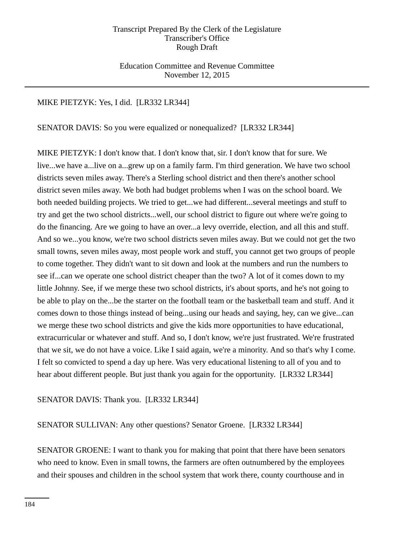Education Committee and Revenue Committee November 12, 2015

### MIKE PIETZYK: Yes, I did. [LR332 LR344]

SENATOR DAVIS: So you were equalized or nonequalized? [LR332 LR344]

MIKE PIETZYK: I don't know that. I don't know that, sir. I don't know that for sure. We live...we have a...live on a...grew up on a family farm. I'm third generation. We have two school districts seven miles away. There's a Sterling school district and then there's another school district seven miles away. We both had budget problems when I was on the school board. We both needed building projects. We tried to get...we had different...several meetings and stuff to try and get the two school districts...well, our school district to figure out where we're going to do the financing. Are we going to have an over...a levy override, election, and all this and stuff. And so we...you know, we're two school districts seven miles away. But we could not get the two small towns, seven miles away, most people work and stuff, you cannot get two groups of people to come together. They didn't want to sit down and look at the numbers and run the numbers to see if...can we operate one school district cheaper than the two? A lot of it comes down to my little Johnny. See, if we merge these two school districts, it's about sports, and he's not going to be able to play on the...be the starter on the football team or the basketball team and stuff. And it comes down to those things instead of being...using our heads and saying, hey, can we give...can we merge these two school districts and give the kids more opportunities to have educational, extracurricular or whatever and stuff. And so, I don't know, we're just frustrated. We're frustrated that we sit, we do not have a voice. Like I said again, we're a minority. And so that's why I come. I felt so convicted to spend a day up here. Was very educational listening to all of you and to hear about different people. But just thank you again for the opportunity. [LR332 LR344]

### SENATOR DAVIS: Thank you. [LR332 LR344]

SENATOR SULLIVAN: Any other questions? Senator Groene. [LR332 LR344]

SENATOR GROENE: I want to thank you for making that point that there have been senators who need to know. Even in small towns, the farmers are often outnumbered by the employees and their spouses and children in the school system that work there, county courthouse and in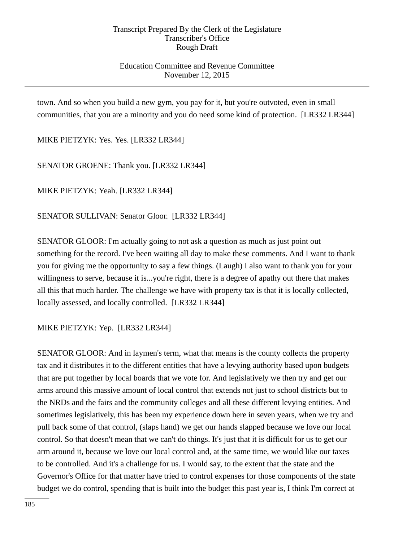## Education Committee and Revenue Committee November 12, 2015

town. And so when you build a new gym, you pay for it, but you're outvoted, even in small communities, that you are a minority and you do need some kind of protection. [LR332 LR344]

MIKE PIETZYK: Yes. Yes. [LR332 LR344]

SENATOR GROENE: Thank you. [LR332 LR344]

MIKE PIETZYK: Yeah. [LR332 LR344]

SENATOR SULLIVAN: Senator Gloor. [LR332 LR344]

SENATOR GLOOR: I'm actually going to not ask a question as much as just point out something for the record. I've been waiting all day to make these comments. And I want to thank you for giving me the opportunity to say a few things. (Laugh) I also want to thank you for your willingness to serve, because it is...you're right, there is a degree of apathy out there that makes all this that much harder. The challenge we have with property tax is that it is locally collected, locally assessed, and locally controlled. [LR332 LR344]

MIKE PIETZYK: Yep. [LR332 LR344]

SENATOR GLOOR: And in laymen's term, what that means is the county collects the property tax and it distributes it to the different entities that have a levying authority based upon budgets that are put together by local boards that we vote for. And legislatively we then try and get our arms around this massive amount of local control that extends not just to school districts but to the NRDs and the fairs and the community colleges and all these different levying entities. And sometimes legislatively, this has been my experience down here in seven years, when we try and pull back some of that control, (slaps hand) we get our hands slapped because we love our local control. So that doesn't mean that we can't do things. It's just that it is difficult for us to get our arm around it, because we love our local control and, at the same time, we would like our taxes to be controlled. And it's a challenge for us. I would say, to the extent that the state and the Governor's Office for that matter have tried to control expenses for those components of the state budget we do control, spending that is built into the budget this past year is, I think I'm correct at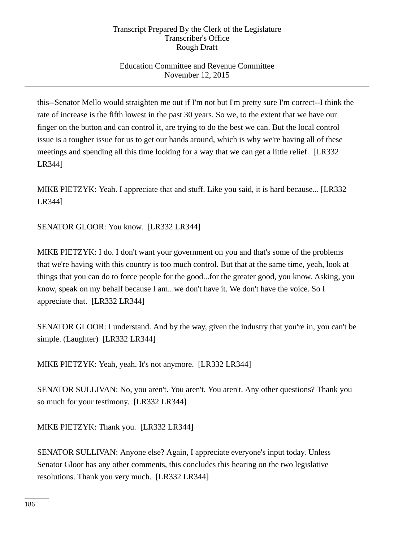# Education Committee and Revenue Committee November 12, 2015

this--Senator Mello would straighten me out if I'm not but I'm pretty sure I'm correct--I think the rate of increase is the fifth lowest in the past 30 years. So we, to the extent that we have our finger on the button and can control it, are trying to do the best we can. But the local control issue is a tougher issue for us to get our hands around, which is why we're having all of these meetings and spending all this time looking for a way that we can get a little relief. [LR332 LR344]

MIKE PIETZYK: Yeah. I appreciate that and stuff. Like you said, it is hard because... [LR332 LR344]

SENATOR GLOOR: You know. [LR332 LR344]

MIKE PIETZYK: I do. I don't want your government on you and that's some of the problems that we're having with this country is too much control. But that at the same time, yeah, look at things that you can do to force people for the good...for the greater good, you know. Asking, you know, speak on my behalf because I am...we don't have it. We don't have the voice. So I appreciate that. [LR332 LR344]

SENATOR GLOOR: I understand. And by the way, given the industry that you're in, you can't be simple. (Laughter) [LR332 LR344]

MIKE PIETZYK: Yeah, yeah. It's not anymore. [LR332 LR344]

SENATOR SULLIVAN: No, you aren't. You aren't. You aren't. Any other questions? Thank you so much for your testimony. [LR332 LR344]

MIKE PIETZYK: Thank you. [LR332 LR344]

SENATOR SULLIVAN: Anyone else? Again, I appreciate everyone's input today. Unless Senator Gloor has any other comments, this concludes this hearing on the two legislative resolutions. Thank you very much. [LR332 LR344]